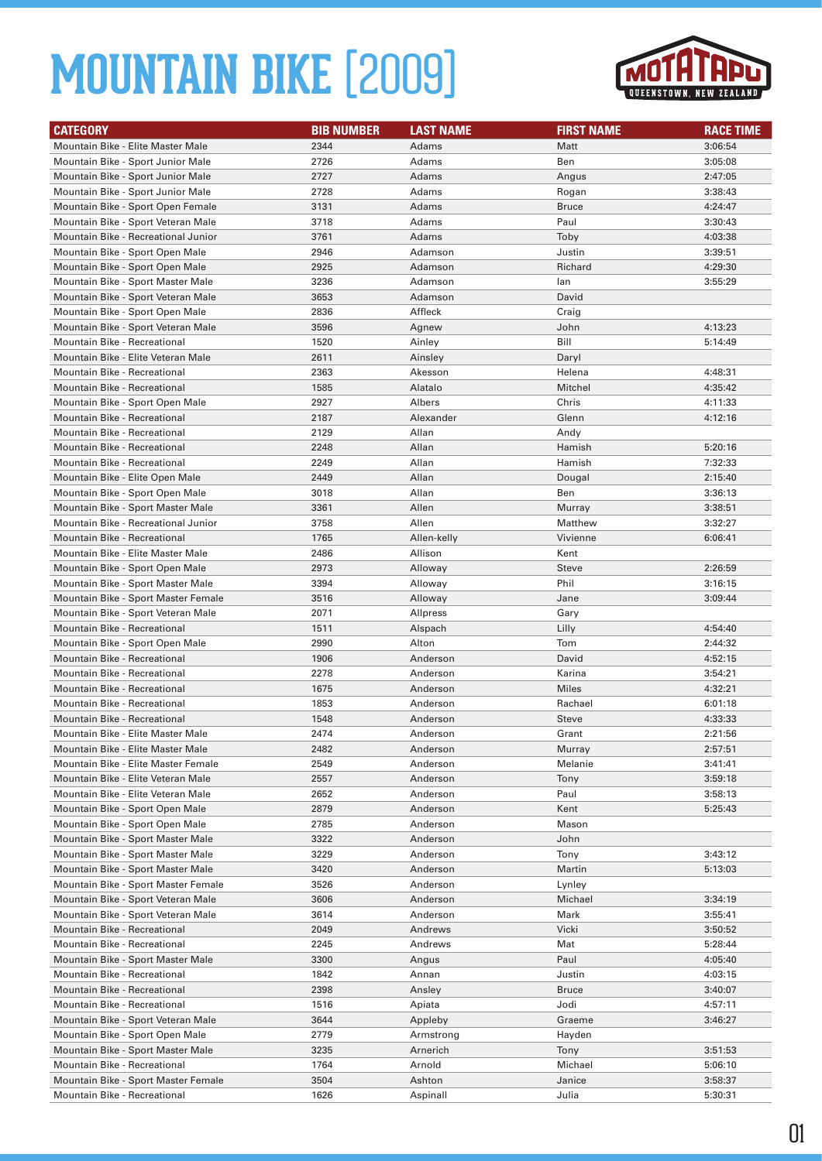

| <b>CATEGORY</b>                                                          | <b>BIB NUMBER</b> | <b>LAST NAME</b>     | <b>FIRST NAME</b> | <b>RACE TIME</b>   |
|--------------------------------------------------------------------------|-------------------|----------------------|-------------------|--------------------|
| Mountain Bike - Elite Master Male                                        | 2344              | Adams                | Matt              | 3:06:54            |
| Mountain Bike - Sport Junior Male                                        | 2726              | Adams                | Ben               | 3:05:08            |
| Mountain Bike - Sport Junior Male                                        | 2727              | Adams                | Angus             | 2:47:05            |
| Mountain Bike - Sport Junior Male                                        | 2728              | Adams                | Rogan             | 3:38:43            |
| Mountain Bike - Sport Open Female                                        | 3131              | Adams                | <b>Bruce</b>      | 4:24:47            |
| Mountain Bike - Sport Veteran Male                                       | 3718              | Adams                | Paul              | 3:30:43            |
| Mountain Bike - Recreational Junior                                      | 3761              | Adams                | Toby              | 4:03:38            |
| Mountain Bike - Sport Open Male                                          | 2946              | Adamson              | Justin            | 3:39:51            |
| Mountain Bike - Sport Open Male                                          | 2925              | Adamson              | Richard           | 4:29:30            |
| Mountain Bike - Sport Master Male                                        | 3236              | Adamson              | lan               | 3:55:29            |
| Mountain Bike - Sport Veteran Male                                       | 3653              | Adamson              | David             |                    |
| Mountain Bike - Sport Open Male                                          | 2836              | Affleck              | Craig             |                    |
| Mountain Bike - Sport Veteran Male                                       | 3596              | Agnew                | John              | 4:13:23            |
| <b>Mountain Bike - Recreational</b>                                      | 1520              | Ainley               | Bill              | 5:14:49            |
| Mountain Bike - Elite Veteran Male                                       | 2611              | Ainsley              | Daryl             |                    |
| Mountain Bike - Recreational                                             | 2363              | Akesson              | Helena            | 4:48:31            |
| <b>Mountain Bike - Recreational</b>                                      | 1585              | Alatalo              | Mitchel           | 4:35:42            |
| Mountain Bike - Sport Open Male                                          | 2927              | Albers               | Chris             | 4:11:33            |
| <b>Mountain Bike - Recreational</b>                                      | 2187              | Alexander            | Glenn             | 4:12:16            |
| <b>Mountain Bike - Recreational</b>                                      | 2129              | Allan                | Andy              |                    |
| <b>Mountain Bike - Recreational</b>                                      | 2248              | Allan                | Hamish            | 5:20:16            |
| <b>Mountain Bike - Recreational</b>                                      | 2249              | Allan                | Hamish            | 7:32:33            |
| Mountain Bike - Elite Open Male                                          | 2449              | Allan                | Dougal            | 2:15:40            |
| Mountain Bike - Sport Open Male                                          | 3018              | Allan                | Ben               | 3:36:13            |
| Mountain Bike - Sport Master Male                                        | 3361              | Allen                | Murray            | 3:38:51            |
| Mountain Bike - Recreational Junior                                      | 3758              | Allen                | Matthew           | 3:32:27            |
| <b>Mountain Bike - Recreational</b>                                      | 1765              | Allen-kelly          | Vivienne          | 6:06:41            |
| Mountain Bike - Elite Master Male                                        | 2486              | Allison              | Kent              |                    |
| Mountain Bike - Sport Open Male                                          | 2973              | Alloway              | <b>Steve</b>      | 2:26:59            |
| Mountain Bike - Sport Master Male                                        | 3394              | Alloway              | Phil              | 3:16:15            |
| Mountain Bike - Sport Master Female                                      | 3516              | Alloway              | Jane              | 3:09:44            |
| Mountain Bike - Sport Veteran Male                                       | 2071              | Allpress             | Gary              |                    |
| Mountain Bike - Recreational                                             | 1511              | Alspach              | Lilly             | 4:54:40            |
| Mountain Bike - Sport Open Male                                          | 2990              | Alton                | Tom               | 2:44:32            |
| <b>Mountain Bike - Recreational</b>                                      | 1906              | Anderson             | David             | 4:52:15            |
| Mountain Bike - Recreational                                             | 2278              | Anderson             | Karina            | 3:54:21            |
| <b>Mountain Bike - Recreational</b>                                      | 1675              | Anderson             | Miles             | 4:32:21            |
| <b>Mountain Bike - Recreational</b>                                      | 1853              | Anderson             | Rachael           | 6:01:18            |
| <b>Mountain Bike - Recreational</b>                                      | 1548              | Anderson             | <b>Steve</b>      | 4:33:33            |
| Mountain Bike - Elite Master Male                                        | 2474              | Anderson             | Grant             | 2:21:56            |
| Mountain Bike - Elite Master Male                                        | 2482              | Anderson             | Murray<br>Melanie | 2:57:51            |
| Mountain Bike - Elite Master Female                                      | 2549              | Anderson             |                   | 3:41:41            |
| Mountain Bike - Elite Veteran Male<br>Mountain Bike - Elite Veteran Male | 2557<br>2652      | Anderson<br>Anderson | Tony<br>Paul      | 3:59:18<br>3:58:13 |
| Mountain Bike - Sport Open Male                                          | 2879              | Anderson             | Kent              | 5:25:43            |
| Mountain Bike - Sport Open Male                                          | 2785              | Anderson             | Mason             |                    |
| Mountain Bike - Sport Master Male                                        | 3322              | Anderson             | John              |                    |
| Mountain Bike - Sport Master Male                                        | 3229              | Anderson             | Tony              | 3:43:12            |
| Mountain Bike - Sport Master Male                                        | 3420              | Anderson             | Martin            | 5:13:03            |
| Mountain Bike - Sport Master Female                                      | 3526              | Anderson             | Lynley            |                    |
| Mountain Bike - Sport Veteran Male                                       | 3606              | Anderson             | Michael           | 3:34:19            |
| Mountain Bike - Sport Veteran Male                                       | 3614              | Anderson             | Mark              | 3:55:41            |
| Mountain Bike - Recreational                                             | 2049              | Andrews              | Vicki             | 3:50:52            |
| Mountain Bike - Recreational                                             | 2245              | Andrews              | Mat               | 5:28:44            |
| Mountain Bike - Sport Master Male                                        | 3300              | Angus                | Paul              | 4:05:40            |
| Mountain Bike - Recreational                                             | 1842              | Annan                | Justin            | 4:03:15            |
| Mountain Bike - Recreational                                             | 2398              | Ansley               | <b>Bruce</b>      | 3:40:07            |
| Mountain Bike - Recreational                                             | 1516              | Apiata               | Jodi              | 4:57:11            |
| Mountain Bike - Sport Veteran Male                                       | 3644              | Appleby              | Graeme            | 3:46:27            |
| Mountain Bike - Sport Open Male                                          | 2779              | Armstrong            | Hayden            |                    |
| Mountain Bike - Sport Master Male                                        | 3235              | Arnerich             | Tony              | 3:51:53            |
| Mountain Bike - Recreational                                             | 1764              | Arnold               | Michael           | 5:06:10            |
| Mountain Bike - Sport Master Female                                      | 3504              | Ashton               | Janice            | 3:58:37            |
| Mountain Bike - Recreational                                             | 1626              | Aspinall             | Julia             | 5:30:31            |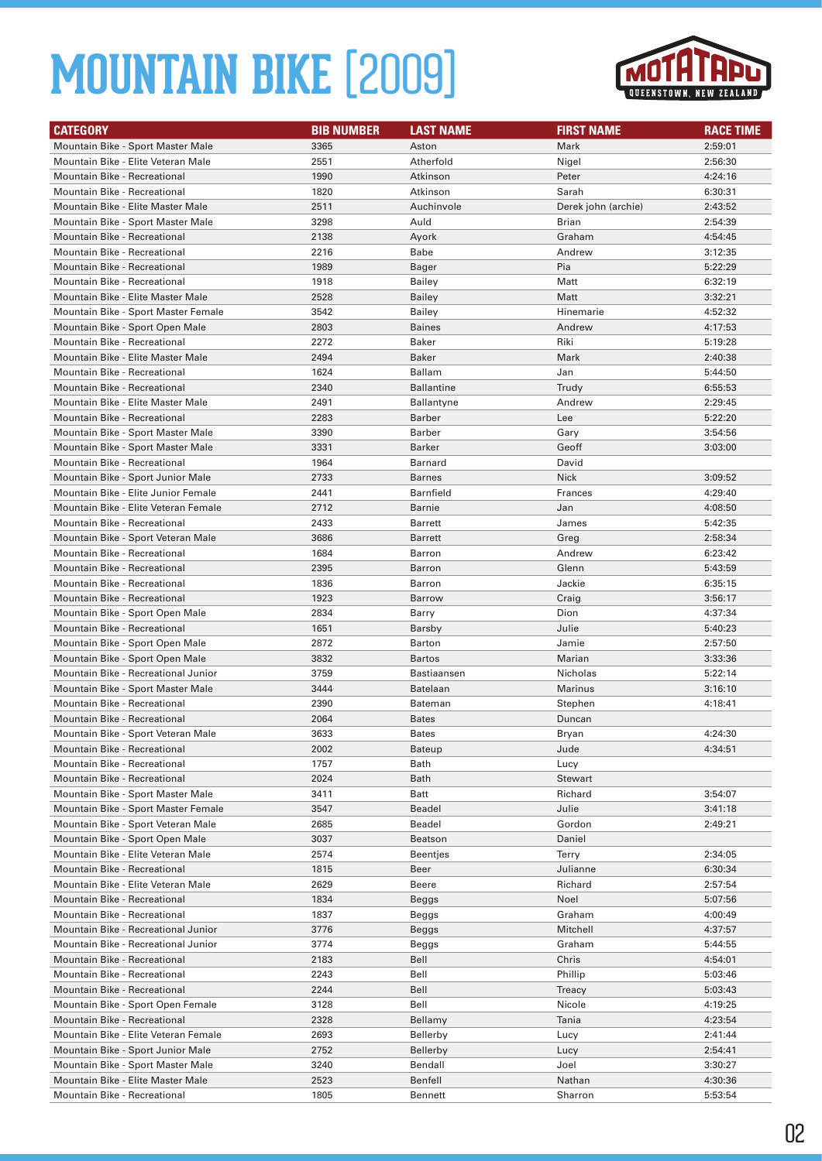

| <b>CATEGORY</b>                      | <b>BIB NUMBER</b> | <b>LAST NAME</b>  | <b>FIRST NAME</b>   | <b>RACE TIME</b> |
|--------------------------------------|-------------------|-------------------|---------------------|------------------|
| Mountain Bike - Sport Master Male    | 3365              | Aston             | Mark                | 2:59:01          |
| Mountain Bike - Elite Veteran Male   | 2551              | Atherfold         | Nigel               | 2:56:30          |
| <b>Mountain Bike - Recreational</b>  | 1990              | Atkinson          | Peter               | 4:24:16          |
| <b>Mountain Bike - Recreational</b>  | 1820              | Atkinson          | Sarah               | 6:30:31          |
| Mountain Bike - Elite Master Male    | 2511              | Auchinvole        | Derek john (archie) | 2:43:52          |
| Mountain Bike - Sport Master Male    | 3298              | Auld              | Brian               | 2:54:39          |
| <b>Mountain Bike - Recreational</b>  | 2138              | Ayork             | Graham              | 4:54:45          |
| <b>Mountain Bike - Recreational</b>  | 2216              | Babe              | Andrew              | 3:12:35          |
| <b>Mountain Bike - Recreational</b>  | 1989              | Bager             | Pia                 | 5:22:29          |
| Mountain Bike - Recreational         | 1918              | <b>Bailey</b>     | Matt                | 6:32:19          |
| Mountain Bike - Elite Master Male    | 2528              | <b>Bailey</b>     | Matt                | 3:32:21          |
| Mountain Bike - Sport Master Female  | 3542              | <b>Bailey</b>     | Hinemarie           | 4:52:32          |
| Mountain Bike - Sport Open Male      | 2803              | Baines            | Andrew              | 4:17:53          |
| <b>Mountain Bike - Recreational</b>  | 2272              | Baker             | Riki                | 5:19:28          |
| Mountain Bike - Elite Master Male    | 2494              | Baker             | Mark                | 2:40:38          |
| Mountain Bike - Recreational         | 1624              | <b>Ballam</b>     | Jan                 | 5:44:50          |
| Mountain Bike - Recreational         | 2340              | <b>Ballantine</b> | Trudy               | 6:55:53          |
| Mountain Bike - Elite Master Male    | 2491              | <b>Ballantyne</b> | Andrew              | 2:29:45          |
| <b>Mountain Bike - Recreational</b>  | 2283              | Barber            | Lee                 | 5:22:20          |
| Mountain Bike - Sport Master Male    | 3390              | Barber            | Gary                | 3:54:56          |
| Mountain Bike - Sport Master Male    | 3331              | <b>Barker</b>     | Geoff               | 3:03:00          |
| <b>Mountain Bike - Recreational</b>  | 1964              | Barnard           | David               |                  |
| Mountain Bike - Sport Junior Male    | 2733              | <b>Barnes</b>     | <b>Nick</b>         | 3:09:52          |
| Mountain Bike - Elite Junior Female  | 2441              | <b>Barnfield</b>  | Frances             | 4:29:40          |
| Mountain Bike - Elite Veteran Female | 2712              | Barnie            | Jan                 | 4:08:50          |
| <b>Mountain Bike - Recreational</b>  | 2433              | <b>Barrett</b>    | James               | 5:42:35          |
| Mountain Bike - Sport Veteran Male   | 3686              | <b>Barrett</b>    | Greg                | 2:58:34          |
| Mountain Bike - Recreational         | 1684              | Barron            | Andrew              | 6:23:42          |
| <b>Mountain Bike - Recreational</b>  | 2395              | Barron            | Glenn               | 5:43:59          |
| Mountain Bike - Recreational         | 1836              | Barron            | Jackie              | 6:35:15          |
| <b>Mountain Bike - Recreational</b>  | 1923              | <b>Barrow</b>     | Craig               | 3:56:17          |
| Mountain Bike - Sport Open Male      | 2834              | Barry             | Dion                | 4:37:34          |
| <b>Mountain Bike - Recreational</b>  | 1651              | Barsby            | Julie               | 5:40:23          |
| Mountain Bike - Sport Open Male      | 2872              | Barton            | Jamie               | 2:57:50          |
| Mountain Bike - Sport Open Male      | 3832              | Bartos            | Marian              | 3:33:36          |
| Mountain Bike - Recreational Junior  | 3759              | Bastiaansen       | Nicholas            | 5:22:14          |
| Mountain Bike - Sport Master Male    | 3444              | <b>Batelaan</b>   | Marinus             | 3:16:10          |
| <b>Mountain Bike - Recreational</b>  | 2390              | Bateman           | Stephen             | 4:18:41          |
| <b>Mountain Bike - Recreational</b>  | 2064              | <b>Bates</b>      | Duncan              |                  |
| Mountain Bike - Sport Veteran Male   | 3633              | Bates             | Bryan               | 4:24:30          |
| <b>Mountain Bike - Recreational</b>  | 2002              | Bateup            | Jude                | 4:34:51          |
| Mountain Bike - Recreational         | 1757              | Bath              | Lucy                |                  |
| Mountain Bike - Recreational         | 2024              | Bath              | Stewart             |                  |
| Mountain Bike - Sport Master Male    | 3411              | Batt              | Richard             | 3:54:07          |
| Mountain Bike - Sport Master Female  | 3547              | Beadel            | Julie               | 3:41:18          |
| Mountain Bike - Sport Veteran Male   | 2685              | Beadel            | Gordon              | 2:49:21          |
| Mountain Bike - Sport Open Male      | 3037              | Beatson           | Daniel              |                  |
| Mountain Bike - Elite Veteran Male   | 2574              | Beentjes          | Terry               | 2:34:05          |
| Mountain Bike - Recreational         | 1815              | Beer              | Julianne            | 6:30:34          |
| Mountain Bike - Elite Veteran Male   | 2629              | Beere             | Richard             | 2:57:54          |
| Mountain Bike - Recreational         | 1834              | Beggs             | Noel                | 5:07:56          |
| Mountain Bike - Recreational         | 1837              | Beggs             | Graham              | 4:00:49          |
| Mountain Bike - Recreational Junior  | 3776              | Beggs             | Mitchell            | 4:37:57          |
| Mountain Bike - Recreational Junior  | 3774              | Beggs             | Graham              | 5:44:55          |
| Mountain Bike - Recreational         | 2183              | Bell              | Chris               | 4:54:01          |
| Mountain Bike - Recreational         | 2243              | Bell              | Phillip             | 5:03:46          |
| Mountain Bike - Recreational         | 2244              | Bell              | Treacy              | 5:03:43          |
| Mountain Bike - Sport Open Female    | 3128              | Bell              | Nicole              | 4:19:25          |
| Mountain Bike - Recreational         | 2328              | Bellamy           | Tania               | 4:23:54          |
| Mountain Bike - Elite Veteran Female | 2693              | Bellerby          | Lucy                | 2:41:44          |
| Mountain Bike - Sport Junior Male    | 2752              | Bellerby          | Lucy                | 2:54:41          |
| Mountain Bike - Sport Master Male    | 3240              | Bendall           | Joel                | 3:30:27          |
| Mountain Bike - Elite Master Male    | 2523              | Benfell           | Nathan              | 4:30:36          |
| Mountain Bike - Recreational         | 1805              | <b>Bennett</b>    | Sharron             | 5:53:54          |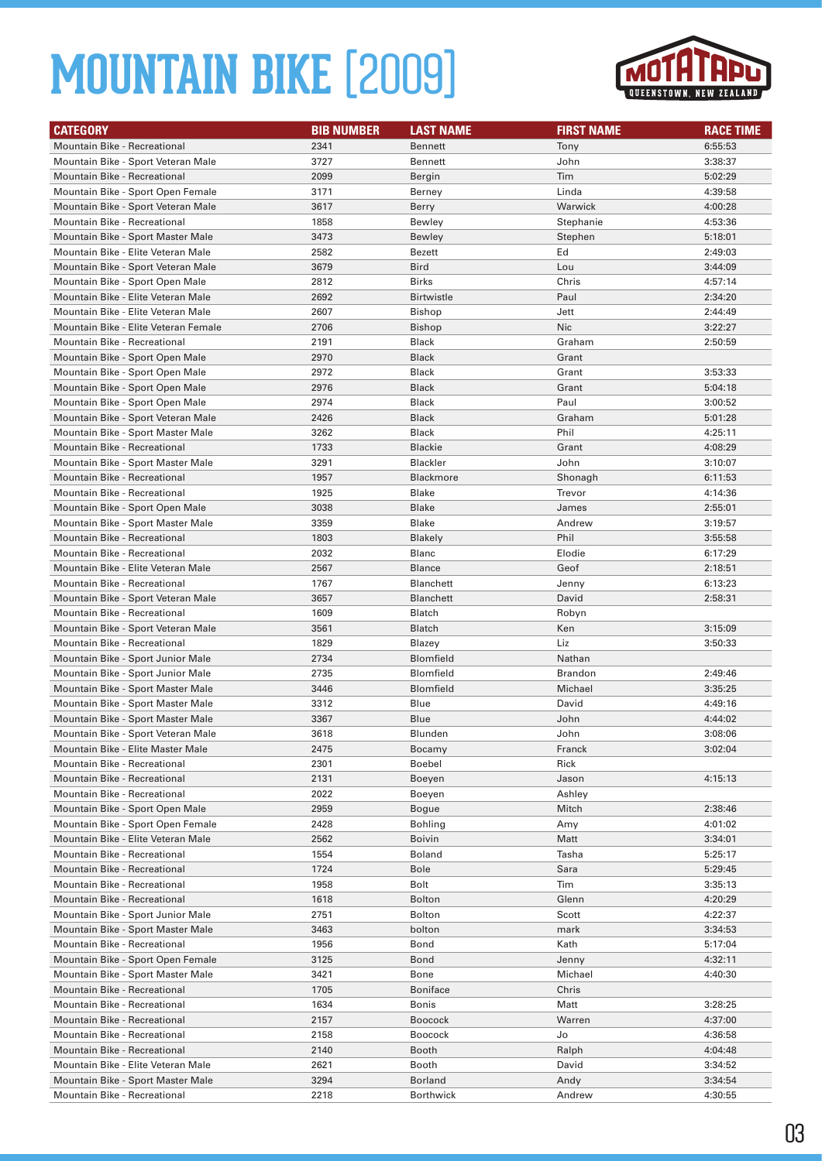

| <b>CATEGORY</b>                      | <b>BIB NUMBER</b> | <b>LAST NAME</b>  | <b>FIRST NAME</b> | <b>RACE TIME</b> |
|--------------------------------------|-------------------|-------------------|-------------------|------------------|
| Mountain Bike - Recreational         | 2341              | <b>Bennett</b>    | Tony              | 6:55:53          |
| Mountain Bike - Sport Veteran Male   | 3727              | <b>Bennett</b>    | John              | 3:38:37          |
| Mountain Bike - Recreational         | 2099              | Bergin            | Tim               | 5:02:29          |
| Mountain Bike - Sport Open Female    | 3171              | Berney            | Linda             | 4:39:58          |
| Mountain Bike - Sport Veteran Male   | 3617              | Berry             | Warwick           | 4:00:28          |
| Mountain Bike - Recreational         | 1858              | Bewley            | Stephanie         | 4:53:36          |
| Mountain Bike - Sport Master Male    | 3473              | Bewley            | Stephen           | 5:18:01          |
| Mountain Bike - Elite Veteran Male   | 2582              | Bezett            | Ed                | 2:49:03          |
| Mountain Bike - Sport Veteran Male   | 3679              | Bird              | Lou               | 3:44:09          |
| Mountain Bike - Sport Open Male      | 2812              | <b>Birks</b>      | Chris             | 4:57:14          |
| Mountain Bike - Elite Veteran Male   | 2692              | <b>Birtwistle</b> | Paul              | 2:34:20          |
| Mountain Bike - Elite Veteran Male   | 2607              | <b>Bishop</b>     | Jett              | 2:44:49          |
| Mountain Bike - Elite Veteran Female | 2706              | Bishop            | <b>Nic</b>        | 3:22:27          |
| Mountain Bike - Recreational         | 2191              | Black             | Graham            | 2:50:59          |
| Mountain Bike - Sport Open Male      | 2970              | Black             | Grant             |                  |
| Mountain Bike - Sport Open Male      | 2972              | <b>Black</b>      | Grant             | 3:53:33          |
| Mountain Bike - Sport Open Male      | 2976              | <b>Black</b>      | Grant             | 5:04:18          |
| Mountain Bike - Sport Open Male      | 2974              | Black             | Paul              | 3:00:52          |
| Mountain Bike - Sport Veteran Male   | 2426              | <b>Black</b>      | Graham            | 5:01:28          |
| Mountain Bike - Sport Master Male    | 3262              | Black             | Phil              | 4:25:11          |
| <b>Mountain Bike - Recreational</b>  | 1733              | <b>Blackie</b>    | Grant             | 4:08:29          |
| Mountain Bike - Sport Master Male    | 3291              | <b>Blackler</b>   | John              | 3:10:07          |
| <b>Mountain Bike - Recreational</b>  | 1957              | <b>Blackmore</b>  | Shonagh           | 6:11:53          |
| Mountain Bike - Recreational         | 1925              | Blake             | Trevor            | 4:14:36          |
| Mountain Bike - Sport Open Male      | 3038              | Blake             | James             | 2:55:01          |
| Mountain Bike - Sport Master Male    | 3359              | <b>Blake</b>      | Andrew            | 3:19:57          |
| <b>Mountain Bike - Recreational</b>  | 1803              | <b>Blakely</b>    | Phil              | 3:55:58          |
| <b>Mountain Bike - Recreational</b>  | 2032              | Blanc             | Elodie            | 6:17:29          |
| Mountain Bike - Elite Veteran Male   | 2567              | <b>Blance</b>     | Geof              | 2:18:51          |
| Mountain Bike - Recreational         | 1767              | <b>Blanchett</b>  | Jenny             | 6:13:23          |
| Mountain Bike - Sport Veteran Male   | 3657              | <b>Blanchett</b>  | David             | 2:58:31          |
| <b>Mountain Bike - Recreational</b>  | 1609              | Blatch            | Robyn             |                  |
| Mountain Bike - Sport Veteran Male   | 3561              | <b>Blatch</b>     | Ken               | 3:15:09          |
| Mountain Bike - Recreational         | 1829              | Blazey            | Liz               | 3:50:33          |
| Mountain Bike - Sport Junior Male    | 2734              | Blomfield         | Nathan            |                  |
| Mountain Bike - Sport Junior Male    | 2735              | <b>Blomfield</b>  | <b>Brandon</b>    | 2:49:46          |
| Mountain Bike - Sport Master Male    | 3446              | <b>Blomfield</b>  | Michael           | 3:35:25          |
| Mountain Bike - Sport Master Male    | 3312              | Blue              | David             | 4:49:16          |
| Mountain Bike - Sport Master Male    | 3367              | Blue              | John              | 4:44:02          |
| Mountain Bike - Sport Veteran Male   | 3618              | Blunden           | John              | 3:08:06          |
| Mountain Bike - Elite Master Male    | 2475              | Bocamy            | Franck            | 3:02:04          |
| Mountain Bike - Recreational         | 2301              | Boebel            | Rick              |                  |
| Mountain Bike - Recreational         | 2131              | Boeyen            | Jason             | 4:15:13          |
| <b>Mountain Bike - Recreational</b>  | 2022              | Boeyen            | Ashley            |                  |
| Mountain Bike - Sport Open Male      | 2959              | Bogue             | Mitch             | 2:38:46          |
| Mountain Bike - Sport Open Female    | 2428              | <b>Bohling</b>    | Amy               | 4:01:02          |
| Mountain Bike - Elite Veteran Male   | 2562              | Boivin            | Matt              | 3:34:01          |
| Mountain Bike - Recreational         | 1554              | Boland            | Tasha             | 5:25:17          |
| Mountain Bike - Recreational         | 1724              | Bole              | Sara              | 5:29:45          |
| Mountain Bike - Recreational         | 1958              | Bolt              | Tim               | 3:35:13          |
| Mountain Bike - Recreational         | 1618              | <b>Bolton</b>     | Glenn             | 4:20:29          |
| Mountain Bike - Sport Junior Male    | 2751              | <b>Bolton</b>     | Scott             | 4:22:37          |
| Mountain Bike - Sport Master Male    | 3463              | bolton            | mark              | 3:34:53          |
| Mountain Bike - Recreational         | 1956              | Bond              | Kath              | 5:17:04          |
| Mountain Bike - Sport Open Female    | 3125              | Bond              | Jenny             | 4:32:11          |
| Mountain Bike - Sport Master Male    | 3421              | Bone              | Michael           | 4:40:30          |
| Mountain Bike - Recreational         | 1705              | <b>Boniface</b>   | Chris             |                  |
| Mountain Bike - Recreational         | 1634              | Bonis             | Matt              | 3:28:25          |
| Mountain Bike - Recreational         | 2157              | <b>Boocock</b>    | Warren            | 4:37:00          |
| Mountain Bike - Recreational         | 2158              | Boocock           | Jo                | 4:36:58          |
| Mountain Bike - Recreational         | 2140              | Booth             | Ralph             | 4:04:48          |
| Mountain Bike - Elite Veteran Male   | 2621              | Booth             | David             | 3:34:52          |
| Mountain Bike - Sport Master Male    | 3294              | Borland           | Andy              | 3:34:54          |
| Mountain Bike - Recreational         | 2218              | <b>Borthwick</b>  | Andrew            | 4:30:55          |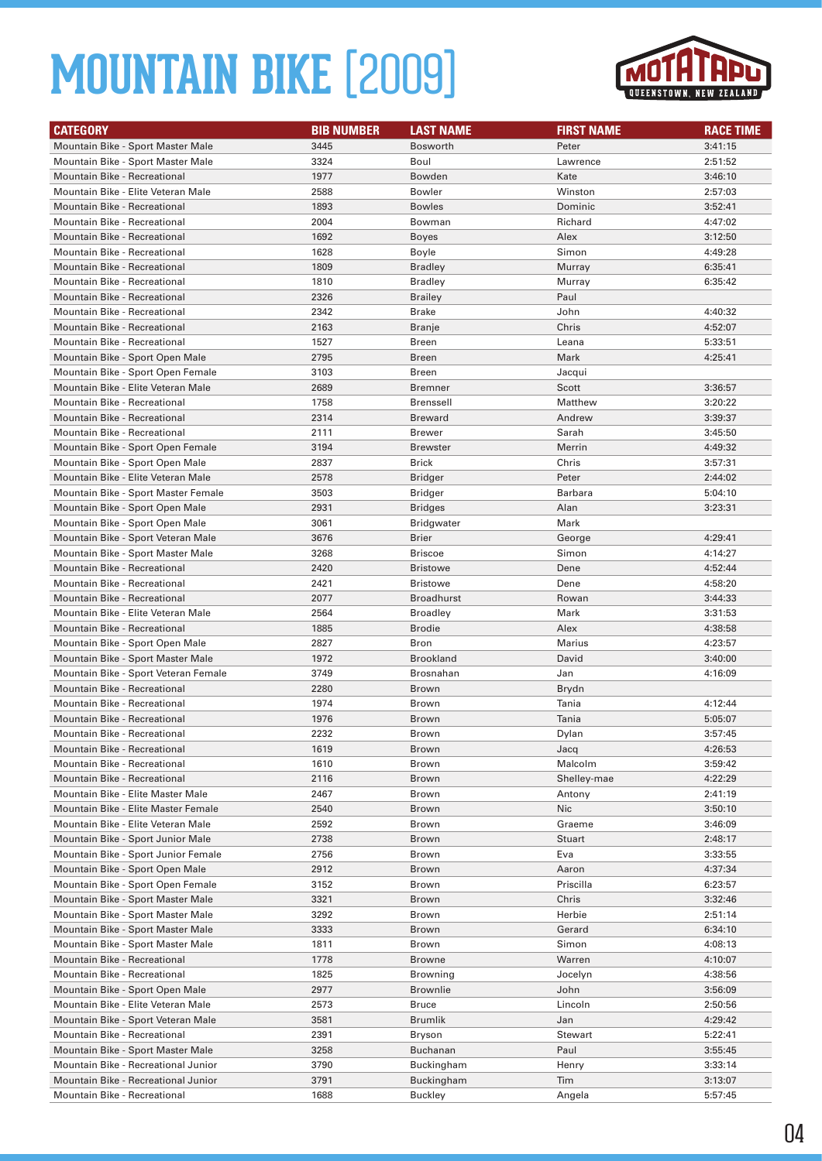

| Mountain Bike - Sport Master Male<br>3445<br><b>Bosworth</b><br>Peter<br>3:41:15<br>Mountain Bike - Sport Master Male<br>3324<br>Boul<br>2:51:52<br>Lawrence<br>Mountain Bike - Recreational<br>1977<br>Kate<br>Bowden<br>3:46:10<br>Mountain Bike - Elite Veteran Male<br>2588<br>Winston<br>2:57:03<br>Bowler<br>1893<br><b>Mountain Bike - Recreational</b><br>Dominic<br>3:52:41<br><b>Bowles</b><br>2004<br>4:47:02<br><b>Mountain Bike - Recreational</b><br>Bowman<br>Richard<br><b>Mountain Bike - Recreational</b><br>1692<br>Alex<br>3:12:50<br><b>Boyes</b><br>Mountain Bike - Recreational<br>1628<br>Simon<br>4:49:28<br>Boyle<br>1809<br><b>Mountain Bike - Recreational</b><br><b>Bradley</b><br>Murray<br>6:35:41<br>1810<br>6:35:42<br>Mountain Bike - Recreational<br><b>Bradley</b><br>Murray<br><b>Mountain Bike - Recreational</b><br>2326<br>Paul<br><b>Brailey</b><br>Mountain Bike - Recreational<br>4:40:32<br>2342<br>Brake<br>John<br>2163<br>Chris<br>4:52:07<br><b>Mountain Bike - Recreational</b><br>Branje<br>Mountain Bike - Recreational<br>1527<br>5:33:51<br>Breen<br>Leana<br>2795<br>Mark<br>4:25:41<br>Mountain Bike - Sport Open Male<br>Breen<br>3103<br><b>Breen</b><br>Mountain Bike - Sport Open Female<br>Jacqui<br>Mountain Bike - Elite Veteran Male<br>2689<br>3:36:57<br>Bremner<br>Scott<br>Mountain Bike - Recreational<br>1758<br>Matthew<br>3:20:22<br><b>Brenssell</b><br><b>Mountain Bike - Recreational</b><br>2314<br>Andrew<br>Breward<br>3:39:37<br>Sarah<br><b>Mountain Bike - Recreational</b><br>2111<br><b>Brewer</b><br>3:45:50<br>Mountain Bike - Sport Open Female<br>3194<br>Merrin<br>4:49:32<br><b>Brewster</b><br>Mountain Bike - Sport Open Male<br>2837<br><b>Brick</b><br>Chris<br>3:57:31<br>Mountain Bike - Elite Veteran Male<br>Peter<br>2578<br>2:44:02<br>Bridger<br>Mountain Bike - Sport Master Female<br>3503<br><b>Barbara</b><br>Bridger<br>5:04:10<br>Mountain Bike - Sport Open Male<br>2931<br>Alan<br>3:23:31<br><b>Bridges</b><br>3061<br>Mountain Bike - Sport Open Male<br>Mark<br><b>Bridgwater</b><br>Mountain Bike - Sport Veteran Male<br>3676<br>Brier<br>George<br>4:29:41<br>3268<br>Simon<br>4:14:27<br>Mountain Bike - Sport Master Male<br><b>Briscoe</b><br>2420<br>4:52:44<br><b>Mountain Bike - Recreational</b><br>Dene<br><b>Bristowe</b><br>Mountain Bike - Recreational<br>2421<br>4:58:20<br><b>Bristowe</b><br>Dene<br>2077<br>Mountain Bike - Recreational<br>Broadhurst<br>Rowan<br>3:44:33<br>Mountain Bike - Elite Veteran Male<br>2564<br>Mark<br>3:31:53<br><b>Broadley</b><br><b>Mountain Bike - Recreational</b><br>1885<br>Alex<br><b>Brodie</b><br>4:38:58<br>Mountain Bike - Sport Open Male<br>2827<br>Bron<br>Marius<br>4:23:57<br>Mountain Bike - Sport Master Male<br>1972<br><b>Brookland</b><br>David<br>3:40:00<br>3749<br>Brosnahan<br>Jan<br>4:16:09<br>Mountain Bike - Sport Veteran Female<br>2280<br><b>Mountain Bike - Recreational</b><br>Brown<br>Brydn<br>Mountain Bike - Recreational<br>1974<br>Tania<br>Brown<br>4:12:44<br><b>Mountain Bike - Recreational</b><br>1976<br><b>Brown</b><br>Tania<br>5:05:07<br>2232<br>Dylan<br>3:57:45<br>Mountain Bike - Recreational<br>Brown<br>Mountain Bike - Recreational<br>1619<br>4:26:53<br>Brown<br>Jacq<br>1610<br>Mountain Bike - Recreational<br>Brown<br>Malcolm<br>3:59:42<br>2116<br>4:22:29<br>Mountain Bike - Recreational<br>Shelley-mae<br>Brown<br>Mountain Bike - Elite Master Male<br>2467<br>Brown<br>Antony<br>2:41:19<br><b>Nic</b><br>Mountain Bike - Elite Master Female<br>2540<br>Brown<br>3:50:10<br>Mountain Bike - Elite Veteran Male<br>2592<br>3:46:09<br>Brown<br>Graeme<br>Mountain Bike - Sport Junior Male<br>2738<br>Brown<br>Stuart<br>2:48:17<br>Mountain Bike - Sport Junior Female<br>2756<br>Eva<br>3:33:55<br>Brown<br>Mountain Bike - Sport Open Male<br>2912<br>4:37:34<br>Aaron<br>Brown<br>Mountain Bike - Sport Open Female<br>3152<br>Priscilla<br>6:23:57<br>Brown<br>Mountain Bike - Sport Master Male<br>3321<br>Chris<br>3:32:46<br>Brown<br>3292<br>Herbie<br>Mountain Bike - Sport Master Male<br>Brown<br>2:51:14<br>Mountain Bike - Sport Master Male<br>3333<br>Gerard<br>Brown<br>6:34:10<br>1811<br>4:08:13<br>Mountain Bike - Sport Master Male<br>Simon<br>Brown<br>1778<br>Warren<br>Mountain Bike - Recreational<br>Browne<br>4:10:07<br>Mountain Bike - Recreational<br>1825<br>Browning<br>Jocelyn<br>4:38:56<br>Mountain Bike - Sport Open Male<br>2977<br><b>Brownlie</b><br>John<br>3:56:09<br>Mountain Bike - Elite Veteran Male<br>2573<br>Bruce<br>Lincoln<br>2:50:56<br>Mountain Bike - Sport Veteran Male<br>3581<br>Brumlik<br>Jan<br>4:29:42<br>Mountain Bike - Recreational<br>2391<br>Bryson<br>Stewart<br>5:22:41<br>3258<br>Paul<br>Mountain Bike - Sport Master Male<br>Buchanan<br>3:55:45<br>Mountain Bike - Recreational Junior<br>3790<br>3:33:14<br>Buckingham<br>Henry<br>Mountain Bike - Recreational Junior<br>3791<br>Buckingham<br>Tim<br>3:13:07 | <b>CATEGORY</b> | <b>BIB NUMBER</b> | <b>LAST NAME</b> | <b>FIRST NAME</b> | <b>RACE TIME</b> |
|-------------------------------------------------------------------------------------------------------------------------------------------------------------------------------------------------------------------------------------------------------------------------------------------------------------------------------------------------------------------------------------------------------------------------------------------------------------------------------------------------------------------------------------------------------------------------------------------------------------------------------------------------------------------------------------------------------------------------------------------------------------------------------------------------------------------------------------------------------------------------------------------------------------------------------------------------------------------------------------------------------------------------------------------------------------------------------------------------------------------------------------------------------------------------------------------------------------------------------------------------------------------------------------------------------------------------------------------------------------------------------------------------------------------------------------------------------------------------------------------------------------------------------------------------------------------------------------------------------------------------------------------------------------------------------------------------------------------------------------------------------------------------------------------------------------------------------------------------------------------------------------------------------------------------------------------------------------------------------------------------------------------------------------------------------------------------------------------------------------------------------------------------------------------------------------------------------------------------------------------------------------------------------------------------------------------------------------------------------------------------------------------------------------------------------------------------------------------------------------------------------------------------------------------------------------------------------------------------------------------------------------------------------------------------------------------------------------------------------------------------------------------------------------------------------------------------------------------------------------------------------------------------------------------------------------------------------------------------------------------------------------------------------------------------------------------------------------------------------------------------------------------------------------------------------------------------------------------------------------------------------------------------------------------------------------------------------------------------------------------------------------------------------------------------------------------------------------------------------------------------------------------------------------------------------------------------------------------------------------------------------------------------------------------------------------------------------------------------------------------------------------------------------------------------------------------------------------------------------------------------------------------------------------------------------------------------------------------------------------------------------------------------------------------------------------------------------------------------------------------------------------------------------------------------------------------------------------------------------------------------------------------------------------------------------------------------------------------------------------------------------------------------------------------------------------------------------------------------------------------------------------------------------------------------------------------------------------------------------------------------------------------------------------------------------------------------------------------------------------------------------------------------------------------------------------------------------------------------------------------------------------------------------------------------------------------------------------------------------------------------------------------------------|-----------------|-------------------|------------------|-------------------|------------------|
|                                                                                                                                                                                                                                                                                                                                                                                                                                                                                                                                                                                                                                                                                                                                                                                                                                                                                                                                                                                                                                                                                                                                                                                                                                                                                                                                                                                                                                                                                                                                                                                                                                                                                                                                                                                                                                                                                                                                                                                                                                                                                                                                                                                                                                                                                                                                                                                                                                                                                                                                                                                                                                                                                                                                                                                                                                                                                                                                                                                                                                                                                                                                                                                                                                                                                                                                                                                                                                                                                                                                                                                                                                                                                                                                                                                                                                                                                                                                                                                                                                                                                                                                                                                                                                                                                                                                                                                                                                                                                                                                                                                                                                                                                                                                                                                                                                                                                                                                                                                                                               |                 |                   |                  |                   |                  |
|                                                                                                                                                                                                                                                                                                                                                                                                                                                                                                                                                                                                                                                                                                                                                                                                                                                                                                                                                                                                                                                                                                                                                                                                                                                                                                                                                                                                                                                                                                                                                                                                                                                                                                                                                                                                                                                                                                                                                                                                                                                                                                                                                                                                                                                                                                                                                                                                                                                                                                                                                                                                                                                                                                                                                                                                                                                                                                                                                                                                                                                                                                                                                                                                                                                                                                                                                                                                                                                                                                                                                                                                                                                                                                                                                                                                                                                                                                                                                                                                                                                                                                                                                                                                                                                                                                                                                                                                                                                                                                                                                                                                                                                                                                                                                                                                                                                                                                                                                                                                                               |                 |                   |                  |                   |                  |
|                                                                                                                                                                                                                                                                                                                                                                                                                                                                                                                                                                                                                                                                                                                                                                                                                                                                                                                                                                                                                                                                                                                                                                                                                                                                                                                                                                                                                                                                                                                                                                                                                                                                                                                                                                                                                                                                                                                                                                                                                                                                                                                                                                                                                                                                                                                                                                                                                                                                                                                                                                                                                                                                                                                                                                                                                                                                                                                                                                                                                                                                                                                                                                                                                                                                                                                                                                                                                                                                                                                                                                                                                                                                                                                                                                                                                                                                                                                                                                                                                                                                                                                                                                                                                                                                                                                                                                                                                                                                                                                                                                                                                                                                                                                                                                                                                                                                                                                                                                                                                               |                 |                   |                  |                   |                  |
|                                                                                                                                                                                                                                                                                                                                                                                                                                                                                                                                                                                                                                                                                                                                                                                                                                                                                                                                                                                                                                                                                                                                                                                                                                                                                                                                                                                                                                                                                                                                                                                                                                                                                                                                                                                                                                                                                                                                                                                                                                                                                                                                                                                                                                                                                                                                                                                                                                                                                                                                                                                                                                                                                                                                                                                                                                                                                                                                                                                                                                                                                                                                                                                                                                                                                                                                                                                                                                                                                                                                                                                                                                                                                                                                                                                                                                                                                                                                                                                                                                                                                                                                                                                                                                                                                                                                                                                                                                                                                                                                                                                                                                                                                                                                                                                                                                                                                                                                                                                                                               |                 |                   |                  |                   |                  |
|                                                                                                                                                                                                                                                                                                                                                                                                                                                                                                                                                                                                                                                                                                                                                                                                                                                                                                                                                                                                                                                                                                                                                                                                                                                                                                                                                                                                                                                                                                                                                                                                                                                                                                                                                                                                                                                                                                                                                                                                                                                                                                                                                                                                                                                                                                                                                                                                                                                                                                                                                                                                                                                                                                                                                                                                                                                                                                                                                                                                                                                                                                                                                                                                                                                                                                                                                                                                                                                                                                                                                                                                                                                                                                                                                                                                                                                                                                                                                                                                                                                                                                                                                                                                                                                                                                                                                                                                                                                                                                                                                                                                                                                                                                                                                                                                                                                                                                                                                                                                                               |                 |                   |                  |                   |                  |
|                                                                                                                                                                                                                                                                                                                                                                                                                                                                                                                                                                                                                                                                                                                                                                                                                                                                                                                                                                                                                                                                                                                                                                                                                                                                                                                                                                                                                                                                                                                                                                                                                                                                                                                                                                                                                                                                                                                                                                                                                                                                                                                                                                                                                                                                                                                                                                                                                                                                                                                                                                                                                                                                                                                                                                                                                                                                                                                                                                                                                                                                                                                                                                                                                                                                                                                                                                                                                                                                                                                                                                                                                                                                                                                                                                                                                                                                                                                                                                                                                                                                                                                                                                                                                                                                                                                                                                                                                                                                                                                                                                                                                                                                                                                                                                                                                                                                                                                                                                                                                               |                 |                   |                  |                   |                  |
|                                                                                                                                                                                                                                                                                                                                                                                                                                                                                                                                                                                                                                                                                                                                                                                                                                                                                                                                                                                                                                                                                                                                                                                                                                                                                                                                                                                                                                                                                                                                                                                                                                                                                                                                                                                                                                                                                                                                                                                                                                                                                                                                                                                                                                                                                                                                                                                                                                                                                                                                                                                                                                                                                                                                                                                                                                                                                                                                                                                                                                                                                                                                                                                                                                                                                                                                                                                                                                                                                                                                                                                                                                                                                                                                                                                                                                                                                                                                                                                                                                                                                                                                                                                                                                                                                                                                                                                                                                                                                                                                                                                                                                                                                                                                                                                                                                                                                                                                                                                                                               |                 |                   |                  |                   |                  |
|                                                                                                                                                                                                                                                                                                                                                                                                                                                                                                                                                                                                                                                                                                                                                                                                                                                                                                                                                                                                                                                                                                                                                                                                                                                                                                                                                                                                                                                                                                                                                                                                                                                                                                                                                                                                                                                                                                                                                                                                                                                                                                                                                                                                                                                                                                                                                                                                                                                                                                                                                                                                                                                                                                                                                                                                                                                                                                                                                                                                                                                                                                                                                                                                                                                                                                                                                                                                                                                                                                                                                                                                                                                                                                                                                                                                                                                                                                                                                                                                                                                                                                                                                                                                                                                                                                                                                                                                                                                                                                                                                                                                                                                                                                                                                                                                                                                                                                                                                                                                                               |                 |                   |                  |                   |                  |
|                                                                                                                                                                                                                                                                                                                                                                                                                                                                                                                                                                                                                                                                                                                                                                                                                                                                                                                                                                                                                                                                                                                                                                                                                                                                                                                                                                                                                                                                                                                                                                                                                                                                                                                                                                                                                                                                                                                                                                                                                                                                                                                                                                                                                                                                                                                                                                                                                                                                                                                                                                                                                                                                                                                                                                                                                                                                                                                                                                                                                                                                                                                                                                                                                                                                                                                                                                                                                                                                                                                                                                                                                                                                                                                                                                                                                                                                                                                                                                                                                                                                                                                                                                                                                                                                                                                                                                                                                                                                                                                                                                                                                                                                                                                                                                                                                                                                                                                                                                                                                               |                 |                   |                  |                   |                  |
|                                                                                                                                                                                                                                                                                                                                                                                                                                                                                                                                                                                                                                                                                                                                                                                                                                                                                                                                                                                                                                                                                                                                                                                                                                                                                                                                                                                                                                                                                                                                                                                                                                                                                                                                                                                                                                                                                                                                                                                                                                                                                                                                                                                                                                                                                                                                                                                                                                                                                                                                                                                                                                                                                                                                                                                                                                                                                                                                                                                                                                                                                                                                                                                                                                                                                                                                                                                                                                                                                                                                                                                                                                                                                                                                                                                                                                                                                                                                                                                                                                                                                                                                                                                                                                                                                                                                                                                                                                                                                                                                                                                                                                                                                                                                                                                                                                                                                                                                                                                                                               |                 |                   |                  |                   |                  |
|                                                                                                                                                                                                                                                                                                                                                                                                                                                                                                                                                                                                                                                                                                                                                                                                                                                                                                                                                                                                                                                                                                                                                                                                                                                                                                                                                                                                                                                                                                                                                                                                                                                                                                                                                                                                                                                                                                                                                                                                                                                                                                                                                                                                                                                                                                                                                                                                                                                                                                                                                                                                                                                                                                                                                                                                                                                                                                                                                                                                                                                                                                                                                                                                                                                                                                                                                                                                                                                                                                                                                                                                                                                                                                                                                                                                                                                                                                                                                                                                                                                                                                                                                                                                                                                                                                                                                                                                                                                                                                                                                                                                                                                                                                                                                                                                                                                                                                                                                                                                                               |                 |                   |                  |                   |                  |
|                                                                                                                                                                                                                                                                                                                                                                                                                                                                                                                                                                                                                                                                                                                                                                                                                                                                                                                                                                                                                                                                                                                                                                                                                                                                                                                                                                                                                                                                                                                                                                                                                                                                                                                                                                                                                                                                                                                                                                                                                                                                                                                                                                                                                                                                                                                                                                                                                                                                                                                                                                                                                                                                                                                                                                                                                                                                                                                                                                                                                                                                                                                                                                                                                                                                                                                                                                                                                                                                                                                                                                                                                                                                                                                                                                                                                                                                                                                                                                                                                                                                                                                                                                                                                                                                                                                                                                                                                                                                                                                                                                                                                                                                                                                                                                                                                                                                                                                                                                                                                               |                 |                   |                  |                   |                  |
|                                                                                                                                                                                                                                                                                                                                                                                                                                                                                                                                                                                                                                                                                                                                                                                                                                                                                                                                                                                                                                                                                                                                                                                                                                                                                                                                                                                                                                                                                                                                                                                                                                                                                                                                                                                                                                                                                                                                                                                                                                                                                                                                                                                                                                                                                                                                                                                                                                                                                                                                                                                                                                                                                                                                                                                                                                                                                                                                                                                                                                                                                                                                                                                                                                                                                                                                                                                                                                                                                                                                                                                                                                                                                                                                                                                                                                                                                                                                                                                                                                                                                                                                                                                                                                                                                                                                                                                                                                                                                                                                                                                                                                                                                                                                                                                                                                                                                                                                                                                                                               |                 |                   |                  |                   |                  |
|                                                                                                                                                                                                                                                                                                                                                                                                                                                                                                                                                                                                                                                                                                                                                                                                                                                                                                                                                                                                                                                                                                                                                                                                                                                                                                                                                                                                                                                                                                                                                                                                                                                                                                                                                                                                                                                                                                                                                                                                                                                                                                                                                                                                                                                                                                                                                                                                                                                                                                                                                                                                                                                                                                                                                                                                                                                                                                                                                                                                                                                                                                                                                                                                                                                                                                                                                                                                                                                                                                                                                                                                                                                                                                                                                                                                                                                                                                                                                                                                                                                                                                                                                                                                                                                                                                                                                                                                                                                                                                                                                                                                                                                                                                                                                                                                                                                                                                                                                                                                                               |                 |                   |                  |                   |                  |
|                                                                                                                                                                                                                                                                                                                                                                                                                                                                                                                                                                                                                                                                                                                                                                                                                                                                                                                                                                                                                                                                                                                                                                                                                                                                                                                                                                                                                                                                                                                                                                                                                                                                                                                                                                                                                                                                                                                                                                                                                                                                                                                                                                                                                                                                                                                                                                                                                                                                                                                                                                                                                                                                                                                                                                                                                                                                                                                                                                                                                                                                                                                                                                                                                                                                                                                                                                                                                                                                                                                                                                                                                                                                                                                                                                                                                                                                                                                                                                                                                                                                                                                                                                                                                                                                                                                                                                                                                                                                                                                                                                                                                                                                                                                                                                                                                                                                                                                                                                                                                               |                 |                   |                  |                   |                  |
|                                                                                                                                                                                                                                                                                                                                                                                                                                                                                                                                                                                                                                                                                                                                                                                                                                                                                                                                                                                                                                                                                                                                                                                                                                                                                                                                                                                                                                                                                                                                                                                                                                                                                                                                                                                                                                                                                                                                                                                                                                                                                                                                                                                                                                                                                                                                                                                                                                                                                                                                                                                                                                                                                                                                                                                                                                                                                                                                                                                                                                                                                                                                                                                                                                                                                                                                                                                                                                                                                                                                                                                                                                                                                                                                                                                                                                                                                                                                                                                                                                                                                                                                                                                                                                                                                                                                                                                                                                                                                                                                                                                                                                                                                                                                                                                                                                                                                                                                                                                                                               |                 |                   |                  |                   |                  |
|                                                                                                                                                                                                                                                                                                                                                                                                                                                                                                                                                                                                                                                                                                                                                                                                                                                                                                                                                                                                                                                                                                                                                                                                                                                                                                                                                                                                                                                                                                                                                                                                                                                                                                                                                                                                                                                                                                                                                                                                                                                                                                                                                                                                                                                                                                                                                                                                                                                                                                                                                                                                                                                                                                                                                                                                                                                                                                                                                                                                                                                                                                                                                                                                                                                                                                                                                                                                                                                                                                                                                                                                                                                                                                                                                                                                                                                                                                                                                                                                                                                                                                                                                                                                                                                                                                                                                                                                                                                                                                                                                                                                                                                                                                                                                                                                                                                                                                                                                                                                                               |                 |                   |                  |                   |                  |
|                                                                                                                                                                                                                                                                                                                                                                                                                                                                                                                                                                                                                                                                                                                                                                                                                                                                                                                                                                                                                                                                                                                                                                                                                                                                                                                                                                                                                                                                                                                                                                                                                                                                                                                                                                                                                                                                                                                                                                                                                                                                                                                                                                                                                                                                                                                                                                                                                                                                                                                                                                                                                                                                                                                                                                                                                                                                                                                                                                                                                                                                                                                                                                                                                                                                                                                                                                                                                                                                                                                                                                                                                                                                                                                                                                                                                                                                                                                                                                                                                                                                                                                                                                                                                                                                                                                                                                                                                                                                                                                                                                                                                                                                                                                                                                                                                                                                                                                                                                                                                               |                 |                   |                  |                   |                  |
|                                                                                                                                                                                                                                                                                                                                                                                                                                                                                                                                                                                                                                                                                                                                                                                                                                                                                                                                                                                                                                                                                                                                                                                                                                                                                                                                                                                                                                                                                                                                                                                                                                                                                                                                                                                                                                                                                                                                                                                                                                                                                                                                                                                                                                                                                                                                                                                                                                                                                                                                                                                                                                                                                                                                                                                                                                                                                                                                                                                                                                                                                                                                                                                                                                                                                                                                                                                                                                                                                                                                                                                                                                                                                                                                                                                                                                                                                                                                                                                                                                                                                                                                                                                                                                                                                                                                                                                                                                                                                                                                                                                                                                                                                                                                                                                                                                                                                                                                                                                                                               |                 |                   |                  |                   |                  |
|                                                                                                                                                                                                                                                                                                                                                                                                                                                                                                                                                                                                                                                                                                                                                                                                                                                                                                                                                                                                                                                                                                                                                                                                                                                                                                                                                                                                                                                                                                                                                                                                                                                                                                                                                                                                                                                                                                                                                                                                                                                                                                                                                                                                                                                                                                                                                                                                                                                                                                                                                                                                                                                                                                                                                                                                                                                                                                                                                                                                                                                                                                                                                                                                                                                                                                                                                                                                                                                                                                                                                                                                                                                                                                                                                                                                                                                                                                                                                                                                                                                                                                                                                                                                                                                                                                                                                                                                                                                                                                                                                                                                                                                                                                                                                                                                                                                                                                                                                                                                                               |                 |                   |                  |                   |                  |
|                                                                                                                                                                                                                                                                                                                                                                                                                                                                                                                                                                                                                                                                                                                                                                                                                                                                                                                                                                                                                                                                                                                                                                                                                                                                                                                                                                                                                                                                                                                                                                                                                                                                                                                                                                                                                                                                                                                                                                                                                                                                                                                                                                                                                                                                                                                                                                                                                                                                                                                                                                                                                                                                                                                                                                                                                                                                                                                                                                                                                                                                                                                                                                                                                                                                                                                                                                                                                                                                                                                                                                                                                                                                                                                                                                                                                                                                                                                                                                                                                                                                                                                                                                                                                                                                                                                                                                                                                                                                                                                                                                                                                                                                                                                                                                                                                                                                                                                                                                                                                               |                 |                   |                  |                   |                  |
|                                                                                                                                                                                                                                                                                                                                                                                                                                                                                                                                                                                                                                                                                                                                                                                                                                                                                                                                                                                                                                                                                                                                                                                                                                                                                                                                                                                                                                                                                                                                                                                                                                                                                                                                                                                                                                                                                                                                                                                                                                                                                                                                                                                                                                                                                                                                                                                                                                                                                                                                                                                                                                                                                                                                                                                                                                                                                                                                                                                                                                                                                                                                                                                                                                                                                                                                                                                                                                                                                                                                                                                                                                                                                                                                                                                                                                                                                                                                                                                                                                                                                                                                                                                                                                                                                                                                                                                                                                                                                                                                                                                                                                                                                                                                                                                                                                                                                                                                                                                                                               |                 |                   |                  |                   |                  |
|                                                                                                                                                                                                                                                                                                                                                                                                                                                                                                                                                                                                                                                                                                                                                                                                                                                                                                                                                                                                                                                                                                                                                                                                                                                                                                                                                                                                                                                                                                                                                                                                                                                                                                                                                                                                                                                                                                                                                                                                                                                                                                                                                                                                                                                                                                                                                                                                                                                                                                                                                                                                                                                                                                                                                                                                                                                                                                                                                                                                                                                                                                                                                                                                                                                                                                                                                                                                                                                                                                                                                                                                                                                                                                                                                                                                                                                                                                                                                                                                                                                                                                                                                                                                                                                                                                                                                                                                                                                                                                                                                                                                                                                                                                                                                                                                                                                                                                                                                                                                                               |                 |                   |                  |                   |                  |
|                                                                                                                                                                                                                                                                                                                                                                                                                                                                                                                                                                                                                                                                                                                                                                                                                                                                                                                                                                                                                                                                                                                                                                                                                                                                                                                                                                                                                                                                                                                                                                                                                                                                                                                                                                                                                                                                                                                                                                                                                                                                                                                                                                                                                                                                                                                                                                                                                                                                                                                                                                                                                                                                                                                                                                                                                                                                                                                                                                                                                                                                                                                                                                                                                                                                                                                                                                                                                                                                                                                                                                                                                                                                                                                                                                                                                                                                                                                                                                                                                                                                                                                                                                                                                                                                                                                                                                                                                                                                                                                                                                                                                                                                                                                                                                                                                                                                                                                                                                                                                               |                 |                   |                  |                   |                  |
|                                                                                                                                                                                                                                                                                                                                                                                                                                                                                                                                                                                                                                                                                                                                                                                                                                                                                                                                                                                                                                                                                                                                                                                                                                                                                                                                                                                                                                                                                                                                                                                                                                                                                                                                                                                                                                                                                                                                                                                                                                                                                                                                                                                                                                                                                                                                                                                                                                                                                                                                                                                                                                                                                                                                                                                                                                                                                                                                                                                                                                                                                                                                                                                                                                                                                                                                                                                                                                                                                                                                                                                                                                                                                                                                                                                                                                                                                                                                                                                                                                                                                                                                                                                                                                                                                                                                                                                                                                                                                                                                                                                                                                                                                                                                                                                                                                                                                                                                                                                                                               |                 |                   |                  |                   |                  |
|                                                                                                                                                                                                                                                                                                                                                                                                                                                                                                                                                                                                                                                                                                                                                                                                                                                                                                                                                                                                                                                                                                                                                                                                                                                                                                                                                                                                                                                                                                                                                                                                                                                                                                                                                                                                                                                                                                                                                                                                                                                                                                                                                                                                                                                                                                                                                                                                                                                                                                                                                                                                                                                                                                                                                                                                                                                                                                                                                                                                                                                                                                                                                                                                                                                                                                                                                                                                                                                                                                                                                                                                                                                                                                                                                                                                                                                                                                                                                                                                                                                                                                                                                                                                                                                                                                                                                                                                                                                                                                                                                                                                                                                                                                                                                                                                                                                                                                                                                                                                                               |                 |                   |                  |                   |                  |
|                                                                                                                                                                                                                                                                                                                                                                                                                                                                                                                                                                                                                                                                                                                                                                                                                                                                                                                                                                                                                                                                                                                                                                                                                                                                                                                                                                                                                                                                                                                                                                                                                                                                                                                                                                                                                                                                                                                                                                                                                                                                                                                                                                                                                                                                                                                                                                                                                                                                                                                                                                                                                                                                                                                                                                                                                                                                                                                                                                                                                                                                                                                                                                                                                                                                                                                                                                                                                                                                                                                                                                                                                                                                                                                                                                                                                                                                                                                                                                                                                                                                                                                                                                                                                                                                                                                                                                                                                                                                                                                                                                                                                                                                                                                                                                                                                                                                                                                                                                                                                               |                 |                   |                  |                   |                  |
|                                                                                                                                                                                                                                                                                                                                                                                                                                                                                                                                                                                                                                                                                                                                                                                                                                                                                                                                                                                                                                                                                                                                                                                                                                                                                                                                                                                                                                                                                                                                                                                                                                                                                                                                                                                                                                                                                                                                                                                                                                                                                                                                                                                                                                                                                                                                                                                                                                                                                                                                                                                                                                                                                                                                                                                                                                                                                                                                                                                                                                                                                                                                                                                                                                                                                                                                                                                                                                                                                                                                                                                                                                                                                                                                                                                                                                                                                                                                                                                                                                                                                                                                                                                                                                                                                                                                                                                                                                                                                                                                                                                                                                                                                                                                                                                                                                                                                                                                                                                                                               |                 |                   |                  |                   |                  |
|                                                                                                                                                                                                                                                                                                                                                                                                                                                                                                                                                                                                                                                                                                                                                                                                                                                                                                                                                                                                                                                                                                                                                                                                                                                                                                                                                                                                                                                                                                                                                                                                                                                                                                                                                                                                                                                                                                                                                                                                                                                                                                                                                                                                                                                                                                                                                                                                                                                                                                                                                                                                                                                                                                                                                                                                                                                                                                                                                                                                                                                                                                                                                                                                                                                                                                                                                                                                                                                                                                                                                                                                                                                                                                                                                                                                                                                                                                                                                                                                                                                                                                                                                                                                                                                                                                                                                                                                                                                                                                                                                                                                                                                                                                                                                                                                                                                                                                                                                                                                                               |                 |                   |                  |                   |                  |
|                                                                                                                                                                                                                                                                                                                                                                                                                                                                                                                                                                                                                                                                                                                                                                                                                                                                                                                                                                                                                                                                                                                                                                                                                                                                                                                                                                                                                                                                                                                                                                                                                                                                                                                                                                                                                                                                                                                                                                                                                                                                                                                                                                                                                                                                                                                                                                                                                                                                                                                                                                                                                                                                                                                                                                                                                                                                                                                                                                                                                                                                                                                                                                                                                                                                                                                                                                                                                                                                                                                                                                                                                                                                                                                                                                                                                                                                                                                                                                                                                                                                                                                                                                                                                                                                                                                                                                                                                                                                                                                                                                                                                                                                                                                                                                                                                                                                                                                                                                                                                               |                 |                   |                  |                   |                  |
|                                                                                                                                                                                                                                                                                                                                                                                                                                                                                                                                                                                                                                                                                                                                                                                                                                                                                                                                                                                                                                                                                                                                                                                                                                                                                                                                                                                                                                                                                                                                                                                                                                                                                                                                                                                                                                                                                                                                                                                                                                                                                                                                                                                                                                                                                                                                                                                                                                                                                                                                                                                                                                                                                                                                                                                                                                                                                                                                                                                                                                                                                                                                                                                                                                                                                                                                                                                                                                                                                                                                                                                                                                                                                                                                                                                                                                                                                                                                                                                                                                                                                                                                                                                                                                                                                                                                                                                                                                                                                                                                                                                                                                                                                                                                                                                                                                                                                                                                                                                                                               |                 |                   |                  |                   |                  |
|                                                                                                                                                                                                                                                                                                                                                                                                                                                                                                                                                                                                                                                                                                                                                                                                                                                                                                                                                                                                                                                                                                                                                                                                                                                                                                                                                                                                                                                                                                                                                                                                                                                                                                                                                                                                                                                                                                                                                                                                                                                                                                                                                                                                                                                                                                                                                                                                                                                                                                                                                                                                                                                                                                                                                                                                                                                                                                                                                                                                                                                                                                                                                                                                                                                                                                                                                                                                                                                                                                                                                                                                                                                                                                                                                                                                                                                                                                                                                                                                                                                                                                                                                                                                                                                                                                                                                                                                                                                                                                                                                                                                                                                                                                                                                                                                                                                                                                                                                                                                                               |                 |                   |                  |                   |                  |
|                                                                                                                                                                                                                                                                                                                                                                                                                                                                                                                                                                                                                                                                                                                                                                                                                                                                                                                                                                                                                                                                                                                                                                                                                                                                                                                                                                                                                                                                                                                                                                                                                                                                                                                                                                                                                                                                                                                                                                                                                                                                                                                                                                                                                                                                                                                                                                                                                                                                                                                                                                                                                                                                                                                                                                                                                                                                                                                                                                                                                                                                                                                                                                                                                                                                                                                                                                                                                                                                                                                                                                                                                                                                                                                                                                                                                                                                                                                                                                                                                                                                                                                                                                                                                                                                                                                                                                                                                                                                                                                                                                                                                                                                                                                                                                                                                                                                                                                                                                                                                               |                 |                   |                  |                   |                  |
|                                                                                                                                                                                                                                                                                                                                                                                                                                                                                                                                                                                                                                                                                                                                                                                                                                                                                                                                                                                                                                                                                                                                                                                                                                                                                                                                                                                                                                                                                                                                                                                                                                                                                                                                                                                                                                                                                                                                                                                                                                                                                                                                                                                                                                                                                                                                                                                                                                                                                                                                                                                                                                                                                                                                                                                                                                                                                                                                                                                                                                                                                                                                                                                                                                                                                                                                                                                                                                                                                                                                                                                                                                                                                                                                                                                                                                                                                                                                                                                                                                                                                                                                                                                                                                                                                                                                                                                                                                                                                                                                                                                                                                                                                                                                                                                                                                                                                                                                                                                                                               |                 |                   |                  |                   |                  |
|                                                                                                                                                                                                                                                                                                                                                                                                                                                                                                                                                                                                                                                                                                                                                                                                                                                                                                                                                                                                                                                                                                                                                                                                                                                                                                                                                                                                                                                                                                                                                                                                                                                                                                                                                                                                                                                                                                                                                                                                                                                                                                                                                                                                                                                                                                                                                                                                                                                                                                                                                                                                                                                                                                                                                                                                                                                                                                                                                                                                                                                                                                                                                                                                                                                                                                                                                                                                                                                                                                                                                                                                                                                                                                                                                                                                                                                                                                                                                                                                                                                                                                                                                                                                                                                                                                                                                                                                                                                                                                                                                                                                                                                                                                                                                                                                                                                                                                                                                                                                                               |                 |                   |                  |                   |                  |
|                                                                                                                                                                                                                                                                                                                                                                                                                                                                                                                                                                                                                                                                                                                                                                                                                                                                                                                                                                                                                                                                                                                                                                                                                                                                                                                                                                                                                                                                                                                                                                                                                                                                                                                                                                                                                                                                                                                                                                                                                                                                                                                                                                                                                                                                                                                                                                                                                                                                                                                                                                                                                                                                                                                                                                                                                                                                                                                                                                                                                                                                                                                                                                                                                                                                                                                                                                                                                                                                                                                                                                                                                                                                                                                                                                                                                                                                                                                                                                                                                                                                                                                                                                                                                                                                                                                                                                                                                                                                                                                                                                                                                                                                                                                                                                                                                                                                                                                                                                                                                               |                 |                   |                  |                   |                  |
|                                                                                                                                                                                                                                                                                                                                                                                                                                                                                                                                                                                                                                                                                                                                                                                                                                                                                                                                                                                                                                                                                                                                                                                                                                                                                                                                                                                                                                                                                                                                                                                                                                                                                                                                                                                                                                                                                                                                                                                                                                                                                                                                                                                                                                                                                                                                                                                                                                                                                                                                                                                                                                                                                                                                                                                                                                                                                                                                                                                                                                                                                                                                                                                                                                                                                                                                                                                                                                                                                                                                                                                                                                                                                                                                                                                                                                                                                                                                                                                                                                                                                                                                                                                                                                                                                                                                                                                                                                                                                                                                                                                                                                                                                                                                                                                                                                                                                                                                                                                                                               |                 |                   |                  |                   |                  |
|                                                                                                                                                                                                                                                                                                                                                                                                                                                                                                                                                                                                                                                                                                                                                                                                                                                                                                                                                                                                                                                                                                                                                                                                                                                                                                                                                                                                                                                                                                                                                                                                                                                                                                                                                                                                                                                                                                                                                                                                                                                                                                                                                                                                                                                                                                                                                                                                                                                                                                                                                                                                                                                                                                                                                                                                                                                                                                                                                                                                                                                                                                                                                                                                                                                                                                                                                                                                                                                                                                                                                                                                                                                                                                                                                                                                                                                                                                                                                                                                                                                                                                                                                                                                                                                                                                                                                                                                                                                                                                                                                                                                                                                                                                                                                                                                                                                                                                                                                                                                                               |                 |                   |                  |                   |                  |
|                                                                                                                                                                                                                                                                                                                                                                                                                                                                                                                                                                                                                                                                                                                                                                                                                                                                                                                                                                                                                                                                                                                                                                                                                                                                                                                                                                                                                                                                                                                                                                                                                                                                                                                                                                                                                                                                                                                                                                                                                                                                                                                                                                                                                                                                                                                                                                                                                                                                                                                                                                                                                                                                                                                                                                                                                                                                                                                                                                                                                                                                                                                                                                                                                                                                                                                                                                                                                                                                                                                                                                                                                                                                                                                                                                                                                                                                                                                                                                                                                                                                                                                                                                                                                                                                                                                                                                                                                                                                                                                                                                                                                                                                                                                                                                                                                                                                                                                                                                                                                               |                 |                   |                  |                   |                  |
|                                                                                                                                                                                                                                                                                                                                                                                                                                                                                                                                                                                                                                                                                                                                                                                                                                                                                                                                                                                                                                                                                                                                                                                                                                                                                                                                                                                                                                                                                                                                                                                                                                                                                                                                                                                                                                                                                                                                                                                                                                                                                                                                                                                                                                                                                                                                                                                                                                                                                                                                                                                                                                                                                                                                                                                                                                                                                                                                                                                                                                                                                                                                                                                                                                                                                                                                                                                                                                                                                                                                                                                                                                                                                                                                                                                                                                                                                                                                                                                                                                                                                                                                                                                                                                                                                                                                                                                                                                                                                                                                                                                                                                                                                                                                                                                                                                                                                                                                                                                                                               |                 |                   |                  |                   |                  |
|                                                                                                                                                                                                                                                                                                                                                                                                                                                                                                                                                                                                                                                                                                                                                                                                                                                                                                                                                                                                                                                                                                                                                                                                                                                                                                                                                                                                                                                                                                                                                                                                                                                                                                                                                                                                                                                                                                                                                                                                                                                                                                                                                                                                                                                                                                                                                                                                                                                                                                                                                                                                                                                                                                                                                                                                                                                                                                                                                                                                                                                                                                                                                                                                                                                                                                                                                                                                                                                                                                                                                                                                                                                                                                                                                                                                                                                                                                                                                                                                                                                                                                                                                                                                                                                                                                                                                                                                                                                                                                                                                                                                                                                                                                                                                                                                                                                                                                                                                                                                                               |                 |                   |                  |                   |                  |
|                                                                                                                                                                                                                                                                                                                                                                                                                                                                                                                                                                                                                                                                                                                                                                                                                                                                                                                                                                                                                                                                                                                                                                                                                                                                                                                                                                                                                                                                                                                                                                                                                                                                                                                                                                                                                                                                                                                                                                                                                                                                                                                                                                                                                                                                                                                                                                                                                                                                                                                                                                                                                                                                                                                                                                                                                                                                                                                                                                                                                                                                                                                                                                                                                                                                                                                                                                                                                                                                                                                                                                                                                                                                                                                                                                                                                                                                                                                                                                                                                                                                                                                                                                                                                                                                                                                                                                                                                                                                                                                                                                                                                                                                                                                                                                                                                                                                                                                                                                                                                               |                 |                   |                  |                   |                  |
|                                                                                                                                                                                                                                                                                                                                                                                                                                                                                                                                                                                                                                                                                                                                                                                                                                                                                                                                                                                                                                                                                                                                                                                                                                                                                                                                                                                                                                                                                                                                                                                                                                                                                                                                                                                                                                                                                                                                                                                                                                                                                                                                                                                                                                                                                                                                                                                                                                                                                                                                                                                                                                                                                                                                                                                                                                                                                                                                                                                                                                                                                                                                                                                                                                                                                                                                                                                                                                                                                                                                                                                                                                                                                                                                                                                                                                                                                                                                                                                                                                                                                                                                                                                                                                                                                                                                                                                                                                                                                                                                                                                                                                                                                                                                                                                                                                                                                                                                                                                                                               |                 |                   |                  |                   |                  |
|                                                                                                                                                                                                                                                                                                                                                                                                                                                                                                                                                                                                                                                                                                                                                                                                                                                                                                                                                                                                                                                                                                                                                                                                                                                                                                                                                                                                                                                                                                                                                                                                                                                                                                                                                                                                                                                                                                                                                                                                                                                                                                                                                                                                                                                                                                                                                                                                                                                                                                                                                                                                                                                                                                                                                                                                                                                                                                                                                                                                                                                                                                                                                                                                                                                                                                                                                                                                                                                                                                                                                                                                                                                                                                                                                                                                                                                                                                                                                                                                                                                                                                                                                                                                                                                                                                                                                                                                                                                                                                                                                                                                                                                                                                                                                                                                                                                                                                                                                                                                                               |                 |                   |                  |                   |                  |
|                                                                                                                                                                                                                                                                                                                                                                                                                                                                                                                                                                                                                                                                                                                                                                                                                                                                                                                                                                                                                                                                                                                                                                                                                                                                                                                                                                                                                                                                                                                                                                                                                                                                                                                                                                                                                                                                                                                                                                                                                                                                                                                                                                                                                                                                                                                                                                                                                                                                                                                                                                                                                                                                                                                                                                                                                                                                                                                                                                                                                                                                                                                                                                                                                                                                                                                                                                                                                                                                                                                                                                                                                                                                                                                                                                                                                                                                                                                                                                                                                                                                                                                                                                                                                                                                                                                                                                                                                                                                                                                                                                                                                                                                                                                                                                                                                                                                                                                                                                                                                               |                 |                   |                  |                   |                  |
|                                                                                                                                                                                                                                                                                                                                                                                                                                                                                                                                                                                                                                                                                                                                                                                                                                                                                                                                                                                                                                                                                                                                                                                                                                                                                                                                                                                                                                                                                                                                                                                                                                                                                                                                                                                                                                                                                                                                                                                                                                                                                                                                                                                                                                                                                                                                                                                                                                                                                                                                                                                                                                                                                                                                                                                                                                                                                                                                                                                                                                                                                                                                                                                                                                                                                                                                                                                                                                                                                                                                                                                                                                                                                                                                                                                                                                                                                                                                                                                                                                                                                                                                                                                                                                                                                                                                                                                                                                                                                                                                                                                                                                                                                                                                                                                                                                                                                                                                                                                                                               |                 |                   |                  |                   |                  |
|                                                                                                                                                                                                                                                                                                                                                                                                                                                                                                                                                                                                                                                                                                                                                                                                                                                                                                                                                                                                                                                                                                                                                                                                                                                                                                                                                                                                                                                                                                                                                                                                                                                                                                                                                                                                                                                                                                                                                                                                                                                                                                                                                                                                                                                                                                                                                                                                                                                                                                                                                                                                                                                                                                                                                                                                                                                                                                                                                                                                                                                                                                                                                                                                                                                                                                                                                                                                                                                                                                                                                                                                                                                                                                                                                                                                                                                                                                                                                                                                                                                                                                                                                                                                                                                                                                                                                                                                                                                                                                                                                                                                                                                                                                                                                                                                                                                                                                                                                                                                                               |                 |                   |                  |                   |                  |
|                                                                                                                                                                                                                                                                                                                                                                                                                                                                                                                                                                                                                                                                                                                                                                                                                                                                                                                                                                                                                                                                                                                                                                                                                                                                                                                                                                                                                                                                                                                                                                                                                                                                                                                                                                                                                                                                                                                                                                                                                                                                                                                                                                                                                                                                                                                                                                                                                                                                                                                                                                                                                                                                                                                                                                                                                                                                                                                                                                                                                                                                                                                                                                                                                                                                                                                                                                                                                                                                                                                                                                                                                                                                                                                                                                                                                                                                                                                                                                                                                                                                                                                                                                                                                                                                                                                                                                                                                                                                                                                                                                                                                                                                                                                                                                                                                                                                                                                                                                                                                               |                 |                   |                  |                   |                  |
|                                                                                                                                                                                                                                                                                                                                                                                                                                                                                                                                                                                                                                                                                                                                                                                                                                                                                                                                                                                                                                                                                                                                                                                                                                                                                                                                                                                                                                                                                                                                                                                                                                                                                                                                                                                                                                                                                                                                                                                                                                                                                                                                                                                                                                                                                                                                                                                                                                                                                                                                                                                                                                                                                                                                                                                                                                                                                                                                                                                                                                                                                                                                                                                                                                                                                                                                                                                                                                                                                                                                                                                                                                                                                                                                                                                                                                                                                                                                                                                                                                                                                                                                                                                                                                                                                                                                                                                                                                                                                                                                                                                                                                                                                                                                                                                                                                                                                                                                                                                                                               |                 |                   |                  |                   |                  |
|                                                                                                                                                                                                                                                                                                                                                                                                                                                                                                                                                                                                                                                                                                                                                                                                                                                                                                                                                                                                                                                                                                                                                                                                                                                                                                                                                                                                                                                                                                                                                                                                                                                                                                                                                                                                                                                                                                                                                                                                                                                                                                                                                                                                                                                                                                                                                                                                                                                                                                                                                                                                                                                                                                                                                                                                                                                                                                                                                                                                                                                                                                                                                                                                                                                                                                                                                                                                                                                                                                                                                                                                                                                                                                                                                                                                                                                                                                                                                                                                                                                                                                                                                                                                                                                                                                                                                                                                                                                                                                                                                                                                                                                                                                                                                                                                                                                                                                                                                                                                                               |                 |                   |                  |                   |                  |
|                                                                                                                                                                                                                                                                                                                                                                                                                                                                                                                                                                                                                                                                                                                                                                                                                                                                                                                                                                                                                                                                                                                                                                                                                                                                                                                                                                                                                                                                                                                                                                                                                                                                                                                                                                                                                                                                                                                                                                                                                                                                                                                                                                                                                                                                                                                                                                                                                                                                                                                                                                                                                                                                                                                                                                                                                                                                                                                                                                                                                                                                                                                                                                                                                                                                                                                                                                                                                                                                                                                                                                                                                                                                                                                                                                                                                                                                                                                                                                                                                                                                                                                                                                                                                                                                                                                                                                                                                                                                                                                                                                                                                                                                                                                                                                                                                                                                                                                                                                                                                               |                 |                   |                  |                   |                  |
|                                                                                                                                                                                                                                                                                                                                                                                                                                                                                                                                                                                                                                                                                                                                                                                                                                                                                                                                                                                                                                                                                                                                                                                                                                                                                                                                                                                                                                                                                                                                                                                                                                                                                                                                                                                                                                                                                                                                                                                                                                                                                                                                                                                                                                                                                                                                                                                                                                                                                                                                                                                                                                                                                                                                                                                                                                                                                                                                                                                                                                                                                                                                                                                                                                                                                                                                                                                                                                                                                                                                                                                                                                                                                                                                                                                                                                                                                                                                                                                                                                                                                                                                                                                                                                                                                                                                                                                                                                                                                                                                                                                                                                                                                                                                                                                                                                                                                                                                                                                                                               |                 |                   |                  |                   |                  |
|                                                                                                                                                                                                                                                                                                                                                                                                                                                                                                                                                                                                                                                                                                                                                                                                                                                                                                                                                                                                                                                                                                                                                                                                                                                                                                                                                                                                                                                                                                                                                                                                                                                                                                                                                                                                                                                                                                                                                                                                                                                                                                                                                                                                                                                                                                                                                                                                                                                                                                                                                                                                                                                                                                                                                                                                                                                                                                                                                                                                                                                                                                                                                                                                                                                                                                                                                                                                                                                                                                                                                                                                                                                                                                                                                                                                                                                                                                                                                                                                                                                                                                                                                                                                                                                                                                                                                                                                                                                                                                                                                                                                                                                                                                                                                                                                                                                                                                                                                                                                                               |                 |                   |                  |                   |                  |
|                                                                                                                                                                                                                                                                                                                                                                                                                                                                                                                                                                                                                                                                                                                                                                                                                                                                                                                                                                                                                                                                                                                                                                                                                                                                                                                                                                                                                                                                                                                                                                                                                                                                                                                                                                                                                                                                                                                                                                                                                                                                                                                                                                                                                                                                                                                                                                                                                                                                                                                                                                                                                                                                                                                                                                                                                                                                                                                                                                                                                                                                                                                                                                                                                                                                                                                                                                                                                                                                                                                                                                                                                                                                                                                                                                                                                                                                                                                                                                                                                                                                                                                                                                                                                                                                                                                                                                                                                                                                                                                                                                                                                                                                                                                                                                                                                                                                                                                                                                                                                               |                 |                   |                  |                   |                  |
|                                                                                                                                                                                                                                                                                                                                                                                                                                                                                                                                                                                                                                                                                                                                                                                                                                                                                                                                                                                                                                                                                                                                                                                                                                                                                                                                                                                                                                                                                                                                                                                                                                                                                                                                                                                                                                                                                                                                                                                                                                                                                                                                                                                                                                                                                                                                                                                                                                                                                                                                                                                                                                                                                                                                                                                                                                                                                                                                                                                                                                                                                                                                                                                                                                                                                                                                                                                                                                                                                                                                                                                                                                                                                                                                                                                                                                                                                                                                                                                                                                                                                                                                                                                                                                                                                                                                                                                                                                                                                                                                                                                                                                                                                                                                                                                                                                                                                                                                                                                                                               |                 |                   |                  |                   |                  |
|                                                                                                                                                                                                                                                                                                                                                                                                                                                                                                                                                                                                                                                                                                                                                                                                                                                                                                                                                                                                                                                                                                                                                                                                                                                                                                                                                                                                                                                                                                                                                                                                                                                                                                                                                                                                                                                                                                                                                                                                                                                                                                                                                                                                                                                                                                                                                                                                                                                                                                                                                                                                                                                                                                                                                                                                                                                                                                                                                                                                                                                                                                                                                                                                                                                                                                                                                                                                                                                                                                                                                                                                                                                                                                                                                                                                                                                                                                                                                                                                                                                                                                                                                                                                                                                                                                                                                                                                                                                                                                                                                                                                                                                                                                                                                                                                                                                                                                                                                                                                                               |                 |                   |                  |                   |                  |
|                                                                                                                                                                                                                                                                                                                                                                                                                                                                                                                                                                                                                                                                                                                                                                                                                                                                                                                                                                                                                                                                                                                                                                                                                                                                                                                                                                                                                                                                                                                                                                                                                                                                                                                                                                                                                                                                                                                                                                                                                                                                                                                                                                                                                                                                                                                                                                                                                                                                                                                                                                                                                                                                                                                                                                                                                                                                                                                                                                                                                                                                                                                                                                                                                                                                                                                                                                                                                                                                                                                                                                                                                                                                                                                                                                                                                                                                                                                                                                                                                                                                                                                                                                                                                                                                                                                                                                                                                                                                                                                                                                                                                                                                                                                                                                                                                                                                                                                                                                                                                               |                 |                   |                  |                   |                  |
|                                                                                                                                                                                                                                                                                                                                                                                                                                                                                                                                                                                                                                                                                                                                                                                                                                                                                                                                                                                                                                                                                                                                                                                                                                                                                                                                                                                                                                                                                                                                                                                                                                                                                                                                                                                                                                                                                                                                                                                                                                                                                                                                                                                                                                                                                                                                                                                                                                                                                                                                                                                                                                                                                                                                                                                                                                                                                                                                                                                                                                                                                                                                                                                                                                                                                                                                                                                                                                                                                                                                                                                                                                                                                                                                                                                                                                                                                                                                                                                                                                                                                                                                                                                                                                                                                                                                                                                                                                                                                                                                                                                                                                                                                                                                                                                                                                                                                                                                                                                                                               |                 |                   |                  |                   |                  |
|                                                                                                                                                                                                                                                                                                                                                                                                                                                                                                                                                                                                                                                                                                                                                                                                                                                                                                                                                                                                                                                                                                                                                                                                                                                                                                                                                                                                                                                                                                                                                                                                                                                                                                                                                                                                                                                                                                                                                                                                                                                                                                                                                                                                                                                                                                                                                                                                                                                                                                                                                                                                                                                                                                                                                                                                                                                                                                                                                                                                                                                                                                                                                                                                                                                                                                                                                                                                                                                                                                                                                                                                                                                                                                                                                                                                                                                                                                                                                                                                                                                                                                                                                                                                                                                                                                                                                                                                                                                                                                                                                                                                                                                                                                                                                                                                                                                                                                                                                                                                                               |                 |                   |                  |                   |                  |
|                                                                                                                                                                                                                                                                                                                                                                                                                                                                                                                                                                                                                                                                                                                                                                                                                                                                                                                                                                                                                                                                                                                                                                                                                                                                                                                                                                                                                                                                                                                                                                                                                                                                                                                                                                                                                                                                                                                                                                                                                                                                                                                                                                                                                                                                                                                                                                                                                                                                                                                                                                                                                                                                                                                                                                                                                                                                                                                                                                                                                                                                                                                                                                                                                                                                                                                                                                                                                                                                                                                                                                                                                                                                                                                                                                                                                                                                                                                                                                                                                                                                                                                                                                                                                                                                                                                                                                                                                                                                                                                                                                                                                                                                                                                                                                                                                                                                                                                                                                                                                               |                 |                   |                  |                   |                  |
|                                                                                                                                                                                                                                                                                                                                                                                                                                                                                                                                                                                                                                                                                                                                                                                                                                                                                                                                                                                                                                                                                                                                                                                                                                                                                                                                                                                                                                                                                                                                                                                                                                                                                                                                                                                                                                                                                                                                                                                                                                                                                                                                                                                                                                                                                                                                                                                                                                                                                                                                                                                                                                                                                                                                                                                                                                                                                                                                                                                                                                                                                                                                                                                                                                                                                                                                                                                                                                                                                                                                                                                                                                                                                                                                                                                                                                                                                                                                                                                                                                                                                                                                                                                                                                                                                                                                                                                                                                                                                                                                                                                                                                                                                                                                                                                                                                                                                                                                                                                                                               |                 |                   |                  |                   |                  |
|                                                                                                                                                                                                                                                                                                                                                                                                                                                                                                                                                                                                                                                                                                                                                                                                                                                                                                                                                                                                                                                                                                                                                                                                                                                                                                                                                                                                                                                                                                                                                                                                                                                                                                                                                                                                                                                                                                                                                                                                                                                                                                                                                                                                                                                                                                                                                                                                                                                                                                                                                                                                                                                                                                                                                                                                                                                                                                                                                                                                                                                                                                                                                                                                                                                                                                                                                                                                                                                                                                                                                                                                                                                                                                                                                                                                                                                                                                                                                                                                                                                                                                                                                                                                                                                                                                                                                                                                                                                                                                                                                                                                                                                                                                                                                                                                                                                                                                                                                                                                                               |                 |                   |                  |                   |                  |
| Mountain Bike - Recreational<br>1688<br><b>Buckley</b><br>Angela<br>5:57:45                                                                                                                                                                                                                                                                                                                                                                                                                                                                                                                                                                                                                                                                                                                                                                                                                                                                                                                                                                                                                                                                                                                                                                                                                                                                                                                                                                                                                                                                                                                                                                                                                                                                                                                                                                                                                                                                                                                                                                                                                                                                                                                                                                                                                                                                                                                                                                                                                                                                                                                                                                                                                                                                                                                                                                                                                                                                                                                                                                                                                                                                                                                                                                                                                                                                                                                                                                                                                                                                                                                                                                                                                                                                                                                                                                                                                                                                                                                                                                                                                                                                                                                                                                                                                                                                                                                                                                                                                                                                                                                                                                                                                                                                                                                                                                                                                                                                                                                                                   |                 |                   |                  |                   |                  |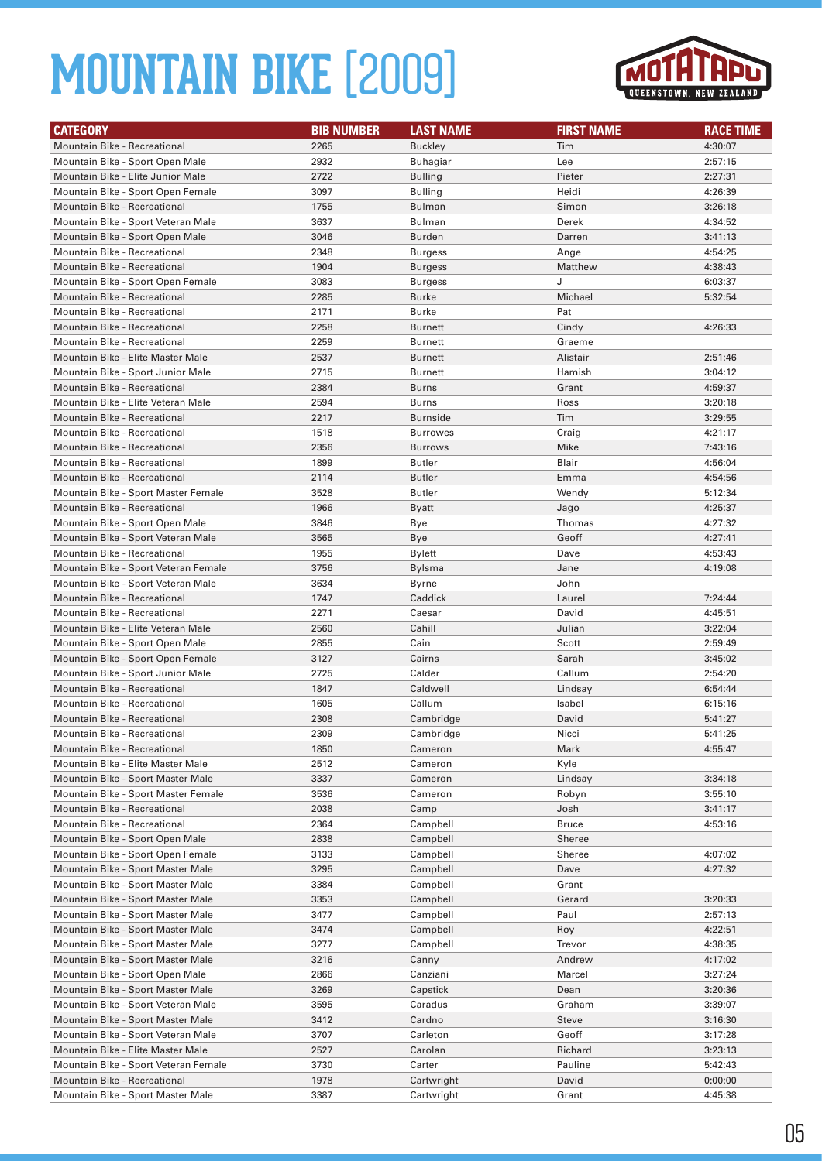

| <b>CATEGORY</b>                                                     | <b>BIB NUMBER</b> | <b>LAST NAME</b> | <b>FIRST NAME</b> | <b>RACE TIME</b>   |
|---------------------------------------------------------------------|-------------------|------------------|-------------------|--------------------|
| Mountain Bike - Recreational                                        | 2265              | <b>Buckley</b>   | Tim               | 4:30:07            |
| Mountain Bike - Sport Open Male                                     | 2932              | Buhagiar         | Lee               | 2:57:15            |
| Mountain Bike - Elite Junior Male                                   | 2722              | <b>Bulling</b>   | Pieter            | 2:27:31            |
| Mountain Bike - Sport Open Female                                   | 3097              | Bulling          | Heidi             | 4:26:39            |
| <b>Mountain Bike - Recreational</b>                                 | 1755              | <b>Bulman</b>    | Simon             | 3:26:18            |
| Mountain Bike - Sport Veteran Male                                  | 3637              | Bulman           | Derek             | 4:34:52            |
| Mountain Bike - Sport Open Male                                     | 3046              | Burden           | Darren            | 3:41:13            |
| Mountain Bike - Recreational                                        | 2348              | <b>Burgess</b>   | Ange              | 4:54:25            |
| Mountain Bike - Recreational                                        | 1904              | <b>Burgess</b>   | Matthew           | 4:38:43            |
| Mountain Bike - Sport Open Female                                   | 3083              | Burgess          | J                 | 6:03:37            |
| <b>Mountain Bike - Recreational</b>                                 | 2285              | Burke            | Michael           | 5:32:54            |
| Mountain Bike - Recreational                                        | 2171              | Burke            | Pat               |                    |
| <b>Mountain Bike - Recreational</b>                                 | 2258              | Burnett          | Cindy             | 4:26:33            |
| <b>Mountain Bike - Recreational</b>                                 | 2259              | <b>Burnett</b>   | Graeme            |                    |
| Mountain Bike - Elite Master Male                                   | 2537              | <b>Burnett</b>   | Alistair          | 2:51:46            |
| Mountain Bike - Sport Junior Male                                   | 2715              | <b>Burnett</b>   | Hamish            | 3:04:12            |
| <b>Mountain Bike - Recreational</b>                                 | 2384              | Burns            | Grant             | 4:59:37            |
| Mountain Bike - Elite Veteran Male                                  | 2594              | Burns            | Ross              | 3:20:18            |
| <b>Mountain Bike - Recreational</b>                                 | 2217              | <b>Burnside</b>  | Tim               | 3:29:55            |
| <b>Mountain Bike - Recreational</b>                                 | 1518              | <b>Burrowes</b>  | Craig             | 4:21:17            |
| <b>Mountain Bike - Recreational</b>                                 | 2356              | <b>Burrows</b>   | Mike              | 7:43:16            |
| Mountain Bike - Recreational                                        | 1899              | Butler           | Blair             | 4:56:04            |
| <b>Mountain Bike - Recreational</b>                                 | 2114              | <b>Butler</b>    | Emma              | 4:54:56            |
| Mountain Bike - Sport Master Female                                 | 3528              | Butler           | Wendy             | 5:12:34            |
| Mountain Bike - Recreational                                        | 1966              | Byatt            | Jago              | 4:25:37            |
| Mountain Bike - Sport Open Male                                     | 3846              | Bye              | Thomas            | 4:27:32            |
| Mountain Bike - Sport Veteran Male                                  | 3565              | Bye              | Geoff             | 4:27:41            |
| Mountain Bike - Recreational                                        | 1955              | Bylett           | Dave              | 4:53:43            |
| Mountain Bike - Sport Veteran Female                                | 3756              | Bylsma           | Jane              | 4:19:08            |
| Mountain Bike - Sport Veteran Male                                  | 3634              | Byrne            | John              |                    |
| <b>Mountain Bike - Recreational</b><br>Mountain Bike - Recreational | 1747<br>2271      | Caddick          | Laurel<br>David   | 7:24:44            |
| Mountain Bike - Elite Veteran Male                                  | 2560              | Caesar<br>Cahill | Julian            | 4:45:51<br>3:22:04 |
| Mountain Bike - Sport Open Male                                     | 2855              | Cain             |                   | 2:59:49            |
| Mountain Bike - Sport Open Female                                   | 3127              | Cairns           | Scott<br>Sarah    | 3:45:02            |
| Mountain Bike - Sport Junior Male                                   | 2725              | Calder           | Callum            | 2:54:20            |
| Mountain Bike - Recreational                                        | 1847              | Caldwell         | Lindsay           | 6:54:44            |
| Mountain Bike - Recreational                                        | 1605              | Callum           | Isabel            | 6:15:16            |
| <b>Mountain Bike - Recreational</b>                                 | 2308              | Cambridge        | David             | 5:41:27            |
| <b>Mountain Bike - Recreational</b>                                 | 2309              | Cambridge        | Nicci             | 5:41:25            |
| Mountain Bike - Recreational                                        | 1850              | Cameron          | Mark              | 4:55:47            |
| Mountain Bike - Elite Master Male                                   | 2512              | Cameron          | Kyle              |                    |
| Mountain Bike - Sport Master Male                                   | 3337              | Cameron          | Lindsay           | 3:34:18            |
| Mountain Bike - Sport Master Female                                 | 3536              | Cameron          | Robyn             | 3:55:10            |
| Mountain Bike - Recreational                                        | 2038              | Camp             | Josh              | 3:41:17            |
| Mountain Bike - Recreational                                        | 2364              | Campbell         | <b>Bruce</b>      | 4:53:16            |
| Mountain Bike - Sport Open Male                                     | 2838              | Campbell         | Sheree            |                    |
| Mountain Bike - Sport Open Female                                   | 3133              | Campbell         | Sheree            | 4:07:02            |
| Mountain Bike - Sport Master Male                                   | 3295              | Campbell         | Dave              | 4:27:32            |
| Mountain Bike - Sport Master Male                                   | 3384              | Campbell         | Grant             |                    |
| Mountain Bike - Sport Master Male                                   | 3353              | Campbell         | Gerard            | 3:20:33            |
| Mountain Bike - Sport Master Male                                   | 3477              | Campbell         | Paul              | 2:57:13            |
| Mountain Bike - Sport Master Male                                   | 3474              | Campbell         | Roy               | 4:22:51            |
| Mountain Bike - Sport Master Male                                   | 3277              | Campbell         | Trevor            | 4:38:35            |
| Mountain Bike - Sport Master Male                                   | 3216              | Canny            | Andrew            | 4:17:02            |
| Mountain Bike - Sport Open Male                                     | 2866              | Canziani         | Marcel            | 3:27:24            |
| Mountain Bike - Sport Master Male                                   | 3269              | Capstick         | Dean              | 3:20:36            |
| Mountain Bike - Sport Veteran Male                                  | 3595              | Caradus          | Graham            | 3:39:07            |
| Mountain Bike - Sport Master Male                                   | 3412              | Cardno           | Steve             | 3:16:30            |
| Mountain Bike - Sport Veteran Male                                  | 3707              | Carleton         | Geoff             | 3:17:28            |
| Mountain Bike - Elite Master Male                                   | 2527              | Carolan          | Richard           | 3:23:13            |
| Mountain Bike - Sport Veteran Female                                | 3730              | Carter           | Pauline           | 5:42:43            |
| Mountain Bike - Recreational                                        | 1978              | Cartwright       | David             | 0:00:00            |
| Mountain Bike - Sport Master Male                                   | 3387              | Cartwright       | Grant             | 4:45:38            |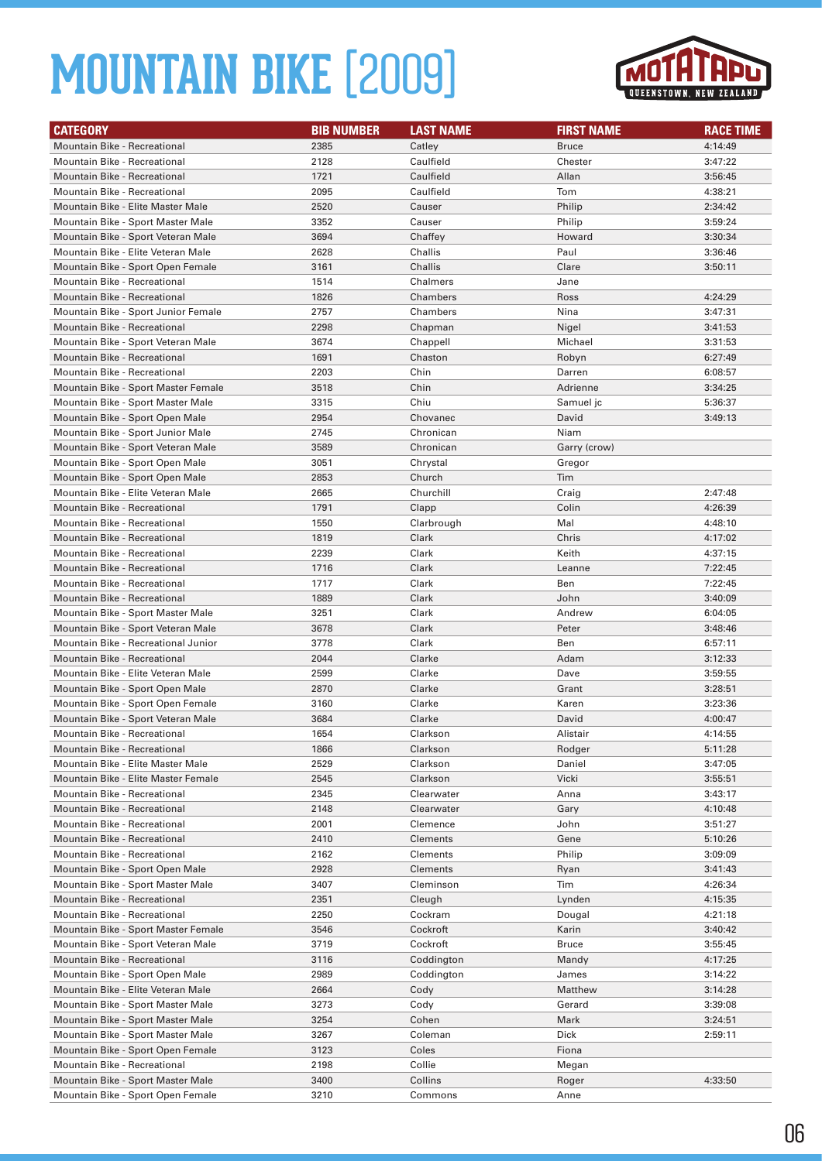

| <b>CATEGORY</b>                                                     | <b>BIB NUMBER</b> | <b>LAST NAME</b>         | <b>FIRST NAME</b> | <b>RACE TIME</b>   |
|---------------------------------------------------------------------|-------------------|--------------------------|-------------------|--------------------|
| <b>Mountain Bike - Recreational</b>                                 | 2385              | Catley                   | <b>Bruce</b>      | 4:14:49            |
| Mountain Bike - Recreational                                        | 2128              | Caulfield                | Chester           | 3:47:22            |
| <b>Mountain Bike - Recreational</b>                                 | 1721              | Caulfield                | Allan             | 3:56:45            |
| Mountain Bike - Recreational                                        | 2095              | Caulfield                | Tom               | 4:38:21            |
| Mountain Bike - Elite Master Male                                   | 2520              | Causer                   | Philip            | 2:34:42            |
| Mountain Bike - Sport Master Male                                   | 3352              | Causer                   | Philip            | 3:59:24            |
| Mountain Bike - Sport Veteran Male                                  | 3694              | Chaffey                  | Howard            | 3:30:34            |
| Mountain Bike - Elite Veteran Male                                  | 2628              | Challis                  | Paul              | 3:36:46            |
| Mountain Bike - Sport Open Female                                   | 3161              | Challis                  | Clare             | 3:50:11            |
| Mountain Bike - Recreational                                        | 1514              | Chalmers                 | Jane              |                    |
| <b>Mountain Bike - Recreational</b>                                 | 1826              | Chambers                 | Ross              | 4:24:29            |
| Mountain Bike - Sport Junior Female                                 | 2757              | Chambers                 | Nina              | 3:47:31            |
| Mountain Bike - Recreational                                        | 2298              | Chapman                  | Nigel             | 3:41:53            |
| Mountain Bike - Sport Veteran Male                                  | 3674              | Chappell                 | Michael           | 3:31:53            |
| Mountain Bike - Recreational                                        | 1691              | Chaston                  | Robyn             | 6:27:49            |
| Mountain Bike - Recreational                                        | 2203              | Chin                     | Darren            | 6:08:57            |
| Mountain Bike - Sport Master Female                                 | 3518              | Chin                     | Adrienne          | 3:34:25            |
| Mountain Bike - Sport Master Male                                   | 3315              | Chiu                     | Samuel jc         | 5:36:37            |
| Mountain Bike - Sport Open Male                                     | 2954              | Chovanec                 | David             | 3:49:13            |
| Mountain Bike - Sport Junior Male                                   | 2745              | Chronican                | Niam              |                    |
| Mountain Bike - Sport Veteran Male                                  | 3589              | Chronican                | Garry (crow)      |                    |
| Mountain Bike - Sport Open Male                                     | 3051              | Chrystal                 | Gregor            |                    |
| Mountain Bike - Sport Open Male                                     | 2853              | Church                   | Tim               |                    |
| Mountain Bike - Elite Veteran Male                                  | 2665              | Churchill                | Craig             | 2:47:48            |
| Mountain Bike - Recreational                                        | 1791              | Clapp                    | Colin             | 4:26:39            |
| Mountain Bike - Recreational                                        | 1550              | Clarbrough               | Mal               | 4:48:10            |
| <b>Mountain Bike - Recreational</b>                                 | 1819              | Clark                    | Chris             | 4:17:02            |
| Mountain Bike - Recreational                                        | 2239              | Clark                    | Keith             | 4:37:15            |
| <b>Mountain Bike - Recreational</b>                                 | 1716              | Clark                    | Leanne            | 7:22:45            |
| Mountain Bike - Recreational                                        | 1717              | Clark                    | Ben               | 7:22:45            |
| Mountain Bike - Recreational                                        | 1889              | Clark                    | John              | 3:40:09            |
| Mountain Bike - Sport Master Male                                   | 3251              | Clark                    | Andrew            | 6:04:05            |
| Mountain Bike - Sport Veteran Male                                  | 3678              | Clark                    | Peter             | 3:48:46            |
| Mountain Bike - Recreational Junior                                 | 3778              | Clark                    | Ben               | 6:57:11            |
| <b>Mountain Bike - Recreational</b>                                 | 2044              | Clarke                   | Adam              | 3:12:33            |
| Mountain Bike - Elite Veteran Male                                  | 2599              | Clarke                   | Dave              | 3:59:55            |
| Mountain Bike - Sport Open Male                                     | 2870              | Clarke                   | Grant             | 3:28:51            |
| Mountain Bike - Sport Open Female                                   | 3160              | Clarke                   | Karen             | 3:23:36            |
| Mountain Bike - Sport Veteran Male                                  | 3684              | Clarke                   | David             | 4:00:47            |
| <b>Mountain Bike - Recreational</b>                                 | 1654              | Clarkson                 | Alistair          | 4:14:55            |
| Mountain Bike - Recreational                                        | 1866              | Clarkson                 | Rodger            | 5:11:28            |
| Mountain Bike - Elite Master Male                                   | 2529              | Clarkson                 | Daniel            | 3:47:05            |
| Mountain Bike - Elite Master Female<br>Mountain Bike - Recreational | 2545              | Clarkson                 | Vicki             | 3:55:51            |
|                                                                     | 2345              | Clearwater<br>Clearwater | Anna              | 3:43:17            |
| Mountain Bike - Recreational<br>Mountain Bike - Recreational        | 2148<br>2001      | Clemence                 | Gary<br>John      | 4:10:48<br>3:51:27 |
| Mountain Bike - Recreational                                        | 2410              | Clements                 | Gene              | 5:10:26            |
| Mountain Bike - Recreational                                        | 2162              | Clements                 | Philip            | 3:09:09            |
| Mountain Bike - Sport Open Male                                     | 2928              | Clements                 | Ryan              | 3:41:43            |
| Mountain Bike - Sport Master Male                                   | 3407              | Cleminson                | Tim               | 4:26:34            |
| Mountain Bike - Recreational                                        | 2351              | Cleugh                   | Lynden            | 4:15:35            |
| Mountain Bike - Recreational                                        | 2250              | Cockram                  | Dougal            | 4:21:18            |
| Mountain Bike - Sport Master Female                                 | 3546              | Cockroft                 | Karin             | 3:40:42            |
| Mountain Bike - Sport Veteran Male                                  | 3719              | Cockroft                 | <b>Bruce</b>      | 3:55:45            |
| Mountain Bike - Recreational                                        | 3116              | Coddington               | Mandy             | 4:17:25            |
| Mountain Bike - Sport Open Male                                     | 2989              | Coddington               | James             | 3:14:22            |
| Mountain Bike - Elite Veteran Male                                  | 2664              | Cody                     | Matthew           | 3:14:28            |
| Mountain Bike - Sport Master Male                                   | 3273              | Cody                     | Gerard            | 3:39:08            |
| Mountain Bike - Sport Master Male                                   | 3254              | Cohen                    | Mark              | 3:24:51            |
| Mountain Bike - Sport Master Male                                   | 3267              | Coleman                  | Dick              | 2:59:11            |
| Mountain Bike - Sport Open Female                                   | 3123              | Coles                    | Fiona             |                    |
| Mountain Bike - Recreational                                        | 2198              | Collie                   | Megan             |                    |
| Mountain Bike - Sport Master Male                                   | 3400              | Collins                  | Roger             | 4:33:50            |
| Mountain Bike - Sport Open Female                                   | 3210              | Commons                  | Anne              |                    |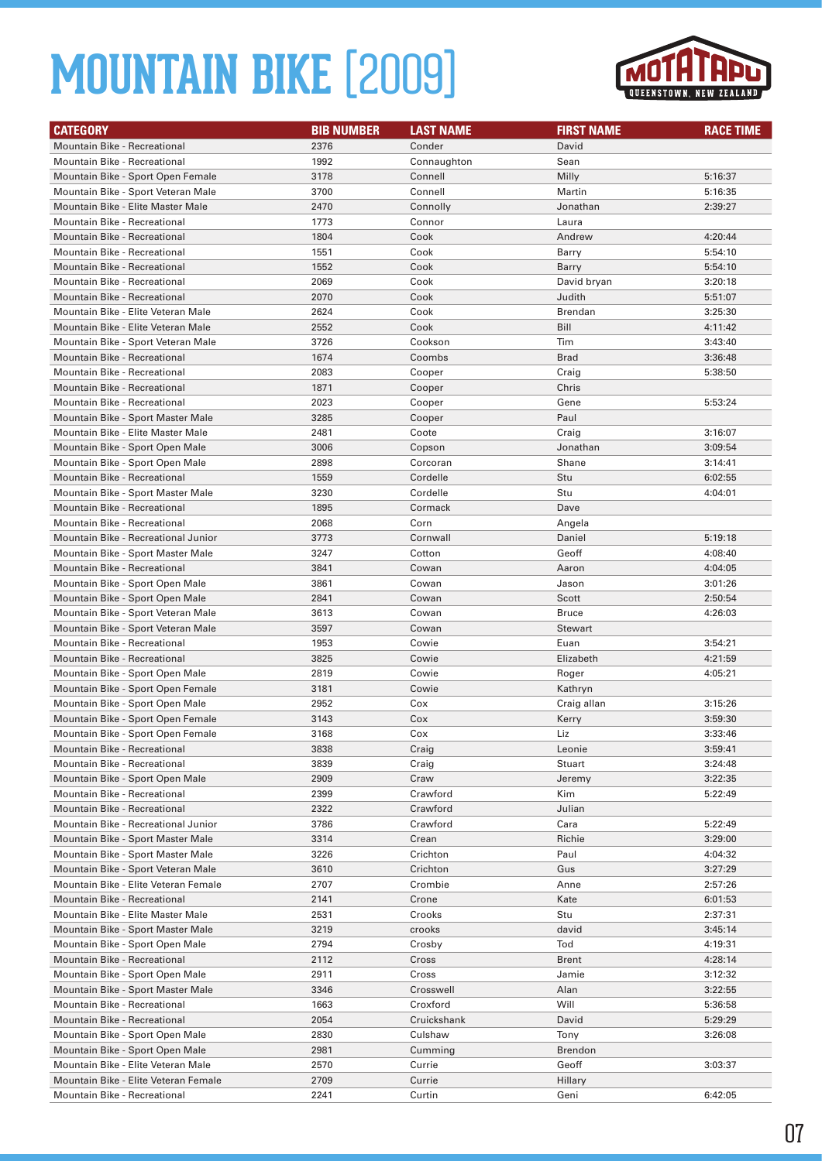

| <b>CATEGORY</b>                      | <b>BIB NUMBER</b> | <b>LAST NAME</b> | <b>FIRST NAME</b> | <b>RACE TIME</b> |
|--------------------------------------|-------------------|------------------|-------------------|------------------|
| <b>Mountain Bike - Recreational</b>  | 2376              | Conder           | David             |                  |
| <b>Mountain Bike - Recreational</b>  | 1992              | Connaughton      | Sean              |                  |
| Mountain Bike - Sport Open Female    | 3178              | Connell          | Milly             | 5:16:37          |
| Mountain Bike - Sport Veteran Male   | 3700              | Connell          | Martin            | 5:16:35          |
| Mountain Bike - Elite Master Male    | 2470              | Connolly         | Jonathan          | 2:39:27          |
| Mountain Bike - Recreational         | 1773              | Connor           | Laura             |                  |
| <b>Mountain Bike - Recreational</b>  | 1804              | Cook             | Andrew            | 4:20:44          |
| Mountain Bike - Recreational         | 1551              | Cook             | Barry             | 5:54:10          |
| <b>Mountain Bike - Recreational</b>  | 1552              | Cook             | Barry             | 5:54:10          |
| Mountain Bike - Recreational         | 2069              | Cook             | David bryan       | 3:20:18          |
| Mountain Bike - Recreational         | 2070              | Cook             | Judith            | 5:51:07          |
| Mountain Bike - Elite Veteran Male   | 2624              | Cook             | Brendan           | 3:25:30          |
| Mountain Bike - Elite Veteran Male   | 2552              | Cook             | Bill              | 4:11:42          |
| Mountain Bike - Sport Veteran Male   | 3726              | Cookson          | Tim               | 3:43:40          |
| <b>Mountain Bike - Recreational</b>  | 1674              | Coombs           | <b>Brad</b>       | 3:36:48          |
| Mountain Bike - Recreational         | 2083              | Cooper           | Craig             | 5:38:50          |
| <b>Mountain Bike - Recreational</b>  | 1871              | Cooper           | Chris             |                  |
| Mountain Bike - Recreational         | 2023              | Cooper           | Gene              | 5:53:24          |
| Mountain Bike - Sport Master Male    | 3285              | Cooper           | Paul              |                  |
| Mountain Bike - Elite Master Male    | 2481              | Coote            | Craig             | 3:16:07          |
| Mountain Bike - Sport Open Male      | 3006              | Copson           | Jonathan          | 3:09:54          |
| Mountain Bike - Sport Open Male      | 2898              | Corcoran         | Shane             | 3:14:41          |
| Mountain Bike - Recreational         | 1559              | Cordelle         | Stu               | 6:02:55          |
| Mountain Bike - Sport Master Male    | 3230              | Cordelle         | Stu               | 4:04:01          |
| Mountain Bike - Recreational         | 1895              | Cormack          | Dave              |                  |
| Mountain Bike - Recreational         | 2068              | Corn             | Angela            |                  |
| Mountain Bike - Recreational Junior  | 3773              | Cornwall         | Daniel            | 5:19:18          |
| Mountain Bike - Sport Master Male    | 3247              | Cotton           | Geoff             | 4:08:40          |
| <b>Mountain Bike - Recreational</b>  | 3841              | Cowan            | Aaron             | 4:04:05          |
| Mountain Bike - Sport Open Male      | 3861              | Cowan            | Jason             | 3:01:26          |
| Mountain Bike - Sport Open Male      | 2841              | Cowan            | Scott             | 2:50:54          |
| Mountain Bike - Sport Veteran Male   | 3613              | Cowan            | <b>Bruce</b>      | 4:26:03          |
| Mountain Bike - Sport Veteran Male   | 3597              | Cowan            | Stewart           |                  |
| Mountain Bike - Recreational         | 1953              | Cowie            | Euan              | 3:54:21          |
| <b>Mountain Bike - Recreational</b>  | 3825              | Cowie            | Elizabeth         | 4:21:59          |
| Mountain Bike - Sport Open Male      | 2819              | Cowie            | Roger             | 4:05:21          |
| Mountain Bike - Sport Open Female    | 3181              | Cowie            | Kathryn           |                  |
| Mountain Bike - Sport Open Male      | 2952              | Cox              | Craig allan       | 3:15:26          |
| Mountain Bike - Sport Open Female    | 3143              | Cox              | Kerry             | 3:59:30          |
| Mountain Bike - Sport Open Female    | 3168              | Cox              | Liz               | 3:33:46          |
| Mountain Bike - Recreational         | 3838              | Craig            | Leonie            | 3:59:41          |
| Mountain Bike - Recreational         | 3839              | Craig            | Stuart            | 3:24:48          |
| Mountain Bike - Sport Open Male      | 2909              | Craw             | Jeremy            | 3:22:35          |
| Mountain Bike - Recreational         | 2399              | Crawford         | Kim               | 5:22:49          |
| Mountain Bike - Recreational         | 2322              | Crawford         | Julian            |                  |
| Mountain Bike - Recreational Junior  | 3786              | Crawford         | Cara              | 5:22:49          |
| Mountain Bike - Sport Master Male    | 3314              | Crean            | Richie            | 3:29:00          |
| Mountain Bike - Sport Master Male    | 3226              | Crichton         | Paul              | 4:04:32          |
| Mountain Bike - Sport Veteran Male   | 3610              | Crichton         | Gus               | 3:27:29          |
| Mountain Bike - Elite Veteran Female | 2707              | Crombie          | Anne              | 2:57:26          |
| Mountain Bike - Recreational         | 2141              | Crone            | Kate              | 6:01:53          |
| Mountain Bike - Elite Master Male    | 2531              | Crooks           | Stu               | 2:37:31          |
| Mountain Bike - Sport Master Male    | 3219              | crooks           | david             | 3:45:14          |
| Mountain Bike - Sport Open Male      | 2794              | Crosby           | Tod               | 4:19:31          |
| Mountain Bike - Recreational         | 2112              | Cross            | <b>Brent</b>      | 4:28:14          |
| Mountain Bike - Sport Open Male      | 2911              | Cross            | Jamie             | 3:12:32          |
| Mountain Bike - Sport Master Male    | 3346              | Crosswell        | Alan              | 3:22:55          |
| Mountain Bike - Recreational         | 1663              | Croxford         | Will              | 5:36:58          |
| Mountain Bike - Recreational         | 2054              | Cruickshank      | David             | 5:29:29          |
| Mountain Bike - Sport Open Male      | 2830              | Culshaw          | Tony              | 3:26:08          |
| Mountain Bike - Sport Open Male      | 2981              | Cumming          | <b>Brendon</b>    |                  |
| Mountain Bike - Elite Veteran Male   | 2570              | Currie           | Geoff             | 3:03:37          |
| Mountain Bike - Elite Veteran Female | 2709              | Currie           | Hillary           |                  |
| Mountain Bike - Recreational         | 2241              | Curtin           | Geni              | 6:42:05          |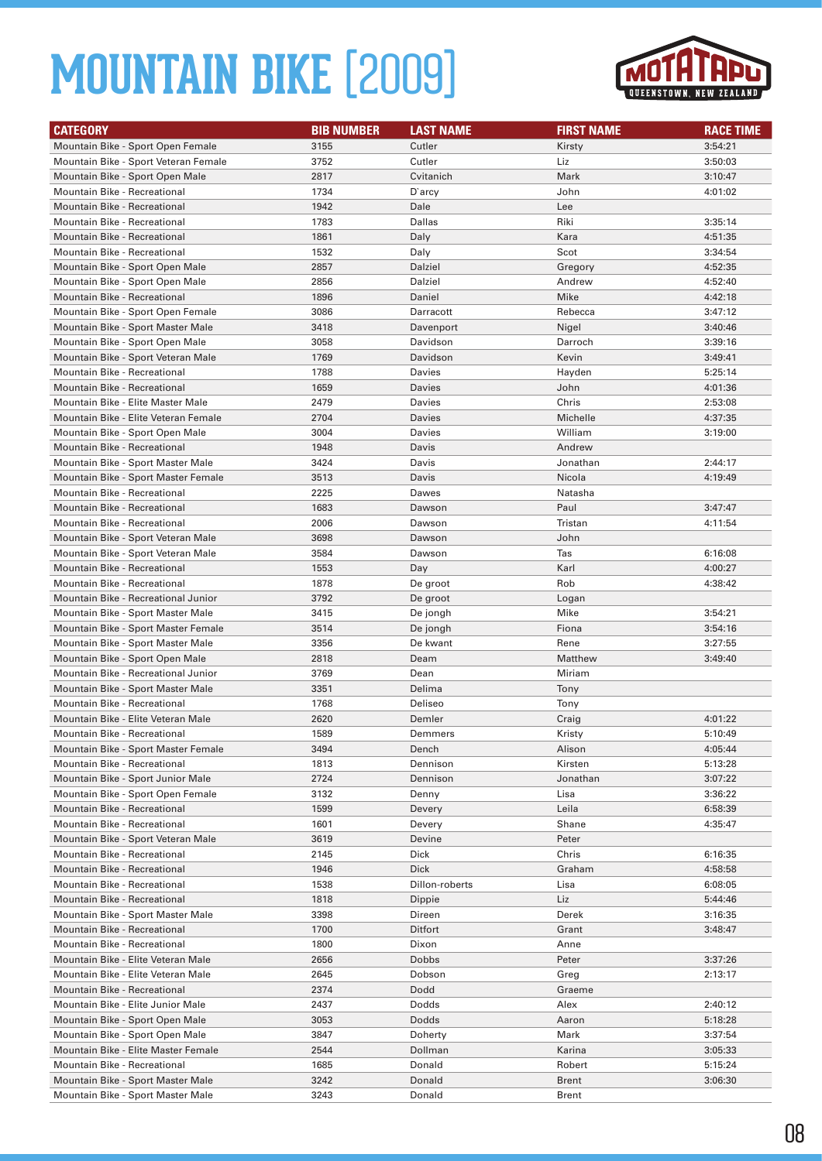

| <b>CATEGORY</b>                                                           | <b>BIB NUMBER</b> | <b>LAST NAME</b> | <b>FIRST NAME</b> | <b>RACE TIME</b> |
|---------------------------------------------------------------------------|-------------------|------------------|-------------------|------------------|
| Mountain Bike - Sport Open Female                                         | 3155              | Cutler           | Kirsty            | 3:54:21          |
| Mountain Bike - Sport Veteran Female                                      | 3752              | Cutler           | Liz               | 3:50:03          |
| Mountain Bike - Sport Open Male                                           | 2817              | Cvitanich        | Mark              | 3:10:47          |
| Mountain Bike - Recreational                                              | 1734              | D'arcy           | John              | 4:01:02          |
| <b>Mountain Bike - Recreational</b>                                       | 1942              | Dale             | Lee               |                  |
| Mountain Bike - Recreational                                              | 1783              | Dallas           | Riki              | 3:35:14          |
| <b>Mountain Bike - Recreational</b>                                       | 1861              | Daly             | Kara              | 4:51:35          |
| Mountain Bike - Recreational                                              | 1532              | Daly             | Scot              | 3:34:54          |
| Mountain Bike - Sport Open Male                                           | 2857              | Dalziel          | Gregory           | 4:52:35          |
| Mountain Bike - Sport Open Male                                           | 2856              | Dalziel          | Andrew            | 4:52:40          |
| <b>Mountain Bike - Recreational</b>                                       | 1896              | Daniel           | Mike              | 4:42:18          |
| Mountain Bike - Sport Open Female                                         | 3086              | Darracott        | Rebecca           | 3:47:12          |
| Mountain Bike - Sport Master Male                                         | 3418              | Davenport        | Nigel             | 3:40:46          |
| Mountain Bike - Sport Open Male                                           | 3058              | Davidson         | Darroch           | 3:39:16          |
| Mountain Bike - Sport Veteran Male                                        | 1769              | Davidson         | Kevin             | 3:49:41          |
| Mountain Bike - Recreational                                              | 1788              | Davies           | Hayden            | 5:25:14          |
| <b>Mountain Bike - Recreational</b>                                       | 1659              | Davies           | John              | 4:01:36          |
| Mountain Bike - Elite Master Male                                         | 2479              | Davies           | Chris             | 2:53:08          |
| Mountain Bike - Elite Veteran Female                                      | 2704              | Davies           | Michelle          | 4:37:35          |
| Mountain Bike - Sport Open Male                                           | 3004              | Davies           | William           | 3:19:00          |
| <b>Mountain Bike - Recreational</b>                                       | 1948              | Davis            | Andrew            |                  |
| Mountain Bike - Sport Master Male                                         | 3424              | Davis            | Jonathan          | 2:44:17          |
| Mountain Bike - Sport Master Female                                       | 3513              | Davis            | Nicola            | 4:19:49          |
| Mountain Bike - Recreational                                              | 2225              | Dawes            | Natasha           |                  |
| <b>Mountain Bike - Recreational</b>                                       | 1683              | Dawson           | Paul              | 3:47:47          |
| Mountain Bike - Recreational                                              | 2006<br>3698      | Dawson           | Tristan           | 4:11:54          |
| Mountain Bike - Sport Veteran Male                                        | 3584              | Dawson<br>Dawson | John<br>Tas       | 6:16:08          |
| Mountain Bike - Sport Veteran Male<br><b>Mountain Bike - Recreational</b> | 1553              | Day              | Karl              | 4:00:27          |
| Mountain Bike - Recreational                                              | 1878              | De groot         | Rob               | 4:38:42          |
| Mountain Bike - Recreational Junior                                       | 3792              | De groot         | Logan             |                  |
| Mountain Bike - Sport Master Male                                         | 3415              | De jongh         | Mike              | 3:54:21          |
| Mountain Bike - Sport Master Female                                       | 3514              | De jongh         | Fiona             | 3:54:16          |
| Mountain Bike - Sport Master Male                                         | 3356              | De kwant         | Rene              | 3:27:55          |
| Mountain Bike - Sport Open Male                                           | 2818              | Deam             | Matthew           | 3:49:40          |
| Mountain Bike - Recreational Junior                                       | 3769              | Dean             | Miriam            |                  |
| Mountain Bike - Sport Master Male                                         | 3351              | Delima           | Tony              |                  |
| Mountain Bike - Recreational                                              | 1768              | Deliseo          | Tony              |                  |
| Mountain Bike - Elite Veteran Male                                        | 2620              | Demler           | Craig             | 4:01:22          |
| <b>Mountain Bike - Recreational</b>                                       | 1589              | Demmers          | Kristy            | 5:10:49          |
| Mountain Bike - Sport Master Female                                       | 3494              | Dench            | Alison            | 4:05:44          |
| Mountain Bike - Recreational                                              | 1813              | Dennison         | Kirsten           | 5:13:28          |
| Mountain Bike - Sport Junior Male                                         | 2724              | Dennison         | Jonathan          | 3:07:22          |
| Mountain Bike - Sport Open Female                                         | 3132              | Denny            | Lisa              | 3:36:22          |
| Mountain Bike - Recreational                                              | 1599              | Devery           | Leila             | 6:58:39          |
| Mountain Bike - Recreational                                              | 1601              | Devery           | Shane             | 4:35:47          |
| Mountain Bike - Sport Veteran Male                                        | 3619              | Devine           | Peter             |                  |
| Mountain Bike - Recreational                                              | 2145              | Dick             | Chris             | 6:16:35          |
| Mountain Bike - Recreational                                              | 1946              | Dick             | Graham            | 4:58:58          |
| Mountain Bike - Recreational                                              | 1538              | Dillon-roberts   | Lisa              | 6:08:05          |
| Mountain Bike - Recreational                                              | 1818              | Dippie           | Liz               | 5:44:46          |
| Mountain Bike - Sport Master Male                                         | 3398              | Direen           | Derek             | 3:16:35          |
| Mountain Bike - Recreational                                              | 1700              | Ditfort          | Grant             | 3:48:47          |
| Mountain Bike - Recreational                                              | 1800              | Dixon            | Anne              |                  |
| Mountain Bike - Elite Veteran Male                                        | 2656              | <b>Dobbs</b>     | Peter             | 3:37:26          |
| Mountain Bike - Elite Veteran Male                                        | 2645              | Dobson           | Greg              | 2:13:17          |
| Mountain Bike - Recreational                                              | 2374              | Dodd             | Graeme            |                  |
| Mountain Bike - Elite Junior Male                                         | 2437              | Dodds            | Alex              | 2:40:12          |
| Mountain Bike - Sport Open Male                                           | 3053              | Dodds            | Aaron             | 5:18:28          |
| Mountain Bike - Sport Open Male                                           | 3847              | Doherty          | Mark              | 3:37:54          |
| Mountain Bike - Elite Master Female                                       | 2544              | Dollman          | Karina            | 3:05:33          |
| Mountain Bike - Recreational                                              | 1685              | Donald           | Robert            | 5:15:24          |
| Mountain Bike - Sport Master Male                                         | 3242              | Donald           | <b>Brent</b>      | 3:06:30          |
| Mountain Bike - Sport Master Male                                         | 3243              | Donald           | <b>Brent</b>      |                  |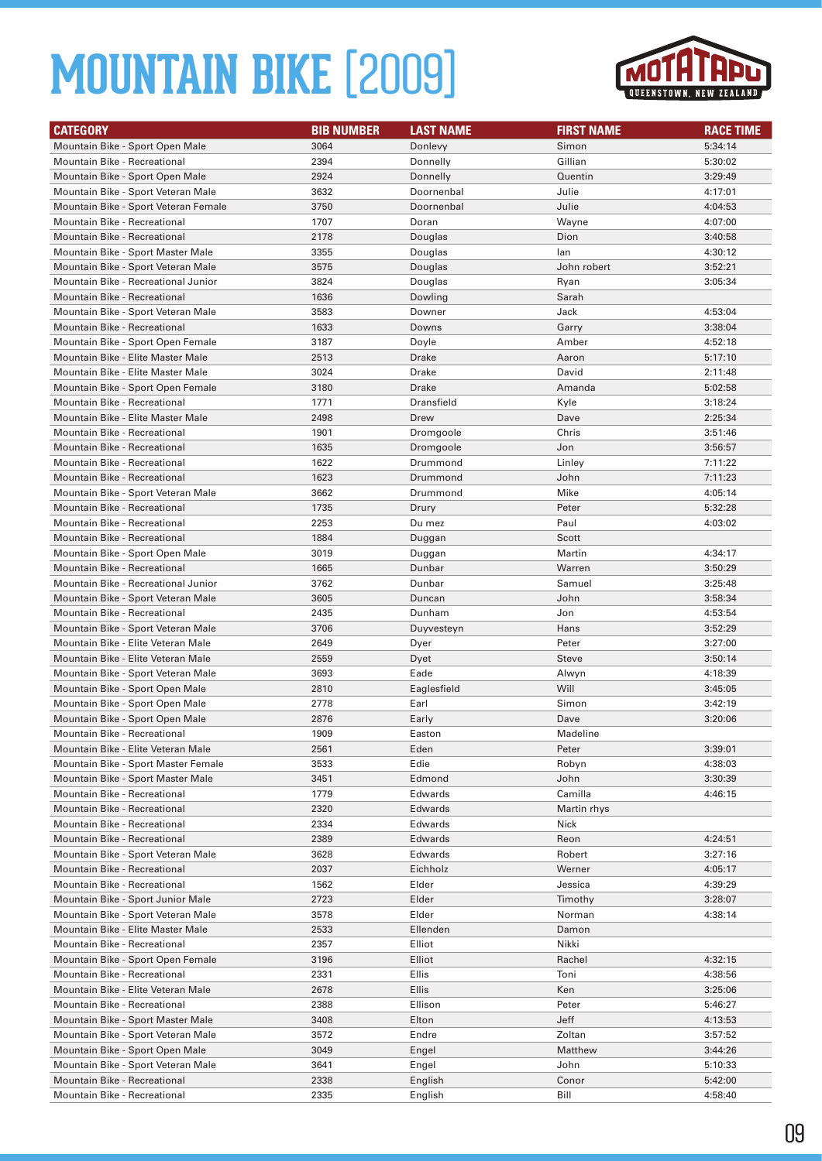

| <b>CATEGORY</b>                                                       | <b>BIB NUMBER</b> | <b>LAST NAME</b> | <b>FIRST NAME</b> | <b>RACE TIME</b>   |
|-----------------------------------------------------------------------|-------------------|------------------|-------------------|--------------------|
| Mountain Bike - Sport Open Male                                       | 3064              | Donlevy          | Simon             | 5:34:14            |
| Mountain Bike - Recreational                                          | 2394              | Donnelly         | Gillian           | 5:30:02            |
| Mountain Bike - Sport Open Male                                       | 2924              | Donnelly         | Quentin           | 3:29:49            |
| Mountain Bike - Sport Veteran Male                                    | 3632              | Doornenbal       | Julie             | 4:17:01            |
| Mountain Bike - Sport Veteran Female                                  | 3750              | Doornenbal       | Julie             | 4:04:53            |
| Mountain Bike - Recreational                                          | 1707              | Doran            | Wayne             | 4:07:00            |
| <b>Mountain Bike - Recreational</b>                                   | 2178              | Douglas          | Dion              | 3:40:58            |
| Mountain Bike - Sport Master Male                                     | 3355              | Douglas          | lan               | 4:30:12            |
| Mountain Bike - Sport Veteran Male                                    | 3575              | Douglas          | John robert       | 3:52:21            |
| Mountain Bike - Recreational Junior                                   | 3824              | Douglas          | Ryan              | 3:05:34            |
| <b>Mountain Bike - Recreational</b>                                   | 1636              | Dowling          | Sarah             |                    |
| Mountain Bike - Sport Veteran Male                                    | 3583              | Downer           | Jack              | 4:53:04            |
| <b>Mountain Bike - Recreational</b>                                   | 1633              | Downs            | Garry             | 3:38:04            |
| Mountain Bike - Sport Open Female                                     | 3187              | Doyle            | Amber             | 4:52:18            |
| Mountain Bike - Elite Master Male                                     | 2513              | Drake            | Aaron             | 5:17:10            |
| Mountain Bike - Elite Master Male                                     | 3024              | Drake            | David             | 2:11:48            |
| Mountain Bike - Sport Open Female                                     | 3180              | Drake            | Amanda            | 5:02:58            |
| Mountain Bike - Recreational                                          | 1771              | Dransfield       | Kyle              | 3:18:24            |
| Mountain Bike - Elite Master Male                                     | 2498              | Drew             | Dave              | 2:25:34            |
| Mountain Bike - Recreational                                          | 1901              | Dromgoole        | Chris             | 3:51:46            |
| <b>Mountain Bike - Recreational</b>                                   | 1635              | Dromgoole        | Jon               | 3:56:57            |
| <b>Mountain Bike - Recreational</b>                                   | 1622              | Drummond         | Linley            | 7:11:22            |
| <b>Mountain Bike - Recreational</b>                                   | 1623              | Drummond         | John              | 7:11:23            |
| Mountain Bike - Sport Veteran Male                                    | 3662              | Drummond         | Mike              | 4:05:14            |
| <b>Mountain Bike - Recreational</b>                                   | 1735              | Drury            | Peter             | 5:32:28            |
| Mountain Bike - Recreational                                          | 2253              | Du mez           | Paul              | 4:03:02            |
| <b>Mountain Bike - Recreational</b>                                   | 1884              | Duggan           | Scott             |                    |
| Mountain Bike - Sport Open Male                                       | 3019              | Duggan           | Martin            | 4:34:17            |
| <b>Mountain Bike - Recreational</b>                                   | 1665              | Dunbar           | Warren            | 3:50:29            |
| Mountain Bike - Recreational Junior                                   | 3762              | Dunbar           | Samuel            | 3:25:48            |
| Mountain Bike - Sport Veteran Male                                    | 3605              | Duncan           | John              | 3:58:34            |
| Mountain Bike - Recreational                                          | 2435              | Dunham           | Jon               | 4:53:54            |
| Mountain Bike - Sport Veteran Male                                    | 3706              | Duyvesteyn       | Hans              | 3:52:29            |
| Mountain Bike - Elite Veteran Male                                    | 2649              | Dyer             | Peter             | 3:27:00            |
| Mountain Bike - Elite Veteran Male                                    | 2559              | Dyet             | <b>Steve</b>      | 3:50:14            |
| Mountain Bike - Sport Veteran Male                                    | 3693              | Eade             | Alwyn             | 4:18:39            |
| Mountain Bike - Sport Open Male                                       | 2810              | Eaglesfield      | Will              | 3:45:05            |
| Mountain Bike - Sport Open Male                                       | 2778              | Earl             | Simon             | 3:42:19            |
| Mountain Bike - Sport Open Male                                       | 2876              | Early            | Dave              | 3:20:06            |
| Mountain Bike - Recreational                                          | 1909              | Easton           | Madeline          |                    |
| Mountain Bike - Elite Veteran Male                                    | 2561              | Eden             | Peter             | 3:39:01            |
| Mountain Bike - Sport Master Female                                   | 3533              | Edie             | Robyn             | 4:38:03            |
| Mountain Bike - Sport Master Male                                     | 3451              | Edmond           | John              | 3:30:39            |
| Mountain Bike - Recreational                                          | 1779              | Edwards          | Camilla           | 4:46:15            |
| Mountain Bike - Recreational                                          | 2320              | Edwards          | Martin rhys       |                    |
| Mountain Bike - Recreational                                          | 2334              | Edwards          | Nick              |                    |
| Mountain Bike - Recreational                                          | 2389              | Edwards          | Reon              | 4:24:51            |
| Mountain Bike - Sport Veteran Male                                    | 3628              | Edwards          | Robert            | 3:27:16            |
| Mountain Bike - Recreational                                          | 2037              | Eichholz         | Werner            | 4:05:17            |
| Mountain Bike - Recreational                                          | 1562              | Elder            | Jessica           | 4:39:29            |
| Mountain Bike - Sport Junior Male                                     | 2723              | Elder            | Timothy           | 3:28:07<br>4:38:14 |
| Mountain Bike - Sport Veteran Male                                    | 3578              | Elder            | Norman            |                    |
| Mountain Bike - Elite Master Male                                     | 2533              | Ellenden         | Damon             |                    |
| Mountain Bike - Recreational                                          | 2357              | Elliot           | Nikki             |                    |
| Mountain Bike - Sport Open Female                                     | 3196              | Elliot           | Rachel            | 4:32:15            |
| Mountain Bike - Recreational                                          | 2331              | Ellis            | Toni              | 4:38:56            |
| Mountain Bike - Elite Veteran Male                                    | 2678              | Ellis            | Ken               | 3:25:06            |
| Mountain Bike - Recreational                                          | 2388              | Ellison          | Peter             | 5:46:27            |
| Mountain Bike - Sport Master Male                                     | 3408<br>3572      | Elton            | Jeff              | 4:13:53            |
| Mountain Bike - Sport Veteran Male<br>Mountain Bike - Sport Open Male | 3049              | Endre<br>Engel   | Zoltan<br>Matthew | 3:57:52<br>3:44:26 |
| Mountain Bike - Sport Veteran Male                                    | 3641              | Engel            | John              | 5:10:33            |
| Mountain Bike - Recreational                                          | 2338              | English          | Conor             | 5:42:00            |
| Mountain Bike - Recreational                                          | 2335              | English          | Bill              | 4:58:40            |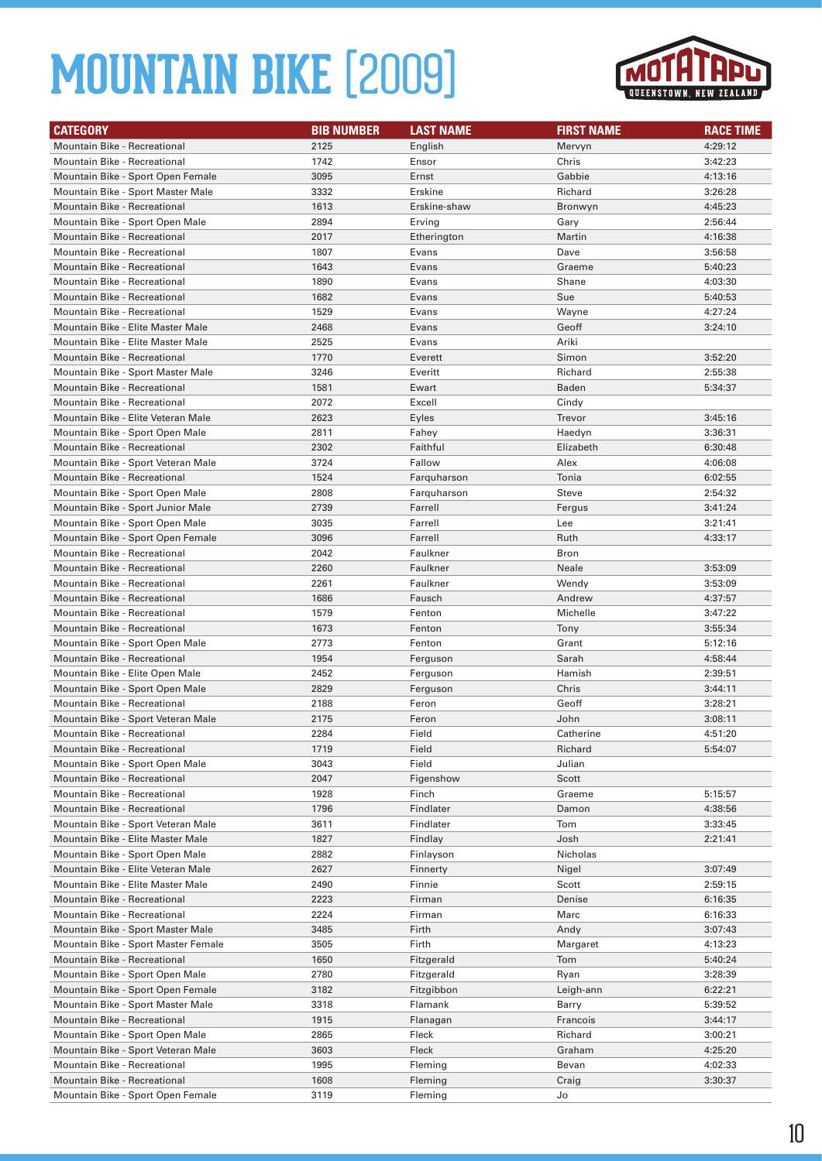

| <b>CATEGORY</b>                                                        | <b>BIB NUMBER</b> | <b>LAST NAME</b>     | <b>FIRST NAME</b> | <b>RACE TIME</b>   |
|------------------------------------------------------------------------|-------------------|----------------------|-------------------|--------------------|
| <b>Mountain Bike - Recreational</b>                                    | 2125              | English              | Mervyn            | 4:29:12            |
| Mountain Bike - Recreational                                           | 1742              | Ensor                | Chris             | 3:42:23            |
| Mountain Bike - Sport Open Female                                      | 3095              | Ernst                | Gabbie            | 4:13:16            |
| Mountain Bike - Sport Master Male                                      | 3332              | Erskine              | Richard           | 3:26:28            |
| Mountain Bike - Recreational                                           | 1613              | Erskine-shaw         | Bronwyn           | 4:45:23            |
| Mountain Bike - Sport Open Male                                        | 2894              | Erving               | Gary              | 2:56:44            |
| Mountain Bike - Recreational                                           | 2017              | Etherington          | Martin            | 4:16:38            |
| Mountain Bike - Recreational                                           | 1807              | Evans                | Dave              | 3:56:58            |
| <b>Mountain Bike - Recreational</b>                                    | 1643              | Evans                | Graeme            | 5:40:23            |
| Mountain Bike - Recreational                                           | 1890              | Evans                | Shane             | 4:03:30            |
| <b>Mountain Bike - Recreational</b>                                    | 1682              | Evans                | Sue               | 5:40:53            |
| Mountain Bike - Recreational                                           | 1529              | Evans                | Wayne             | 4:27:24            |
| Mountain Bike - Elite Master Male                                      | 2468              | Evans                | Geoff             | 3:24:10            |
| Mountain Bike - Elite Master Male                                      | 2525              | Evans                | Ariki             |                    |
| Mountain Bike - Recreational                                           | 1770              | Everett              | Simon             | 3:52:20            |
| Mountain Bike - Sport Master Male                                      | 3246              | Everitt              | Richard           | 2:55:38            |
| Mountain Bike - Recreational                                           | 1581              | Ewart                | <b>Baden</b>      | 5:34:37            |
| Mountain Bike - Recreational                                           | 2072              | Excell               | Cindy             |                    |
| Mountain Bike - Elite Veteran Male                                     | 2623              | Eyles                | Trevor            | 3:45:16            |
| Mountain Bike - Sport Open Male                                        | 2811              | Fahey                | Haedyn            | 3:36:31            |
| <b>Mountain Bike - Recreational</b>                                    | 2302              | Faithful             | Elizabeth         | 6:30:48            |
| Mountain Bike - Sport Veteran Male                                     | 3724              | Fallow               | Alex              | 4:06:08            |
| <b>Mountain Bike - Recreational</b>                                    | 1524              | Farquharson          | Tonia             | 6:02:55            |
| Mountain Bike - Sport Open Male                                        | 2808              | Farquharson          | Steve             | 2:54:32            |
| Mountain Bike - Sport Junior Male                                      | 2739              | Farrell              | Fergus            | 3:41:24            |
| Mountain Bike - Sport Open Male                                        | 3035              | Farrell              | Lee               | 3:21:41            |
| Mountain Bike - Sport Open Female                                      | 3096              | Farrell              | Ruth              | 4:33:17            |
| Mountain Bike - Recreational                                           | 2042              | Faulkner             | <b>Bron</b>       |                    |
| <b>Mountain Bike - Recreational</b>                                    | 2260              | Faulkner             | Neale             | 3:53:09            |
| Mountain Bike - Recreational                                           | 2261              | Faulkner             | Wendy             | 3:53:09            |
| <b>Mountain Bike - Recreational</b>                                    | 1686              | Fausch               | Andrew            | 4:37:57            |
| <b>Mountain Bike - Recreational</b>                                    | 1579              | Fenton               | Michelle          | 3:47:22            |
| <b>Mountain Bike - Recreational</b>                                    | 1673              | Fenton               | Tony              | 3:55:34            |
| Mountain Bike - Sport Open Male<br><b>Mountain Bike - Recreational</b> | 2773<br>1954      | Fenton               | Grant<br>Sarah    | 5:12:16            |
| Mountain Bike - Elite Open Male                                        | 2452              | Ferguson<br>Ferguson | Hamish            | 4:58:44<br>2:39:51 |
| Mountain Bike - Sport Open Male                                        | 2829              | Ferguson             | Chris             | 3:44:11            |
| Mountain Bike - Recreational                                           | 2188              | Feron                | Geoff             | 3:28:21            |
| Mountain Bike - Sport Veteran Male                                     | 2175              | Feron                | John              | 3:08:11            |
| Mountain Bike - Recreational                                           | 2284              | Field                | Catherine         | 4:51:20            |
| Mountain Bike - Recreational                                           | 1719              | Field                | Richard           | 5:54:07            |
| Mountain Bike - Sport Open Male                                        | 3043              | Field                | Julian            |                    |
| Mountain Bike - Recreational                                           | 2047              | Figenshow            | Scott             |                    |
| Mountain Bike - Recreational                                           | 1928              | Finch                | Graeme            | 5:15:57            |
| Mountain Bike - Recreational                                           | 1796              | Findlater            | Damon             | 4:38:56            |
| Mountain Bike - Sport Veteran Male                                     | 3611              | Findlater            | Tom               | 3:33:45            |
| Mountain Bike - Elite Master Male                                      | 1827              | Findlay              | Josh              | 2:21:41            |
| Mountain Bike - Sport Open Male                                        | 2882              | Finlayson            | Nicholas          |                    |
| Mountain Bike - Elite Veteran Male                                     | 2627              | Finnerty             | Nigel             | 3:07:49            |
| Mountain Bike - Elite Master Male                                      | 2490              | Finnie               | Scott             | 2:59:15            |
| <b>Mountain Bike - Recreational</b>                                    | 2223              | Firman               | Denise            | 6:16:35            |
| Mountain Bike - Recreational                                           | 2224              | Firman               | Marc              | 6:16:33            |
| Mountain Bike - Sport Master Male                                      | 3485              | Firth                | Andy              | 3:07:43            |
| Mountain Bike - Sport Master Female                                    | 3505              | Firth                | Margaret          | 4:13:23            |
| Mountain Bike - Recreational                                           | 1650              | Fitzgerald           | Tom               | 5:40:24            |
| Mountain Bike - Sport Open Male                                        | 2780              | Fitzgerald           | Ryan              | 3:28:39            |
| Mountain Bike - Sport Open Female                                      | 3182              | Fitzgibbon           | Leigh-ann         | 6:22:21            |
| Mountain Bike - Sport Master Male                                      | 3318              | Flamank              | Barry             | 5:39:52            |
| Mountain Bike - Recreational                                           | 1915              | Flanagan             | Francois          | 3:44:17            |
| Mountain Bike - Sport Open Male                                        | 2865              | Fleck                | Richard           | 3:00:21            |
| Mountain Bike - Sport Veteran Male                                     | 3603              | Fleck                | Graham            | 4:25:20            |
| Mountain Bike - Recreational                                           | 1995              | Fleming              | Bevan             | 4:02:33            |
| Mountain Bike - Recreational                                           | 1608              | Fleming              | Craig             | 3:30:37            |
| Mountain Bike - Sport Open Female                                      | 3119              | Fleming              | Jo                |                    |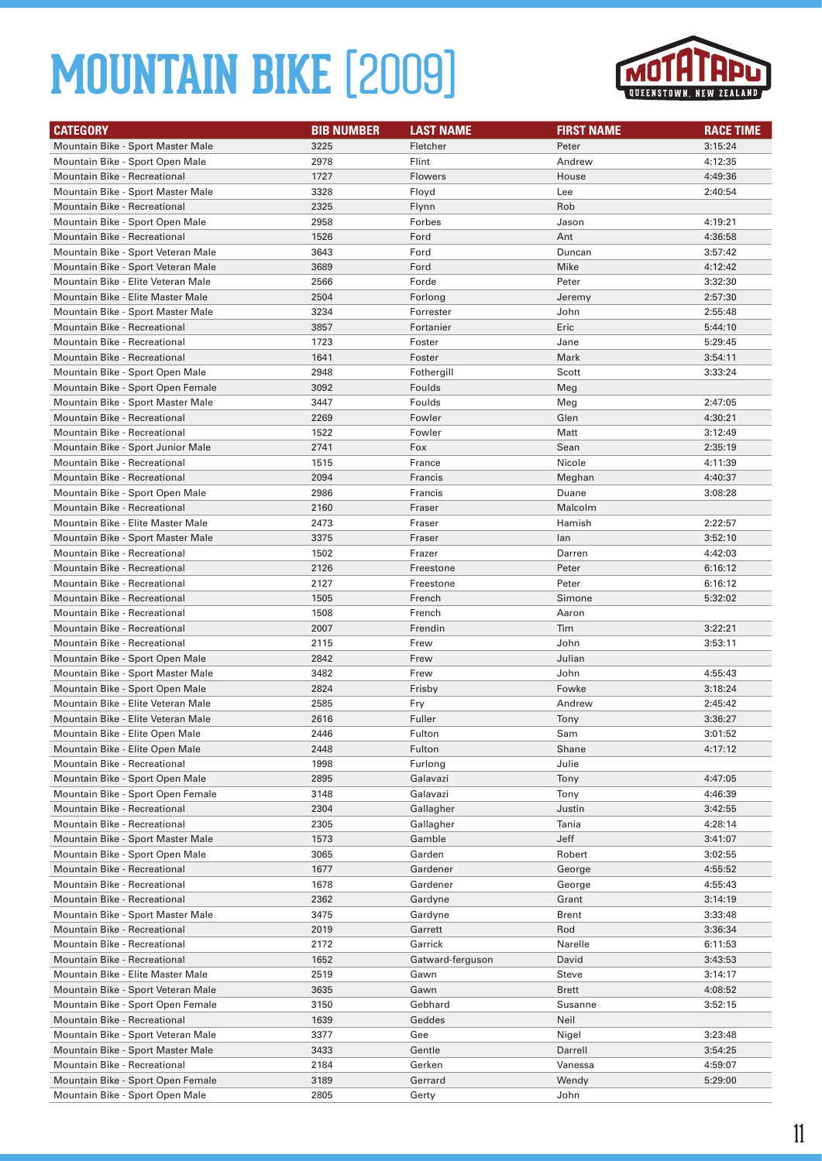

| <b>CATEGORY</b>                     | <b>BIB NUMBER</b> | <b>LAST NAME</b> | <b>FIRST NAME</b> | <b>RACE TIME</b> |
|-------------------------------------|-------------------|------------------|-------------------|------------------|
| Mountain Bike - Sport Master Male   | 3225              | Fletcher         | Peter             | 3:15:24          |
| Mountain Bike - Sport Open Male     | 2978              | Flint            | Andrew            | 4:12:35          |
| Mountain Bike - Recreational        | 1727              | <b>Flowers</b>   | House             | 4:49:36          |
| Mountain Bike - Sport Master Male   | 3328              | Floyd            | Lee               | 2:40:54          |
| <b>Mountain Bike - Recreational</b> | 2325              | Flynn            | Rob               |                  |
| Mountain Bike - Sport Open Male     | 2958              | Forbes           | Jason             | 4:19:21          |
| <b>Mountain Bike - Recreational</b> | 1526              | Ford             | Ant               | 4:36:58          |
| Mountain Bike - Sport Veteran Male  | 3643              | Ford             | Duncan            | 3:57:42          |
| Mountain Bike - Sport Veteran Male  | 3689              | Ford             | Mike              | 4:12:42          |
| Mountain Bike - Elite Veteran Male  | 2566              | Forde            | Peter             | 3:32:30          |
| Mountain Bike - Elite Master Male   | 2504              | Forlong          | Jeremy            | 2:57:30          |
| Mountain Bike - Sport Master Male   | 3234              | Forrester        | John              | 2:55:48          |
| <b>Mountain Bike - Recreational</b> | 3857              | Fortanier        | Eric              | 5:44:10          |
| <b>Mountain Bike - Recreational</b> | 1723              | Foster           | Jane              | 5:29:45          |
| Mountain Bike - Recreational        | 1641              | Foster           | Mark              | 3:54:11          |
| Mountain Bike - Sport Open Male     | 2948              | Fothergill       | Scott             | 3:33:24          |
| Mountain Bike - Sport Open Female   | 3092              | Foulds           | Meg               |                  |
| Mountain Bike - Sport Master Male   | 3447              | Foulds           | Meg               | 2:47:05          |
| <b>Mountain Bike - Recreational</b> | 2269              | Fowler           | Glen              | 4:30:21          |
| <b>Mountain Bike - Recreational</b> | 1522              | Fowler           | Matt              | 3:12:49          |
| Mountain Bike - Sport Junior Male   | 2741              | Fox              | Sean              | 2:35:19          |
| <b>Mountain Bike - Recreational</b> | 1515              | France           | Nicole            | 4:11:39          |
| <b>Mountain Bike - Recreational</b> | 2094              | Francis          | Meghan            | 4:40:37          |
| Mountain Bike - Sport Open Male     | 2986              | Francis          | Duane             | 3:08:28          |
| Mountain Bike - Recreational        | 2160              | Fraser           | Malcolm           |                  |
| Mountain Bike - Elite Master Male   | 2473              | Fraser           | Hamish            | 2:22:57          |
| Mountain Bike - Sport Master Male   | 3375              | Fraser           | lan               | 3:52:10          |
| <b>Mountain Bike - Recreational</b> | 1502              | Frazer           | Darren            | 4:42:03          |
| <b>Mountain Bike - Recreational</b> | 2126              | Freestone        | Peter             | 6:16:12          |
| <b>Mountain Bike - Recreational</b> | 2127              | Freestone        | Peter             | 6:16:12          |
| <b>Mountain Bike - Recreational</b> | 1505              | French           | Simone            | 5:32:02          |
| Mountain Bike - Recreational        | 1508              | French           | Aaron             |                  |
| Mountain Bike - Recreational        | 2007              | Frendin          | Tim               | 3:22:21          |
| Mountain Bike - Recreational        | 2115              | Frew             | John              | 3:53:11          |
| Mountain Bike - Sport Open Male     | 2842              | Frew             | Julian            |                  |
| Mountain Bike - Sport Master Male   | 3482              | Frew             | John              | 4:55:43          |
| Mountain Bike - Sport Open Male     | 2824              | Frisby           | Fowke             | 3:18:24          |
| Mountain Bike - Elite Veteran Male  | 2585              | Fry              | Andrew            | 2:45:42          |
| Mountain Bike - Elite Veteran Male  | 2616              | Fuller           | Tony              | 3:36:27          |
| Mountain Bike - Elite Open Male     | 2446              | Fulton           | Sam               | 3:01:52          |
| Mountain Bike - Elite Open Male     | 2448              | Fulton           | Shane             | 4:17:12          |
| Mountain Bike - Recreational        | 1998              | Furlong          | Julie             |                  |
| Mountain Bike - Sport Open Male     | 2895              | Galavazi         | Tony              | 4:47:05          |
| Mountain Bike - Sport Open Female   | 3148              | Galavazi         | Tony              | 4:46:39          |
| Mountain Bike - Recreational        | 2304              | Gallagher        | Justin            | 3:42:55          |
| Mountain Bike - Recreational        | 2305              | Gallagher        | Tania             | 4:28:14          |
| Mountain Bike - Sport Master Male   | 1573              | Gamble           | Jeff              | 3:41:07          |
| Mountain Bike - Sport Open Male     | 3065              | Garden           | Robert            | 3:02:55          |
| <b>Mountain Bike - Recreational</b> | 1677              | Gardener         | George            | 4:55:52          |
| Mountain Bike - Recreational        | 1678              | Gardener         | George            | 4:55:43          |
| Mountain Bike - Recreational        | 2362              | Gardyne          | Grant             | 3:14:19          |
| Mountain Bike - Sport Master Male   | 3475              | Gardyne          | <b>Brent</b>      | 3:33:48          |
| Mountain Bike - Recreational        | 2019              | Garrett          | Rod               | 3:36:34          |
| Mountain Bike - Recreational        | 2172              | Garrick          | Narelle           | 6:11:53          |
| Mountain Bike - Recreational        | 1652              | Gatward-ferguson | David             | 3:43:53          |
| Mountain Bike - Elite Master Male   | 2519              | Gawn             | Steve             | 3:14:17          |
| Mountain Bike - Sport Veteran Male  | 3635              | Gawn             | <b>Brett</b>      | 4:08:52          |
| Mountain Bike - Sport Open Female   | 3150              | Gebhard          | Susanne           | 3:52:15          |
| Mountain Bike - Recreational        | 1639              | Geddes           | Neil              |                  |
| Mountain Bike - Sport Veteran Male  | 3377              | Gee              | Nigel             | 3:23:48          |
| Mountain Bike - Sport Master Male   | 3433              | Gentle           | Darrell           | 3:54:25          |
| Mountain Bike - Recreational        | 2184              | Gerken           | Vanessa           | 4:59:07          |
| Mountain Bike - Sport Open Female   | 3189              | Gerrard          | Wendy             | 5:29:00          |
| Mountain Bike - Sport Open Male     | 2805              | Gerty            | John              |                  |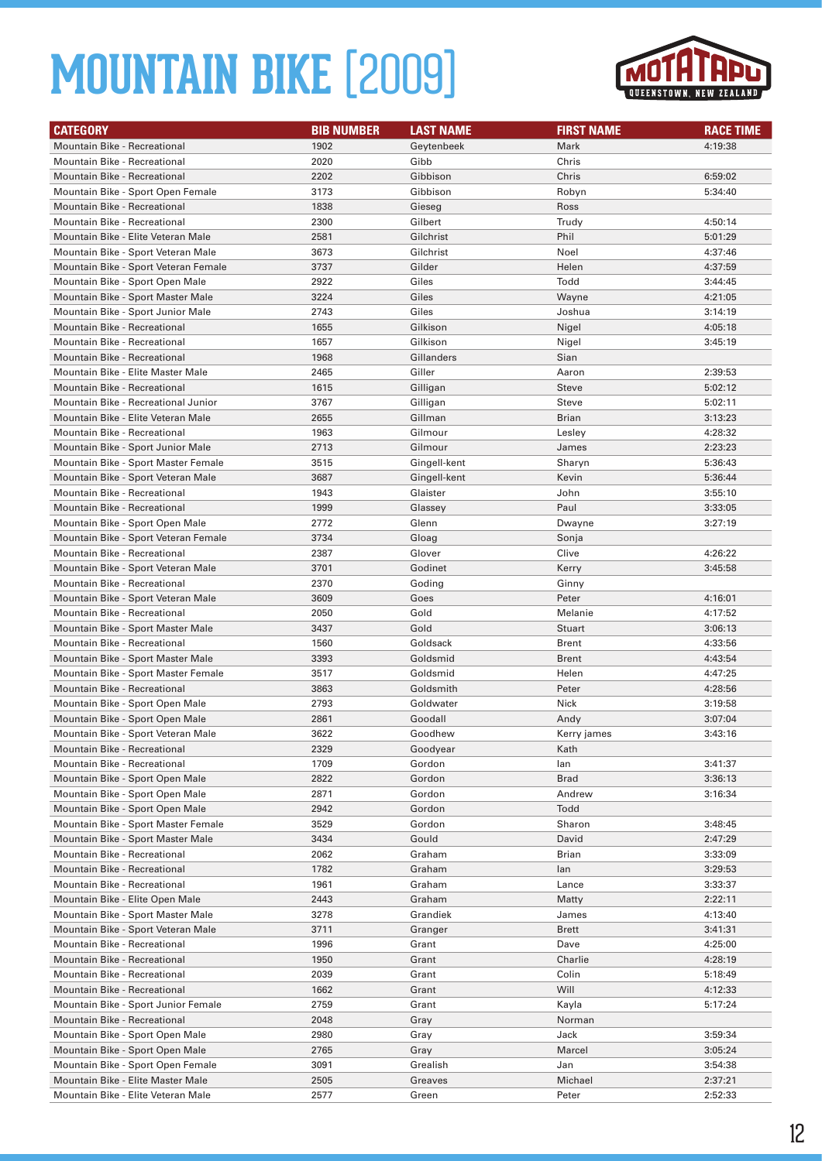

| <b>CATEGORY</b>                                                          | <b>BIB NUMBER</b> | <b>LAST NAME</b>   | <b>FIRST NAME</b>    | <b>RACE TIME</b>   |
|--------------------------------------------------------------------------|-------------------|--------------------|----------------------|--------------------|
| <b>Mountain Bike - Recreational</b>                                      | 1902              | Geytenbeek         | Mark                 | 4:19:38            |
| Mountain Bike - Recreational                                             | 2020              | Gibb               | Chris                |                    |
| <b>Mountain Bike - Recreational</b>                                      | 2202              | Gibbison           | Chris                | 6:59:02            |
| Mountain Bike - Sport Open Female                                        | 3173              | Gibbison           | Robyn                | 5:34:40            |
| <b>Mountain Bike - Recreational</b>                                      | 1838              | Gieseg             | Ross                 |                    |
| Mountain Bike - Recreational                                             | 2300              | Gilbert            | Trudy                | 4:50:14            |
| Mountain Bike - Elite Veteran Male                                       | 2581              | Gilchrist          | Phil                 | 5:01:29            |
| Mountain Bike - Sport Veteran Male                                       | 3673              | Gilchrist          | Noel                 | 4:37:46            |
| Mountain Bike - Sport Veteran Female                                     | 3737              | Gilder             | Helen                | 4:37:59            |
| Mountain Bike - Sport Open Male                                          | 2922              | Giles              | Todd                 | 3:44:45            |
| Mountain Bike - Sport Master Male                                        | 3224              | Giles              | Wayne                | 4:21:05            |
| Mountain Bike - Sport Junior Male                                        | 2743              | Giles              | Joshua               | 3:14:19            |
| <b>Mountain Bike - Recreational</b>                                      | 1655              | Gilkison           | Nigel                | 4:05:18            |
| <b>Mountain Bike - Recreational</b>                                      | 1657              | Gilkison           | Nigel                | 3:45:19            |
| <b>Mountain Bike - Recreational</b>                                      | 1968              | Gillanders         | Sian                 |                    |
| Mountain Bike - Elite Master Male                                        | 2465              | Giller             | Aaron                | 2:39:53            |
| <b>Mountain Bike - Recreational</b>                                      | 1615              | Gilligan           | <b>Steve</b>         | 5:02:12            |
| Mountain Bike - Recreational Junior                                      | 3767              | Gilligan           | Steve                | 5:02:11            |
| Mountain Bike - Elite Veteran Male                                       | 2655              | Gillman            | <b>Brian</b>         | 3:13:23            |
| <b>Mountain Bike - Recreational</b><br>Mountain Bike - Sport Junior Male | 1963              | Gilmour<br>Gilmour | Lesley               | 4:28:32            |
| Mountain Bike - Sport Master Female                                      | 2713<br>3515      | Gingell-kent       | James                | 2:23:23<br>5:36:43 |
| Mountain Bike - Sport Veteran Male                                       | 3687              | Gingell-kent       | Sharyn<br>Kevin      | 5:36:44            |
| Mountain Bike - Recreational                                             | 1943              | Glaister           | John                 | 3:55:10            |
| Mountain Bike - Recreational                                             | 1999              | Glassey            | Paul                 | 3:33:05            |
| Mountain Bike - Sport Open Male                                          | 2772              | Glenn              | Dwayne               | 3:27:19            |
| Mountain Bike - Sport Veteran Female                                     | 3734              | Gloag              | Sonja                |                    |
| <b>Mountain Bike - Recreational</b>                                      | 2387              | Glover             | Clive                | 4:26:22            |
| Mountain Bike - Sport Veteran Male                                       | 3701              | Godinet            | Kerry                | 3:45:58            |
| Mountain Bike - Recreational                                             | 2370              | Goding             | Ginny                |                    |
| Mountain Bike - Sport Veteran Male                                       | 3609              | Goes               | Peter                | 4:16:01            |
| <b>Mountain Bike - Recreational</b>                                      | 2050              | Gold               | Melanie              | 4:17:52            |
| Mountain Bike - Sport Master Male                                        | 3437              | Gold               | Stuart               | 3:06:13            |
| <b>Mountain Bike - Recreational</b>                                      | 1560              | Goldsack           | Brent                | 4:33:56            |
| Mountain Bike - Sport Master Male                                        | 3393              | Goldsmid           | <b>Brent</b>         | 4:43:54            |
| Mountain Bike - Sport Master Female                                      | 3517              | Goldsmid           | Helen                | 4:47:25            |
| Mountain Bike - Recreational                                             | 3863              | Goldsmith          | Peter                | 4:28:56            |
| Mountain Bike - Sport Open Male                                          | 2793              | Goldwater          | Nick                 | 3:19:58            |
| Mountain Bike - Sport Open Male                                          | 2861              | Goodall            | Andy                 | 3:07:04            |
| Mountain Bike - Sport Veteran Male                                       | 3622              | Goodhew            | Kerry james          | 3:43:16            |
| Mountain Bike - Recreational                                             | 2329              | Goodyear           | Kath                 |                    |
| Mountain Bike - Recreational                                             | 1709              | Gordon             | lan                  | 3:41:37            |
| Mountain Bike - Sport Open Male                                          | 2822              | Gordon             | <b>Brad</b>          | 3:36:13            |
| Mountain Bike - Sport Open Male                                          | 2871              | Gordon             | Andrew               | 3:16:34            |
| Mountain Bike - Sport Open Male                                          | 2942              | Gordon             | Todd                 |                    |
| Mountain Bike - Sport Master Female                                      | 3529              | Gordon             | Sharon               | 3:48:45            |
| Mountain Bike - Sport Master Male                                        | 3434              | Gould              | David                | 2:47:29            |
| Mountain Bike - Recreational                                             | 2062              | Graham             | Brian                | 3:33:09            |
| Mountain Bike - Recreational                                             | 1782              | Graham             | lan                  | 3:29:53            |
| Mountain Bike - Recreational                                             | 1961              | Graham             | Lance                | 3:33:37            |
| Mountain Bike - Elite Open Male                                          | 2443              | Graham             | Matty                | 2:22:11            |
| Mountain Bike - Sport Master Male                                        | 3278              | Grandiek           | James                | 4:13:40            |
| Mountain Bike - Sport Veteran Male<br>Mountain Bike - Recreational       | 3711<br>1996      | Granger<br>Grant   | <b>Brett</b><br>Dave | 3:41:31<br>4:25:00 |
| Mountain Bike - Recreational                                             | 1950              | Grant              | Charlie              | 4:28:19            |
| Mountain Bike - Recreational                                             | 2039              | Grant              | Colin                | 5:18:49            |
| Mountain Bike - Recreational                                             | 1662              | Grant              | Will                 | 4:12:33            |
| Mountain Bike - Sport Junior Female                                      | 2759              | Grant              | Kayla                | 5:17:24            |
| Mountain Bike - Recreational                                             | 2048              | Gray               | Norman               |                    |
| Mountain Bike - Sport Open Male                                          | 2980              | Gray               | Jack                 | 3:59:34            |
| Mountain Bike - Sport Open Male                                          | 2765              | Gray               | Marcel               | 3:05:24            |
| Mountain Bike - Sport Open Female                                        | 3091              | Grealish           | Jan                  | 3:54:38            |
| Mountain Bike - Elite Master Male                                        | 2505              | Greaves            | Michael              | 2:37:21            |
| Mountain Bike - Elite Veteran Male                                       | 2577              | Green              | Peter                | 2:52:33            |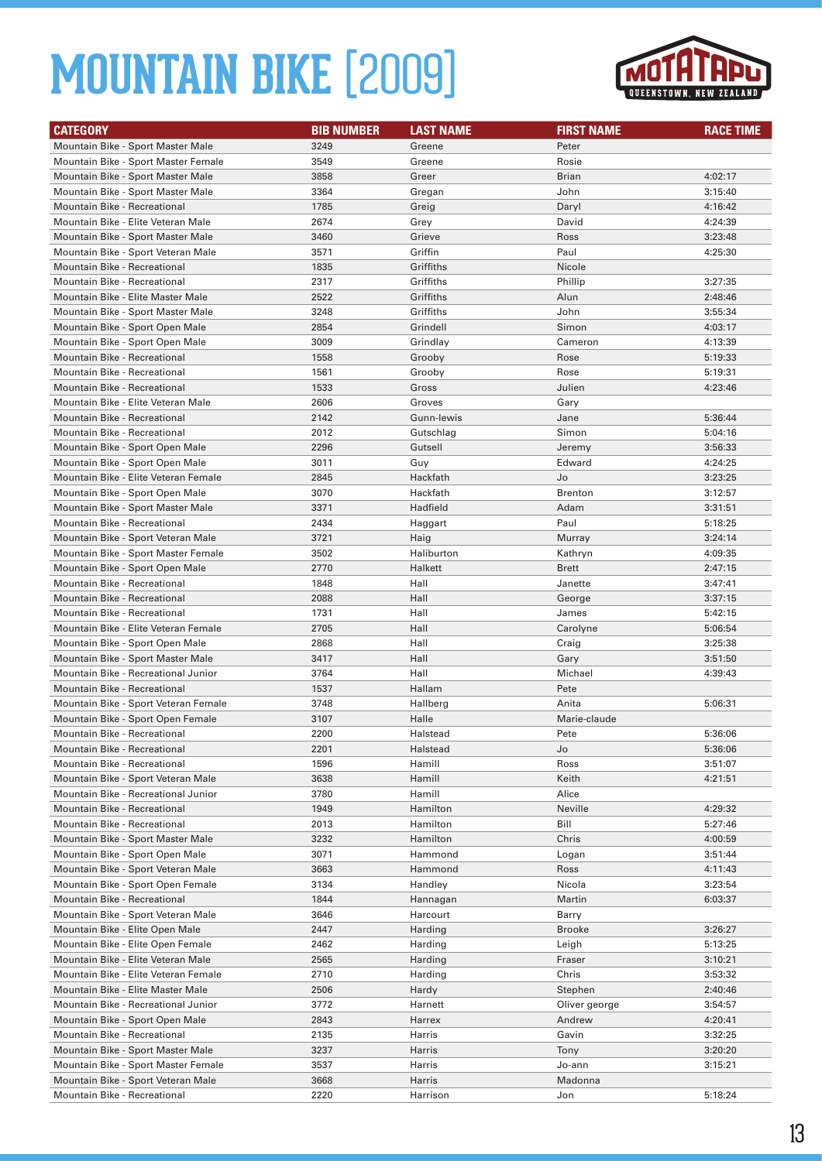

| <b>CATEGORY</b>                      | <b>BIB NUMBER</b> | <b>LAST NAME</b> | <b>FIRST NAME</b> | <b>RACE TIME</b> |
|--------------------------------------|-------------------|------------------|-------------------|------------------|
| Mountain Bike - Sport Master Male    | 3249              | Greene           | Peter             |                  |
| Mountain Bike - Sport Master Female  | 3549              | Greene           | Rosie             |                  |
| Mountain Bike - Sport Master Male    | 3858              | Greer            | <b>Brian</b>      | 4:02:17          |
| Mountain Bike - Sport Master Male    | 3364              | Gregan           | John              | 3:15:40          |
| <b>Mountain Bike - Recreational</b>  | 1785              | Greig            | Daryl             | 4:16:42          |
| Mountain Bike - Elite Veteran Male   | 2674              | Grey             | David             | 4:24:39          |
| Mountain Bike - Sport Master Male    | 3460              | Grieve           | Ross              | 3:23:48          |
| Mountain Bike - Sport Veteran Male   | 3571              | Griffin          | Paul              | 4:25:30          |
| <b>Mountain Bike - Recreational</b>  | 1835              | Griffiths        | Nicole            |                  |
| <b>Mountain Bike - Recreational</b>  | 2317              | Griffiths        | Phillip           | 3:27:35          |
| Mountain Bike - Elite Master Male    | 2522              | Griffiths        | Alun              | 2:48:46          |
| Mountain Bike - Sport Master Male    | 3248              | Griffiths        | John              | 3:55:34          |
| Mountain Bike - Sport Open Male      | 2854              | Grindell         | Simon             | 4:03:17          |
| Mountain Bike - Sport Open Male      | 3009              | Grindlay         | Cameron           | 4:13:39          |
| <b>Mountain Bike - Recreational</b>  | 1558              | Grooby           | Rose              | 5:19:33          |
| <b>Mountain Bike - Recreational</b>  | 1561              | Grooby           | Rose              | 5:19:31          |
| <b>Mountain Bike - Recreational</b>  | 1533              | Gross            | Julien            | 4:23:46          |
| Mountain Bike - Elite Veteran Male   | 2606              | Groves           | Gary              |                  |
| <b>Mountain Bike - Recreational</b>  | 2142              | Gunn-lewis       | Jane              | 5:36:44          |
| Mountain Bike - Recreational         | 2012              | Gutschlag        | Simon             | 5:04:16          |
| Mountain Bike - Sport Open Male      | 2296              | Gutsell          | Jeremy            | 3:56:33          |
| Mountain Bike - Sport Open Male      | 3011              | Guy              | Edward            | 4:24:25          |
| Mountain Bike - Elite Veteran Female | 2845              | Hackfath         | Jo                | 3:23:25          |
| Mountain Bike - Sport Open Male      | 3070              | Hackfath         | <b>Brenton</b>    | 3:12:57          |
| Mountain Bike - Sport Master Male    | 3371              | Hadfield         | Adam              | 3:31:51          |
| <b>Mountain Bike - Recreational</b>  | 2434              | Haggart          | Paul              | 5:18:25          |
| Mountain Bike - Sport Veteran Male   | 3721              | Haig             | Murray            | 3:24:14          |
| Mountain Bike - Sport Master Female  | 3502              | Haliburton       | Kathryn           | 4:09:35          |
| Mountain Bike - Sport Open Male      | 2770              | Halkett          | Brett             | 2:47:15          |
| <b>Mountain Bike - Recreational</b>  | 1848              | Hall             | Janette           | 3:47:41          |
| <b>Mountain Bike - Recreational</b>  | 2088              | Hall             | George            | 3:37:15          |
| Mountain Bike - Recreational         | 1731              | Hall             | James             | 5:42:15          |
| Mountain Bike - Elite Veteran Female | 2705              | Hall             | Carolyne          | 5:06:54          |
| Mountain Bike - Sport Open Male      | 2868              | Hall             | Craig             | 3:25:38          |
| Mountain Bike - Sport Master Male    | 3417              | Hall             | Gary              | 3:51:50          |
| Mountain Bike - Recreational Junior  | 3764              | Hall             | Michael           | 4:39:43          |
| <b>Mountain Bike - Recreational</b>  | 1537              | Hallam           | Pete              |                  |
| Mountain Bike - Sport Veteran Female | 3748              | Hallberg         | Anita             | 5:06:31          |
| Mountain Bike - Sport Open Female    | 3107              | Halle            | Marie-claude      |                  |
| Mountain Bike - Recreational         | 2200              | Halstead         | Pete              | 5:36:06          |
| Mountain Bike - Recreational         | 2201              | Halstead         | Jo                | 5:36:06          |
| Mountain Bike - Recreational         | 1596              | Hamill           | Ross              | 3:51:07          |
| Mountain Bike - Sport Veteran Male   | 3638              | Hamill           | Keith             | 4:21:51          |
| Mountain Bike - Recreational Junior  | 3780              | Hamill           | Alice             |                  |
| Mountain Bike - Recreational         | 1949              | Hamilton         | Neville           | 4:29:32          |
| Mountain Bike - Recreational         | 2013              | Hamilton         | Bill              | 5:27:46          |
| Mountain Bike - Sport Master Male    | 3232              | Hamilton         | Chris             | 4:00:59          |
| Mountain Bike - Sport Open Male      | 3071              | Hammond          | Logan             | 3:51:44          |
| Mountain Bike - Sport Veteran Male   | 3663              | Hammond          | Ross              | 4:11:43          |
| Mountain Bike - Sport Open Female    | 3134              | Handley          | Nicola            | 3:23:54          |
| <b>Mountain Bike - Recreational</b>  | 1844              | Hannagan         | Martin            | 6:03:37          |
| Mountain Bike - Sport Veteran Male   | 3646              | Harcourt         | Barry             |                  |
| Mountain Bike - Elite Open Male      | 2447              | Harding          | <b>Brooke</b>     | 3:26:27          |
| Mountain Bike - Elite Open Female    | 2462              | Harding          | Leigh             | 5:13:25          |
| Mountain Bike - Elite Veteran Male   | 2565              | Harding          | Fraser            | 3:10:21          |
| Mountain Bike - Elite Veteran Female | 2710              | Harding          | Chris             | 3:53:32          |
| Mountain Bike - Elite Master Male    | 2506              | Hardy            | Stephen           | 2:40:46          |
| Mountain Bike - Recreational Junior  | 3772              | Harnett          | Oliver george     | 3:54:57          |
| Mountain Bike - Sport Open Male      | 2843              | Harrex           | Andrew            | 4:20:41          |
| Mountain Bike - Recreational         | 2135              | Harris           | Gavin             | 3:32:25          |
| Mountain Bike - Sport Master Male    | 3237              | Harris           | Tony              | 3:20:20          |
| Mountain Bike - Sport Master Female  | 3537              | Harris           | Jo-ann            | 3:15:21          |
| Mountain Bike - Sport Veteran Male   | 3668              | Harris           | Madonna           |                  |
| Mountain Bike - Recreational         | 2220              | Harrison         | Jon               | 5:18:24          |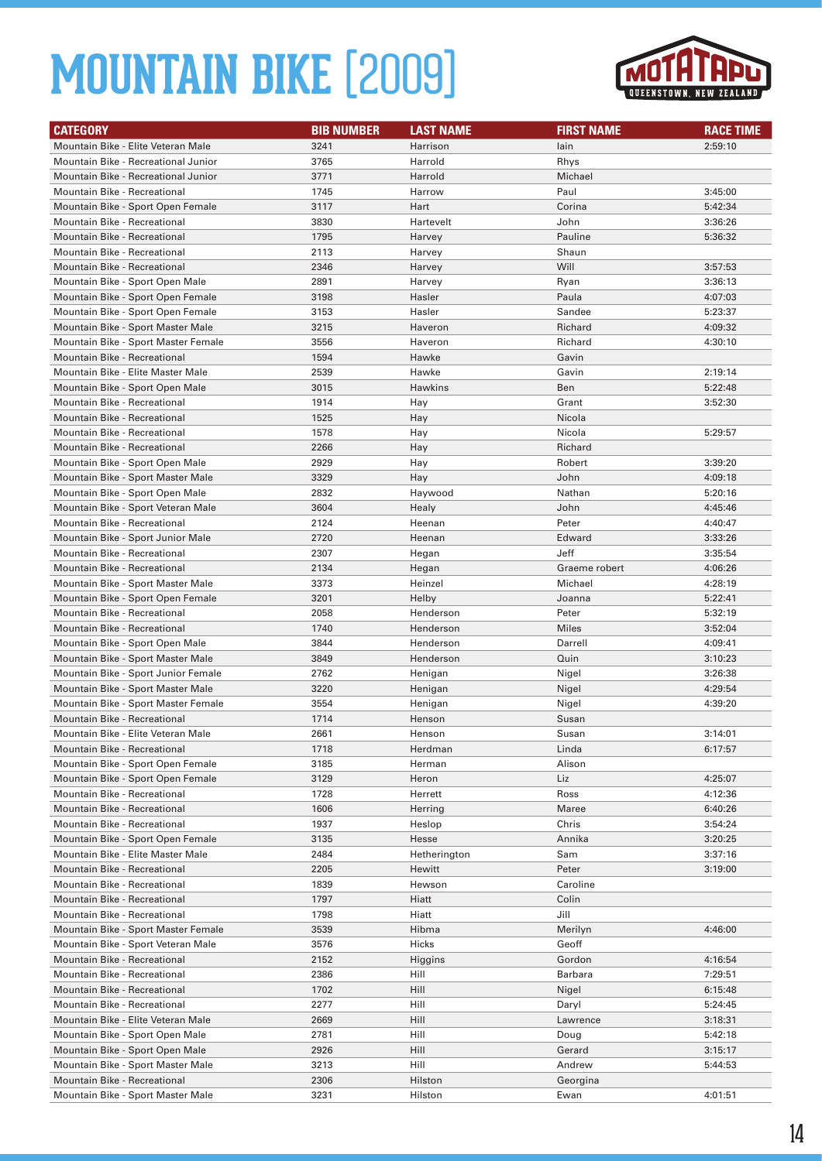

| <b>CATEGORY</b>                                                        | <b>BIB NUMBER</b> | <b>LAST NAME</b> | <b>FIRST NAME</b> | <b>RACE TIME</b>   |
|------------------------------------------------------------------------|-------------------|------------------|-------------------|--------------------|
| Mountain Bike - Elite Veteran Male                                     | 3241              | Harrison         | lain              | 2:59:10            |
| Mountain Bike - Recreational Junior                                    | 3765              | Harrold          | Rhys              |                    |
| Mountain Bike - Recreational Junior                                    | 3771              | Harrold          | Michael           |                    |
| <b>Mountain Bike - Recreational</b>                                    | 1745              | Harrow           | Paul              | 3:45:00            |
| Mountain Bike - Sport Open Female                                      | 3117              | Hart             | Corina            | 5:42:34            |
| Mountain Bike - Recreational                                           | 3830              | Hartevelt        | John              | 3:36:26            |
| <b>Mountain Bike - Recreational</b>                                    | 1795              | Harvey           | Pauline           | 5:36:32            |
| Mountain Bike - Recreational                                           | 2113              | Harvey           | Shaun             |                    |
| Mountain Bike - Recreational                                           | 2346              | Harvey           | Will              | 3:57:53            |
| Mountain Bike - Sport Open Male                                        | 2891              | Harvey           | Ryan              | 3:36:13            |
| Mountain Bike - Sport Open Female                                      | 3198              | Hasler           | Paula             | 4:07:03            |
| Mountain Bike - Sport Open Female                                      | 3153              | Hasler           | Sandee            | 5:23:37            |
| Mountain Bike - Sport Master Male                                      | 3215              | Haveron          | Richard           | 4:09:32            |
| Mountain Bike - Sport Master Female                                    | 3556              | Haveron          | Richard           | 4:30:10            |
| Mountain Bike - Recreational                                           | 1594              | Hawke            | Gavin             |                    |
| Mountain Bike - Elite Master Male                                      | 2539              | Hawke            | Gavin             | 2:19:14            |
| Mountain Bike - Sport Open Male                                        | 3015              | Hawkins          | Ben               | 5:22:48            |
| <b>Mountain Bike - Recreational</b>                                    | 1914              | Hay              | Grant             | 3:52:30            |
| <b>Mountain Bike - Recreational</b>                                    | 1525              | Hay              | Nicola            |                    |
| <b>Mountain Bike - Recreational</b>                                    | 1578              | Hay              | Nicola            | 5:29:57            |
| <b>Mountain Bike - Recreational</b>                                    | 2266              | Hay              | Richard           |                    |
| Mountain Bike - Sport Open Male                                        | 2929              | Hay              | Robert            | 3:39:20            |
| Mountain Bike - Sport Master Male                                      | 3329              | Hay              | John              | 4:09:18            |
| Mountain Bike - Sport Open Male                                        | 2832              | Haywood          | Nathan            | 5:20:16            |
| Mountain Bike - Sport Veteran Male                                     | 3604              | Healy            | John              | 4:45:46            |
| Mountain Bike - Recreational                                           | 2124              | Heenan           | Peter             | 4:40:47            |
| Mountain Bike - Sport Junior Male                                      | 2720              | Heenan           | Edward            | 3:33:26            |
| <b>Mountain Bike - Recreational</b>                                    | 2307              | Hegan            | Jeff              | 3:35:54            |
| <b>Mountain Bike - Recreational</b>                                    | 2134              | Hegan            | Graeme robert     | 4:06:26            |
| Mountain Bike - Sport Master Male                                      | 3373              | Heinzel          | Michael           | 4:28:19            |
| Mountain Bike - Sport Open Female                                      | 3201              | Helby            | Joanna            | 5:22:41            |
| <b>Mountain Bike - Recreational</b>                                    | 2058              | Henderson        | Peter             | 5:32:19            |
| Mountain Bike - Recreational                                           | 1740              | Henderson        | <b>Miles</b>      | 3:52:04            |
| Mountain Bike - Sport Open Male                                        | 3844              | Henderson        | Darrell           | 4:09:41            |
| Mountain Bike - Sport Master Male                                      | 3849              | Henderson        | Quin              | 3:10:23            |
| Mountain Bike - Sport Junior Female                                    | 2762              | Henigan          | Nigel             | 3:26:38            |
| Mountain Bike - Sport Master Male                                      | 3220              | Henigan          | Nigel             | 4:29:54            |
| Mountain Bike - Sport Master Female                                    | 3554              | Henigan          | Nigel             | 4:39:20            |
| <b>Mountain Bike - Recreational</b>                                    | 1714              | Henson           | Susan             |                    |
| Mountain Bike - Elite Veteran Male                                     | 2661              | Henson           | Susan             | 3:14:01            |
| Mountain Bike - Recreational                                           | 1718              | Herdman          | Linda             | 6:17:57            |
| Mountain Bike - Sport Open Female                                      | 3185              | Herman           | Alison            |                    |
| Mountain Bike - Sport Open Female                                      | 3129              | Heron            | Liz               | 4:25:07            |
| Mountain Bike - Recreational                                           | 1728              | Herrett          | Ross              | 4:12:36            |
| Mountain Bike - Recreational                                           | 1606              | Herring          | Maree             | 6:40:26            |
| Mountain Bike - Recreational                                           | 1937              | Heslop           | Chris             | 3:54:24            |
| Mountain Bike - Sport Open Female<br>Mountain Bike - Elite Master Male | 3135<br>2484      | Hesse            | Annika            | 3:20:25            |
|                                                                        |                   | Hetherington     | Sam               | 3:37:16<br>3:19:00 |
| Mountain Bike - Recreational                                           | 2205              | Hewitt           | Peter             |                    |
| Mountain Bike - Recreational<br>Mountain Bike - Recreational           | 1839<br>1797      | Hewson<br>Hiatt  | Caroline<br>Colin |                    |
| Mountain Bike - Recreational                                           | 1798              | Hiatt            | Jill              |                    |
| Mountain Bike - Sport Master Female                                    | 3539              | Hibma            | Merilyn           | 4:46:00            |
| Mountain Bike - Sport Veteran Male                                     | 3576              | Hicks            | Geoff             |                    |
| Mountain Bike - Recreational                                           | 2152              |                  | Gordon            | 4:16:54            |
| Mountain Bike - Recreational                                           | 2386              | Higgins<br>Hill  | Barbara           | 7:29:51            |
| Mountain Bike - Recreational                                           | 1702              | Hill             | Nigel             | 6:15:48            |
| Mountain Bike - Recreational                                           | 2277              | Hill             | Daryl             | 5:24:45            |
| Mountain Bike - Elite Veteran Male                                     | 2669              | Hill             | Lawrence          | 3:18:31            |
| Mountain Bike - Sport Open Male                                        | 2781              | Hill             | Doug              | 5:42:18            |
| Mountain Bike - Sport Open Male                                        | 2926              | Hill             | Gerard            | 3:15:17            |
| Mountain Bike - Sport Master Male                                      | 3213              | Hill             | Andrew            | 5:44:53            |
| Mountain Bike - Recreational                                           | 2306              | Hilston          | Georgina          |                    |
| Mountain Bike - Sport Master Male                                      | 3231              | Hilston          | Ewan              | 4:01:51            |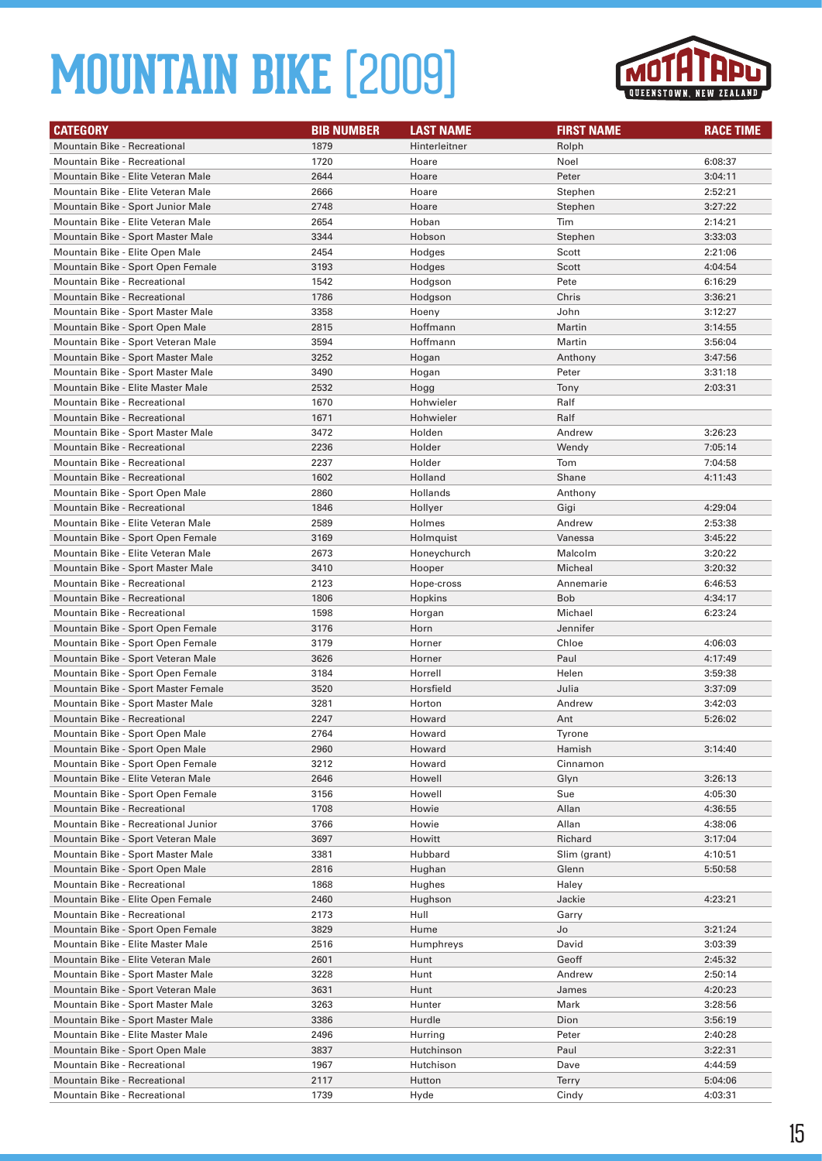

| <b>CATEGORY</b>                     | <b>BIB NUMBER</b> | <b>LAST NAME</b> | <b>FIRST NAME</b> | <b>RACE TIME</b> |
|-------------------------------------|-------------------|------------------|-------------------|------------------|
| <b>Mountain Bike - Recreational</b> | 1879              | Hinterleitner    | Rolph             |                  |
| <b>Mountain Bike - Recreational</b> | 1720              | Hoare            | Noel              | 6:08:37          |
| Mountain Bike - Elite Veteran Male  | 2644              | Hoare            | Peter             | 3:04:11          |
| Mountain Bike - Elite Veteran Male  | 2666              | Hoare            | Stephen           | 2:52:21          |
| Mountain Bike - Sport Junior Male   | 2748              | Hoare            | Stephen           | 3:27:22          |
| Mountain Bike - Elite Veteran Male  | 2654              | Hoban            | Tim               | 2:14:21          |
| Mountain Bike - Sport Master Male   | 3344              | Hobson           | Stephen           | 3:33:03          |
| Mountain Bike - Elite Open Male     | 2454              | Hodges           | Scott             | 2:21:06          |
| Mountain Bike - Sport Open Female   | 3193              | Hodges           | Scott             | 4:04:54          |
| <b>Mountain Bike - Recreational</b> | 1542              | Hodgson          | Pete              | 6:16:29          |
| <b>Mountain Bike - Recreational</b> | 1786              | Hodgson          | Chris             | 3:36:21          |
| Mountain Bike - Sport Master Male   | 3358              | Hoeny            | John              | 3:12:27          |
| Mountain Bike - Sport Open Male     | 2815              | Hoffmann         | Martin            | 3:14:55          |
| Mountain Bike - Sport Veteran Male  | 3594              | Hoffmann         | Martin            | 3:56:04          |
| Mountain Bike - Sport Master Male   | 3252              | Hogan            | Anthony           | 3:47:56          |
| Mountain Bike - Sport Master Male   | 3490              | Hogan            | Peter             | 3:31:18          |
| Mountain Bike - Elite Master Male   | 2532              | Hogg             | Tony              | 2:03:31          |
| Mountain Bike - Recreational        | 1670              | Hohwieler        | Ralf              |                  |
| <b>Mountain Bike - Recreational</b> | 1671              | Hohwieler        | Ralf              |                  |
| Mountain Bike - Sport Master Male   | 3472              | Holden           | Andrew            | 3:26:23          |
| <b>Mountain Bike - Recreational</b> | 2236              | Holder           | Wendy             | 7:05:14          |
| Mountain Bike - Recreational        | 2237              | Holder           | Tom               | 7:04:58          |
| Mountain Bike - Recreational        | 1602              | Holland          | Shane             | 4:11:43          |
| Mountain Bike - Sport Open Male     | 2860              | Hollands         | Anthony           |                  |
| Mountain Bike - Recreational        | 1846              | Hollyer          | Gigi              | 4:29:04          |
| Mountain Bike - Elite Veteran Male  | 2589              | Holmes           | Andrew            | 2:53:38          |
| Mountain Bike - Sport Open Female   | 3169              | Holmquist        | Vanessa           | 3:45:22          |
| Mountain Bike - Elite Veteran Male  | 2673              | Honeychurch      | Malcolm           | 3:20:22          |
| Mountain Bike - Sport Master Male   | 3410              | Hooper           | Micheal           | 3:20:32          |
| Mountain Bike - Recreational        | 2123              | Hope-cross       | Annemarie         | 6:46:53          |
| <b>Mountain Bike - Recreational</b> | 1806              | Hopkins          | <b>Bob</b>        | 4:34:17          |
| Mountain Bike - Recreational        | 1598              | Horgan           | Michael           | 6:23:24          |
| Mountain Bike - Sport Open Female   | 3176              | Horn             | Jennifer          |                  |
| Mountain Bike - Sport Open Female   | 3179              | Horner           | Chloe             | 4:06:03          |
| Mountain Bike - Sport Veteran Male  | 3626              | Horner           | Paul              | 4:17:49          |
| Mountain Bike - Sport Open Female   | 3184              | Horrell          | Helen             | 3:59:38          |
| Mountain Bike - Sport Master Female | 3520              | Horsfield        | Julia             | 3:37:09          |
| Mountain Bike - Sport Master Male   | 3281              | Horton           | Andrew            | 3:42:03          |
| Mountain Bike - Recreational        | 2247              | Howard           | Ant               | 5:26:02          |
| Mountain Bike - Sport Open Male     | 2764              | Howard           | Tyrone            |                  |
| Mountain Bike - Sport Open Male     | 2960              | Howard           | Hamish            | 3:14:40          |
| Mountain Bike - Sport Open Female   | 3212              | Howard           | Cinnamon          |                  |
| Mountain Bike - Elite Veteran Male  | 2646              | Howell           | Glyn              | 3:26:13          |
| Mountain Bike - Sport Open Female   | 3156              | Howell           | Sue               | 4:05:30          |
| Mountain Bike - Recreational        | 1708              | Howie            | Allan             | 4:36:55          |
| Mountain Bike - Recreational Junior | 3766              | Howie            | Allan             | 4:38:06          |
| Mountain Bike - Sport Veteran Male  | 3697              | Howitt           | Richard           | 3:17:04          |
| Mountain Bike - Sport Master Male   | 3381              | Hubbard          | Slim (grant)      | 4:10:51          |
| Mountain Bike - Sport Open Male     | 2816              | Hughan           | Glenn             | 5:50:58          |
| Mountain Bike - Recreational        | 1868              | Hughes           | Haley             |                  |
| Mountain Bike - Elite Open Female   | 2460              | Hughson          | Jackie            | 4:23:21          |
| Mountain Bike - Recreational        | 2173              | Hull             | Garry             |                  |
| Mountain Bike - Sport Open Female   | 3829              | Hume             | Jo                | 3:21:24          |
| Mountain Bike - Elite Master Male   | 2516              | Humphreys        | David             | 3:03:39          |
| Mountain Bike - Elite Veteran Male  | 2601              | Hunt             | Geoff             | 2:45:32          |
| Mountain Bike - Sport Master Male   | 3228              | Hunt             | Andrew            | 2:50:14          |
| Mountain Bike - Sport Veteran Male  | 3631              | Hunt             | James             | 4:20:23          |
| Mountain Bike - Sport Master Male   | 3263              | Hunter           | Mark              | 3:28:56          |
| Mountain Bike - Sport Master Male   | 3386              | Hurdle           | Dion              | 3:56:19          |
| Mountain Bike - Elite Master Male   | 2496              | Hurring          | Peter             | 2:40:28          |
| Mountain Bike - Sport Open Male     | 3837              | Hutchinson       | Paul              | 3:22:31          |
| Mountain Bike - Recreational        | 1967              | Hutchison        | Dave              | 4:44:59          |
| Mountain Bike - Recreational        | 2117              | Hutton           | <b>Terry</b>      | 5:04:06          |
| Mountain Bike - Recreational        | 1739              | Hyde             | Cindy             | 4:03:31          |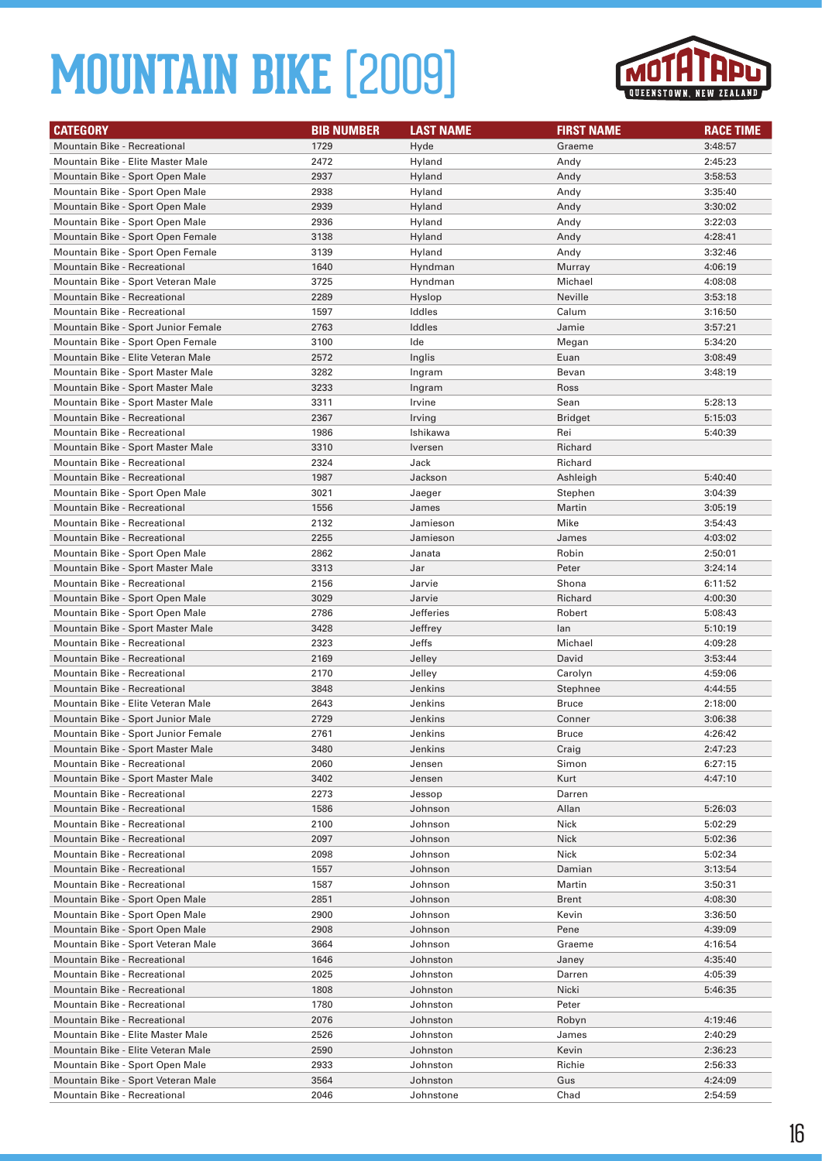

| <b>CATEGORY</b>                                              | <b>BIB NUMBER</b> | <b>LAST NAME</b>   | <b>FIRST NAME</b>   | <b>RACE TIME</b>   |
|--------------------------------------------------------------|-------------------|--------------------|---------------------|--------------------|
| Mountain Bike - Recreational                                 | 1729              | Hyde               | Graeme              | 3:48:57            |
| Mountain Bike - Elite Master Male                            | 2472              | Hyland             | Andy                | 2:45:23            |
| Mountain Bike - Sport Open Male                              | 2937              | Hyland             | Andy                | 3:58:53            |
| Mountain Bike - Sport Open Male                              | 2938              | Hyland             | Andy                | 3:35:40            |
| Mountain Bike - Sport Open Male                              | 2939              | Hyland             | Andy                | 3:30:02            |
| Mountain Bike - Sport Open Male                              | 2936              | Hyland             | Andy                | 3:22:03            |
| Mountain Bike - Sport Open Female                            | 3138              | Hyland             | Andy                | 4:28:41            |
| Mountain Bike - Sport Open Female                            | 3139              | Hyland             | Andy                | 3:32:46            |
| <b>Mountain Bike - Recreational</b>                          | 1640              | Hyndman            | Murray              | 4:06:19            |
| Mountain Bike - Sport Veteran Male                           | 3725              | Hyndman            | Michael             | 4:08:08            |
| <b>Mountain Bike - Recreational</b>                          | 2289              | Hyslop             | Neville             | 3:53:18            |
| Mountain Bike - Recreational                                 | 1597              | Iddles             | Calum               | 3:16:50            |
| Mountain Bike - Sport Junior Female                          | 2763              | Iddles             | Jamie               | 3:57:21            |
| Mountain Bike - Sport Open Female                            | 3100              | Ide                | Megan               | 5:34:20            |
| Mountain Bike - Elite Veteran Male                           | 2572              | Inglis             | Euan                | 3:08:49            |
| Mountain Bike - Sport Master Male                            | 3282              | Ingram             | Bevan               | 3:48:19            |
| Mountain Bike - Sport Master Male                            | 3233              | Ingram             | Ross                |                    |
| Mountain Bike - Sport Master Male                            | 3311              | Irvine             | Sean                | 5:28:13            |
| <b>Mountain Bike - Recreational</b>                          | 2367              | Irving             | <b>Bridget</b>      | 5:15:03            |
| <b>Mountain Bike - Recreational</b>                          | 1986              | Ishikawa           | Rei                 | 5:40:39            |
| Mountain Bike - Sport Master Male                            | 3310              | Iversen            | Richard             |                    |
| Mountain Bike - Recreational                                 | 2324              | Jack               | Richard             |                    |
| <b>Mountain Bike - Recreational</b>                          | 1987              | Jackson            | Ashleigh            | 5:40:40            |
| Mountain Bike - Sport Open Male                              | 3021              | Jaeger             | Stephen             | 3:04:39            |
| Mountain Bike - Recreational                                 | 1556              | James              | Martin              | 3:05:19            |
| Mountain Bike - Recreational                                 | 2132              | Jamieson           | Mike                | 3:54:43            |
| <b>Mountain Bike - Recreational</b>                          | 2255              | Jamieson           | James               | 4:03:02            |
| Mountain Bike - Sport Open Male                              | 2862              | Janata             | Robin               | 2:50:01            |
| Mountain Bike - Sport Master Male                            | 3313              | Jar                | Peter               | 3:24:14            |
| Mountain Bike - Recreational                                 | 2156              | Jarvie             | Shona               | 6:11:52            |
| Mountain Bike - Sport Open Male                              | 3029              | Jarvie             | Richard             | 4:00:30            |
| Mountain Bike - Sport Open Male                              | 2786              | Jefferies          | Robert              | 5:08:43            |
| Mountain Bike - Sport Master Male                            | 3428              | Jeffrey            | lan                 | 5:10:19            |
| Mountain Bike - Recreational                                 | 2323              | Jeffs              | Michael             | 4:09:28            |
| <b>Mountain Bike - Recreational</b>                          | 2169              | Jelley             | David               | 3:53:44            |
| <b>Mountain Bike - Recreational</b>                          | 2170              | Jelley             | Carolyn             | 4:59:06            |
| <b>Mountain Bike - Recreational</b>                          | 3848              | Jenkins            | Stephnee            | 4:44:55            |
| Mountain Bike - Elite Veteran Male                           | 2643              | Jenkins            | <b>Bruce</b>        | 2:18:00            |
| Mountain Bike - Sport Junior Male                            | 2729              | Jenkins            | Conner              | 3:06:38            |
| Mountain Bike - Sport Junior Female                          | 2761              | Jenkins            | Bruce               | 4:26:42            |
| Mountain Bike - Sport Master Male                            | 3480              | Jenkins            | Craig               | 2:47:23            |
| Mountain Bike - Recreational                                 | 2060              | Jensen             | Simon               | 6:27:15            |
| Mountain Bike - Sport Master Male                            | 3402              | Jensen             | Kurt                | 4:47:10            |
| Mountain Bike - Recreational                                 | 2273              | Jessop             | Darren              |                    |
| Mountain Bike - Recreational<br>Mountain Bike - Recreational | 1586              | Johnson            | Allan               | 5:26:03            |
|                                                              | 2100              | Johnson            | <b>Nick</b>         | 5:02:29            |
| Mountain Bike - Recreational<br>Mountain Bike - Recreational | 2097<br>2098      | Johnson            | <b>Nick</b><br>Nick | 5:02:36            |
|                                                              |                   | Johnson            |                     | 5:02:34            |
| Mountain Bike - Recreational<br>Mountain Bike - Recreational | 1557<br>1587      | Johnson<br>Johnson | Damian<br>Martin    | 3:13:54<br>3:50:31 |
| Mountain Bike - Sport Open Male                              | 2851              | Johnson            | Brent               | 4:08:30            |
| Mountain Bike - Sport Open Male                              | 2900              | Johnson            | Kevin               | 3:36:50            |
| Mountain Bike - Sport Open Male                              | 2908              | Johnson            | Pene                | 4:39:09            |
| Mountain Bike - Sport Veteran Male                           | 3664              | Johnson            | Graeme              | 4:16:54            |
| Mountain Bike - Recreational                                 | 1646              | Johnston           | Janey               | 4:35:40            |
| Mountain Bike - Recreational                                 | 2025              | Johnston           | Darren              | 4:05:39            |
| Mountain Bike - Recreational                                 | 1808              | Johnston           | Nicki               | 5:46:35            |
| Mountain Bike - Recreational                                 | 1780              | Johnston           | Peter               |                    |
| Mountain Bike - Recreational                                 | 2076              | Johnston           | Robyn               | 4:19:46            |
| Mountain Bike - Elite Master Male                            | 2526              | Johnston           | James               | 2:40:29            |
| Mountain Bike - Elite Veteran Male                           | 2590              | Johnston           | Kevin               | 2:36:23            |
| Mountain Bike - Sport Open Male                              | 2933              | Johnston           | Richie              | 2:56:33            |
| Mountain Bike - Sport Veteran Male                           | 3564              | Johnston           | Gus                 | 4:24:09            |
| Mountain Bike - Recreational                                 | 2046              | Johnstone          | Chad                | 2:54:59            |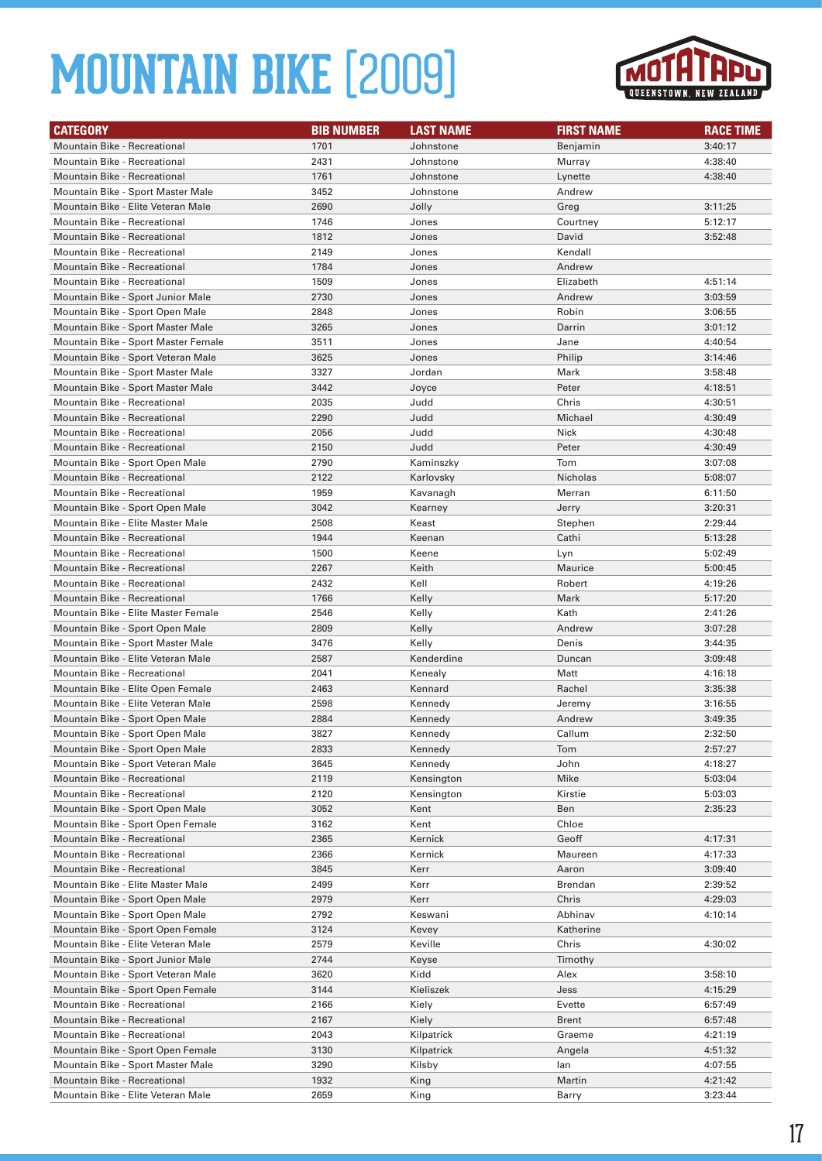

| <b>CATEGORY</b>                     | <b>BIB NUMBER</b> | <b>LAST NAME</b> | <b>FIRST NAME</b> | <b>RACE TIME</b> |
|-------------------------------------|-------------------|------------------|-------------------|------------------|
| Mountain Bike - Recreational        | 1701              | Johnstone        | Benjamin          | 3:40:17          |
| <b>Mountain Bike - Recreational</b> | 2431              | Johnstone        | Murray            | 4:38:40          |
| Mountain Bike - Recreational        | 1761              | Johnstone        | Lynette           | 4:38:40          |
| Mountain Bike - Sport Master Male   | 3452              | Johnstone        | Andrew            |                  |
| Mountain Bike - Elite Veteran Male  | 2690              | Jolly            | Greg              | 3:11:25          |
| <b>Mountain Bike - Recreational</b> | 1746              | Jones            | Courtney          | 5:12:17          |
| <b>Mountain Bike - Recreational</b> | 1812              | Jones            | David             | 3:52:48          |
| <b>Mountain Bike - Recreational</b> | 2149              | Jones            | Kendall           |                  |
| Mountain Bike - Recreational        | 1784              | Jones            | Andrew            |                  |
| <b>Mountain Bike - Recreational</b> | 1509              | Jones            | Elizabeth         | 4:51:14          |
| Mountain Bike - Sport Junior Male   | 2730              | Jones            | Andrew            | 3:03:59          |
| Mountain Bike - Sport Open Male     | 2848              | Jones            | Robin             | 3:06:55          |
| Mountain Bike - Sport Master Male   | 3265              | Jones            | Darrin            | 3:01:12          |
| Mountain Bike - Sport Master Female | 3511              | Jones            | Jane              | 4:40:54          |
| Mountain Bike - Sport Veteran Male  | 3625              | Jones            | Philip            | 3:14:46          |
| Mountain Bike - Sport Master Male   | 3327              | Jordan           | Mark              | 3:58:48          |
| Mountain Bike - Sport Master Male   | 3442              | Joyce            | Peter             | 4:18:51          |
| <b>Mountain Bike - Recreational</b> | 2035              | Judd             | Chris             | 4:30:51          |
| <b>Mountain Bike - Recreational</b> | 2290              | Judd             | Michael           | 4:30:49          |
| <b>Mountain Bike - Recreational</b> | 2056              | Judd             | Nick              | 4:30:48          |
| <b>Mountain Bike - Recreational</b> | 2150              | Judd             | Peter             | 4:30:49          |
| Mountain Bike - Sport Open Male     | 2790              | Kaminszky        | Tom               | 3:07:08          |
| <b>Mountain Bike - Recreational</b> | 2122              | Karlovsky        | Nicholas          | 5:08:07          |
| <b>Mountain Bike - Recreational</b> | 1959              | Kavanagh         | Merran            | 6:11:50          |
| Mountain Bike - Sport Open Male     | 3042              | Kearney          | Jerry             | 3:20:31          |
| Mountain Bike - Elite Master Male   | 2508              | Keast            | Stephen           | 2:29:44          |
| <b>Mountain Bike - Recreational</b> | 1944              | Keenan           | Cathi             | 5:13:28          |
| <b>Mountain Bike - Recreational</b> | 1500              | Keene            | Lyn               | 5:02:49          |
| <b>Mountain Bike - Recreational</b> | 2267              | Keith            | Maurice           | 5:00:45          |
| Mountain Bike - Recreational        | 2432              | Kell             | Robert            | 4:19:26          |
| <b>Mountain Bike - Recreational</b> | 1766              | Kelly            | Mark              | 5:17:20          |
| Mountain Bike - Elite Master Female | 2546              | Kelly            | Kath              | 2:41:26          |
| Mountain Bike - Sport Open Male     | 2809              | Kelly            | Andrew            | 3:07:28          |
| Mountain Bike - Sport Master Male   | 3476              | Kelly            | Denis             | 3:44:35          |
| Mountain Bike - Elite Veteran Male  | 2587              | Kenderdine       | Duncan            | 3:09:48          |
| Mountain Bike - Recreational        | 2041              | Kenealy          | Matt              | 4:16:18          |
| Mountain Bike - Elite Open Female   | 2463              | Kennard          | Rachel            | 3:35:38          |
| Mountain Bike - Elite Veteran Male  | 2598              | Kennedy          | Jeremy            | 3:16:55          |
| Mountain Bike - Sport Open Male     | 2884              | Kennedy          | Andrew            | 3:49:35          |
| Mountain Bike - Sport Open Male     | 3827              | Kennedy          | Callum            | 2:32:50          |
| Mountain Bike - Sport Open Male     | 2833              | Kennedy          | Tom               | 2:57:27          |
| Mountain Bike - Sport Veteran Male  | 3645              | Kennedy          | John              | 4:18:27          |
| Mountain Bike - Recreational        | 2119              | Kensington       | Mike              | 5:03:04          |
| Mountain Bike - Recreational        | 2120              | Kensington       | Kirstie           | 5:03:03          |
| Mountain Bike - Sport Open Male     | 3052              | Kent             | Ben               | 2:35:23          |
| Mountain Bike - Sport Open Female   | 3162              | Kent             | Chloe             |                  |
| Mountain Bike - Recreational        | 2365              | Kernick          | Geoff             | 4:17:31          |
| Mountain Bike - Recreational        | 2366              | Kernick          | Maureen           | 4:17:33          |
| <b>Mountain Bike - Recreational</b> | 3845              | Kerr             | Aaron             | 3:09:40          |
| Mountain Bike - Elite Master Male   | 2499              | Kerr             | Brendan           | 2:39:52          |
| Mountain Bike - Sport Open Male     | 2979              | Kerr             | Chris             | 4:29:03          |
| Mountain Bike - Sport Open Male     | 2792              | Keswani          | Abhinav           | 4:10:14          |
| Mountain Bike - Sport Open Female   | 3124              | Kevey            | Katherine         |                  |
| Mountain Bike - Elite Veteran Male  | 2579              | Keville          | Chris             | 4:30:02          |
| Mountain Bike - Sport Junior Male   | 2744              | Keyse            | Timothy           |                  |
| Mountain Bike - Sport Veteran Male  | 3620              | Kidd             | Alex              | 3:58:10          |
| Mountain Bike - Sport Open Female   | 3144              | Kieliszek        | Jess              | 4:15:29          |
| Mountain Bike - Recreational        | 2166              | Kiely            | Evette            | 6:57:49          |
| Mountain Bike - Recreational        | 2167              | Kiely            | Brent             | 6:57:48          |
| Mountain Bike - Recreational        | 2043              | Kilpatrick       | Graeme            | 4:21:19          |
| Mountain Bike - Sport Open Female   | 3130              | Kilpatrick       | Angela            | 4:51:32          |
| Mountain Bike - Sport Master Male   | 3290              | Kilsby           | lan               | 4:07:55          |
| Mountain Bike - Recreational        | 1932              | King             | Martin            | 4:21:42          |
| Mountain Bike - Elite Veteran Male  | 2659              | King             | Barry             | 3:23:44          |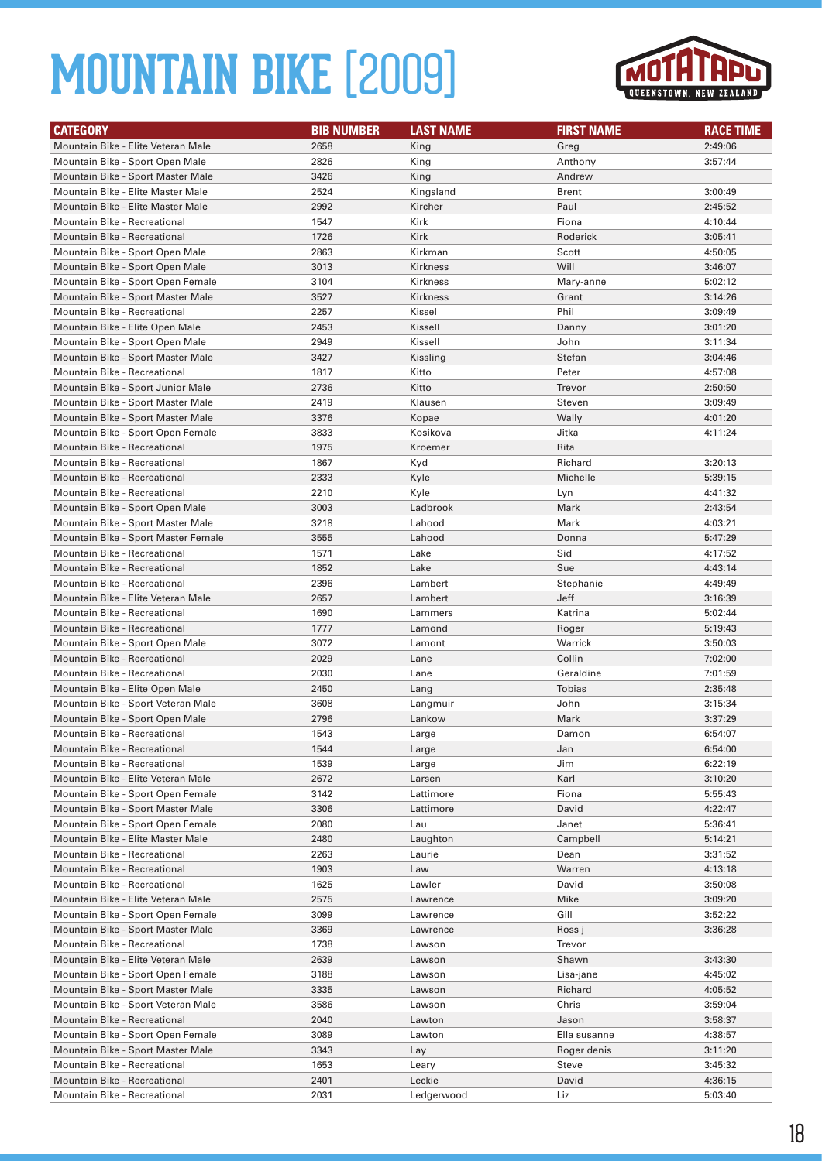

| <b>CATEGORY</b>                     | <b>BIB NUMBER</b> | <b>LAST NAME</b> | <b>FIRST NAME</b> | <b>RACE TIME</b> |
|-------------------------------------|-------------------|------------------|-------------------|------------------|
| Mountain Bike - Elite Veteran Male  | 2658              | King             | Greg              | 2:49:06          |
| Mountain Bike - Sport Open Male     | 2826              | King             | Anthony           | 3:57:44          |
| Mountain Bike - Sport Master Male   | 3426              | King             | Andrew            |                  |
| Mountain Bike - Elite Master Male   | 2524              | Kingsland        | <b>Brent</b>      | 3:00:49          |
| Mountain Bike - Elite Master Male   | 2992              | Kircher          | Paul              | 2:45:52          |
| <b>Mountain Bike - Recreational</b> | 1547              | Kirk             | Fiona             | 4:10:44          |
| <b>Mountain Bike - Recreational</b> | 1726              | Kirk             | Roderick          | 3:05:41          |
| Mountain Bike - Sport Open Male     | 2863              | Kirkman          | Scott             | 4:50:05          |
| Mountain Bike - Sport Open Male     | 3013              | Kirkness         | Will              | 3:46:07          |
| Mountain Bike - Sport Open Female   | 3104              | <b>Kirkness</b>  | Mary-anne         | 5:02:12          |
| Mountain Bike - Sport Master Male   | 3527              | Kirkness         | Grant             | 3:14:26          |
| Mountain Bike - Recreational        | 2257              | Kissel           | Phil              | 3:09:49          |
| Mountain Bike - Elite Open Male     | 2453              | Kissell          | Danny             | 3:01:20          |
| Mountain Bike - Sport Open Male     | 2949              | Kissell          | John              | 3:11:34          |
| Mountain Bike - Sport Master Male   | 3427              | Kissling         | Stefan            | 3:04:46          |
| Mountain Bike - Recreational        | 1817              | Kitto            | Peter             | 4:57:08          |
| Mountain Bike - Sport Junior Male   | 2736              | Kitto            | Trevor            | 2:50:50          |
| Mountain Bike - Sport Master Male   | 2419              | Klausen          | Steven            | 3:09:49          |
| Mountain Bike - Sport Master Male   | 3376              | Kopae            | Wally             | 4:01:20          |
| Mountain Bike - Sport Open Female   | 3833              | Kosikova         | Jitka             | 4:11:24          |
| <b>Mountain Bike - Recreational</b> | 1975              | Kroemer          | Rita              |                  |
| Mountain Bike - Recreational        | 1867              | Kyd              | Richard           | 3:20:13          |
| <b>Mountain Bike - Recreational</b> | 2333              | Kyle             | Michelle          | 5:39:15          |
| <b>Mountain Bike - Recreational</b> | 2210              | Kyle             | Lyn               | 4:41:32          |
| Mountain Bike - Sport Open Male     | 3003              | Ladbrook         | Mark              | 2:43:54          |
| Mountain Bike - Sport Master Male   | 3218              | Lahood           | Mark              | 4:03:21          |
| Mountain Bike - Sport Master Female | 3555              | Lahood           | Donna             | 5:47:29          |
| Mountain Bike - Recreational        | 1571              | Lake             | Sid               | 4:17:52          |
| <b>Mountain Bike - Recreational</b> | 1852              | Lake             | Sue               | 4:43:14          |
| Mountain Bike - Recreational        | 2396              | Lambert          | Stephanie         | 4:49:49          |
| Mountain Bike - Elite Veteran Male  | 2657              | Lambert          | Jeff              | 3:16:39          |
| Mountain Bike - Recreational        | 1690              | Lammers          | Katrina           | 5:02:44          |
| Mountain Bike - Recreational        | 1777              | Lamond           | Roger             | 5:19:43          |
| Mountain Bike - Sport Open Male     | 3072              | Lamont           | Warrick           | 3:50:03          |
| <b>Mountain Bike - Recreational</b> | 2029              | Lane             | Collin            | 7:02:00          |
| <b>Mountain Bike - Recreational</b> | 2030              | Lane             | Geraldine         | 7:01:59          |
| Mountain Bike - Elite Open Male     | 2450              | Lang             | Tobias            | 2:35:48          |
| Mountain Bike - Sport Veteran Male  | 3608              | Langmuir         | John              | 3:15:34          |
| Mountain Bike - Sport Open Male     | 2796              | Lankow           | Mark              | 3:37:29          |
| Mountain Bike - Recreational        | 1543              | Large            | Damon             | 6:54:07          |
| Mountain Bike - Recreational        | 1544              | Large            | Jan               | 6:54:00          |
| Mountain Bike - Recreational        | 1539              | Large            | Jim               | 6:22:19          |
| Mountain Bike - Elite Veteran Male  | 2672              | Larsen           | Karl              | 3:10:20          |
| Mountain Bike - Sport Open Female   | 3142              | Lattimore        | Fiona             | 5:55:43          |
| Mountain Bike - Sport Master Male   | 3306              | Lattimore        | David             | 4:22:47          |
| Mountain Bike - Sport Open Female   | 2080              | Lau              | Janet             | 5:36:41          |
| Mountain Bike - Elite Master Male   | 2480              | Laughton         | Campbell          | 5:14:21          |
| Mountain Bike - Recreational        | 2263              | Laurie           | Dean              | 3:31:52          |
| <b>Mountain Bike - Recreational</b> | 1903              | Law              | Warren            | 4:13:18          |
| Mountain Bike - Recreational        | 1625              | Lawler           | David             | 3:50:08          |
| Mountain Bike - Elite Veteran Male  | 2575              | Lawrence         | Mike              | 3:09:20          |
| Mountain Bike - Sport Open Female   | 3099              | Lawrence         | Gill              | 3:52:22          |
| Mountain Bike - Sport Master Male   | 3369              | Lawrence         | Ross j            | 3:36:28          |
| Mountain Bike - Recreational        | 1738              | Lawson           | Trevor            |                  |
| Mountain Bike - Elite Veteran Male  | 2639              | Lawson           | Shawn             | 3:43:30          |
| Mountain Bike - Sport Open Female   | 3188              | Lawson           | Lisa-jane         | 4:45:02          |
| Mountain Bike - Sport Master Male   | 3335              | Lawson           | Richard           | 4:05:52          |
| Mountain Bike - Sport Veteran Male  | 3586              | Lawson           | Chris             | 3:59:04          |
| Mountain Bike - Recreational        | 2040              | Lawton           | Jason             | 3:58:37          |
| Mountain Bike - Sport Open Female   | 3089              | Lawton           | Ella susanne      | 4:38:57          |
| Mountain Bike - Sport Master Male   | 3343              | Lay              | Roger denis       | 3:11:20          |
| Mountain Bike - Recreational        | 1653              | Leary            | Steve             | 3:45:32          |
| Mountain Bike - Recreational        | 2401              | Leckie           | David             | 4:36:15          |
| Mountain Bike - Recreational        | 2031              | Ledgerwood       | Liz               | 5:03:40          |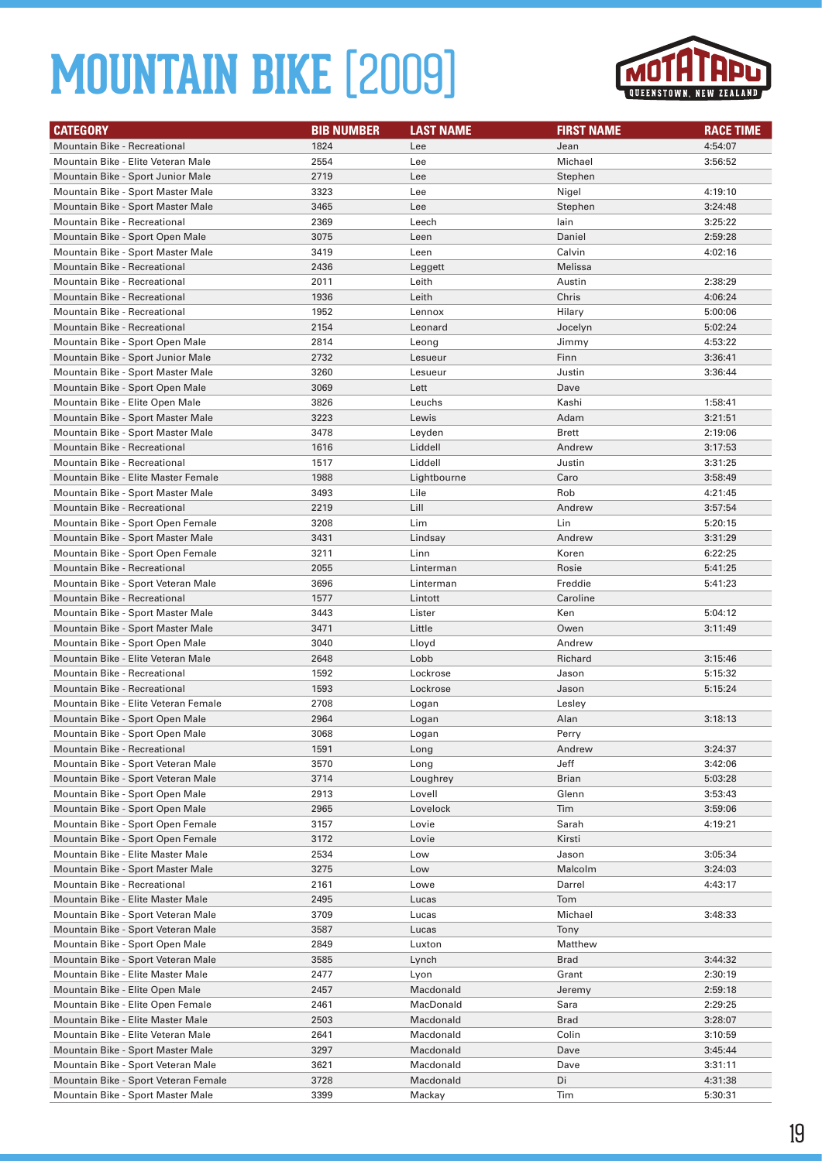

| <b>Mountain Bike - Recreational</b><br>1824<br>Jean<br>4:54:07<br>Lee<br>Mountain Bike - Elite Veteran Male<br>2554<br>Michael<br>3:56:52<br>Lee<br>2719<br>Mountain Bike - Sport Junior Male<br>Lee<br>Stephen<br>Mountain Bike - Sport Master Male<br>3323<br>Nigel<br>4:19:10<br>Lee<br>Mountain Bike - Sport Master Male<br>3465<br>Lee<br>Stephen<br>3:24:48<br>Mountain Bike - Recreational<br>2369<br>3:25:22<br>Leech<br>lain<br>3075<br>Mountain Bike - Sport Open Male<br>Leen<br>Daniel<br>2:59:28<br>Mountain Bike - Sport Master Male<br>3419<br>Calvin<br>4:02:16<br>Leen<br>2436<br>Mountain Bike - Recreational<br>Melissa<br>Leggett<br>Mountain Bike - Recreational<br>2011<br>2:38:29<br>Leith<br>Austin<br><b>Mountain Bike - Recreational</b><br>1936<br>Chris<br>4:06:24<br>Leith<br><b>Mountain Bike - Recreational</b><br>1952<br>Hilary<br>5:00:06<br>Lennox<br>2154<br><b>Mountain Bike - Recreational</b><br>Leonard<br>Jocelyn<br>5:02:24<br>Mountain Bike - Sport Open Male<br>2814<br>Jimmy<br>4:53:22<br>Leong<br>2732<br>Finn<br>3:36:41<br>Mountain Bike - Sport Junior Male<br>Lesueur<br>Mountain Bike - Sport Master Male<br>3260<br>Justin<br>3:36:44<br>Lesueur<br>3069<br>Mountain Bike - Sport Open Male<br>Lett<br>Dave<br>3826<br>Kashi<br>Mountain Bike - Elite Open Male<br>Leuchs<br>1:58:41<br>Mountain Bike - Sport Master Male<br>3223<br>Adam<br>Lewis<br>3:21:51<br>3478<br>Mountain Bike - Sport Master Male<br><b>Brett</b><br>2:19:06<br>Leyden<br>Andrew<br><b>Mountain Bike - Recreational</b><br>1616<br>Liddell<br>3:17:53<br><b>Mountain Bike - Recreational</b><br>1517<br>Justin<br>Liddell<br>3:31:25<br>Mountain Bike - Elite Master Female<br>1988<br>Caro<br>Lightbourne<br>3:58:49<br>Mountain Bike - Sport Master Male<br>3493<br>Rob<br>Lile<br>4:21:45<br>2219<br>Lill<br>Andrew<br>Mountain Bike - Recreational<br>3:57:54<br>Mountain Bike - Sport Open Female<br>3208<br>Lim<br>Lin<br>5:20:15<br>Mountain Bike - Sport Master Male<br>3431<br>Lindsay<br>Andrew<br>3:31:29<br>Mountain Bike - Sport Open Female<br>3211<br>Linn<br>Koren<br>6:22:25<br>Mountain Bike - Recreational<br>2055<br>Rosie<br>Linterman<br>5:41:25<br>3696<br>Linterman<br>Freddie<br>5:41:23<br>Mountain Bike - Sport Veteran Male<br>Mountain Bike - Recreational<br>1577<br>Lintott<br>Caroline<br>3443<br>Ken<br>Mountain Bike - Sport Master Male<br>Lister<br>5:04:12<br>Mountain Bike - Sport Master Male<br>3471<br>Little<br>3:11:49<br>Owen<br>Mountain Bike - Sport Open Male<br>3040<br>Lloyd<br>Andrew<br>Mountain Bike - Elite Veteran Male<br>2648<br>Richard<br>Lobb<br>3:15:46<br>1592<br>5:15:32<br>Mountain Bike - Recreational<br>Lockrose<br>Jason<br>1593<br><b>Mountain Bike - Recreational</b><br>Lockrose<br>Jason<br>5:15:24<br>2708<br>Mountain Bike - Elite Veteran Female<br>Lesley<br>Logan<br>Mountain Bike - Sport Open Male<br>2964<br>3:18:13<br>Alan<br>Logan<br>3068<br>Perry<br>Mountain Bike - Sport Open Male<br>Logan<br>Mountain Bike - Recreational<br>1591<br>3:24:37<br>Long<br>Andrew<br>Mountain Bike - Sport Veteran Male<br>3570<br>Jeff<br>Long<br>3:42:06<br>Mountain Bike - Sport Veteran Male<br>3714<br>Loughrey<br><b>Brian</b><br>5:03:28<br>Mountain Bike - Sport Open Male<br>2913<br>Lovell<br>Glenn<br>3:53:43<br>Mountain Bike - Sport Open Male<br>2965<br>Lovelock<br>Tim<br>3:59:06<br>Mountain Bike - Sport Open Female<br>3157<br>Lovie<br>Sarah<br>4:19:21<br>Mountain Bike - Sport Open Female<br>3172<br>Lovie<br>Kirsti<br>Mountain Bike - Elite Master Male<br>2534<br>3:05:34<br>Low<br>Jason<br>Mountain Bike - Sport Master Male<br>3275<br>Low<br>Malcolm<br>3:24:03<br>Mountain Bike - Recreational<br>2161<br>Darrel<br>4:43:17<br>Lowe<br>Mountain Bike - Elite Master Male<br>2495<br>Tom<br>Lucas<br>Mountain Bike - Sport Veteran Male<br>3709<br>Michael<br>3:48:33<br>Lucas<br>Mountain Bike - Sport Veteran Male<br>3587<br>Tony<br>Lucas<br>Mountain Bike - Sport Open Male<br>2849<br>Matthew<br>Luxton<br>Mountain Bike - Sport Veteran Male<br>3585<br><b>Brad</b><br>3:44:32<br>Lynch<br>Mountain Bike - Elite Master Male<br>2477<br>Grant<br>2:30:19<br>Lyon<br>Mountain Bike - Elite Open Male<br>2457<br>Macdonald<br>Jeremy<br>2:59:18<br>Mountain Bike - Elite Open Female<br>MacDonald<br>2:29:25<br>2461<br>Sara<br>Mountain Bike - Elite Master Male<br>2503<br>Macdonald<br><b>Brad</b><br>3:28:07<br>Mountain Bike - Elite Veteran Male<br>2641<br>Macdonald<br>Colin<br>3:10:59<br>Mountain Bike - Sport Master Male<br>3297<br>Macdonald<br>Dave<br>3:45:44<br>Mountain Bike - Sport Veteran Male<br>Macdonald<br>3621<br>Dave<br>3:31:11<br>Mountain Bike - Sport Veteran Female<br>3728<br>Macdonald<br>Di<br>4:31:38 | <b>CATEGORY</b>                   | <b>BIB NUMBER</b> | <b>LAST NAME</b> | <b>FIRST NAME</b> | <b>RACE TIME</b> |
|--------------------------------------------------------------------------------------------------------------------------------------------------------------------------------------------------------------------------------------------------------------------------------------------------------------------------------------------------------------------------------------------------------------------------------------------------------------------------------------------------------------------------------------------------------------------------------------------------------------------------------------------------------------------------------------------------------------------------------------------------------------------------------------------------------------------------------------------------------------------------------------------------------------------------------------------------------------------------------------------------------------------------------------------------------------------------------------------------------------------------------------------------------------------------------------------------------------------------------------------------------------------------------------------------------------------------------------------------------------------------------------------------------------------------------------------------------------------------------------------------------------------------------------------------------------------------------------------------------------------------------------------------------------------------------------------------------------------------------------------------------------------------------------------------------------------------------------------------------------------------------------------------------------------------------------------------------------------------------------------------------------------------------------------------------------------------------------------------------------------------------------------------------------------------------------------------------------------------------------------------------------------------------------------------------------------------------------------------------------------------------------------------------------------------------------------------------------------------------------------------------------------------------------------------------------------------------------------------------------------------------------------------------------------------------------------------------------------------------------------------------------------------------------------------------------------------------------------------------------------------------------------------------------------------------------------------------------------------------------------------------------------------------------------------------------------------------------------------------------------------------------------------------------------------------------------------------------------------------------------------------------------------------------------------------------------------------------------------------------------------------------------------------------------------------------------------------------------------------------------------------------------------------------------------------------------------------------------------------------------------------------------------------------------------------------------------------------------------------------------------------------------------------------------------------------------------------------------------------------------------------------------------------------------------------------------------------------------------------------------------------------------------------------------------------------------------------------------------------------------------------------------------------------------------------------------------------------------------------------------------------------------------------------------------------------------------------------------------------------------------------------------------------------------------------------------------------------------------------------------------------------------------------------------------------------------------------------------------------------------------------------------------------------------------------------------------------------------------------------------------------------------------------|-----------------------------------|-------------------|------------------|-------------------|------------------|
|                                                                                                                                                                                                                                                                                                                                                                                                                                                                                                                                                                                                                                                                                                                                                                                                                                                                                                                                                                                                                                                                                                                                                                                                                                                                                                                                                                                                                                                                                                                                                                                                                                                                                                                                                                                                                                                                                                                                                                                                                                                                                                                                                                                                                                                                                                                                                                                                                                                                                                                                                                                                                                                                                                                                                                                                                                                                                                                                                                                                                                                                                                                                                                                                                                                                                                                                                                                                                                                                                                                                                                                                                                                                                                                                                                                                                                                                                                                                                                                                                                                                                                                                                                                                                                                                                                                                                                                                                                                                                                                                                                                                                                                                                                                                                                                |                                   |                   |                  |                   |                  |
|                                                                                                                                                                                                                                                                                                                                                                                                                                                                                                                                                                                                                                                                                                                                                                                                                                                                                                                                                                                                                                                                                                                                                                                                                                                                                                                                                                                                                                                                                                                                                                                                                                                                                                                                                                                                                                                                                                                                                                                                                                                                                                                                                                                                                                                                                                                                                                                                                                                                                                                                                                                                                                                                                                                                                                                                                                                                                                                                                                                                                                                                                                                                                                                                                                                                                                                                                                                                                                                                                                                                                                                                                                                                                                                                                                                                                                                                                                                                                                                                                                                                                                                                                                                                                                                                                                                                                                                                                                                                                                                                                                                                                                                                                                                                                                                |                                   |                   |                  |                   |                  |
|                                                                                                                                                                                                                                                                                                                                                                                                                                                                                                                                                                                                                                                                                                                                                                                                                                                                                                                                                                                                                                                                                                                                                                                                                                                                                                                                                                                                                                                                                                                                                                                                                                                                                                                                                                                                                                                                                                                                                                                                                                                                                                                                                                                                                                                                                                                                                                                                                                                                                                                                                                                                                                                                                                                                                                                                                                                                                                                                                                                                                                                                                                                                                                                                                                                                                                                                                                                                                                                                                                                                                                                                                                                                                                                                                                                                                                                                                                                                                                                                                                                                                                                                                                                                                                                                                                                                                                                                                                                                                                                                                                                                                                                                                                                                                                                |                                   |                   |                  |                   |                  |
|                                                                                                                                                                                                                                                                                                                                                                                                                                                                                                                                                                                                                                                                                                                                                                                                                                                                                                                                                                                                                                                                                                                                                                                                                                                                                                                                                                                                                                                                                                                                                                                                                                                                                                                                                                                                                                                                                                                                                                                                                                                                                                                                                                                                                                                                                                                                                                                                                                                                                                                                                                                                                                                                                                                                                                                                                                                                                                                                                                                                                                                                                                                                                                                                                                                                                                                                                                                                                                                                                                                                                                                                                                                                                                                                                                                                                                                                                                                                                                                                                                                                                                                                                                                                                                                                                                                                                                                                                                                                                                                                                                                                                                                                                                                                                                                |                                   |                   |                  |                   |                  |
|                                                                                                                                                                                                                                                                                                                                                                                                                                                                                                                                                                                                                                                                                                                                                                                                                                                                                                                                                                                                                                                                                                                                                                                                                                                                                                                                                                                                                                                                                                                                                                                                                                                                                                                                                                                                                                                                                                                                                                                                                                                                                                                                                                                                                                                                                                                                                                                                                                                                                                                                                                                                                                                                                                                                                                                                                                                                                                                                                                                                                                                                                                                                                                                                                                                                                                                                                                                                                                                                                                                                                                                                                                                                                                                                                                                                                                                                                                                                                                                                                                                                                                                                                                                                                                                                                                                                                                                                                                                                                                                                                                                                                                                                                                                                                                                |                                   |                   |                  |                   |                  |
|                                                                                                                                                                                                                                                                                                                                                                                                                                                                                                                                                                                                                                                                                                                                                                                                                                                                                                                                                                                                                                                                                                                                                                                                                                                                                                                                                                                                                                                                                                                                                                                                                                                                                                                                                                                                                                                                                                                                                                                                                                                                                                                                                                                                                                                                                                                                                                                                                                                                                                                                                                                                                                                                                                                                                                                                                                                                                                                                                                                                                                                                                                                                                                                                                                                                                                                                                                                                                                                                                                                                                                                                                                                                                                                                                                                                                                                                                                                                                                                                                                                                                                                                                                                                                                                                                                                                                                                                                                                                                                                                                                                                                                                                                                                                                                                |                                   |                   |                  |                   |                  |
|                                                                                                                                                                                                                                                                                                                                                                                                                                                                                                                                                                                                                                                                                                                                                                                                                                                                                                                                                                                                                                                                                                                                                                                                                                                                                                                                                                                                                                                                                                                                                                                                                                                                                                                                                                                                                                                                                                                                                                                                                                                                                                                                                                                                                                                                                                                                                                                                                                                                                                                                                                                                                                                                                                                                                                                                                                                                                                                                                                                                                                                                                                                                                                                                                                                                                                                                                                                                                                                                                                                                                                                                                                                                                                                                                                                                                                                                                                                                                                                                                                                                                                                                                                                                                                                                                                                                                                                                                                                                                                                                                                                                                                                                                                                                                                                |                                   |                   |                  |                   |                  |
|                                                                                                                                                                                                                                                                                                                                                                                                                                                                                                                                                                                                                                                                                                                                                                                                                                                                                                                                                                                                                                                                                                                                                                                                                                                                                                                                                                                                                                                                                                                                                                                                                                                                                                                                                                                                                                                                                                                                                                                                                                                                                                                                                                                                                                                                                                                                                                                                                                                                                                                                                                                                                                                                                                                                                                                                                                                                                                                                                                                                                                                                                                                                                                                                                                                                                                                                                                                                                                                                                                                                                                                                                                                                                                                                                                                                                                                                                                                                                                                                                                                                                                                                                                                                                                                                                                                                                                                                                                                                                                                                                                                                                                                                                                                                                                                |                                   |                   |                  |                   |                  |
|                                                                                                                                                                                                                                                                                                                                                                                                                                                                                                                                                                                                                                                                                                                                                                                                                                                                                                                                                                                                                                                                                                                                                                                                                                                                                                                                                                                                                                                                                                                                                                                                                                                                                                                                                                                                                                                                                                                                                                                                                                                                                                                                                                                                                                                                                                                                                                                                                                                                                                                                                                                                                                                                                                                                                                                                                                                                                                                                                                                                                                                                                                                                                                                                                                                                                                                                                                                                                                                                                                                                                                                                                                                                                                                                                                                                                                                                                                                                                                                                                                                                                                                                                                                                                                                                                                                                                                                                                                                                                                                                                                                                                                                                                                                                                                                |                                   |                   |                  |                   |                  |
|                                                                                                                                                                                                                                                                                                                                                                                                                                                                                                                                                                                                                                                                                                                                                                                                                                                                                                                                                                                                                                                                                                                                                                                                                                                                                                                                                                                                                                                                                                                                                                                                                                                                                                                                                                                                                                                                                                                                                                                                                                                                                                                                                                                                                                                                                                                                                                                                                                                                                                                                                                                                                                                                                                                                                                                                                                                                                                                                                                                                                                                                                                                                                                                                                                                                                                                                                                                                                                                                                                                                                                                                                                                                                                                                                                                                                                                                                                                                                                                                                                                                                                                                                                                                                                                                                                                                                                                                                                                                                                                                                                                                                                                                                                                                                                                |                                   |                   |                  |                   |                  |
|                                                                                                                                                                                                                                                                                                                                                                                                                                                                                                                                                                                                                                                                                                                                                                                                                                                                                                                                                                                                                                                                                                                                                                                                                                                                                                                                                                                                                                                                                                                                                                                                                                                                                                                                                                                                                                                                                                                                                                                                                                                                                                                                                                                                                                                                                                                                                                                                                                                                                                                                                                                                                                                                                                                                                                                                                                                                                                                                                                                                                                                                                                                                                                                                                                                                                                                                                                                                                                                                                                                                                                                                                                                                                                                                                                                                                                                                                                                                                                                                                                                                                                                                                                                                                                                                                                                                                                                                                                                                                                                                                                                                                                                                                                                                                                                |                                   |                   |                  |                   |                  |
|                                                                                                                                                                                                                                                                                                                                                                                                                                                                                                                                                                                                                                                                                                                                                                                                                                                                                                                                                                                                                                                                                                                                                                                                                                                                                                                                                                                                                                                                                                                                                                                                                                                                                                                                                                                                                                                                                                                                                                                                                                                                                                                                                                                                                                                                                                                                                                                                                                                                                                                                                                                                                                                                                                                                                                                                                                                                                                                                                                                                                                                                                                                                                                                                                                                                                                                                                                                                                                                                                                                                                                                                                                                                                                                                                                                                                                                                                                                                                                                                                                                                                                                                                                                                                                                                                                                                                                                                                                                                                                                                                                                                                                                                                                                                                                                |                                   |                   |                  |                   |                  |
|                                                                                                                                                                                                                                                                                                                                                                                                                                                                                                                                                                                                                                                                                                                                                                                                                                                                                                                                                                                                                                                                                                                                                                                                                                                                                                                                                                                                                                                                                                                                                                                                                                                                                                                                                                                                                                                                                                                                                                                                                                                                                                                                                                                                                                                                                                                                                                                                                                                                                                                                                                                                                                                                                                                                                                                                                                                                                                                                                                                                                                                                                                                                                                                                                                                                                                                                                                                                                                                                                                                                                                                                                                                                                                                                                                                                                                                                                                                                                                                                                                                                                                                                                                                                                                                                                                                                                                                                                                                                                                                                                                                                                                                                                                                                                                                |                                   |                   |                  |                   |                  |
|                                                                                                                                                                                                                                                                                                                                                                                                                                                                                                                                                                                                                                                                                                                                                                                                                                                                                                                                                                                                                                                                                                                                                                                                                                                                                                                                                                                                                                                                                                                                                                                                                                                                                                                                                                                                                                                                                                                                                                                                                                                                                                                                                                                                                                                                                                                                                                                                                                                                                                                                                                                                                                                                                                                                                                                                                                                                                                                                                                                                                                                                                                                                                                                                                                                                                                                                                                                                                                                                                                                                                                                                                                                                                                                                                                                                                                                                                                                                                                                                                                                                                                                                                                                                                                                                                                                                                                                                                                                                                                                                                                                                                                                                                                                                                                                |                                   |                   |                  |                   |                  |
|                                                                                                                                                                                                                                                                                                                                                                                                                                                                                                                                                                                                                                                                                                                                                                                                                                                                                                                                                                                                                                                                                                                                                                                                                                                                                                                                                                                                                                                                                                                                                                                                                                                                                                                                                                                                                                                                                                                                                                                                                                                                                                                                                                                                                                                                                                                                                                                                                                                                                                                                                                                                                                                                                                                                                                                                                                                                                                                                                                                                                                                                                                                                                                                                                                                                                                                                                                                                                                                                                                                                                                                                                                                                                                                                                                                                                                                                                                                                                                                                                                                                                                                                                                                                                                                                                                                                                                                                                                                                                                                                                                                                                                                                                                                                                                                |                                   |                   |                  |                   |                  |
|                                                                                                                                                                                                                                                                                                                                                                                                                                                                                                                                                                                                                                                                                                                                                                                                                                                                                                                                                                                                                                                                                                                                                                                                                                                                                                                                                                                                                                                                                                                                                                                                                                                                                                                                                                                                                                                                                                                                                                                                                                                                                                                                                                                                                                                                                                                                                                                                                                                                                                                                                                                                                                                                                                                                                                                                                                                                                                                                                                                                                                                                                                                                                                                                                                                                                                                                                                                                                                                                                                                                                                                                                                                                                                                                                                                                                                                                                                                                                                                                                                                                                                                                                                                                                                                                                                                                                                                                                                                                                                                                                                                                                                                                                                                                                                                |                                   |                   |                  |                   |                  |
|                                                                                                                                                                                                                                                                                                                                                                                                                                                                                                                                                                                                                                                                                                                                                                                                                                                                                                                                                                                                                                                                                                                                                                                                                                                                                                                                                                                                                                                                                                                                                                                                                                                                                                                                                                                                                                                                                                                                                                                                                                                                                                                                                                                                                                                                                                                                                                                                                                                                                                                                                                                                                                                                                                                                                                                                                                                                                                                                                                                                                                                                                                                                                                                                                                                                                                                                                                                                                                                                                                                                                                                                                                                                                                                                                                                                                                                                                                                                                                                                                                                                                                                                                                                                                                                                                                                                                                                                                                                                                                                                                                                                                                                                                                                                                                                |                                   |                   |                  |                   |                  |
|                                                                                                                                                                                                                                                                                                                                                                                                                                                                                                                                                                                                                                                                                                                                                                                                                                                                                                                                                                                                                                                                                                                                                                                                                                                                                                                                                                                                                                                                                                                                                                                                                                                                                                                                                                                                                                                                                                                                                                                                                                                                                                                                                                                                                                                                                                                                                                                                                                                                                                                                                                                                                                                                                                                                                                                                                                                                                                                                                                                                                                                                                                                                                                                                                                                                                                                                                                                                                                                                                                                                                                                                                                                                                                                                                                                                                                                                                                                                                                                                                                                                                                                                                                                                                                                                                                                                                                                                                                                                                                                                                                                                                                                                                                                                                                                |                                   |                   |                  |                   |                  |
|                                                                                                                                                                                                                                                                                                                                                                                                                                                                                                                                                                                                                                                                                                                                                                                                                                                                                                                                                                                                                                                                                                                                                                                                                                                                                                                                                                                                                                                                                                                                                                                                                                                                                                                                                                                                                                                                                                                                                                                                                                                                                                                                                                                                                                                                                                                                                                                                                                                                                                                                                                                                                                                                                                                                                                                                                                                                                                                                                                                                                                                                                                                                                                                                                                                                                                                                                                                                                                                                                                                                                                                                                                                                                                                                                                                                                                                                                                                                                                                                                                                                                                                                                                                                                                                                                                                                                                                                                                                                                                                                                                                                                                                                                                                                                                                |                                   |                   |                  |                   |                  |
|                                                                                                                                                                                                                                                                                                                                                                                                                                                                                                                                                                                                                                                                                                                                                                                                                                                                                                                                                                                                                                                                                                                                                                                                                                                                                                                                                                                                                                                                                                                                                                                                                                                                                                                                                                                                                                                                                                                                                                                                                                                                                                                                                                                                                                                                                                                                                                                                                                                                                                                                                                                                                                                                                                                                                                                                                                                                                                                                                                                                                                                                                                                                                                                                                                                                                                                                                                                                                                                                                                                                                                                                                                                                                                                                                                                                                                                                                                                                                                                                                                                                                                                                                                                                                                                                                                                                                                                                                                                                                                                                                                                                                                                                                                                                                                                |                                   |                   |                  |                   |                  |
|                                                                                                                                                                                                                                                                                                                                                                                                                                                                                                                                                                                                                                                                                                                                                                                                                                                                                                                                                                                                                                                                                                                                                                                                                                                                                                                                                                                                                                                                                                                                                                                                                                                                                                                                                                                                                                                                                                                                                                                                                                                                                                                                                                                                                                                                                                                                                                                                                                                                                                                                                                                                                                                                                                                                                                                                                                                                                                                                                                                                                                                                                                                                                                                                                                                                                                                                                                                                                                                                                                                                                                                                                                                                                                                                                                                                                                                                                                                                                                                                                                                                                                                                                                                                                                                                                                                                                                                                                                                                                                                                                                                                                                                                                                                                                                                |                                   |                   |                  |                   |                  |
|                                                                                                                                                                                                                                                                                                                                                                                                                                                                                                                                                                                                                                                                                                                                                                                                                                                                                                                                                                                                                                                                                                                                                                                                                                                                                                                                                                                                                                                                                                                                                                                                                                                                                                                                                                                                                                                                                                                                                                                                                                                                                                                                                                                                                                                                                                                                                                                                                                                                                                                                                                                                                                                                                                                                                                                                                                                                                                                                                                                                                                                                                                                                                                                                                                                                                                                                                                                                                                                                                                                                                                                                                                                                                                                                                                                                                                                                                                                                                                                                                                                                                                                                                                                                                                                                                                                                                                                                                                                                                                                                                                                                                                                                                                                                                                                |                                   |                   |                  |                   |                  |
|                                                                                                                                                                                                                                                                                                                                                                                                                                                                                                                                                                                                                                                                                                                                                                                                                                                                                                                                                                                                                                                                                                                                                                                                                                                                                                                                                                                                                                                                                                                                                                                                                                                                                                                                                                                                                                                                                                                                                                                                                                                                                                                                                                                                                                                                                                                                                                                                                                                                                                                                                                                                                                                                                                                                                                                                                                                                                                                                                                                                                                                                                                                                                                                                                                                                                                                                                                                                                                                                                                                                                                                                                                                                                                                                                                                                                                                                                                                                                                                                                                                                                                                                                                                                                                                                                                                                                                                                                                                                                                                                                                                                                                                                                                                                                                                |                                   |                   |                  |                   |                  |
|                                                                                                                                                                                                                                                                                                                                                                                                                                                                                                                                                                                                                                                                                                                                                                                                                                                                                                                                                                                                                                                                                                                                                                                                                                                                                                                                                                                                                                                                                                                                                                                                                                                                                                                                                                                                                                                                                                                                                                                                                                                                                                                                                                                                                                                                                                                                                                                                                                                                                                                                                                                                                                                                                                                                                                                                                                                                                                                                                                                                                                                                                                                                                                                                                                                                                                                                                                                                                                                                                                                                                                                                                                                                                                                                                                                                                                                                                                                                                                                                                                                                                                                                                                                                                                                                                                                                                                                                                                                                                                                                                                                                                                                                                                                                                                                |                                   |                   |                  |                   |                  |
|                                                                                                                                                                                                                                                                                                                                                                                                                                                                                                                                                                                                                                                                                                                                                                                                                                                                                                                                                                                                                                                                                                                                                                                                                                                                                                                                                                                                                                                                                                                                                                                                                                                                                                                                                                                                                                                                                                                                                                                                                                                                                                                                                                                                                                                                                                                                                                                                                                                                                                                                                                                                                                                                                                                                                                                                                                                                                                                                                                                                                                                                                                                                                                                                                                                                                                                                                                                                                                                                                                                                                                                                                                                                                                                                                                                                                                                                                                                                                                                                                                                                                                                                                                                                                                                                                                                                                                                                                                                                                                                                                                                                                                                                                                                                                                                |                                   |                   |                  |                   |                  |
|                                                                                                                                                                                                                                                                                                                                                                                                                                                                                                                                                                                                                                                                                                                                                                                                                                                                                                                                                                                                                                                                                                                                                                                                                                                                                                                                                                                                                                                                                                                                                                                                                                                                                                                                                                                                                                                                                                                                                                                                                                                                                                                                                                                                                                                                                                                                                                                                                                                                                                                                                                                                                                                                                                                                                                                                                                                                                                                                                                                                                                                                                                                                                                                                                                                                                                                                                                                                                                                                                                                                                                                                                                                                                                                                                                                                                                                                                                                                                                                                                                                                                                                                                                                                                                                                                                                                                                                                                                                                                                                                                                                                                                                                                                                                                                                |                                   |                   |                  |                   |                  |
|                                                                                                                                                                                                                                                                                                                                                                                                                                                                                                                                                                                                                                                                                                                                                                                                                                                                                                                                                                                                                                                                                                                                                                                                                                                                                                                                                                                                                                                                                                                                                                                                                                                                                                                                                                                                                                                                                                                                                                                                                                                                                                                                                                                                                                                                                                                                                                                                                                                                                                                                                                                                                                                                                                                                                                                                                                                                                                                                                                                                                                                                                                                                                                                                                                                                                                                                                                                                                                                                                                                                                                                                                                                                                                                                                                                                                                                                                                                                                                                                                                                                                                                                                                                                                                                                                                                                                                                                                                                                                                                                                                                                                                                                                                                                                                                |                                   |                   |                  |                   |                  |
|                                                                                                                                                                                                                                                                                                                                                                                                                                                                                                                                                                                                                                                                                                                                                                                                                                                                                                                                                                                                                                                                                                                                                                                                                                                                                                                                                                                                                                                                                                                                                                                                                                                                                                                                                                                                                                                                                                                                                                                                                                                                                                                                                                                                                                                                                                                                                                                                                                                                                                                                                                                                                                                                                                                                                                                                                                                                                                                                                                                                                                                                                                                                                                                                                                                                                                                                                                                                                                                                                                                                                                                                                                                                                                                                                                                                                                                                                                                                                                                                                                                                                                                                                                                                                                                                                                                                                                                                                                                                                                                                                                                                                                                                                                                                                                                |                                   |                   |                  |                   |                  |
|                                                                                                                                                                                                                                                                                                                                                                                                                                                                                                                                                                                                                                                                                                                                                                                                                                                                                                                                                                                                                                                                                                                                                                                                                                                                                                                                                                                                                                                                                                                                                                                                                                                                                                                                                                                                                                                                                                                                                                                                                                                                                                                                                                                                                                                                                                                                                                                                                                                                                                                                                                                                                                                                                                                                                                                                                                                                                                                                                                                                                                                                                                                                                                                                                                                                                                                                                                                                                                                                                                                                                                                                                                                                                                                                                                                                                                                                                                                                                                                                                                                                                                                                                                                                                                                                                                                                                                                                                                                                                                                                                                                                                                                                                                                                                                                |                                   |                   |                  |                   |                  |
|                                                                                                                                                                                                                                                                                                                                                                                                                                                                                                                                                                                                                                                                                                                                                                                                                                                                                                                                                                                                                                                                                                                                                                                                                                                                                                                                                                                                                                                                                                                                                                                                                                                                                                                                                                                                                                                                                                                                                                                                                                                                                                                                                                                                                                                                                                                                                                                                                                                                                                                                                                                                                                                                                                                                                                                                                                                                                                                                                                                                                                                                                                                                                                                                                                                                                                                                                                                                                                                                                                                                                                                                                                                                                                                                                                                                                                                                                                                                                                                                                                                                                                                                                                                                                                                                                                                                                                                                                                                                                                                                                                                                                                                                                                                                                                                |                                   |                   |                  |                   |                  |
|                                                                                                                                                                                                                                                                                                                                                                                                                                                                                                                                                                                                                                                                                                                                                                                                                                                                                                                                                                                                                                                                                                                                                                                                                                                                                                                                                                                                                                                                                                                                                                                                                                                                                                                                                                                                                                                                                                                                                                                                                                                                                                                                                                                                                                                                                                                                                                                                                                                                                                                                                                                                                                                                                                                                                                                                                                                                                                                                                                                                                                                                                                                                                                                                                                                                                                                                                                                                                                                                                                                                                                                                                                                                                                                                                                                                                                                                                                                                                                                                                                                                                                                                                                                                                                                                                                                                                                                                                                                                                                                                                                                                                                                                                                                                                                                |                                   |                   |                  |                   |                  |
|                                                                                                                                                                                                                                                                                                                                                                                                                                                                                                                                                                                                                                                                                                                                                                                                                                                                                                                                                                                                                                                                                                                                                                                                                                                                                                                                                                                                                                                                                                                                                                                                                                                                                                                                                                                                                                                                                                                                                                                                                                                                                                                                                                                                                                                                                                                                                                                                                                                                                                                                                                                                                                                                                                                                                                                                                                                                                                                                                                                                                                                                                                                                                                                                                                                                                                                                                                                                                                                                                                                                                                                                                                                                                                                                                                                                                                                                                                                                                                                                                                                                                                                                                                                                                                                                                                                                                                                                                                                                                                                                                                                                                                                                                                                                                                                |                                   |                   |                  |                   |                  |
|                                                                                                                                                                                                                                                                                                                                                                                                                                                                                                                                                                                                                                                                                                                                                                                                                                                                                                                                                                                                                                                                                                                                                                                                                                                                                                                                                                                                                                                                                                                                                                                                                                                                                                                                                                                                                                                                                                                                                                                                                                                                                                                                                                                                                                                                                                                                                                                                                                                                                                                                                                                                                                                                                                                                                                                                                                                                                                                                                                                                                                                                                                                                                                                                                                                                                                                                                                                                                                                                                                                                                                                                                                                                                                                                                                                                                                                                                                                                                                                                                                                                                                                                                                                                                                                                                                                                                                                                                                                                                                                                                                                                                                                                                                                                                                                |                                   |                   |                  |                   |                  |
|                                                                                                                                                                                                                                                                                                                                                                                                                                                                                                                                                                                                                                                                                                                                                                                                                                                                                                                                                                                                                                                                                                                                                                                                                                                                                                                                                                                                                                                                                                                                                                                                                                                                                                                                                                                                                                                                                                                                                                                                                                                                                                                                                                                                                                                                                                                                                                                                                                                                                                                                                                                                                                                                                                                                                                                                                                                                                                                                                                                                                                                                                                                                                                                                                                                                                                                                                                                                                                                                                                                                                                                                                                                                                                                                                                                                                                                                                                                                                                                                                                                                                                                                                                                                                                                                                                                                                                                                                                                                                                                                                                                                                                                                                                                                                                                |                                   |                   |                  |                   |                  |
|                                                                                                                                                                                                                                                                                                                                                                                                                                                                                                                                                                                                                                                                                                                                                                                                                                                                                                                                                                                                                                                                                                                                                                                                                                                                                                                                                                                                                                                                                                                                                                                                                                                                                                                                                                                                                                                                                                                                                                                                                                                                                                                                                                                                                                                                                                                                                                                                                                                                                                                                                                                                                                                                                                                                                                                                                                                                                                                                                                                                                                                                                                                                                                                                                                                                                                                                                                                                                                                                                                                                                                                                                                                                                                                                                                                                                                                                                                                                                                                                                                                                                                                                                                                                                                                                                                                                                                                                                                                                                                                                                                                                                                                                                                                                                                                |                                   |                   |                  |                   |                  |
|                                                                                                                                                                                                                                                                                                                                                                                                                                                                                                                                                                                                                                                                                                                                                                                                                                                                                                                                                                                                                                                                                                                                                                                                                                                                                                                                                                                                                                                                                                                                                                                                                                                                                                                                                                                                                                                                                                                                                                                                                                                                                                                                                                                                                                                                                                                                                                                                                                                                                                                                                                                                                                                                                                                                                                                                                                                                                                                                                                                                                                                                                                                                                                                                                                                                                                                                                                                                                                                                                                                                                                                                                                                                                                                                                                                                                                                                                                                                                                                                                                                                                                                                                                                                                                                                                                                                                                                                                                                                                                                                                                                                                                                                                                                                                                                |                                   |                   |                  |                   |                  |
|                                                                                                                                                                                                                                                                                                                                                                                                                                                                                                                                                                                                                                                                                                                                                                                                                                                                                                                                                                                                                                                                                                                                                                                                                                                                                                                                                                                                                                                                                                                                                                                                                                                                                                                                                                                                                                                                                                                                                                                                                                                                                                                                                                                                                                                                                                                                                                                                                                                                                                                                                                                                                                                                                                                                                                                                                                                                                                                                                                                                                                                                                                                                                                                                                                                                                                                                                                                                                                                                                                                                                                                                                                                                                                                                                                                                                                                                                                                                                                                                                                                                                                                                                                                                                                                                                                                                                                                                                                                                                                                                                                                                                                                                                                                                                                                |                                   |                   |                  |                   |                  |
|                                                                                                                                                                                                                                                                                                                                                                                                                                                                                                                                                                                                                                                                                                                                                                                                                                                                                                                                                                                                                                                                                                                                                                                                                                                                                                                                                                                                                                                                                                                                                                                                                                                                                                                                                                                                                                                                                                                                                                                                                                                                                                                                                                                                                                                                                                                                                                                                                                                                                                                                                                                                                                                                                                                                                                                                                                                                                                                                                                                                                                                                                                                                                                                                                                                                                                                                                                                                                                                                                                                                                                                                                                                                                                                                                                                                                                                                                                                                                                                                                                                                                                                                                                                                                                                                                                                                                                                                                                                                                                                                                                                                                                                                                                                                                                                |                                   |                   |                  |                   |                  |
|                                                                                                                                                                                                                                                                                                                                                                                                                                                                                                                                                                                                                                                                                                                                                                                                                                                                                                                                                                                                                                                                                                                                                                                                                                                                                                                                                                                                                                                                                                                                                                                                                                                                                                                                                                                                                                                                                                                                                                                                                                                                                                                                                                                                                                                                                                                                                                                                                                                                                                                                                                                                                                                                                                                                                                                                                                                                                                                                                                                                                                                                                                                                                                                                                                                                                                                                                                                                                                                                                                                                                                                                                                                                                                                                                                                                                                                                                                                                                                                                                                                                                                                                                                                                                                                                                                                                                                                                                                                                                                                                                                                                                                                                                                                                                                                |                                   |                   |                  |                   |                  |
|                                                                                                                                                                                                                                                                                                                                                                                                                                                                                                                                                                                                                                                                                                                                                                                                                                                                                                                                                                                                                                                                                                                                                                                                                                                                                                                                                                                                                                                                                                                                                                                                                                                                                                                                                                                                                                                                                                                                                                                                                                                                                                                                                                                                                                                                                                                                                                                                                                                                                                                                                                                                                                                                                                                                                                                                                                                                                                                                                                                                                                                                                                                                                                                                                                                                                                                                                                                                                                                                                                                                                                                                                                                                                                                                                                                                                                                                                                                                                                                                                                                                                                                                                                                                                                                                                                                                                                                                                                                                                                                                                                                                                                                                                                                                                                                |                                   |                   |                  |                   |                  |
|                                                                                                                                                                                                                                                                                                                                                                                                                                                                                                                                                                                                                                                                                                                                                                                                                                                                                                                                                                                                                                                                                                                                                                                                                                                                                                                                                                                                                                                                                                                                                                                                                                                                                                                                                                                                                                                                                                                                                                                                                                                                                                                                                                                                                                                                                                                                                                                                                                                                                                                                                                                                                                                                                                                                                                                                                                                                                                                                                                                                                                                                                                                                                                                                                                                                                                                                                                                                                                                                                                                                                                                                                                                                                                                                                                                                                                                                                                                                                                                                                                                                                                                                                                                                                                                                                                                                                                                                                                                                                                                                                                                                                                                                                                                                                                                |                                   |                   |                  |                   |                  |
|                                                                                                                                                                                                                                                                                                                                                                                                                                                                                                                                                                                                                                                                                                                                                                                                                                                                                                                                                                                                                                                                                                                                                                                                                                                                                                                                                                                                                                                                                                                                                                                                                                                                                                                                                                                                                                                                                                                                                                                                                                                                                                                                                                                                                                                                                                                                                                                                                                                                                                                                                                                                                                                                                                                                                                                                                                                                                                                                                                                                                                                                                                                                                                                                                                                                                                                                                                                                                                                                                                                                                                                                                                                                                                                                                                                                                                                                                                                                                                                                                                                                                                                                                                                                                                                                                                                                                                                                                                                                                                                                                                                                                                                                                                                                                                                |                                   |                   |                  |                   |                  |
|                                                                                                                                                                                                                                                                                                                                                                                                                                                                                                                                                                                                                                                                                                                                                                                                                                                                                                                                                                                                                                                                                                                                                                                                                                                                                                                                                                                                                                                                                                                                                                                                                                                                                                                                                                                                                                                                                                                                                                                                                                                                                                                                                                                                                                                                                                                                                                                                                                                                                                                                                                                                                                                                                                                                                                                                                                                                                                                                                                                                                                                                                                                                                                                                                                                                                                                                                                                                                                                                                                                                                                                                                                                                                                                                                                                                                                                                                                                                                                                                                                                                                                                                                                                                                                                                                                                                                                                                                                                                                                                                                                                                                                                                                                                                                                                |                                   |                   |                  |                   |                  |
|                                                                                                                                                                                                                                                                                                                                                                                                                                                                                                                                                                                                                                                                                                                                                                                                                                                                                                                                                                                                                                                                                                                                                                                                                                                                                                                                                                                                                                                                                                                                                                                                                                                                                                                                                                                                                                                                                                                                                                                                                                                                                                                                                                                                                                                                                                                                                                                                                                                                                                                                                                                                                                                                                                                                                                                                                                                                                                                                                                                                                                                                                                                                                                                                                                                                                                                                                                                                                                                                                                                                                                                                                                                                                                                                                                                                                                                                                                                                                                                                                                                                                                                                                                                                                                                                                                                                                                                                                                                                                                                                                                                                                                                                                                                                                                                |                                   |                   |                  |                   |                  |
|                                                                                                                                                                                                                                                                                                                                                                                                                                                                                                                                                                                                                                                                                                                                                                                                                                                                                                                                                                                                                                                                                                                                                                                                                                                                                                                                                                                                                                                                                                                                                                                                                                                                                                                                                                                                                                                                                                                                                                                                                                                                                                                                                                                                                                                                                                                                                                                                                                                                                                                                                                                                                                                                                                                                                                                                                                                                                                                                                                                                                                                                                                                                                                                                                                                                                                                                                                                                                                                                                                                                                                                                                                                                                                                                                                                                                                                                                                                                                                                                                                                                                                                                                                                                                                                                                                                                                                                                                                                                                                                                                                                                                                                                                                                                                                                |                                   |                   |                  |                   |                  |
|                                                                                                                                                                                                                                                                                                                                                                                                                                                                                                                                                                                                                                                                                                                                                                                                                                                                                                                                                                                                                                                                                                                                                                                                                                                                                                                                                                                                                                                                                                                                                                                                                                                                                                                                                                                                                                                                                                                                                                                                                                                                                                                                                                                                                                                                                                                                                                                                                                                                                                                                                                                                                                                                                                                                                                                                                                                                                                                                                                                                                                                                                                                                                                                                                                                                                                                                                                                                                                                                                                                                                                                                                                                                                                                                                                                                                                                                                                                                                                                                                                                                                                                                                                                                                                                                                                                                                                                                                                                                                                                                                                                                                                                                                                                                                                                |                                   |                   |                  |                   |                  |
|                                                                                                                                                                                                                                                                                                                                                                                                                                                                                                                                                                                                                                                                                                                                                                                                                                                                                                                                                                                                                                                                                                                                                                                                                                                                                                                                                                                                                                                                                                                                                                                                                                                                                                                                                                                                                                                                                                                                                                                                                                                                                                                                                                                                                                                                                                                                                                                                                                                                                                                                                                                                                                                                                                                                                                                                                                                                                                                                                                                                                                                                                                                                                                                                                                                                                                                                                                                                                                                                                                                                                                                                                                                                                                                                                                                                                                                                                                                                                                                                                                                                                                                                                                                                                                                                                                                                                                                                                                                                                                                                                                                                                                                                                                                                                                                |                                   |                   |                  |                   |                  |
|                                                                                                                                                                                                                                                                                                                                                                                                                                                                                                                                                                                                                                                                                                                                                                                                                                                                                                                                                                                                                                                                                                                                                                                                                                                                                                                                                                                                                                                                                                                                                                                                                                                                                                                                                                                                                                                                                                                                                                                                                                                                                                                                                                                                                                                                                                                                                                                                                                                                                                                                                                                                                                                                                                                                                                                                                                                                                                                                                                                                                                                                                                                                                                                                                                                                                                                                                                                                                                                                                                                                                                                                                                                                                                                                                                                                                                                                                                                                                                                                                                                                                                                                                                                                                                                                                                                                                                                                                                                                                                                                                                                                                                                                                                                                                                                |                                   |                   |                  |                   |                  |
|                                                                                                                                                                                                                                                                                                                                                                                                                                                                                                                                                                                                                                                                                                                                                                                                                                                                                                                                                                                                                                                                                                                                                                                                                                                                                                                                                                                                                                                                                                                                                                                                                                                                                                                                                                                                                                                                                                                                                                                                                                                                                                                                                                                                                                                                                                                                                                                                                                                                                                                                                                                                                                                                                                                                                                                                                                                                                                                                                                                                                                                                                                                                                                                                                                                                                                                                                                                                                                                                                                                                                                                                                                                                                                                                                                                                                                                                                                                                                                                                                                                                                                                                                                                                                                                                                                                                                                                                                                                                                                                                                                                                                                                                                                                                                                                |                                   |                   |                  |                   |                  |
|                                                                                                                                                                                                                                                                                                                                                                                                                                                                                                                                                                                                                                                                                                                                                                                                                                                                                                                                                                                                                                                                                                                                                                                                                                                                                                                                                                                                                                                                                                                                                                                                                                                                                                                                                                                                                                                                                                                                                                                                                                                                                                                                                                                                                                                                                                                                                                                                                                                                                                                                                                                                                                                                                                                                                                                                                                                                                                                                                                                                                                                                                                                                                                                                                                                                                                                                                                                                                                                                                                                                                                                                                                                                                                                                                                                                                                                                                                                                                                                                                                                                                                                                                                                                                                                                                                                                                                                                                                                                                                                                                                                                                                                                                                                                                                                |                                   |                   |                  |                   |                  |
|                                                                                                                                                                                                                                                                                                                                                                                                                                                                                                                                                                                                                                                                                                                                                                                                                                                                                                                                                                                                                                                                                                                                                                                                                                                                                                                                                                                                                                                                                                                                                                                                                                                                                                                                                                                                                                                                                                                                                                                                                                                                                                                                                                                                                                                                                                                                                                                                                                                                                                                                                                                                                                                                                                                                                                                                                                                                                                                                                                                                                                                                                                                                                                                                                                                                                                                                                                                                                                                                                                                                                                                                                                                                                                                                                                                                                                                                                                                                                                                                                                                                                                                                                                                                                                                                                                                                                                                                                                                                                                                                                                                                                                                                                                                                                                                |                                   |                   |                  |                   |                  |
|                                                                                                                                                                                                                                                                                                                                                                                                                                                                                                                                                                                                                                                                                                                                                                                                                                                                                                                                                                                                                                                                                                                                                                                                                                                                                                                                                                                                                                                                                                                                                                                                                                                                                                                                                                                                                                                                                                                                                                                                                                                                                                                                                                                                                                                                                                                                                                                                                                                                                                                                                                                                                                                                                                                                                                                                                                                                                                                                                                                                                                                                                                                                                                                                                                                                                                                                                                                                                                                                                                                                                                                                                                                                                                                                                                                                                                                                                                                                                                                                                                                                                                                                                                                                                                                                                                                                                                                                                                                                                                                                                                                                                                                                                                                                                                                |                                   |                   |                  |                   |                  |
|                                                                                                                                                                                                                                                                                                                                                                                                                                                                                                                                                                                                                                                                                                                                                                                                                                                                                                                                                                                                                                                                                                                                                                                                                                                                                                                                                                                                                                                                                                                                                                                                                                                                                                                                                                                                                                                                                                                                                                                                                                                                                                                                                                                                                                                                                                                                                                                                                                                                                                                                                                                                                                                                                                                                                                                                                                                                                                                                                                                                                                                                                                                                                                                                                                                                                                                                                                                                                                                                                                                                                                                                                                                                                                                                                                                                                                                                                                                                                                                                                                                                                                                                                                                                                                                                                                                                                                                                                                                                                                                                                                                                                                                                                                                                                                                |                                   |                   |                  |                   |                  |
|                                                                                                                                                                                                                                                                                                                                                                                                                                                                                                                                                                                                                                                                                                                                                                                                                                                                                                                                                                                                                                                                                                                                                                                                                                                                                                                                                                                                                                                                                                                                                                                                                                                                                                                                                                                                                                                                                                                                                                                                                                                                                                                                                                                                                                                                                                                                                                                                                                                                                                                                                                                                                                                                                                                                                                                                                                                                                                                                                                                                                                                                                                                                                                                                                                                                                                                                                                                                                                                                                                                                                                                                                                                                                                                                                                                                                                                                                                                                                                                                                                                                                                                                                                                                                                                                                                                                                                                                                                                                                                                                                                                                                                                                                                                                                                                |                                   |                   |                  |                   |                  |
|                                                                                                                                                                                                                                                                                                                                                                                                                                                                                                                                                                                                                                                                                                                                                                                                                                                                                                                                                                                                                                                                                                                                                                                                                                                                                                                                                                                                                                                                                                                                                                                                                                                                                                                                                                                                                                                                                                                                                                                                                                                                                                                                                                                                                                                                                                                                                                                                                                                                                                                                                                                                                                                                                                                                                                                                                                                                                                                                                                                                                                                                                                                                                                                                                                                                                                                                                                                                                                                                                                                                                                                                                                                                                                                                                                                                                                                                                                                                                                                                                                                                                                                                                                                                                                                                                                                                                                                                                                                                                                                                                                                                                                                                                                                                                                                |                                   |                   |                  |                   |                  |
|                                                                                                                                                                                                                                                                                                                                                                                                                                                                                                                                                                                                                                                                                                                                                                                                                                                                                                                                                                                                                                                                                                                                                                                                                                                                                                                                                                                                                                                                                                                                                                                                                                                                                                                                                                                                                                                                                                                                                                                                                                                                                                                                                                                                                                                                                                                                                                                                                                                                                                                                                                                                                                                                                                                                                                                                                                                                                                                                                                                                                                                                                                                                                                                                                                                                                                                                                                                                                                                                                                                                                                                                                                                                                                                                                                                                                                                                                                                                                                                                                                                                                                                                                                                                                                                                                                                                                                                                                                                                                                                                                                                                                                                                                                                                                                                |                                   |                   |                  |                   |                  |
|                                                                                                                                                                                                                                                                                                                                                                                                                                                                                                                                                                                                                                                                                                                                                                                                                                                                                                                                                                                                                                                                                                                                                                                                                                                                                                                                                                                                                                                                                                                                                                                                                                                                                                                                                                                                                                                                                                                                                                                                                                                                                                                                                                                                                                                                                                                                                                                                                                                                                                                                                                                                                                                                                                                                                                                                                                                                                                                                                                                                                                                                                                                                                                                                                                                                                                                                                                                                                                                                                                                                                                                                                                                                                                                                                                                                                                                                                                                                                                                                                                                                                                                                                                                                                                                                                                                                                                                                                                                                                                                                                                                                                                                                                                                                                                                |                                   |                   |                  |                   |                  |
|                                                                                                                                                                                                                                                                                                                                                                                                                                                                                                                                                                                                                                                                                                                                                                                                                                                                                                                                                                                                                                                                                                                                                                                                                                                                                                                                                                                                                                                                                                                                                                                                                                                                                                                                                                                                                                                                                                                                                                                                                                                                                                                                                                                                                                                                                                                                                                                                                                                                                                                                                                                                                                                                                                                                                                                                                                                                                                                                                                                                                                                                                                                                                                                                                                                                                                                                                                                                                                                                                                                                                                                                                                                                                                                                                                                                                                                                                                                                                                                                                                                                                                                                                                                                                                                                                                                                                                                                                                                                                                                                                                                                                                                                                                                                                                                |                                   |                   |                  |                   |                  |
|                                                                                                                                                                                                                                                                                                                                                                                                                                                                                                                                                                                                                                                                                                                                                                                                                                                                                                                                                                                                                                                                                                                                                                                                                                                                                                                                                                                                                                                                                                                                                                                                                                                                                                                                                                                                                                                                                                                                                                                                                                                                                                                                                                                                                                                                                                                                                                                                                                                                                                                                                                                                                                                                                                                                                                                                                                                                                                                                                                                                                                                                                                                                                                                                                                                                                                                                                                                                                                                                                                                                                                                                                                                                                                                                                                                                                                                                                                                                                                                                                                                                                                                                                                                                                                                                                                                                                                                                                                                                                                                                                                                                                                                                                                                                                                                |                                   |                   |                  |                   |                  |
|                                                                                                                                                                                                                                                                                                                                                                                                                                                                                                                                                                                                                                                                                                                                                                                                                                                                                                                                                                                                                                                                                                                                                                                                                                                                                                                                                                                                                                                                                                                                                                                                                                                                                                                                                                                                                                                                                                                                                                                                                                                                                                                                                                                                                                                                                                                                                                                                                                                                                                                                                                                                                                                                                                                                                                                                                                                                                                                                                                                                                                                                                                                                                                                                                                                                                                                                                                                                                                                                                                                                                                                                                                                                                                                                                                                                                                                                                                                                                                                                                                                                                                                                                                                                                                                                                                                                                                                                                                                                                                                                                                                                                                                                                                                                                                                |                                   |                   |                  |                   |                  |
|                                                                                                                                                                                                                                                                                                                                                                                                                                                                                                                                                                                                                                                                                                                                                                                                                                                                                                                                                                                                                                                                                                                                                                                                                                                                                                                                                                                                                                                                                                                                                                                                                                                                                                                                                                                                                                                                                                                                                                                                                                                                                                                                                                                                                                                                                                                                                                                                                                                                                                                                                                                                                                                                                                                                                                                                                                                                                                                                                                                                                                                                                                                                                                                                                                                                                                                                                                                                                                                                                                                                                                                                                                                                                                                                                                                                                                                                                                                                                                                                                                                                                                                                                                                                                                                                                                                                                                                                                                                                                                                                                                                                                                                                                                                                                                                |                                   |                   |                  |                   |                  |
|                                                                                                                                                                                                                                                                                                                                                                                                                                                                                                                                                                                                                                                                                                                                                                                                                                                                                                                                                                                                                                                                                                                                                                                                                                                                                                                                                                                                                                                                                                                                                                                                                                                                                                                                                                                                                                                                                                                                                                                                                                                                                                                                                                                                                                                                                                                                                                                                                                                                                                                                                                                                                                                                                                                                                                                                                                                                                                                                                                                                                                                                                                                                                                                                                                                                                                                                                                                                                                                                                                                                                                                                                                                                                                                                                                                                                                                                                                                                                                                                                                                                                                                                                                                                                                                                                                                                                                                                                                                                                                                                                                                                                                                                                                                                                                                | Mountain Bike - Sport Master Male | 3399              | Mackay           | Tim               | 5:30:31          |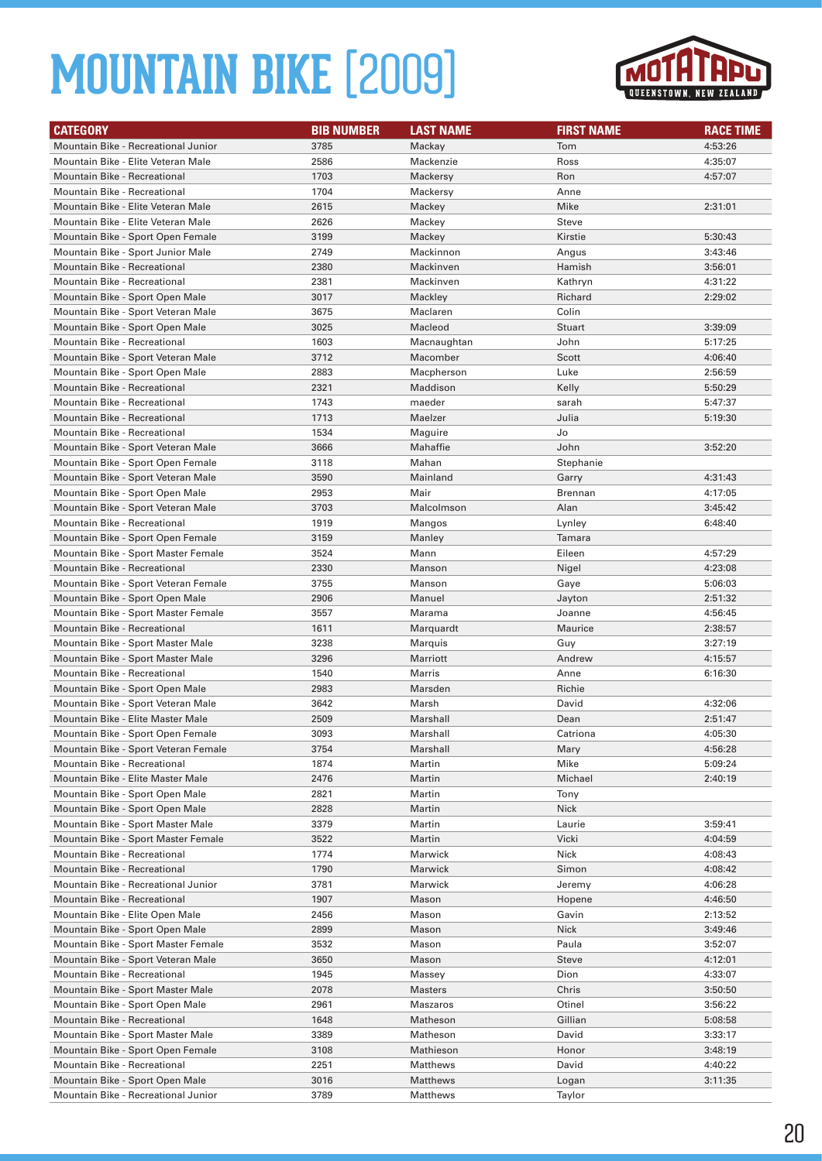

| <b>CATEGORY</b>                      | <b>BIB NUMBER</b> | <b>LAST NAME</b> | <b>FIRST NAME</b> | <b>RACE TIME</b> |
|--------------------------------------|-------------------|------------------|-------------------|------------------|
| Mountain Bike - Recreational Junior  | 3785              | Mackay           | Tom               | 4:53:26          |
| Mountain Bike - Elite Veteran Male   | 2586              | Mackenzie        | Ross              | 4:35:07          |
| <b>Mountain Bike - Recreational</b>  | 1703              | Mackersy         | Ron               | 4:57:07          |
| <b>Mountain Bike - Recreational</b>  | 1704              | Mackersy         | Anne              |                  |
| Mountain Bike - Elite Veteran Male   | 2615              | Mackey           | Mike              | 2:31:01          |
| Mountain Bike - Elite Veteran Male   | 2626              | Mackey           | Steve             |                  |
| Mountain Bike - Sport Open Female    | 3199              | Mackey           | Kirstie           | 5:30:43          |
| Mountain Bike - Sport Junior Male    | 2749              | Mackinnon        | Angus             | 3:43:46          |
| Mountain Bike - Recreational         | 2380              | Mackinven        | Hamish            | 3:56:01          |
| Mountain Bike - Recreational         | 2381              | Mackinven        | Kathryn           | 4:31:22          |
| Mountain Bike - Sport Open Male      | 3017              | Mackley          | Richard           | 2:29:02          |
| Mountain Bike - Sport Veteran Male   | 3675              | Maclaren         | Colin             |                  |
| Mountain Bike - Sport Open Male      | 3025              | Macleod          | Stuart            | 3:39:09          |
| Mountain Bike - Recreational         | 1603              | Macnaughtan      | John              | 5:17:25          |
| Mountain Bike - Sport Veteran Male   | 3712              | Macomber         | Scott             | 4:06:40          |
| Mountain Bike - Sport Open Male      | 2883              | Macpherson       | Luke              | 2:56:59          |
| <b>Mountain Bike - Recreational</b>  | 2321              | Maddison         | Kelly             | 5:50:29          |
| Mountain Bike - Recreational         | 1743              | maeder           | sarah             | 5:47:37          |
| <b>Mountain Bike - Recreational</b>  | 1713              | Maelzer          | Julia             | 5:19:30          |
| Mountain Bike - Recreational         | 1534              | Maguire          | Jo                |                  |
| Mountain Bike - Sport Veteran Male   | 3666              | Mahaffie         | John              | 3:52:20          |
| Mountain Bike - Sport Open Female    | 3118              | Mahan            | Stephanie         |                  |
| Mountain Bike - Sport Veteran Male   | 3590              | Mainland         | Garry             | 4:31:43          |
| Mountain Bike - Sport Open Male      | 2953              | Mair             | Brennan           | 4:17:05          |
| Mountain Bike - Sport Veteran Male   | 3703              | Malcolmson       | Alan              | 3:45:42          |
| Mountain Bike - Recreational         | 1919              | Mangos           | Lynley            | 6:48:40          |
| Mountain Bike - Sport Open Female    | 3159              | Manley           | Tamara            |                  |
| Mountain Bike - Sport Master Female  | 3524              | Mann             | Eileen            | 4:57:29          |
| <b>Mountain Bike - Recreational</b>  | 2330              | Manson           | Nigel             | 4:23:08          |
| Mountain Bike - Sport Veteran Female | 3755              | Manson           | Gaye              | 5:06:03          |
| Mountain Bike - Sport Open Male      | 2906              | Manuel           | Jayton            | 2:51:32          |
| Mountain Bike - Sport Master Female  | 3557              | Marama           | Joanne            | 4:56:45          |
| <b>Mountain Bike - Recreational</b>  | 1611              | Marquardt        | Maurice           | 2:38:57          |
| Mountain Bike - Sport Master Male    | 3238              | Marquis          | Guy               | 3:27:19          |
| Mountain Bike - Sport Master Male    | 3296              | Marriott         | Andrew            | 4:15:57          |
| Mountain Bike - Recreational         | 1540              | Marris           | Anne              | 6:16:30          |
| Mountain Bike - Sport Open Male      | 2983              | Marsden          | Richie            |                  |
| Mountain Bike - Sport Veteran Male   | 3642              | Marsh            | David             | 4:32:06          |
| Mountain Bike - Elite Master Male    | 2509              | Marshall         | Dean              | 2:51:47          |
| Mountain Bike - Sport Open Female    | 3093              | Marshall         | Catriona          | 4:05:30          |
| Mountain Bike - Sport Veteran Female | 3754              | Marshall         | Mary              | 4:56:28          |
| Mountain Bike - Recreational         | 1874              | Martin           | Mike              | 5:09:24          |
| Mountain Bike - Elite Master Male    | 2476              | Martin           | Michael           | 2:40:19          |
| Mountain Bike - Sport Open Male      | 2821              | Martin           | Tony              |                  |
| Mountain Bike - Sport Open Male      | 2828              | Martin           | Nick              |                  |
| Mountain Bike - Sport Master Male    | 3379              | Martin           | Laurie            | 3:59:41          |
| Mountain Bike - Sport Master Female  | 3522              | Martin           | Vicki             | 4:04:59          |
| Mountain Bike - Recreational         | 1774              | Marwick          | Nick              | 4:08:43          |
| Mountain Bike - Recreational         | 1790              | Marwick          | Simon             | 4:08:42          |
| Mountain Bike - Recreational Junior  | 3781              | Marwick          | Jeremy            | 4:06:28          |
| Mountain Bike - Recreational         | 1907              | Mason            | Hopene            | 4:46:50          |
| Mountain Bike - Elite Open Male      | 2456              | Mason            | Gavin             | 2:13:52          |
| Mountain Bike - Sport Open Male      | 2899              | Mason            | Nick              | 3:49:46          |
| Mountain Bike - Sport Master Female  | 3532              | Mason            | Paula             | 3:52:07          |
| Mountain Bike - Sport Veteran Male   | 3650              | Mason            | <b>Steve</b>      | 4:12:01          |
| Mountain Bike - Recreational         | 1945              | Massey           | Dion              | 4:33:07          |
| Mountain Bike - Sport Master Male    | 2078              | <b>Masters</b>   | Chris             | 3:50:50          |
| Mountain Bike - Sport Open Male      | 2961              | Maszaros         | Otinel            | 3:56:22          |
| Mountain Bike - Recreational         | 1648              | Matheson         | Gillian           | 5:08:58          |
| Mountain Bike - Sport Master Male    | 3389              | Matheson         | David             | 3:33:17          |
| Mountain Bike - Sport Open Female    | 3108              | Mathieson        | Honor             | 3:48:19          |
| Mountain Bike - Recreational         | 2251              | Matthews         | David             | 4:40:22          |
| Mountain Bike - Sport Open Male      | 3016              | Matthews         | Logan             | 3:11:35          |
| Mountain Bike - Recreational Junior  | 3789              | Matthews         | Taylor            |                  |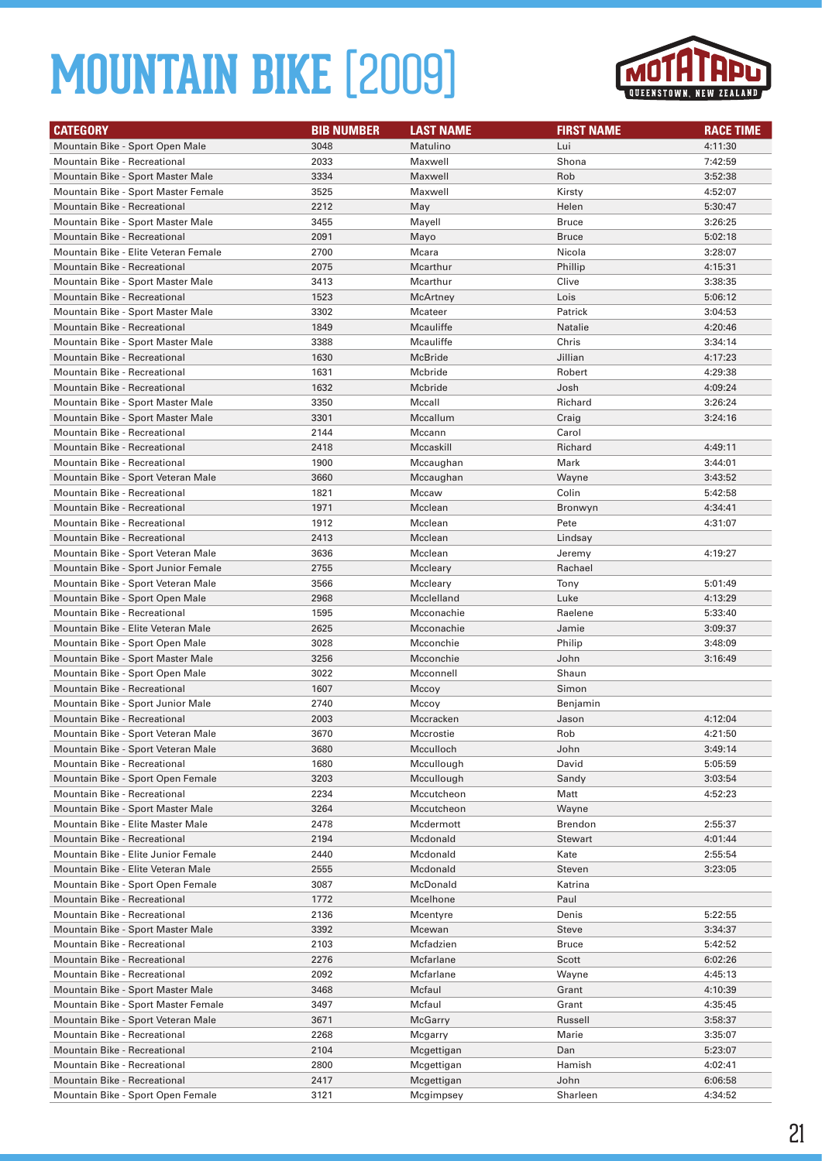

| <b>CATEGORY</b>                      | <b>BIB NUMBER</b> | <b>LAST NAME</b> | <b>FIRST NAME</b> | <b>RACE TIME</b> |
|--------------------------------------|-------------------|------------------|-------------------|------------------|
| Mountain Bike - Sport Open Male      | 3048              | Matulino         | Lui               | 4:11:30          |
| <b>Mountain Bike - Recreational</b>  | 2033              | Maxwell          | Shona             | 7:42:59          |
| Mountain Bike - Sport Master Male    | 3334              | Maxwell          | Rob               | 3:52:38          |
| Mountain Bike - Sport Master Female  | 3525              | Maxwell          | Kirsty            | 4:52:07          |
| <b>Mountain Bike - Recreational</b>  | 2212              | May              | Helen             | 5:30:47          |
| Mountain Bike - Sport Master Male    | 3455              | Mayell           | <b>Bruce</b>      | 3:26:25          |
| <b>Mountain Bike - Recreational</b>  | 2091              | Mayo             | <b>Bruce</b>      | 5:02:18          |
| Mountain Bike - Elite Veteran Female | 2700              | Mcara            | Nicola            | 3:28:07          |
| <b>Mountain Bike - Recreational</b>  | 2075              | Mcarthur         | Phillip           | 4:15:31          |
| Mountain Bike - Sport Master Male    | 3413              | Mcarthur         | Clive             | 3:38:35          |
| <b>Mountain Bike - Recreational</b>  | 1523              | McArtney         | Lois              | 5:06:12          |
| Mountain Bike - Sport Master Male    | 3302              | Mcateer          | Patrick           | 3:04:53          |
| <b>Mountain Bike - Recreational</b>  | 1849              | Mcauliffe        | Natalie           | 4:20:46          |
| Mountain Bike - Sport Master Male    | 3388              | Mcauliffe        | Chris             | 3:34:14          |
| Mountain Bike - Recreational         | 1630              | McBride          | Jillian           | 4:17:23          |
| Mountain Bike - Recreational         | 1631              | Mcbride          | Robert            | 4:29:38          |
| <b>Mountain Bike - Recreational</b>  | 1632              | Mcbride          | Josh              | 4:09:24          |
| Mountain Bike - Sport Master Male    | 3350              | Mccall           | Richard           | 3:26:24          |
| Mountain Bike - Sport Master Male    | 3301              | Mccallum         | Craig             | 3:24:16          |
| <b>Mountain Bike - Recreational</b>  | 2144              | Mccann           | Carol             |                  |
| <b>Mountain Bike - Recreational</b>  | 2418              | Mccaskill        | Richard           | 4:49:11          |
| Mountain Bike - Recreational         | 1900              | Mccaughan        | Mark              | 3:44:01          |
| Mountain Bike - Sport Veteran Male   | 3660              | Mccaughan        | Wayne             | 3:43:52          |
| Mountain Bike - Recreational         | 1821              | Mccaw            | Colin             | 5:42:58          |
| Mountain Bike - Recreational         | 1971              | Mcclean          | Bronwyn           | 4:34:41          |
| Mountain Bike - Recreational         | 1912              | Mcclean          | Pete              | 4:31:07          |
| <b>Mountain Bike - Recreational</b>  | 2413              | Mcclean          | Lindsay           |                  |
| Mountain Bike - Sport Veteran Male   | 3636              | Mcclean          | Jeremy            | 4:19:27          |
| Mountain Bike - Sport Junior Female  | 2755              | Mccleary         | Rachael           |                  |
| Mountain Bike - Sport Veteran Male   | 3566              | Mccleary         | Tony              | 5:01:49          |
| Mountain Bike - Sport Open Male      | 2968              | Mcclelland       | Luke              | 4:13:29          |
| Mountain Bike - Recreational         | 1595              | Mcconachie       | Raelene           | 5:33:40          |
| Mountain Bike - Elite Veteran Male   | 2625              | Mcconachie       | Jamie             | 3:09:37          |
| Mountain Bike - Sport Open Male      | 3028              | Mcconchie        | Philip            | 3:48:09          |
| Mountain Bike - Sport Master Male    | 3256              | Mcconchie        | John              | 3:16:49          |
| Mountain Bike - Sport Open Male      | 3022              | Mcconnell        | Shaun             |                  |
| Mountain Bike - Recreational         | 1607              | Mccoy            | Simon             |                  |
| Mountain Bike - Sport Junior Male    | 2740              | Mccoy            | Benjamin          |                  |
| <b>Mountain Bike - Recreational</b>  | 2003              | Mccracken        | Jason             | 4:12:04          |
| Mountain Bike - Sport Veteran Male   | 3670              | Mccrostie        | Rob               | 4:21:50          |
| Mountain Bike - Sport Veteran Male   | 3680              | Mcculloch        | John              | 3:49:14          |
| Mountain Bike - Recreational         | 1680              | Mccullough       | David             | 5:05:59          |
| Mountain Bike - Sport Open Female    | 3203              | Mccullough       | Sandy             | 3:03:54          |
| Mountain Bike - Recreational         | 2234              | Mccutcheon       | Matt              | 4:52:23          |
| Mountain Bike - Sport Master Male    | 3264              | Mccutcheon       | Wayne             |                  |
| Mountain Bike - Elite Master Male    | 2478              | Mcdermott        | Brendon           | 2:55:37          |
| Mountain Bike - Recreational         | 2194              | Mcdonald         | <b>Stewart</b>    | 4:01:44          |
| Mountain Bike - Elite Junior Female  | 2440              | Mcdonald         | Kate              | 2:55:54          |
| Mountain Bike - Elite Veteran Male   | 2555              | Mcdonald         | Steven            | 3:23:05          |
| Mountain Bike - Sport Open Female    | 3087              | McDonald         | Katrina           |                  |
| Mountain Bike - Recreational         | 1772              | Mcelhone         | Paul              |                  |
| Mountain Bike - Recreational         | 2136              | Mcentyre         | Denis             | 5:22:55          |
| Mountain Bike - Sport Master Male    | 3392              | Mcewan           | <b>Steve</b>      | 3:34:37          |
| Mountain Bike - Recreational         | 2103              | Mcfadzien        | <b>Bruce</b>      | 5:42:52          |
| Mountain Bike - Recreational         | 2276              | Mcfarlane        | Scott             | 6:02:26          |
| Mountain Bike - Recreational         | 2092              | Mcfarlane        | Wayne             | 4:45:13          |
| Mountain Bike - Sport Master Male    | 3468              | Mcfaul           | Grant             | 4:10:39          |
| Mountain Bike - Sport Master Female  | 3497              | Mcfaul           | Grant             | 4:35:45          |
| Mountain Bike - Sport Veteran Male   | 3671              | McGarry          | Russell           | 3:58:37          |
| Mountain Bike - Recreational         | 2268              | Mcgarry          | Marie             | 3:35:07          |
| Mountain Bike - Recreational         | 2104              | Mcgettigan       | Dan               | 5:23:07          |
| Mountain Bike - Recreational         | 2800              | Mcgettigan       | Hamish            | 4:02:41          |
| Mountain Bike - Recreational         | 2417              | Mcgettigan       | John              | 6:06:58          |
| Mountain Bike - Sport Open Female    | 3121              | Mcgimpsey        | Sharleen          | 4:34:52          |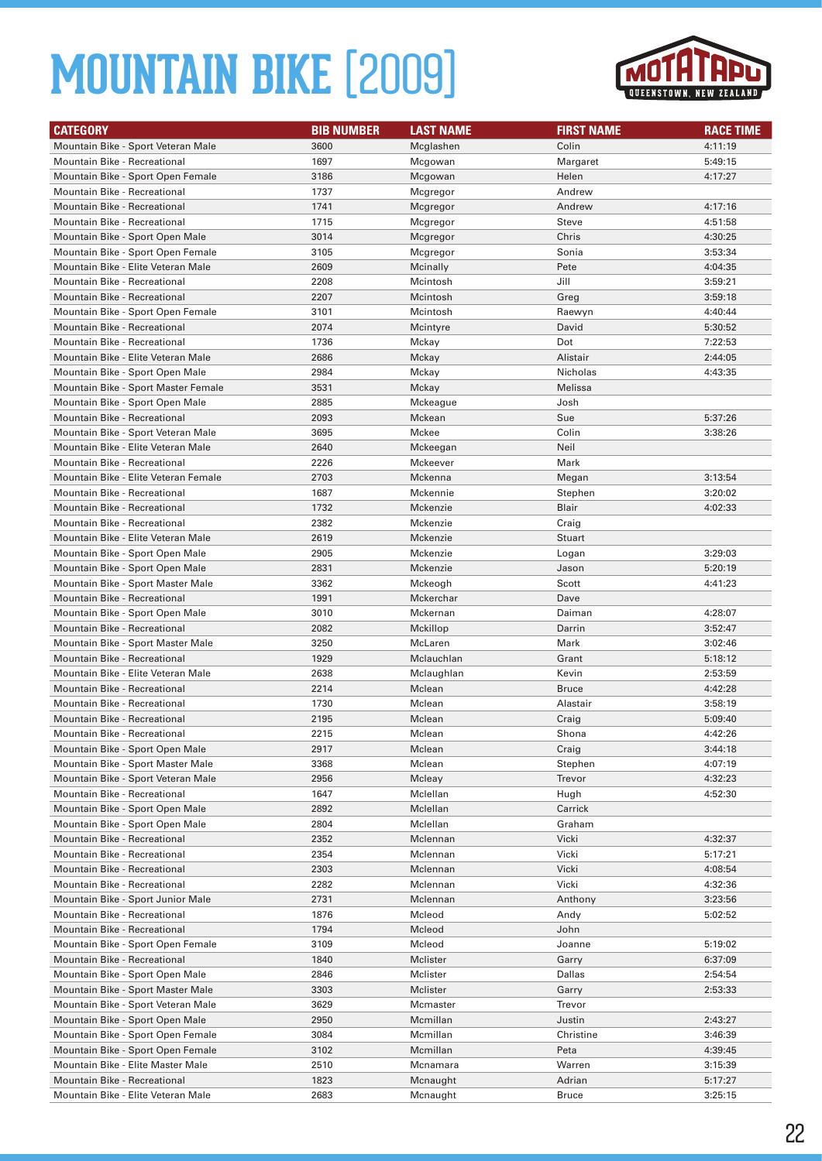

| <b>CATEGORY</b>                                                            | <b>BIB NUMBER</b> | <b>LAST NAME</b> | <b>FIRST NAME</b>     | <b>RACE TIME</b>   |
|----------------------------------------------------------------------------|-------------------|------------------|-----------------------|--------------------|
| Mountain Bike - Sport Veteran Male                                         | 3600              | Mcglashen        | Colin                 | 4:11:19            |
| <b>Mountain Bike - Recreational</b>                                        | 1697              | Mcgowan          | Margaret              | 5:49:15            |
| Mountain Bike - Sport Open Female                                          | 3186              | Mcgowan          | Helen                 | 4:17:27            |
| Mountain Bike - Recreational                                               | 1737              | Mcgregor         | Andrew                |                    |
| <b>Mountain Bike - Recreational</b>                                        | 1741              | Mcgregor         | Andrew                | 4:17:16            |
| Mountain Bike - Recreational                                               | 1715              | Mcgregor         | Steve                 | 4:51:58            |
| Mountain Bike - Sport Open Male                                            | 3014              | Mcgregor         | Chris                 | 4:30:25            |
| Mountain Bike - Sport Open Female                                          | 3105              | Mcgregor         | Sonia                 | 3:53:34            |
| Mountain Bike - Elite Veteran Male                                         | 2609              | Mcinally         | Pete                  | 4:04:35            |
| Mountain Bike - Recreational                                               | 2208              | Mcintosh         | Jill                  | 3:59:21            |
| <b>Mountain Bike - Recreational</b>                                        | 2207              | Mcintosh         | Greg                  | 3:59:18            |
| Mountain Bike - Sport Open Female                                          | 3101              | Mcintosh         | Raewyn                | 4:40:44            |
| <b>Mountain Bike - Recreational</b>                                        | 2074              | Mcintyre         | David                 | 5:30:52            |
| Mountain Bike - Recreational                                               | 1736              | Mckay            | Dot                   | 7:22:53            |
| Mountain Bike - Elite Veteran Male                                         | 2686              | Mckay            | Alistair              | 2:44:05            |
| Mountain Bike - Sport Open Male                                            | 2984              | Mckay            | Nicholas              | 4:43:35            |
| Mountain Bike - Sport Master Female                                        | 3531              | Mckay            | Melissa               |                    |
| Mountain Bike - Sport Open Male                                            | 2885              | Mckeague         | Josh                  |                    |
| <b>Mountain Bike - Recreational</b>                                        | 2093              | Mckean           | Sue                   | 5:37:26            |
| Mountain Bike - Sport Veteran Male                                         | 3695              | Mckee            | Colin                 | 3:38:26            |
| Mountain Bike - Elite Veteran Male                                         | 2640              | Mckeegan         | Neil                  |                    |
| Mountain Bike - Recreational                                               | 2226              | Mckeever         | Mark                  |                    |
| Mountain Bike - Elite Veteran Female                                       | 2703              | Mckenna          | Megan                 | 3:13:54            |
| Mountain Bike - Recreational                                               | 1687              | Mckennie         | Stephen               | 3:20:02            |
| <b>Mountain Bike - Recreational</b>                                        | 1732              | Mckenzie         | Blair                 | 4:02:33            |
| Mountain Bike - Recreational                                               | 2382              | Mckenzie         | Craig                 |                    |
| Mountain Bike - Elite Veteran Male                                         | 2619              | Mckenzie         | Stuart                |                    |
| Mountain Bike - Sport Open Male                                            | 2905              | Mckenzie         | Logan                 | 3:29:03            |
| Mountain Bike - Sport Open Male                                            | 2831              | Mckenzie         | Jason                 | 5:20:19            |
| Mountain Bike - Sport Master Male                                          | 3362              | Mckeogh          | Scott                 | 4:41:23            |
| <b>Mountain Bike - Recreational</b>                                        | 1991              | Mckerchar        | Dave                  |                    |
| Mountain Bike - Sport Open Male                                            | 3010              | Mckernan         | Daiman                | 4:28:07            |
| <b>Mountain Bike - Recreational</b>                                        | 2082              | Mckillop         | Darrin                | 3:52:47            |
| Mountain Bike - Sport Master Male                                          | 3250              | McLaren          | Mark                  | 3:02:46            |
| <b>Mountain Bike - Recreational</b>                                        | 1929              | Mclauchlan       | Grant                 | 5:18:12            |
| Mountain Bike - Elite Veteran Male                                         | 2638              | Mclaughlan       | Kevin<br><b>Bruce</b> | 2:53:59<br>4:42:28 |
| <b>Mountain Bike - Recreational</b><br><b>Mountain Bike - Recreational</b> | 2214<br>1730      | Mclean<br>Mclean |                       | 3:58:19            |
| <b>Mountain Bike - Recreational</b>                                        | 2195              | Mclean           | Alastair<br>Craig     | 5:09:40            |
| <b>Mountain Bike - Recreational</b>                                        | 2215              | Mclean           | Shona                 | 4:42:26            |
| Mountain Bike - Sport Open Male                                            | 2917              | Mclean           | Craig                 | 3:44:18            |
| Mountain Bike - Sport Master Male                                          | 3368              | Mclean           | Stephen               | 4:07:19            |
| Mountain Bike - Sport Veteran Male                                         | 2956              | Mcleay           | Trevor                | 4:32:23            |
| Mountain Bike - Recreational                                               | 1647              | Mclellan         | Hugh                  | 4:52:30            |
| Mountain Bike - Sport Open Male                                            | 2892              | Mclellan         | Carrick               |                    |
| Mountain Bike - Sport Open Male                                            | 2804              | Mclellan         | Graham                |                    |
| Mountain Bike - Recreational                                               | 2352              | Mclennan         | Vicki                 | 4:32:37            |
| Mountain Bike - Recreational                                               | 2354              | Mclennan         | Vicki                 | 5:17:21            |
| Mountain Bike - Recreational                                               | 2303              | Mclennan         | Vicki                 | 4:08:54            |
| Mountain Bike - Recreational                                               | 2282              | Mclennan         | Vicki                 | 4:32:36            |
| Mountain Bike - Sport Junior Male                                          | 2731              | Mclennan         | Anthony               | 3:23:56            |
| Mountain Bike - Recreational                                               | 1876              | Mcleod           | Andy                  | 5:02:52            |
| Mountain Bike - Recreational                                               | 1794              | Mcleod           | John                  |                    |
| Mountain Bike - Sport Open Female                                          | 3109              | Mcleod           | Joanne                | 5:19:02            |
| Mountain Bike - Recreational                                               | 1840              | Mclister         | Garry                 | 6:37:09            |
| Mountain Bike - Sport Open Male                                            | 2846              | Mclister         | Dallas                | 2:54:54            |
| Mountain Bike - Sport Master Male                                          | 3303              | Mclister         | Garry                 | 2:53:33            |
| Mountain Bike - Sport Veteran Male                                         | 3629              | Mcmaster         | Trevor                |                    |
| Mountain Bike - Sport Open Male                                            | 2950              | Mcmillan         | Justin                | 2:43:27            |
| Mountain Bike - Sport Open Female                                          | 3084              | Mcmillan         | Christine             | 3:46:39            |
| Mountain Bike - Sport Open Female                                          | 3102              | Mcmillan         | Peta                  | 4:39:45            |
| Mountain Bike - Elite Master Male                                          | 2510              | Mcnamara         | Warren                | 3:15:39            |
| Mountain Bike - Recreational                                               | 1823              | Mcnaught         | Adrian                | 5:17:27            |
| Mountain Bike - Elite Veteran Male                                         | 2683              | Mcnaught         | Bruce                 | 3:25:15            |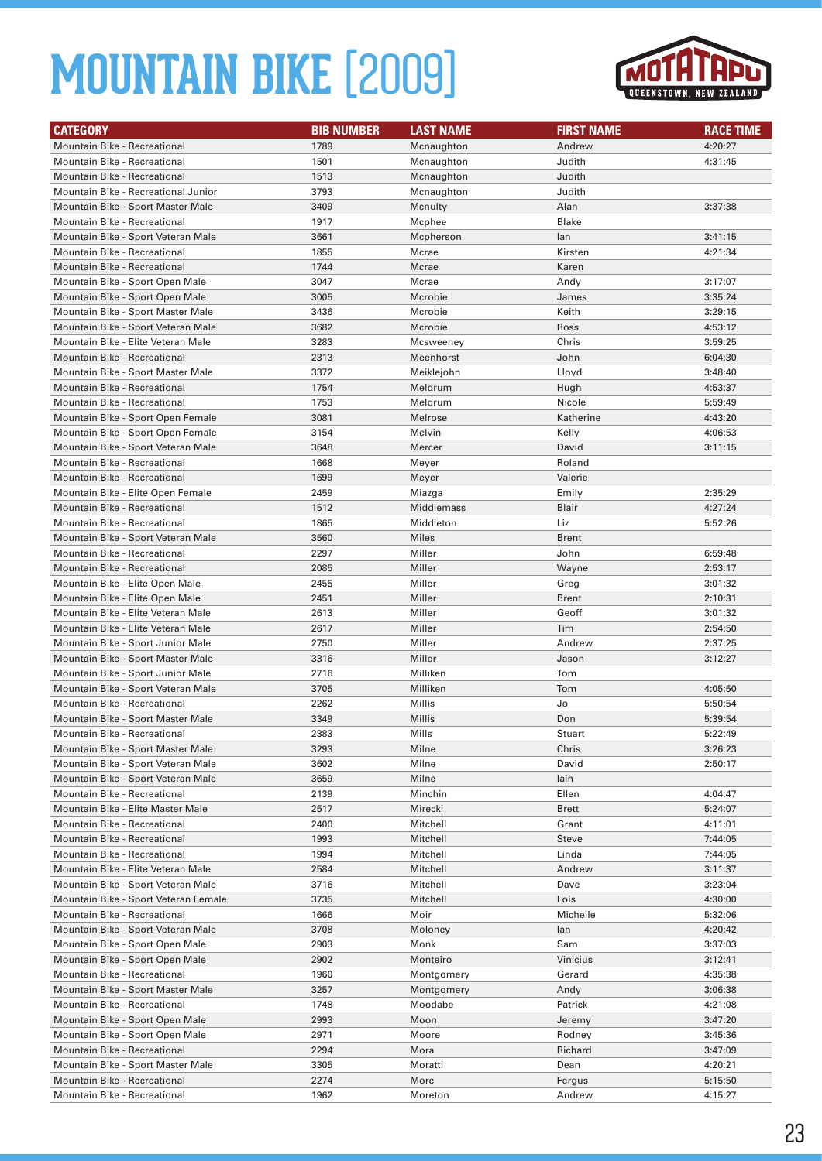

| <b>CATEGORY</b>                                                        | <b>BIB NUMBER</b> | <b>LAST NAME</b> | <b>FIRST NAME</b> | <b>RACE TIME</b> |
|------------------------------------------------------------------------|-------------------|------------------|-------------------|------------------|
| Mountain Bike - Recreational                                           | 1789              | Mcnaughton       | Andrew            | 4:20:27          |
| Mountain Bike - Recreational                                           | 1501              | Mcnaughton       | Judith            | 4:31:45          |
| <b>Mountain Bike - Recreational</b>                                    | 1513              | Mcnaughton       | Judith            |                  |
| Mountain Bike - Recreational Junior                                    | 3793              | Mcnaughton       | Judith            |                  |
| Mountain Bike - Sport Master Male                                      | 3409              | Mcnulty          | Alan              | 3:37:38          |
| Mountain Bike - Recreational                                           | 1917              | Mcphee           | <b>Blake</b>      |                  |
| Mountain Bike - Sport Veteran Male                                     | 3661              | Mcpherson        | lan               | 3:41:15          |
| Mountain Bike - Recreational                                           | 1855              | Mcrae            | Kirsten           | 4:21:34          |
| Mountain Bike - Recreational                                           | 1744              | Mcrae            | Karen             |                  |
| Mountain Bike - Sport Open Male                                        | 3047              | Mcrae            | Andy              | 3:17:07          |
| Mountain Bike - Sport Open Male                                        | 3005              | Mcrobie          | James             | 3:35:24          |
| Mountain Bike - Sport Master Male                                      | 3436              | Mcrobie          | Keith             | 3:29:15          |
| Mountain Bike - Sport Veteran Male                                     | 3682              | Mcrobie          | Ross              | 4:53:12          |
| Mountain Bike - Elite Veteran Male                                     | 3283              | Mcsweeney        | Chris             | 3:59:25          |
| Mountain Bike - Recreational                                           | 2313              | Meenhorst        | John              | 6:04:30          |
| Mountain Bike - Sport Master Male                                      | 3372              | Meiklejohn       | Lloyd             | 3:48:40          |
| Mountain Bike - Recreational                                           | 1754              | Meldrum          | Hugh              | 4:53:37          |
| <b>Mountain Bike - Recreational</b>                                    | 1753              | Meldrum          | Nicole            | 5:59:49          |
| Mountain Bike - Sport Open Female                                      | 3081              | Melrose          | Katherine         | 4:43:20          |
| Mountain Bike - Sport Open Female                                      | 3154              | Melvin           | Kelly             | 4:06:53          |
| Mountain Bike - Sport Veteran Male                                     | 3648              | Mercer           | David             | 3:11:15          |
| Mountain Bike - Recreational                                           | 1668              | Meyer            | Roland            |                  |
| Mountain Bike - Recreational                                           | 1699              | Meyer            | Valerie           |                  |
| Mountain Bike - Elite Open Female                                      | 2459              | Miazga           | Emily             | 2:35:29          |
| Mountain Bike - Recreational                                           | 1512              | Middlemass       | Blair             | 4:27:24          |
| Mountain Bike - Recreational                                           | 1865              | Middleton        | Liz               | 5:52:26          |
| Mountain Bike - Sport Veteran Male                                     | 3560              | <b>Miles</b>     | <b>Brent</b>      |                  |
| Mountain Bike - Recreational                                           | 2297              | Miller           | John              | 6:59:48          |
| <b>Mountain Bike - Recreational</b>                                    | 2085              | Miller           | Wayne             | 2:53:17          |
| Mountain Bike - Elite Open Male                                        | 2455              | Miller           | Greg              | 3:01:32          |
| Mountain Bike - Elite Open Male                                        | 2451              | Miller           | <b>Brent</b>      | 2:10:31          |
| Mountain Bike - Elite Veteran Male                                     | 2613              | Miller           | Geoff<br>Tim      | 3:01:32          |
| Mountain Bike - Elite Veteran Male                                     | 2617              | Miller           |                   | 2:54:50          |
| Mountain Bike - Sport Junior Male                                      | 2750<br>3316      | Miller<br>Miller | Andrew            | 2:37:25          |
| Mountain Bike - Sport Master Male<br>Mountain Bike - Sport Junior Male | 2716              | Milliken         | Jason<br>Tom      | 3:12:27          |
| Mountain Bike - Sport Veteran Male                                     | 3705              | Milliken         | Tom               | 4:05:50          |
| <b>Mountain Bike - Recreational</b>                                    | 2262              | Millis           | Jo                | 5:50:54          |
| Mountain Bike - Sport Master Male                                      | 3349              | Millis           | Don               | 5:39:54          |
| <b>Mountain Bike - Recreational</b>                                    | 2383              | Mills            | Stuart            | 5:22:49          |
| Mountain Bike - Sport Master Male                                      | 3293              | Milne            | Chris             | 3:26:23          |
| Mountain Bike - Sport Veteran Male                                     | 3602              | Milne            | David             | 2:50:17          |
| Mountain Bike - Sport Veteran Male                                     | 3659              | Milne            | lain              |                  |
| Mountain Bike - Recreational                                           | 2139              | Minchin          | Ellen             | 4:04:47          |
| Mountain Bike - Elite Master Male                                      | 2517              | Mirecki          | <b>Brett</b>      | 5:24:07          |
| Mountain Bike - Recreational                                           | 2400              | Mitchell         | Grant             | 4:11:01          |
| Mountain Bike - Recreational                                           | 1993              | Mitchell         | <b>Steve</b>      | 7:44:05          |
| Mountain Bike - Recreational                                           | 1994              | Mitchell         | Linda             | 7:44:05          |
| Mountain Bike - Elite Veteran Male                                     | 2584              | Mitchell         | Andrew            | 3:11:37          |
| Mountain Bike - Sport Veteran Male                                     | 3716              | Mitchell         | Dave              | 3:23:04          |
| Mountain Bike - Sport Veteran Female                                   | 3735              | Mitchell         | Lois              | 4:30:00          |
| Mountain Bike - Recreational                                           | 1666              | Moir             | Michelle          | 5:32:06          |
| Mountain Bike - Sport Veteran Male                                     | 3708              | Moloney          | lan               | 4:20:42          |
| Mountain Bike - Sport Open Male                                        | 2903              | Monk             | Sam               | 3:37:03          |
| Mountain Bike - Sport Open Male                                        | 2902              | Monteiro         | Vinicius          | 3:12:41          |
| Mountain Bike - Recreational                                           | 1960              | Montgomery       | Gerard            | 4:35:38          |
| Mountain Bike - Sport Master Male                                      | 3257              | Montgomery       | Andy              | 3:06:38          |
| Mountain Bike - Recreational                                           | 1748              | Moodabe          | Patrick           | 4:21:08          |
| Mountain Bike - Sport Open Male                                        | 2993              | Moon             | Jeremy            | 3:47:20          |
| Mountain Bike - Sport Open Male                                        | 2971              | Moore            | Rodney            | 3:45:36          |
| Mountain Bike - Recreational                                           | 2294              | Mora             | Richard           | 3:47:09          |
| Mountain Bike - Sport Master Male                                      | 3305              | Moratti          | Dean              | 4:20:21          |
| Mountain Bike - Recreational                                           | 2274              | More             | Fergus            | 5:15:50          |
| Mountain Bike - Recreational                                           | 1962              | Moreton          | Andrew            | 4:15:27          |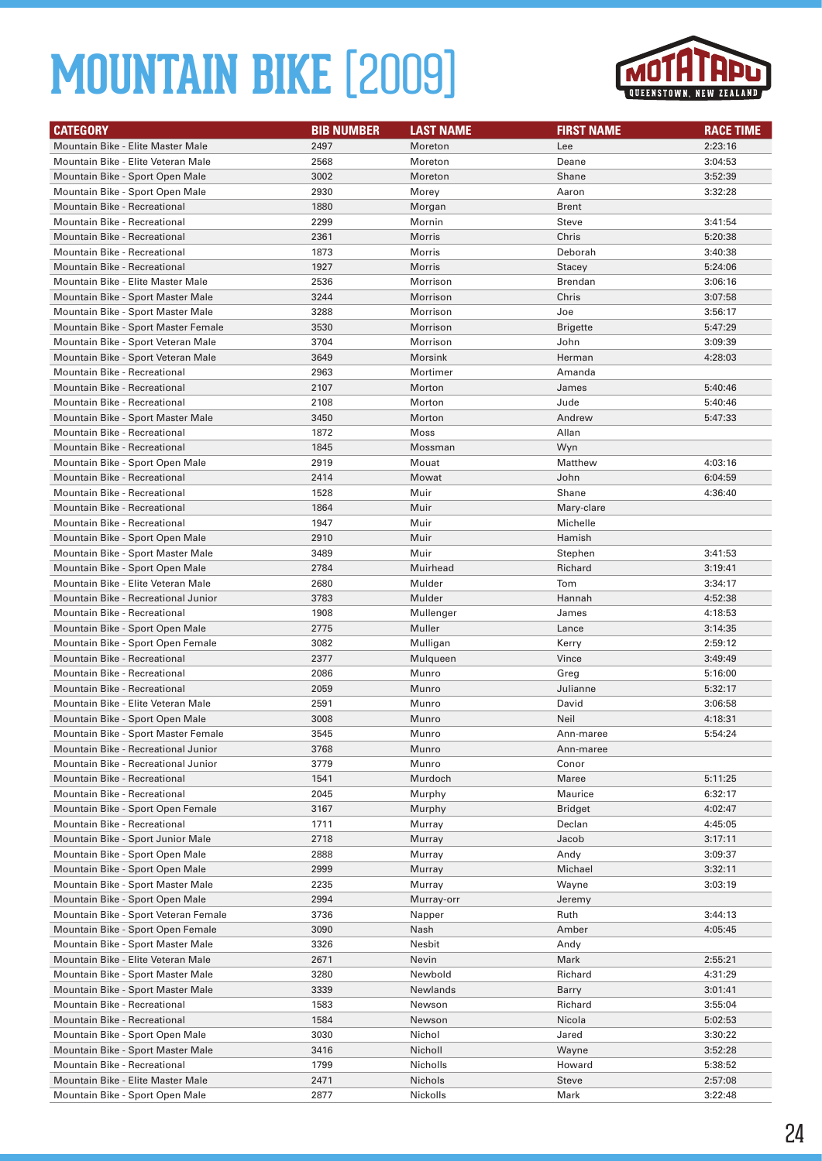

| <b>CATEGORY</b>                                                       | <b>BIB NUMBER</b> | <b>LAST NAME</b> | <b>FIRST NAME</b> | <b>RACE TIME</b>   |
|-----------------------------------------------------------------------|-------------------|------------------|-------------------|--------------------|
| Mountain Bike - Elite Master Male                                     | 2497              | Moreton          | Lee               | 2:23:16            |
| Mountain Bike - Elite Veteran Male                                    | 2568              | Moreton          | Deane             | 3:04:53            |
| Mountain Bike - Sport Open Male                                       | 3002              | Moreton          | Shane             | 3:52:39            |
| Mountain Bike - Sport Open Male                                       | 2930              | Morey            | Aaron             | 3:32:28            |
| <b>Mountain Bike - Recreational</b>                                   | 1880              | Morgan           | <b>Brent</b>      |                    |
| Mountain Bike - Recreational                                          | 2299              | Mornin           | Steve             | 3:41:54            |
| <b>Mountain Bike - Recreational</b>                                   | 2361              | Morris           | Chris             | 5:20:38            |
| Mountain Bike - Recreational                                          | 1873              | Morris           | Deborah           | 3:40:38            |
| <b>Mountain Bike - Recreational</b>                                   | 1927              | <b>Morris</b>    | Stacey            | 5:24:06            |
| Mountain Bike - Elite Master Male                                     | 2536              | Morrison         | <b>Brendan</b>    | 3:06:16            |
| Mountain Bike - Sport Master Male                                     | 3244              | Morrison         | Chris             | 3:07:58            |
| Mountain Bike - Sport Master Male                                     | 3288              | Morrison         | Joe               | 3:56:17            |
| Mountain Bike - Sport Master Female                                   | 3530              | Morrison         | <b>Brigette</b>   | 5:47:29            |
| Mountain Bike - Sport Veteran Male                                    | 3704              | Morrison         | John              | 3:09:39            |
| Mountain Bike - Sport Veteran Male                                    | 3649              | Morsink          | Herman            | 4:28:03            |
| Mountain Bike - Recreational                                          | 2963              | Mortimer         | Amanda            |                    |
| <b>Mountain Bike - Recreational</b>                                   | 2107              | Morton           | James             | 5:40:46            |
| Mountain Bike - Recreational                                          | 2108              | Morton           | Jude              | 5:40:46            |
| Mountain Bike - Sport Master Male                                     | 3450              | Morton           | Andrew            | 5:47:33            |
| <b>Mountain Bike - Recreational</b>                                   | 1872              | Moss             | Allan             |                    |
| <b>Mountain Bike - Recreational</b>                                   | 1845              | Mossman          | Wyn               |                    |
| Mountain Bike - Sport Open Male                                       | 2919              | Mouat            | Matthew           | 4:03:16            |
| Mountain Bike - Recreational                                          | 2414              | Mowat            | John              | 6:04:59            |
| Mountain Bike - Recreational                                          | 1528              | Muir             | Shane             | 4:36:40            |
| Mountain Bike - Recreational                                          | 1864              | Muir             | Mary-clare        |                    |
| Mountain Bike - Recreational                                          | 1947              | Muir             | Michelle          |                    |
| Mountain Bike - Sport Open Male                                       | 2910              | Muir             | Hamish            |                    |
| Mountain Bike - Sport Master Male                                     | 3489              | Muir             | Stephen           | 3:41:53            |
| Mountain Bike - Sport Open Male<br>Mountain Bike - Elite Veteran Male | 2784<br>2680      | Muirhead         | Richard<br>Tom    | 3:19:41            |
| Mountain Bike - Recreational Junior                                   | 3783              | Mulder<br>Mulder | Hannah            | 3:34:17            |
| Mountain Bike - Recreational                                          | 1908              | Mullenger        | James             | 4:52:38<br>4:18:53 |
| Mountain Bike - Sport Open Male                                       | 2775              | Muller           | Lance             | 3:14:35            |
| Mountain Bike - Sport Open Female                                     | 3082              | Mulligan         | Kerry             | 2:59:12            |
| <b>Mountain Bike - Recreational</b>                                   | 2377              | Mulqueen         | Vince             | 3:49:49            |
| Mountain Bike - Recreational                                          | 2086              | Munro            | Greg              | 5:16:00            |
| <b>Mountain Bike - Recreational</b>                                   | 2059              | Munro            | Julianne          | 5:32:17            |
| Mountain Bike - Elite Veteran Male                                    | 2591              | Munro            | David             | 3:06:58            |
| Mountain Bike - Sport Open Male                                       | 3008              | Munro            | Neil              | 4:18:31            |
| Mountain Bike - Sport Master Female                                   | 3545              | Munro            | Ann-maree         | 5:54:24            |
| Mountain Bike - Recreational Junior                                   | 3768              | Munro            | Ann-maree         |                    |
| Mountain Bike - Recreational Junior                                   | 3779              | Munro            | Conor             |                    |
| Mountain Bike - Recreational                                          | 1541              | Murdoch          | Maree             | 5:11:25            |
| Mountain Bike - Recreational                                          | 2045              | Murphy           | Maurice           | 6:32:17            |
| Mountain Bike - Sport Open Female                                     | 3167              | Murphy           | Bridget           | 4:02:47            |
| Mountain Bike - Recreational                                          | 1711              | Murray           | Declan            | 4:45:05            |
| Mountain Bike - Sport Junior Male                                     | 2718              | Murray           | Jacob             | 3:17:11            |
| Mountain Bike - Sport Open Male                                       | 2888              | Murray           | Andy              | 3:09:37            |
| Mountain Bike - Sport Open Male                                       | 2999              | Murray           | Michael           | 3:32:11            |
| Mountain Bike - Sport Master Male                                     | 2235              | Murray           | Wayne             | 3:03:19            |
| Mountain Bike - Sport Open Male                                       | 2994              | Murray-orr       | Jeremy            |                    |
| Mountain Bike - Sport Veteran Female                                  | 3736              | Napper           | Ruth              | 3:44:13            |
| Mountain Bike - Sport Open Female                                     | 3090              | Nash             | Amber             | 4:05:45            |
| Mountain Bike - Sport Master Male                                     | 3326              | Nesbit           | Andy              |                    |
| Mountain Bike - Elite Veteran Male                                    | 2671              | Nevin            | Mark              | 2:55:21            |
| Mountain Bike - Sport Master Male                                     | 3280              | Newbold          | Richard           | 4:31:29            |
| Mountain Bike - Sport Master Male                                     | 3339              | Newlands         | Barry             | 3:01:41            |
| Mountain Bike - Recreational                                          | 1583              | Newson           | Richard           | 3:55:04            |
| Mountain Bike - Recreational                                          | 1584              | Newson           | Nicola            | 5:02:53            |
| Mountain Bike - Sport Open Male                                       | 3030              | Nichol           | Jared             | 3:30:22            |
| Mountain Bike - Sport Master Male                                     | 3416              | Nicholl          | Wayne             | 3:52:28            |
| Mountain Bike - Recreational                                          | 1799              | Nicholls         | Howard            | 5:38:52            |
| Mountain Bike - Elite Master Male                                     | 2471              | Nichols          | Steve             | 2:57:08            |
| Mountain Bike - Sport Open Male                                       | 2877              | Nickolls         | Mark              | 3:22:48            |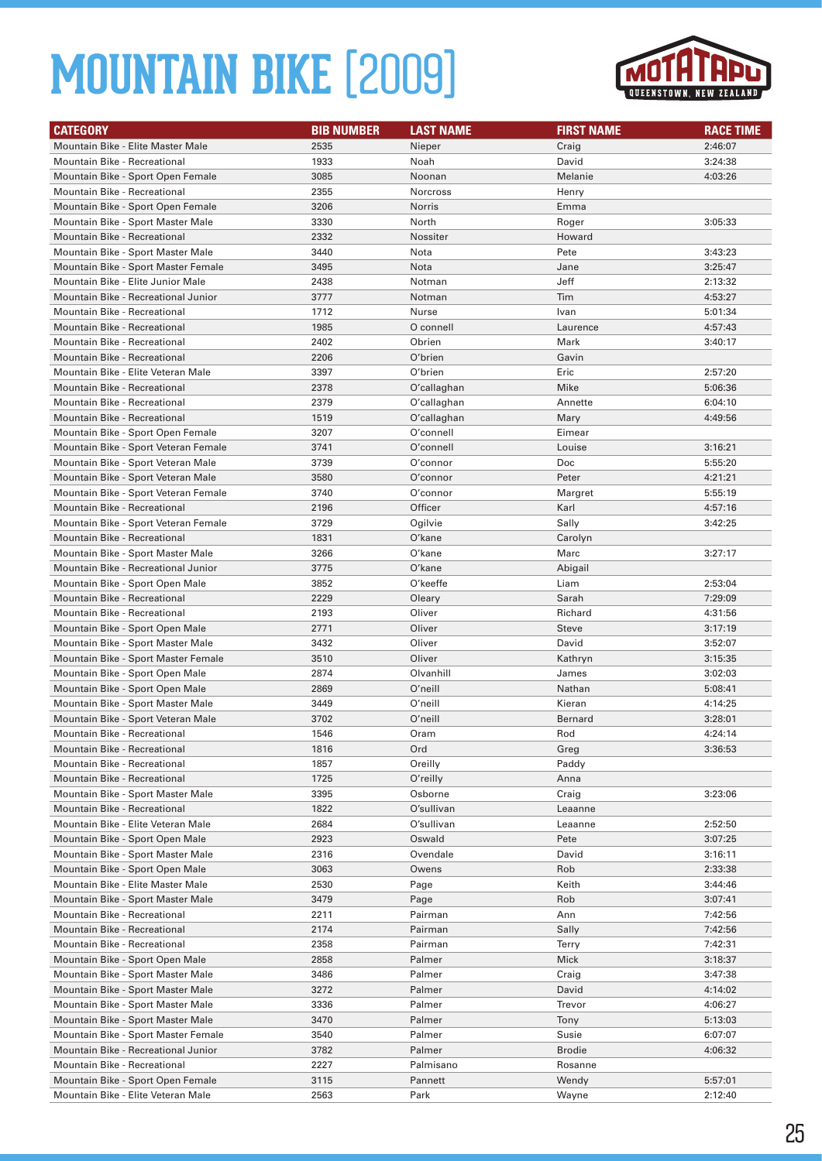

| <b>CATEGORY</b>                      | <b>BIB NUMBER</b> | <b>LAST NAME</b> | <b>FIRST NAME</b> | <b>RACE TIME</b> |
|--------------------------------------|-------------------|------------------|-------------------|------------------|
| Mountain Bike - Elite Master Male    | 2535              | Nieper           | Craig             | 2:46:07          |
| <b>Mountain Bike - Recreational</b>  | 1933              | Noah             | David             | 3:24:38          |
| Mountain Bike - Sport Open Female    | 3085              | Noonan           | Melanie           | 4:03:26          |
| Mountain Bike - Recreational         | 2355              | <b>Norcross</b>  | Henry             |                  |
| Mountain Bike - Sport Open Female    | 3206              | Norris           | Emma              |                  |
| Mountain Bike - Sport Master Male    | 3330              | North            | Roger             | 3:05:33          |
| <b>Mountain Bike - Recreational</b>  | 2332              | Nossiter         | Howard            |                  |
| Mountain Bike - Sport Master Male    | 3440              | Nota             | Pete              | 3:43:23          |
| Mountain Bike - Sport Master Female  | 3495              | Nota             | Jane              | 3:25:47          |
| Mountain Bike - Elite Junior Male    | 2438              | Notman           | Jeff              | 2:13:32          |
| Mountain Bike - Recreational Junior  | 3777              | Notman           | Tim               | 4:53:27          |
| <b>Mountain Bike - Recreational</b>  | 1712              | Nurse            | Ivan              | 5:01:34          |
| <b>Mountain Bike - Recreational</b>  | 1985              | O connell        | Laurence          | 4:57:43          |
| Mountain Bike - Recreational         | 2402              | Obrien           | Mark              | 3:40:17          |
| <b>Mountain Bike - Recreational</b>  | 2206              | O'brien          | Gavin             |                  |
| Mountain Bike - Elite Veteran Male   | 3397              | O'brien          | Eric              | 2:57:20          |
| <b>Mountain Bike - Recreational</b>  | 2378              | O'callaghan      | Mike              | 5:06:36          |
| <b>Mountain Bike - Recreational</b>  | 2379              | O'callaghan      | Annette           | 6:04:10          |
| <b>Mountain Bike - Recreational</b>  | 1519              | O'callaghan      | Mary              | 4:49:56          |
| Mountain Bike - Sport Open Female    | 3207              | O'connell        | Eimear            |                  |
| Mountain Bike - Sport Veteran Female | 3741              | O'connell        | Louise            | 3:16:21          |
| Mountain Bike - Sport Veteran Male   | 3739              | O'connor         | Doc               | 5:55:20          |
| Mountain Bike - Sport Veteran Male   | 3580              | O'connor         | Peter             | 4:21:21          |
| Mountain Bike - Sport Veteran Female | 3740              | O'connor         | Margret           | 5:55:19          |
| <b>Mountain Bike - Recreational</b>  | 2196              | Officer          | Karl              | 4:57:16          |
| Mountain Bike - Sport Veteran Female | 3729              | Ogilvie          | Sally             | 3:42:25          |
| <b>Mountain Bike - Recreational</b>  | 1831              | O'kane           | Carolyn           |                  |
| Mountain Bike - Sport Master Male    | 3266              | O'kane           | Marc              | 3:27:17          |
| Mountain Bike - Recreational Junior  | 3775              | O'kane           | Abigail           |                  |
| Mountain Bike - Sport Open Male      | 3852              | O'keeffe         | Liam              | 2:53:04          |
| Mountain Bike - Recreational         | 2229              | Oleary           | Sarah             | 7:29:09          |
| <b>Mountain Bike - Recreational</b>  | 2193              | Oliver           | Richard           | 4:31:56          |
| Mountain Bike - Sport Open Male      | 2771              | Oliver           | <b>Steve</b>      | 3:17:19          |
| Mountain Bike - Sport Master Male    | 3432              | Oliver           | David             | 3:52:07          |
| Mountain Bike - Sport Master Female  | 3510              | Oliver           | Kathryn           | 3:15:35          |
| Mountain Bike - Sport Open Male      | 2874              | Olvanhill        | James             | 3:02:03          |
| Mountain Bike - Sport Open Male      | 2869              | O'neill          | Nathan            | 5:08:41          |
| Mountain Bike - Sport Master Male    | 3449              | O'neill          | Kieran            | 4:14:25          |
| Mountain Bike - Sport Veteran Male   | 3702              | O'neill          | <b>Bernard</b>    | 3:28:01          |
| <b>Mountain Bike - Recreational</b>  | 1546              | Oram             | Rod               | 4:24:14          |
| <b>Mountain Bike - Recreational</b>  | 1816              | Ord              | Greg              | 3:36:53          |
| Mountain Bike - Recreational         | 1857              | Oreilly          | Paddy             |                  |
| Mountain Bike - Recreational         | 1725              | O'reilly         | Anna              |                  |
| Mountain Bike - Sport Master Male    | 3395              | Osborne          | Craig             | 3:23:06          |
| Mountain Bike - Recreational         | 1822              | O'sullivan       | Leaanne           |                  |
| Mountain Bike - Elite Veteran Male   | 2684              | O'sullivan       | Leaanne           | 2:52:50          |
| Mountain Bike - Sport Open Male      | 2923              | Oswald           | Pete              | 3:07:25          |
| Mountain Bike - Sport Master Male    | 2316              | Ovendale         | David             | 3:16:11          |
| Mountain Bike - Sport Open Male      | 3063              | Owens            | Rob               | 2:33:38          |
| Mountain Bike - Elite Master Male    | 2530              | Page             | Keith             | 3:44:46          |
| Mountain Bike - Sport Master Male    | 3479              | Page             | Rob               | 3:07:41          |
| Mountain Bike - Recreational         | 2211              | Pairman          | Ann               | 7:42:56          |
| Mountain Bike - Recreational         | 2174              | Pairman          | Sally             | 7:42:56          |
| Mountain Bike - Recreational         | 2358              | Pairman          | Terry             | 7:42:31          |
| Mountain Bike - Sport Open Male      | 2858              | Palmer           | Mick              | 3:18:37          |
| Mountain Bike - Sport Master Male    | 3486              | Palmer           | Craig             | 3:47:38          |
| Mountain Bike - Sport Master Male    | 3272              | Palmer           | David             | 4:14:02          |
| Mountain Bike - Sport Master Male    | 3336              | Palmer           | Trevor            | 4:06:27          |
| Mountain Bike - Sport Master Male    | 3470              | Palmer           | Tony              | 5:13:03          |
| Mountain Bike - Sport Master Female  | 3540              | Palmer           | Susie             | 6:07:07          |
| Mountain Bike - Recreational Junior  | 3782              | Palmer           | <b>Brodie</b>     | 4:06:32          |
| Mountain Bike - Recreational         | 2227              | Palmisano        | Rosanne           |                  |
| Mountain Bike - Sport Open Female    | 3115              | Pannett          | Wendy             | 5:57:01          |
| Mountain Bike - Elite Veteran Male   | 2563              | Park             | Wayne             | 2:12:40          |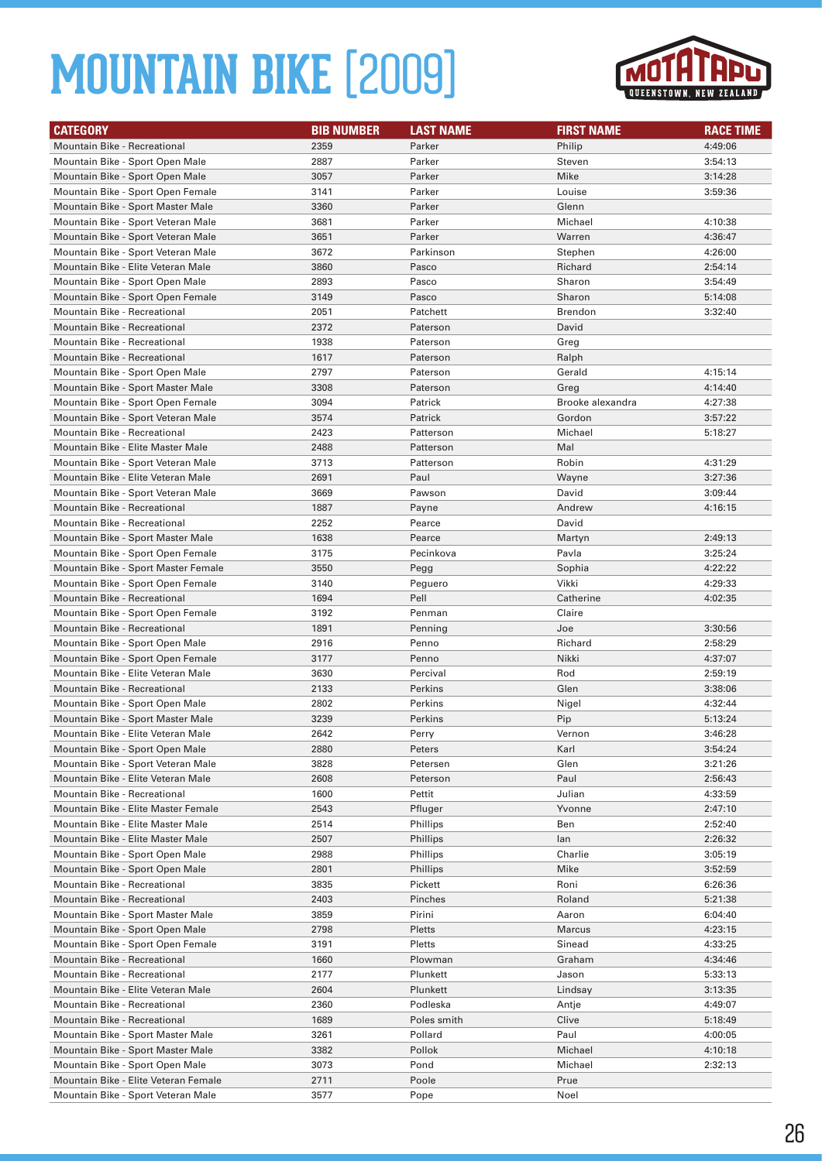

| <b>CATEGORY</b>                                                      | <b>BIB NUMBER</b> | <b>LAST NAME</b>            | <b>FIRST NAME</b> | <b>RACE TIME</b>   |
|----------------------------------------------------------------------|-------------------|-----------------------------|-------------------|--------------------|
| Mountain Bike - Recreational                                         | 2359              | Parker                      | Philip            | 4:49:06            |
| Mountain Bike - Sport Open Male                                      | 2887              | Parker                      | Steven            | 3:54:13            |
| Mountain Bike - Sport Open Male                                      | 3057              | Parker                      | Mike              | 3:14:28            |
| Mountain Bike - Sport Open Female                                    | 3141              | Parker                      | Louise            | 3:59:36            |
| Mountain Bike - Sport Master Male                                    | 3360              | Parker                      | Glenn             |                    |
| Mountain Bike - Sport Veteran Male                                   | 3681              | Parker                      | Michael           | 4:10:38            |
| Mountain Bike - Sport Veteran Male                                   | 3651              | Parker                      | Warren            | 4:36:47            |
| Mountain Bike - Sport Veteran Male                                   | 3672              | Parkinson                   | Stephen           | 4:26:00            |
| Mountain Bike - Elite Veteran Male                                   | 3860              | Pasco                       | Richard           | 2:54:14            |
| Mountain Bike - Sport Open Male                                      | 2893              | Pasco                       | Sharon            | 3:54:49            |
| Mountain Bike - Sport Open Female                                    | 3149              | Pasco                       | Sharon            | 5:14:08            |
| Mountain Bike - Recreational                                         | 2051              | Patchett                    | <b>Brendon</b>    | 3:32:40            |
| <b>Mountain Bike - Recreational</b>                                  | 2372              | Paterson                    | David             |                    |
| Mountain Bike - Recreational                                         | 1938              | Paterson                    | Greg              |                    |
| <b>Mountain Bike - Recreational</b>                                  | 1617              | Paterson                    | Ralph             |                    |
| Mountain Bike - Sport Open Male                                      | 2797              | Paterson                    | Gerald            | 4:15:14            |
| Mountain Bike - Sport Master Male                                    | 3308              | Paterson                    | Greg              | 4:14:40            |
| Mountain Bike - Sport Open Female                                    | 3094              | Patrick                     | Brooke alexandra  | 4:27:38            |
| Mountain Bike - Sport Veteran Male                                   | 3574              | Patrick                     | Gordon            | 3:57:22            |
| <b>Mountain Bike - Recreational</b>                                  | 2423              | Patterson                   | Michael           | 5:18:27            |
| Mountain Bike - Elite Master Male                                    | 2488              | Patterson                   | Mal               |                    |
| Mountain Bike - Sport Veteran Male                                   | 3713              | Patterson                   | Robin             | 4:31:29            |
| Mountain Bike - Elite Veteran Male                                   | 2691              | Paul                        | Wayne             | 3:27:36            |
| Mountain Bike - Sport Veteran Male                                   | 3669              | Pawson                      | David             | 3:09:44            |
| Mountain Bike - Recreational                                         | 1887              | Payne                       | Andrew            | 4:16:15            |
| <b>Mountain Bike - Recreational</b>                                  | 2252              | Pearce                      | David             |                    |
| Mountain Bike - Sport Master Male                                    | 1638              | Pearce                      | Martyn            | 2:49:13            |
| Mountain Bike - Sport Open Female                                    | 3175              | Pecinkova                   | Pavla             | 3:25:24            |
| Mountain Bike - Sport Master Female                                  | 3550              | Pegg                        | Sophia            | 4:22:22            |
| Mountain Bike - Sport Open Female                                    | 3140              | Peguero                     | Vikki             | 4:29:33            |
| Mountain Bike - Recreational                                         | 1694              | Pell                        | Catherine         | 4:02:35            |
| Mountain Bike - Sport Open Female                                    | 3192              | Penman                      | Claire            |                    |
| Mountain Bike - Recreational                                         | 1891              | Penning                     | Joe               | 3:30:56            |
| Mountain Bike - Sport Open Male                                      | 2916              | Penno                       | Richard           | 2:58:29            |
| Mountain Bike - Sport Open Female                                    | 3177              | Penno                       | Nikki             | 4:37:07            |
| Mountain Bike - Elite Veteran Male                                   | 3630              | Percival                    | Rod               | 2:59:19            |
| Mountain Bike - Recreational                                         | 2133              | Perkins                     | Glen              | 3:38:06            |
| Mountain Bike - Sport Open Male                                      | 2802              | Perkins                     | Nigel             | 4:32:44            |
| Mountain Bike - Sport Master Male                                    | 3239              | Perkins                     | Pip               | 5:13:24            |
| Mountain Bike - Elite Veteran Male                                   | 2642              | Perry                       | Vernon            | 3:46:28            |
| Mountain Bike - Sport Open Male                                      | 2880              | Peters                      | Karl              | 3:54:24            |
| Mountain Bike - Sport Veteran Male                                   | 3828              | Petersen                    | Glen              | 3:21:26            |
| Mountain Bike - Elite Veteran Male                                   | 2608              | Peterson                    | Paul              | 2:56:43            |
| Mountain Bike - Recreational                                         | 1600              | Pettit                      | Julian            | 4:33:59            |
| Mountain Bike - Elite Master Female                                  | 2543              | Pfluger                     | Yvonne            | 2:47:10            |
| Mountain Bike - Elite Master Male                                    | 2514              | Phillips                    | Ben               | 2:52:40            |
| Mountain Bike - Elite Master Male<br>Mountain Bike - Sport Open Male | 2507<br>2988      | <b>Phillips</b><br>Phillips | lan<br>Charlie    | 2:26:32<br>3:05:19 |
| Mountain Bike - Sport Open Male                                      |                   |                             |                   |                    |
| Mountain Bike - Recreational                                         | 2801<br>3835      | <b>Phillips</b><br>Pickett  | Mike<br>Roni      | 3:52:59<br>6:26:36 |
| <b>Mountain Bike - Recreational</b>                                  | 2403              | Pinches                     | Roland            | 5:21:38            |
| Mountain Bike - Sport Master Male                                    | 3859              | Pirini                      | Aaron             | 6:04:40            |
| Mountain Bike - Sport Open Male                                      | 2798              | Pletts                      | Marcus            | 4:23:15            |
| Mountain Bike - Sport Open Female                                    | 3191              | Pletts                      | Sinead            | 4:33:25            |
| Mountain Bike - Recreational                                         | 1660              | Plowman                     | Graham            | 4:34:46            |
| Mountain Bike - Recreational                                         | 2177              | Plunkett                    | Jason             | 5:33:13            |
| Mountain Bike - Elite Veteran Male                                   | 2604              | Plunkett                    | Lindsay           | 3:13:35            |
| Mountain Bike - Recreational                                         | 2360              | Podleska                    | Antje             | 4:49:07            |
| Mountain Bike - Recreational                                         | 1689              | Poles smith                 | Clive             | 5:18:49            |
| Mountain Bike - Sport Master Male                                    | 3261              | Pollard                     | Paul              | 4:00:05            |
| Mountain Bike - Sport Master Male                                    | 3382              | Pollok                      | Michael           | 4:10:18            |
| Mountain Bike - Sport Open Male                                      | 3073              | Pond                        | Michael           | 2:32:13            |
| Mountain Bike - Elite Veteran Female                                 | 2711              | Poole                       | Prue              |                    |
| Mountain Bike - Sport Veteran Male                                   | 3577              | Pope                        | Noel              |                    |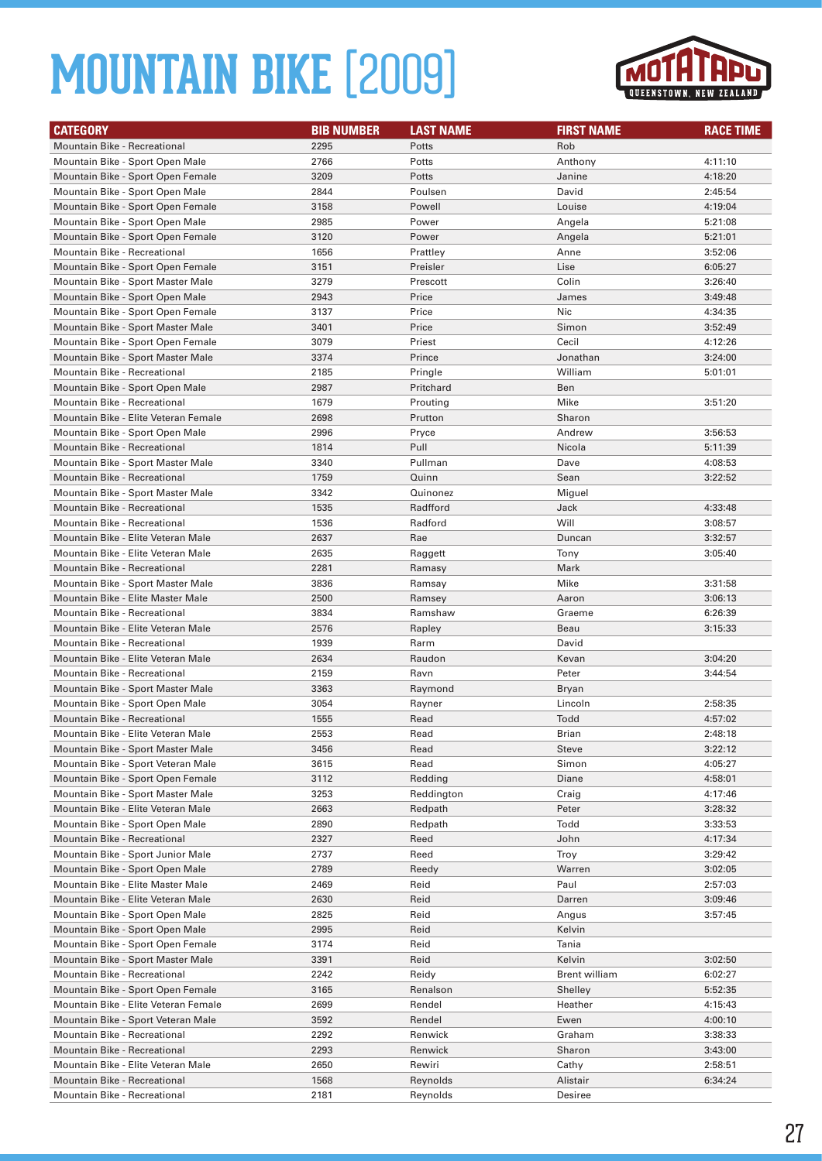

| <b>CATEGORY</b>                      | <b>BIB NUMBER</b> | <b>LAST NAME</b> | <b>FIRST NAME</b>    | <b>RACE TIME</b> |
|--------------------------------------|-------------------|------------------|----------------------|------------------|
| <b>Mountain Bike - Recreational</b>  | 2295              | Potts            | Rob                  |                  |
| Mountain Bike - Sport Open Male      | 2766              | Potts            | Anthony              | 4:11:10          |
| Mountain Bike - Sport Open Female    | 3209              | Potts            | Janine               | 4:18:20          |
| Mountain Bike - Sport Open Male      | 2844              | Poulsen          | David                | 2:45:54          |
| Mountain Bike - Sport Open Female    | 3158              | Powell           | Louise               | 4:19:04          |
| Mountain Bike - Sport Open Male      | 2985              | Power            | Angela               | 5:21:08          |
| Mountain Bike - Sport Open Female    | 3120              | Power            | Angela               | 5:21:01          |
| <b>Mountain Bike - Recreational</b>  | 1656              | Prattley         | Anne                 | 3:52:06          |
| Mountain Bike - Sport Open Female    | 3151              | Preisler         | Lise                 | 6:05:27          |
| Mountain Bike - Sport Master Male    | 3279              | Prescott         | Colin                | 3:26:40          |
| Mountain Bike - Sport Open Male      | 2943              | Price            | James                | 3:49:48          |
| Mountain Bike - Sport Open Female    | 3137              | Price            | Nic                  | 4:34:35          |
| Mountain Bike - Sport Master Male    | 3401              | Price            | Simon                | 3:52:49          |
| Mountain Bike - Sport Open Female    | 3079              | Priest           | Cecil                | 4:12:26          |
| Mountain Bike - Sport Master Male    | 3374              | Prince           | Jonathan             | 3:24:00          |
| <b>Mountain Bike - Recreational</b>  | 2185              | Pringle          | William              | 5:01:01          |
| Mountain Bike - Sport Open Male      | 2987              | Pritchard        | Ben                  |                  |
| <b>Mountain Bike - Recreational</b>  | 1679              | Prouting         | Mike                 | 3:51:20          |
| Mountain Bike - Elite Veteran Female | 2698              | Prutton          | Sharon               |                  |
| Mountain Bike - Sport Open Male      | 2996              | Pryce            | Andrew               | 3:56:53          |
| <b>Mountain Bike - Recreational</b>  | 1814              | Pull             | Nicola               | 5:11:39          |
| Mountain Bike - Sport Master Male    | 3340              | Pullman          | Dave                 | 4:08:53          |
| Mountain Bike - Recreational         | 1759              | Quinn            | Sean                 | 3:22:52          |
| Mountain Bike - Sport Master Male    | 3342              | Quinonez         | Miguel               |                  |
| <b>Mountain Bike - Recreational</b>  | 1535              | Radfford         | Jack                 | 4:33:48          |
| Mountain Bike - Recreational         | 1536              | Radford          | Will                 | 3:08:57          |
| Mountain Bike - Elite Veteran Male   | 2637              | Rae              | Duncan               | 3:32:57          |
| Mountain Bike - Elite Veteran Male   | 2635              | Raggett          | Tony                 | 3:05:40          |
| <b>Mountain Bike - Recreational</b>  | 2281              | Ramasy           | Mark                 |                  |
| Mountain Bike - Sport Master Male    | 3836              | Ramsay           | Mike                 | 3:31:58          |
| Mountain Bike - Elite Master Male    | 2500              | Ramsey           | Aaron                | 3:06:13          |
| <b>Mountain Bike - Recreational</b>  | 3834              | Ramshaw          | Graeme               | 6:26:39          |
| Mountain Bike - Elite Veteran Male   | 2576              | Rapley           | Beau                 | 3:15:33          |
| Mountain Bike - Recreational         | 1939              | Rarm             | David                |                  |
| Mountain Bike - Elite Veteran Male   | 2634              | Raudon           | Kevan                | 3:04:20          |
| Mountain Bike - Recreational         | 2159              | Ravn             | Peter                | 3:44:54          |
| Mountain Bike - Sport Master Male    | 3363              | Raymond          | Bryan                |                  |
| Mountain Bike - Sport Open Male      | 3054              | Rayner           | Lincoln              | 2:58:35          |
| <b>Mountain Bike - Recreational</b>  | 1555              | Read             | Todd                 | 4:57:02          |
| Mountain Bike - Elite Veteran Male   | 2553              | Read             | Brian                | 2:48:18          |
| Mountain Bike - Sport Master Male    | 3456              | Read             | Steve                | 3:22:12          |
| Mountain Bike - Sport Veteran Male   | 3615              | Read             | Simon                | 4:05:27          |
| Mountain Bike - Sport Open Female    | 3112              | Redding          | Diane                | 4:58:01          |
| Mountain Bike - Sport Master Male    | 3253              | Reddington       | Craig                | 4:17:46          |
| Mountain Bike - Elite Veteran Male   | 2663              | Redpath          | Peter                | 3:28:32          |
| Mountain Bike - Sport Open Male      | 2890              | Redpath          | Todd                 | 3:33:53          |
| Mountain Bike - Recreational         | 2327              | Reed             | John                 | 4:17:34          |
| Mountain Bike - Sport Junior Male    | 2737              | Reed             | Troy                 | 3:29:42          |
| Mountain Bike - Sport Open Male      | 2789              | Reedy            | Warren               | 3:02:05          |
| Mountain Bike - Elite Master Male    | 2469              | Reid             | Paul                 | 2:57:03          |
| Mountain Bike - Elite Veteran Male   | 2630              | Reid             | Darren               | 3:09:46          |
| Mountain Bike - Sport Open Male      | 2825              | Reid             | Angus                | 3:57:45          |
| Mountain Bike - Sport Open Male      | 2995              | Reid             | Kelvin               |                  |
| Mountain Bike - Sport Open Female    | 3174              | Reid             | Tania                |                  |
| Mountain Bike - Sport Master Male    | 3391              | Reid             | Kelvin               | 3:02:50          |
| Mountain Bike - Recreational         | 2242              | Reidy            | <b>Brent william</b> | 6:02:27          |
| Mountain Bike - Sport Open Female    | 3165              | Renalson         | Shelley              | 5:52:35          |
| Mountain Bike - Elite Veteran Female | 2699              | Rendel           | Heather              | 4:15:43          |
| Mountain Bike - Sport Veteran Male   | 3592              | Rendel           | Ewen                 | 4:00:10          |
| Mountain Bike - Recreational         | 2292              | Renwick          | Graham               | 3:38:33          |
| Mountain Bike - Recreational         | 2293              | Renwick          | Sharon               | 3:43:00          |
| Mountain Bike - Elite Veteran Male   | 2650              | Rewiri           | Cathy                | 2:58:51          |
| Mountain Bike - Recreational         | 1568              | Reynolds         | Alistair             | 6:34:24          |
| Mountain Bike - Recreational         | 2181              | Reynolds         | Desiree              |                  |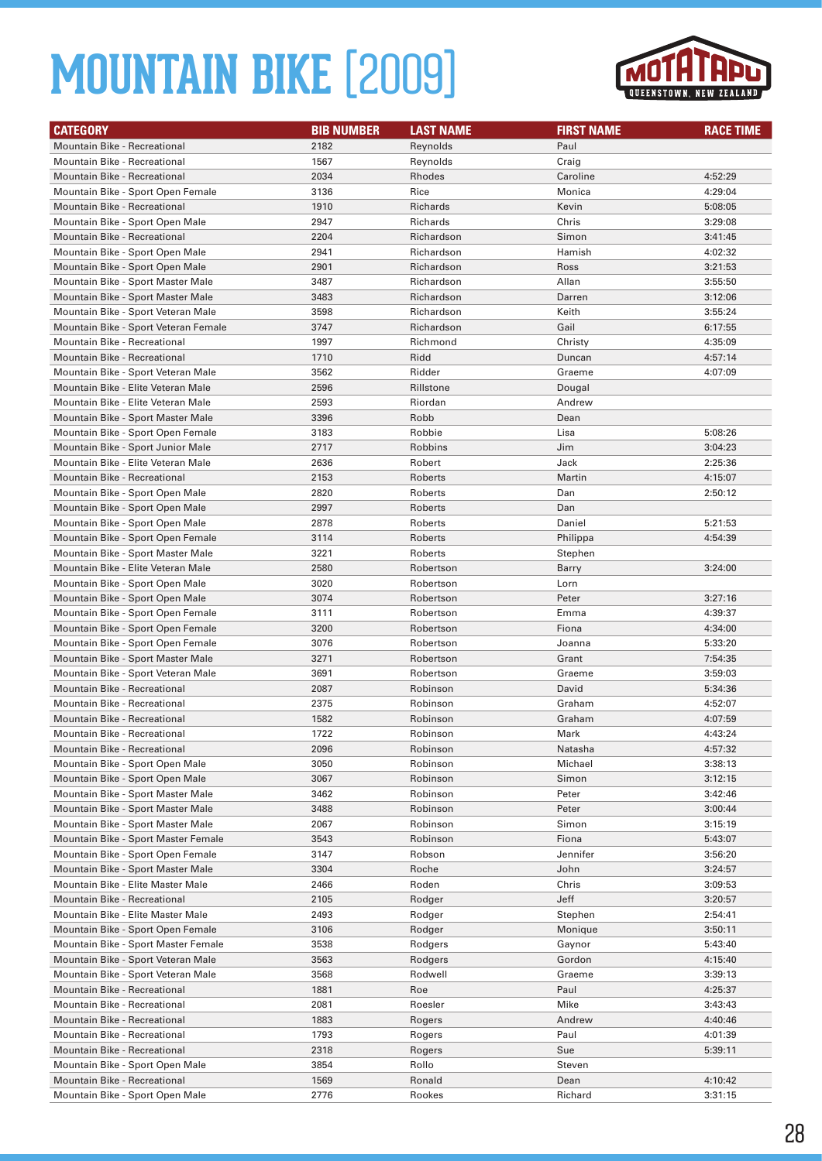

| <b>CATEGORY</b>                      | <b>BIB NUMBER</b> | <b>LAST NAME</b> | <b>FIRST NAME</b> | <b>RACE TIME</b> |
|--------------------------------------|-------------------|------------------|-------------------|------------------|
| Mountain Bike - Recreational         | 2182              | Reynolds         | Paul              |                  |
| Mountain Bike - Recreational         | 1567              | Reynolds         | Craig             |                  |
| Mountain Bike - Recreational         | 2034              | Rhodes           | Caroline          | 4:52:29          |
| Mountain Bike - Sport Open Female    | 3136              | Rice             | Monica            | 4:29:04          |
| Mountain Bike - Recreational         | 1910              | <b>Richards</b>  | Kevin             | 5:08:05          |
| Mountain Bike - Sport Open Male      | 2947              | Richards         | Chris             | 3:29:08          |
| <b>Mountain Bike - Recreational</b>  | 2204              | Richardson       | Simon             | 3:41:45          |
| Mountain Bike - Sport Open Male      | 2941              | Richardson       | Hamish            | 4:02:32          |
| Mountain Bike - Sport Open Male      | 2901              | Richardson       | Ross              | 3:21:53          |
| Mountain Bike - Sport Master Male    | 3487              | Richardson       | Allan             | 3:55:50          |
| Mountain Bike - Sport Master Male    | 3483              | Richardson       | Darren            | 3:12:06          |
| Mountain Bike - Sport Veteran Male   | 3598              | Richardson       | Keith             | 3:55:24          |
| Mountain Bike - Sport Veteran Female | 3747              | Richardson       | Gail              | 6:17:55          |
| Mountain Bike - Recreational         | 1997              | Richmond         | Christy           | 4:35:09          |
| Mountain Bike - Recreational         | 1710              | Ridd             | Duncan            | 4:57:14          |
| Mountain Bike - Sport Veteran Male   | 3562              | Ridder           | Graeme            | 4:07:09          |
| Mountain Bike - Elite Veteran Male   | 2596              | Rillstone        | Dougal            |                  |
| Mountain Bike - Elite Veteran Male   | 2593              | Riordan          | Andrew            |                  |
| Mountain Bike - Sport Master Male    | 3396              | Robb             | Dean              |                  |
| Mountain Bike - Sport Open Female    | 3183              | Robbie           | Lisa              | 5:08:26          |
| Mountain Bike - Sport Junior Male    | 2717              | Robbins          | Jim               | 3:04:23          |
| Mountain Bike - Elite Veteran Male   | 2636              | Robert           | Jack              | 2:25:36          |
| Mountain Bike - Recreational         | 2153              | Roberts          | Martin            | 4:15:07          |
| Mountain Bike - Sport Open Male      | 2820              | Roberts          | Dan               | 2:50:12          |
| Mountain Bike - Sport Open Male      | 2997              | Roberts          | Dan               |                  |
| Mountain Bike - Sport Open Male      | 2878              | Roberts          | Daniel            | 5:21:53          |
| Mountain Bike - Sport Open Female    | 3114              | Roberts          | Philippa          | 4:54:39          |
| Mountain Bike - Sport Master Male    | 3221              | Roberts          | Stephen           |                  |
| Mountain Bike - Elite Veteran Male   | 2580              | Robertson        | Barry             | 3:24:00          |
| Mountain Bike - Sport Open Male      | 3020              | Robertson        | Lorn              |                  |
| Mountain Bike - Sport Open Male      | 3074              | Robertson        | Peter             | 3:27:16          |
| Mountain Bike - Sport Open Female    | 3111              | Robertson        | Emma              | 4:39:37          |
| Mountain Bike - Sport Open Female    | 3200              | Robertson        | Fiona             | 4:34:00          |
| Mountain Bike - Sport Open Female    | 3076              | Robertson        | Joanna            | 5:33:20          |
| Mountain Bike - Sport Master Male    | 3271              | Robertson        | Grant             | 7:54:35          |
| Mountain Bike - Sport Veteran Male   | 3691              | Robertson        | Graeme            | 3:59:03          |
| <b>Mountain Bike - Recreational</b>  | 2087              | Robinson         | David             | 5:34:36          |
| Mountain Bike - Recreational         | 2375              | Robinson         | Graham            | 4:52:07          |
| <b>Mountain Bike - Recreational</b>  | 1582              | Robinson         | Graham            | 4:07:59          |
| Mountain Bike - Recreational         | 1722              | Robinson         | Mark              | 4:43:24          |
| Mountain Bike - Recreational         | 2096              | Robinson         | Natasha           | 4:57:32          |
| Mountain Bike - Sport Open Male      | 3050              | Robinson         | Michael           | 3:38:13          |
| Mountain Bike - Sport Open Male      | 3067              | Robinson         | Simon             | 3:12:15          |
| Mountain Bike - Sport Master Male    | 3462              | Robinson         | Peter             | 3:42:46          |
| Mountain Bike - Sport Master Male    | 3488              | Robinson         | Peter             | 3:00:44          |
| Mountain Bike - Sport Master Male    | 2067              | Robinson         | Simon             | 3:15:19          |
| Mountain Bike - Sport Master Female  | 3543              | Robinson         | Fiona             | 5:43:07          |
| Mountain Bike - Sport Open Female    | 3147              | Robson           | Jennifer          | 3:56:20          |
| Mountain Bike - Sport Master Male    | 3304              | Roche            | John              | 3:24:57          |
| Mountain Bike - Elite Master Male    | 2466              | Roden            | Chris             | 3:09:53          |
| Mountain Bike - Recreational         | 2105              | Rodger           | Jeff              | 3:20:57          |
| Mountain Bike - Elite Master Male    | 2493              | Rodger           | Stephen           | 2:54:41          |
| Mountain Bike - Sport Open Female    | 3106              | Rodger           | Monique           | 3:50:11          |
| Mountain Bike - Sport Master Female  | 3538              | Rodgers          | Gaynor            | 5:43:40          |
| Mountain Bike - Sport Veteran Male   | 3563              | Rodgers          | Gordon            | 4:15:40          |
| Mountain Bike - Sport Veteran Male   | 3568              | Rodwell          | Graeme            | 3:39:13          |
| Mountain Bike - Recreational         | 1881              | Roe              | Paul              | 4:25:37          |
| Mountain Bike - Recreational         | 2081              | Roesler          | Mike              | 3:43:43          |
| Mountain Bike - Recreational         | 1883              | Rogers           | Andrew            | 4:40:46          |
| Mountain Bike - Recreational         | 1793              | Rogers           | Paul              | 4:01:39          |
| Mountain Bike - Recreational         | 2318              | Rogers           | Sue               | 5:39:11          |
| Mountain Bike - Sport Open Male      | 3854              | Rollo            | Steven            |                  |
| Mountain Bike - Recreational         | 1569              | Ronald           | Dean              | 4:10:42          |
| Mountain Bike - Sport Open Male      | 2776              | Rookes           | Richard           | 3:31:15          |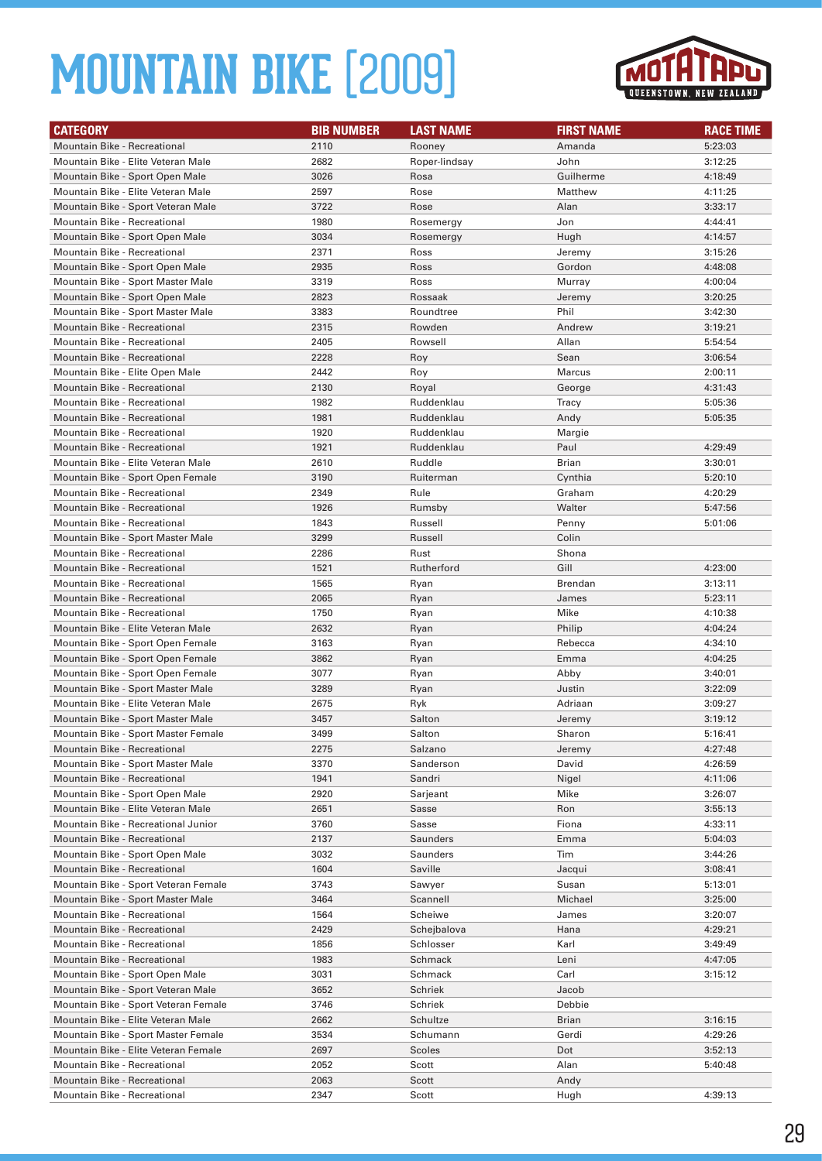

| <b>CATEGORY</b>                                                         | <b>BIB NUMBER</b> | <b>LAST NAME</b>       | <b>FIRST NAME</b> | <b>RACE TIME</b>   |
|-------------------------------------------------------------------------|-------------------|------------------------|-------------------|--------------------|
| Mountain Bike - Recreational                                            | 2110              | Rooney                 | Amanda            | 5:23:03            |
| Mountain Bike - Elite Veteran Male                                      | 2682              | Roper-lindsay          | John              | 3:12:25            |
| Mountain Bike - Sport Open Male                                         | 3026              | Rosa                   | Guilherme         | 4:18:49            |
| Mountain Bike - Elite Veteran Male                                      | 2597              | Rose                   | Matthew           | 4:11:25            |
| Mountain Bike - Sport Veteran Male                                      | 3722              | Rose                   | Alan              | 3:33:17            |
| Mountain Bike - Recreational                                            | 1980              | Rosemergy              | Jon               | 4:44:41            |
| Mountain Bike - Sport Open Male                                         | 3034              | Rosemergy              | Hugh              | 4:14:57            |
| Mountain Bike - Recreational                                            | 2371              | Ross                   | Jeremy            | 3:15:26            |
| Mountain Bike - Sport Open Male                                         | 2935              | Ross                   | Gordon            | 4:48:08            |
| Mountain Bike - Sport Master Male                                       | 3319              | Ross                   | Murray            | 4:00:04            |
| Mountain Bike - Sport Open Male                                         | 2823              | Rossaak                | Jeremy            | 3:20:25            |
| Mountain Bike - Sport Master Male                                       | 3383              | Roundtree              | Phil              | 3:42:30            |
| <b>Mountain Bike - Recreational</b>                                     | 2315              | Rowden                 | Andrew            | 3:19:21            |
| Mountain Bike - Recreational                                            | 2405              | Rowsell                | Allan             | 5:54:54            |
| Mountain Bike - Recreational                                            | 2228              | Roy                    | Sean              | 3:06:54            |
| Mountain Bike - Elite Open Male                                         | 2442              | Roy                    | Marcus            | 2:00:11            |
| Mountain Bike - Recreational                                            | 2130              | Royal                  | George            | 4:31:43            |
| Mountain Bike - Recreational                                            | 1982              | Ruddenklau             | Tracy             | 5:05:36            |
| <b>Mountain Bike - Recreational</b>                                     | 1981              | Ruddenklau             | Andy              | 5:05:35            |
| <b>Mountain Bike - Recreational</b>                                     | 1920              | Ruddenklau             | Margie            |                    |
| <b>Mountain Bike - Recreational</b>                                     | 1921              | Ruddenklau             | Paul              | 4:29:49            |
| Mountain Bike - Elite Veteran Male                                      | 2610              | Ruddle                 | Brian             | 3:30:01            |
| Mountain Bike - Sport Open Female                                       | 3190              | Ruiterman              | Cynthia           | 5:20:10            |
| Mountain Bike - Recreational                                            | 2349              | Rule                   | Graham            | 4:20:29            |
| <b>Mountain Bike - Recreational</b>                                     | 1926              | Rumsby                 | Walter            | 5:47:56            |
| Mountain Bike - Recreational                                            | 1843              |                        |                   |                    |
| Mountain Bike - Sport Master Male                                       | 3299              | Russell<br>Russell     | Penny<br>Colin    | 5:01:06            |
| Mountain Bike - Recreational                                            | 2286              | Rust                   | Shona             |                    |
| <b>Mountain Bike - Recreational</b>                                     | 1521              | Rutherford             | Gill              | 4:23:00            |
| Mountain Bike - Recreational                                            | 1565              |                        | <b>Brendan</b>    | 3:13:11            |
| <b>Mountain Bike - Recreational</b>                                     | 2065              | Ryan                   | James             | 5:23:11            |
| Mountain Bike - Recreational                                            | 1750              | Ryan                   | Mike              | 4:10:38            |
| Mountain Bike - Elite Veteran Male                                      | 2632              | Ryan                   | Philip            | 4:04:24            |
|                                                                         |                   | Ryan                   |                   |                    |
| Mountain Bike - Sport Open Female                                       | 3163<br>3862      | Ryan                   | Rebecca           | 4:34:10            |
| Mountain Bike - Sport Open Female                                       | 3077              | Ryan                   | Emma              | 4:04:25            |
| Mountain Bike - Sport Open Female                                       | 3289              | Ryan                   | Abby<br>Justin    | 3:40:01<br>3:22:09 |
| Mountain Bike - Sport Master Male<br>Mountain Bike - Elite Veteran Male | 2675              | Ryan<br>Ryk            | Adriaan           | 3:09:27            |
| Mountain Bike - Sport Master Male                                       | 3457              | Salton                 | Jeremy            | 3:19:12            |
| Mountain Bike - Sport Master Female                                     | 3499              | Salton                 | Sharon            | 5:16:41            |
| Mountain Bike - Recreational                                            | 2275              |                        |                   | 4:27:48            |
| Mountain Bike - Sport Master Male                                       | 3370              | Salzano<br>Sanderson   | Jeremy<br>David   | 4:26:59            |
| Mountain Bike - Recreational                                            | 1941              | Sandri                 | Nigel             | 4:11:06            |
| Mountain Bike - Sport Open Male                                         | 2920              | Sarjeant               | Mike              | 3:26:07            |
| Mountain Bike - Elite Veteran Male                                      | 2651              | Sasse                  | Ron               | 3:55:13            |
|                                                                         |                   |                        |                   | 4:33:11            |
| Mountain Bike - Recreational Junior<br>Mountain Bike - Recreational     | 3760<br>2137      | Sasse<br>Saunders      | Fiona<br>Emma     | 5:04:03            |
| Mountain Bike - Sport Open Male                                         | 3032              | Saunders               | Tim               | 3:44:26            |
| Mountain Bike - Recreational                                            | 1604              | Saville                | Jacqui            | 3:08:41            |
| Mountain Bike - Sport Veteran Female                                    | 3743              | Sawyer                 | Susan             | 5:13:01            |
| Mountain Bike - Sport Master Male                                       | 3464              | Scannell               | Michael           | 3:25:00            |
|                                                                         |                   |                        |                   |                    |
| Mountain Bike - Recreational<br>Mountain Bike - Recreational            | 1564<br>2429      | Scheiwe<br>Schejbalova | James<br>Hana     | 3:20:07<br>4:29:21 |
|                                                                         |                   |                        |                   | 3:49:49            |
| Mountain Bike - Recreational<br>Mountain Bike - Recreational            | 1856<br>1983      | Schlosser<br>Schmack   | Karl<br>Leni      | 4:47:05            |
| Mountain Bike - Sport Open Male                                         | 3031              | Schmack                | Carl              | 3:15:12            |
| Mountain Bike - Sport Veteran Male                                      |                   |                        |                   |                    |
|                                                                         | 3652              | Schriek                | Jacob             |                    |
| Mountain Bike - Sport Veteran Female                                    | 3746              | Schriek                | Debbie            |                    |
| Mountain Bike - Elite Veteran Male                                      | 2662              | Schultze               | <b>Brian</b>      | 3:16:15            |
| Mountain Bike - Sport Master Female                                     | 3534              | Schumann               | Gerdi             | 4:29:26            |
| Mountain Bike - Elite Veteran Female                                    | 2697              | Scoles                 | Dot               | 3:52:13            |
| Mountain Bike - Recreational<br>Mountain Bike - Recreational            | 2052              | Scott<br>Scott         | Alan<br>Andy      | 5:40:48            |
| Mountain Bike - Recreational                                            | 2063<br>2347      | Scott                  | Hugh              | 4:39:13            |
|                                                                         |                   |                        |                   |                    |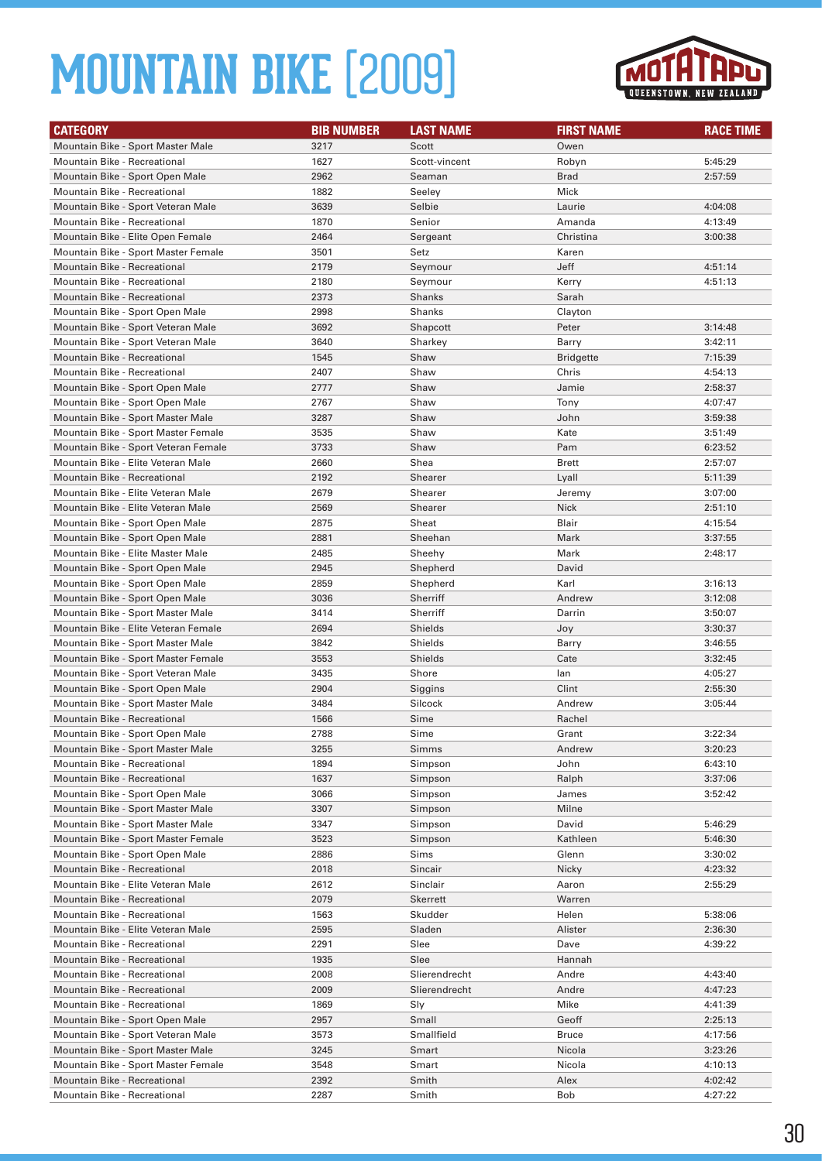

| <b>CATEGORY</b>                      | <b>BIB NUMBER</b> | <b>LAST NAME</b> | <b>FIRST NAME</b> | <b>RACE TIME</b> |
|--------------------------------------|-------------------|------------------|-------------------|------------------|
| Mountain Bike - Sport Master Male    | 3217              | Scott            | Owen              |                  |
| Mountain Bike - Recreational         | 1627              | Scott-vincent    | Robyn             | 5:45:29          |
| Mountain Bike - Sport Open Male      | 2962              | Seaman           | <b>Brad</b>       | 2:57:59          |
| Mountain Bike - Recreational         | 1882              | Seeley           | Mick              |                  |
| Mountain Bike - Sport Veteran Male   | 3639              | Selbie           | Laurie            | 4:04:08          |
| Mountain Bike - Recreational         | 1870              | Senior           | Amanda            | 4:13:49          |
| Mountain Bike - Elite Open Female    | 2464              | Sergeant         | Christina         | 3:00:38          |
| Mountain Bike - Sport Master Female  | 3501              | Setz             | Karen             |                  |
| Mountain Bike - Recreational         | 2179              | Seymour          | Jeff              | 4:51:14          |
| Mountain Bike - Recreational         | 2180              | Seymour          | Kerry             | 4:51:13          |
| <b>Mountain Bike - Recreational</b>  | 2373              | Shanks           | Sarah             |                  |
| Mountain Bike - Sport Open Male      | 2998              | Shanks           | Clayton           |                  |
| Mountain Bike - Sport Veteran Male   | 3692              | Shapcott         | Peter             | 3:14:48          |
| Mountain Bike - Sport Veteran Male   | 3640              | Sharkey          | Barry             | 3:42:11          |
| Mountain Bike - Recreational         | 1545              | Shaw             | <b>Bridgette</b>  | 7:15:39          |
| Mountain Bike - Recreational         | 2407              | Shaw             | Chris             | 4:54:13          |
| Mountain Bike - Sport Open Male      | 2777              | Shaw             | Jamie             | 2:58:37          |
| Mountain Bike - Sport Open Male      | 2767              | Shaw             | Tony              | 4:07:47          |
| Mountain Bike - Sport Master Male    | 3287              | Shaw             | John              | 3:59:38          |
| Mountain Bike - Sport Master Female  | 3535              | Shaw             | Kate              | 3:51:49          |
| Mountain Bike - Sport Veteran Female | 3733              | Shaw             | Pam               | 6:23:52          |
| Mountain Bike - Elite Veteran Male   | 2660              | Shea             | <b>Brett</b>      | 2:57:07          |
| Mountain Bike - Recreational         | 2192              | <b>Shearer</b>   | Lyall             | 5:11:39          |
| Mountain Bike - Elite Veteran Male   | 2679              | Shearer          | Jeremy            | 3:07:00          |
| Mountain Bike - Elite Veteran Male   | 2569              | Shearer          | <b>Nick</b>       | 2:51:10          |
| Mountain Bike - Sport Open Male      | 2875              | Sheat            | Blair             | 4:15:54          |
| Mountain Bike - Sport Open Male      | 2881              | Sheehan          | Mark              | 3:37:55          |
| Mountain Bike - Elite Master Male    | 2485              | Sheehy           | Mark              | 2:48:17          |
| Mountain Bike - Sport Open Male      | 2945              | Shepherd         | David             |                  |
| Mountain Bike - Sport Open Male      | 2859              | Shepherd         | Karl              | 3:16:13          |
| Mountain Bike - Sport Open Male      | 3036              | Sherriff         | Andrew            | 3:12:08          |
| Mountain Bike - Sport Master Male    | 3414              | Sherriff         | Darrin            | 3:50:07          |
| Mountain Bike - Elite Veteran Female | 2694              | <b>Shields</b>   | Joy               | 3:30:37          |
| Mountain Bike - Sport Master Male    | 3842              | Shields          | Barry             | 3:46:55          |
| Mountain Bike - Sport Master Female  | 3553              | <b>Shields</b>   | Cate              | 3:32:45          |
| Mountain Bike - Sport Veteran Male   | 3435              | Shore            | lan               | 4:05:27          |
| Mountain Bike - Sport Open Male      | 2904              | Siggins          | Clint             | 2:55:30          |
| Mountain Bike - Sport Master Male    | 3484              | Silcock          | Andrew            | 3:05:44          |
| <b>Mountain Bike - Recreational</b>  | 1566              | Sime             | Rachel            |                  |
| Mountain Bike - Sport Open Male      | 2788              | Sime             | Grant             | 3:22:34          |
| Mountain Bike - Sport Master Male    | 3255              | Simms            | Andrew            | 3:20:23          |
| Mountain Bike - Recreational         | 1894              | Simpson          | John              | 6:43:10          |
| Mountain Bike - Recreational         | 1637              | Simpson          | Ralph             | 3:37:06          |
| Mountain Bike - Sport Open Male      | 3066              | Simpson          | James             | 3:52:42          |
| Mountain Bike - Sport Master Male    | 3307              | Simpson          | Milne             |                  |
| Mountain Bike - Sport Master Male    | 3347              | Simpson          | David             | 5:46:29          |
| Mountain Bike - Sport Master Female  | 3523              | Simpson          | Kathleen          | 5:46:30          |
| Mountain Bike - Sport Open Male      | 2886              | Sims             | Glenn             | 3:30:02          |
| Mountain Bike - Recreational         | 2018              | Sincair          | Nicky             | 4:23:32          |
| Mountain Bike - Elite Veteran Male   | 2612              | Sinclair         | Aaron             | 2:55:29          |
| Mountain Bike - Recreational         | 2079              | <b>Skerrett</b>  | Warren            |                  |
| Mountain Bike - Recreational         | 1563              | Skudder          | Helen             | 5:38:06          |
| Mountain Bike - Elite Veteran Male   | 2595              | Sladen           | Alister           | 2:36:30          |
| Mountain Bike - Recreational         | 2291              | Slee             | Dave              | 4:39:22          |
| Mountain Bike - Recreational         | 1935              | Slee             | Hannah            |                  |
| Mountain Bike - Recreational         | 2008              | Slierendrecht    | Andre             | 4:43:40          |
| Mountain Bike - Recreational         | 2009              | Slierendrecht    | Andre             | 4:47:23          |
| Mountain Bike - Recreational         | 1869              | Sly              | Mike              | 4:41:39          |
| Mountain Bike - Sport Open Male      | 2957              | Small            | Geoff             | 2:25:13          |
| Mountain Bike - Sport Veteran Male   | 3573              | Smallfield       | <b>Bruce</b>      | 4:17:56          |
| Mountain Bike - Sport Master Male    | 3245              | Smart            | Nicola            | 3:23:26          |
| Mountain Bike - Sport Master Female  | 3548              | Smart            | Nicola            | 4:10:13          |
| Mountain Bike - Recreational         | 2392              | Smith            | Alex              | 4:02:42          |
| Mountain Bike - Recreational         | 2287              | Smith            | Bob               | 4:27:22          |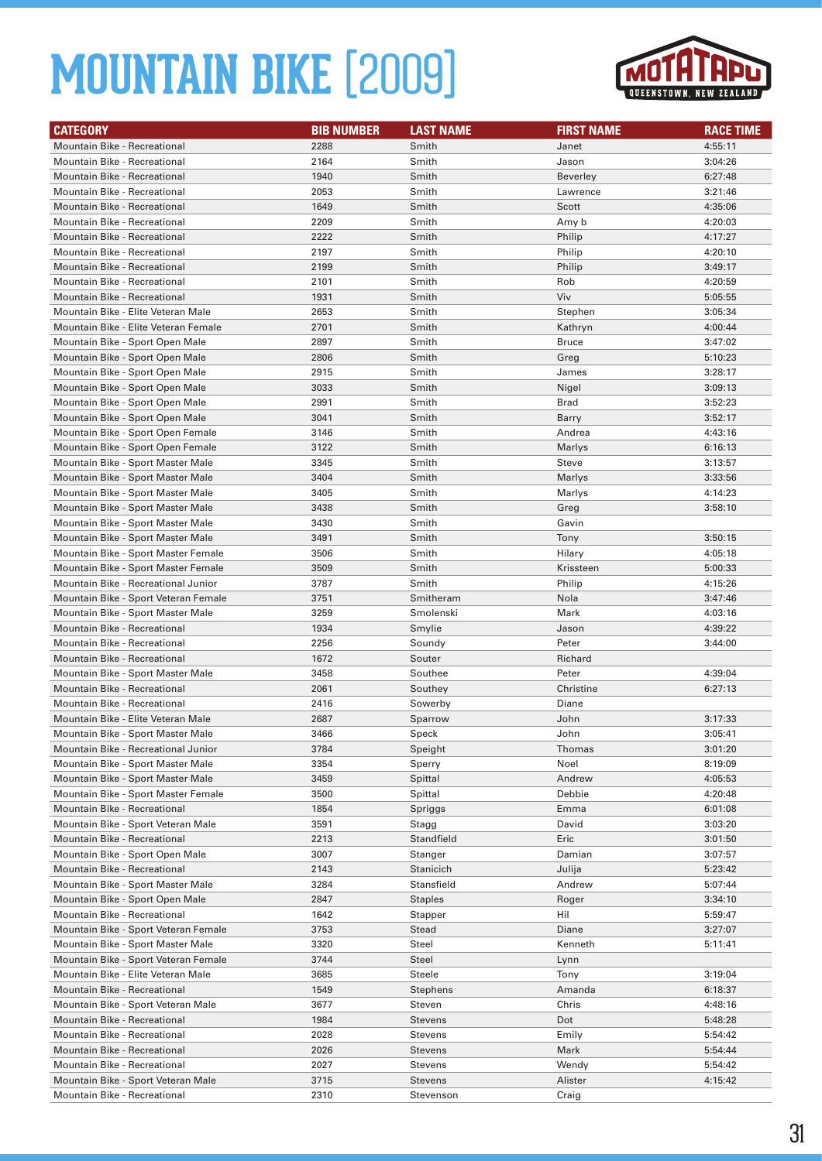

| <b>CATEGORY</b>                      | <b>BIB NUMBER</b> | <b>LAST NAME</b> | <b>FIRST NAME</b> | <b>RACE TIME</b> |
|--------------------------------------|-------------------|------------------|-------------------|------------------|
| Mountain Bike - Recreational         | 2288              | Smith            | Janet             | 4:55:11          |
| Mountain Bike - Recreational         | 2164              | Smith            | Jason             | 3:04:26          |
| <b>Mountain Bike - Recreational</b>  | 1940              | Smith            | <b>Beverley</b>   | 6:27:48          |
| <b>Mountain Bike - Recreational</b>  | 2053              | Smith            | Lawrence          | 3:21:46          |
| <b>Mountain Bike - Recreational</b>  | 1649              | Smith            | Scott             | 4:35:06          |
| Mountain Bike - Recreational         | 2209              | Smith            | Amy b             | 4:20:03          |
| <b>Mountain Bike - Recreational</b>  | 2222              | Smith            | Philip            | 4:17:27          |
| Mountain Bike - Recreational         | 2197              | Smith            | Philip            | 4:20:10          |
| <b>Mountain Bike - Recreational</b>  | 2199              | Smith            | Philip            | 3:49:17          |
| Mountain Bike - Recreational         | 2101              | Smith            | Rob               | 4:20:59          |
| <b>Mountain Bike - Recreational</b>  | 1931              | Smith            | Viv               | 5:05:55          |
| Mountain Bike - Elite Veteran Male   | 2653              | Smith            | Stephen           | 3:05:34          |
| Mountain Bike - Elite Veteran Female | 2701              | Smith            | Kathryn           | 4:00:44          |
| Mountain Bike - Sport Open Male      | 2897              | Smith            | <b>Bruce</b>      | 3:47:02          |
| Mountain Bike - Sport Open Male      | 2806              | Smith            | Greg              | 5:10:23          |
| Mountain Bike - Sport Open Male      | 2915              | Smith            | James             | 3:28:17          |
| Mountain Bike - Sport Open Male      | 3033              | Smith            | Nigel             | 3:09:13          |
| Mountain Bike - Sport Open Male      | 2991              | Smith            | <b>Brad</b>       | 3:52:23          |
| Mountain Bike - Sport Open Male      | 3041              | Smith            | <b>Barry</b>      | 3:52:17          |
| Mountain Bike - Sport Open Female    | 3146              | Smith            | Andrea            | 4:43:16          |
| Mountain Bike - Sport Open Female    | 3122              | Smith            | Marlys            | 6:16:13          |
| Mountain Bike - Sport Master Male    | 3345              | Smith            | Steve             | 3:13:57          |
| Mountain Bike - Sport Master Male    | 3404              | Smith            | Marlys            | 3:33:56          |
| Mountain Bike - Sport Master Male    | 3405              | Smith            | Marlys            | 4:14:23          |
| Mountain Bike - Sport Master Male    | 3438              | Smith            | Greg              | 3:58:10          |
| Mountain Bike - Sport Master Male    | 3430              | Smith            | Gavin             |                  |
| Mountain Bike - Sport Master Male    | 3491              | Smith            | Tony              | 3:50:15          |
| Mountain Bike - Sport Master Female  | 3506              | Smith            | Hilary            | 4:05:18          |
| Mountain Bike - Sport Master Female  | 3509              | Smith            | Krissteen         | 5:00:33          |
| Mountain Bike - Recreational Junior  | 3787              | Smith            | Philip            | 4:15:26          |
| Mountain Bike - Sport Veteran Female | 3751              | Smitheram        | Nola              | 3:47:46          |
| Mountain Bike - Sport Master Male    | 3259              | Smolenski        | Mark              | 4:03:16          |
| <b>Mountain Bike - Recreational</b>  | 1934              | Smylie           | Jason             | 4:39:22          |
| Mountain Bike - Recreational         | 2256              | Soundy           | Peter             | 3:44:00          |
| <b>Mountain Bike - Recreational</b>  | 1672              | Souter           | Richard           |                  |
| Mountain Bike - Sport Master Male    | 3458              | Southee          | Peter             | 4:39:04          |
| <b>Mountain Bike - Recreational</b>  | 2061              | Southey          | Christine         | 6:27:13          |
| Mountain Bike - Recreational         | 2416              | Sowerby          | Diane             |                  |
| Mountain Bike - Elite Veteran Male   | 2687              | Sparrow          | John              | 3:17:33          |
| Mountain Bike - Sport Master Male    | 3466              | Speck            | John              | 3:05:41          |
| Mountain Bike - Recreational Junior  | 3784              | Speight          | Thomas            | 3:01:20          |
| Mountain Bike - Sport Master Male    | 3354              | Sperry           | Noel              | 8:19:09          |
| Mountain Bike - Sport Master Male    | 3459              | Spittal          | Andrew            | 4:05:53          |
| Mountain Bike - Sport Master Female  | 3500              | Spittal          | Debbie            | 4:20:48          |
| Mountain Bike - Recreational         | 1854              | Spriggs          | Emma              | 6:01:08          |
| Mountain Bike - Sport Veteran Male   | 3591              | Stagg            | David             | 3:03:20          |
| <b>Mountain Bike - Recreational</b>  | 2213              | Standfield       | Eric              | 3:01:50          |
| Mountain Bike - Sport Open Male      | 3007              | Stanger          | Damian            | 3:07:57          |
| Mountain Bike - Recreational         | 2143              | Stanicich        | Julija            | 5:23:42          |
| Mountain Bike - Sport Master Male    | 3284              | Stansfield       | Andrew            | 5:07:44          |
| Mountain Bike - Sport Open Male      | 2847              | <b>Staples</b>   | Roger             | 3:34:10          |
| Mountain Bike - Recreational         | 1642              | Stapper          | Hil               | 5:59:47          |
| Mountain Bike - Sport Veteran Female | 3753              | Stead            | Diane             | 3:27:07          |
| Mountain Bike - Sport Master Male    | 3320              | Steel            | Kenneth           | 5:11:41          |
| Mountain Bike - Sport Veteran Female | 3744              | Steel            | Lynn              |                  |
| Mountain Bike - Elite Veteran Male   | 3685              | Steele           | Tony              | 3:19:04          |
| Mountain Bike - Recreational         | 1549              | Stephens         | Amanda            | 6:18:37          |
| Mountain Bike - Sport Veteran Male   | 3677              | Steven           | Chris             | 4:48:16          |
| Mountain Bike - Recreational         | 1984              | Stevens          | Dot               | 5:48:28          |
| Mountain Bike - Recreational         | 2028              | Stevens          | Emily             | 5:54:42          |
| Mountain Bike - Recreational         | 2026              | <b>Stevens</b>   | Mark              | 5:54:44          |
| Mountain Bike - Recreational         | 2027              | Stevens          | Wendy             | 5:54:42          |
| Mountain Bike - Sport Veteran Male   | 3715              | Stevens          | Alister           | 4:15:42          |
| Mountain Bike - Recreational         | 2310              | Stevenson        | Craig             |                  |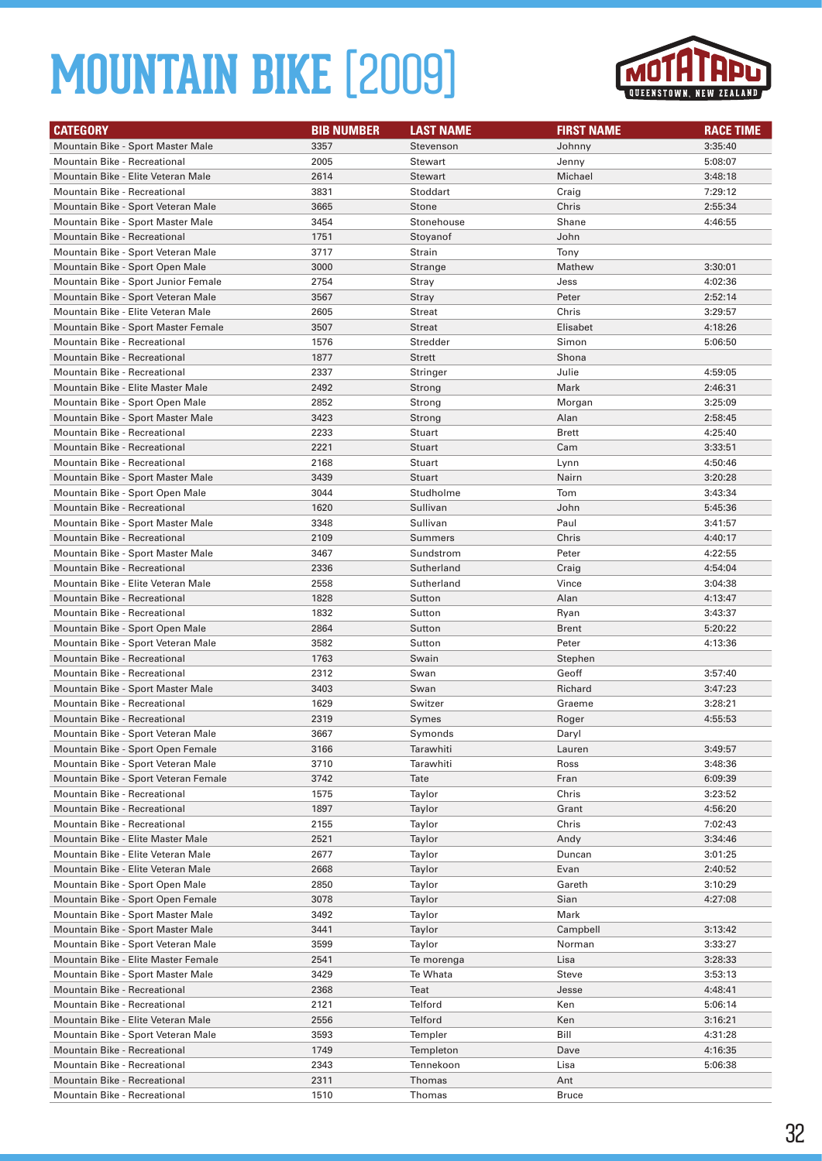

| <b>CATEGORY</b>                                                    | <b>BIB NUMBER</b> | <b>LAST NAME</b>       | <b>FIRST NAME</b> | <b>RACE TIME</b>   |
|--------------------------------------------------------------------|-------------------|------------------------|-------------------|--------------------|
| Mountain Bike - Sport Master Male                                  | 3357              | Stevenson              | Johnny            | 3:35:40            |
| Mountain Bike - Recreational                                       | 2005              | Stewart                | Jenny             | 5:08:07            |
| Mountain Bike - Elite Veteran Male                                 | 2614              | <b>Stewart</b>         | Michael           | 3:48:18            |
| Mountain Bike - Recreational                                       | 3831              | Stoddart               | Craig             | 7:29:12            |
| Mountain Bike - Sport Veteran Male                                 | 3665              | Stone                  | Chris             | 2:55:34            |
| Mountain Bike - Sport Master Male                                  | 3454              | Stonehouse             | Shane             | 4:46:55            |
| <b>Mountain Bike - Recreational</b>                                | 1751              | Stoyanof               | John              |                    |
| Mountain Bike - Sport Veteran Male                                 | 3717              | Strain                 | Tony              |                    |
| Mountain Bike - Sport Open Male                                    | 3000              | Strange                | Mathew            | 3:30:01            |
| Mountain Bike - Sport Junior Female                                | 2754              | Stray                  | Jess              | 4:02:36            |
| Mountain Bike - Sport Veteran Male                                 | 3567              | <b>Stray</b>           | Peter             | 2:52:14            |
| Mountain Bike - Elite Veteran Male                                 | 2605              | <b>Streat</b>          | Chris             | 3:29:57            |
| Mountain Bike - Sport Master Female                                | 3507              | <b>Streat</b>          | Elisabet          | 4:18:26            |
| Mountain Bike - Recreational                                       | 1576              | Stredder               | Simon             | 5:06:50            |
| <b>Mountain Bike - Recreational</b>                                | 1877              | <b>Strett</b>          | Shona             |                    |
| Mountain Bike - Recreational                                       | 2337              | Stringer               | Julie             | 4:59:05            |
| Mountain Bike - Elite Master Male                                  | 2492              | Strong                 | Mark              | 2:46:31            |
| Mountain Bike - Sport Open Male                                    | 2852              | Strong                 | Morgan            | 3:25:09            |
| Mountain Bike - Sport Master Male                                  | 3423              | Strong                 | Alan              | 2:58:45            |
| Mountain Bike - Recreational                                       | 2233              | Stuart                 | <b>Brett</b>      | 4:25:40            |
| <b>Mountain Bike - Recreational</b>                                | 2221              | Stuart                 | Cam               | 3:33:51            |
| Mountain Bike - Recreational                                       | 2168              | Stuart                 | Lynn              | 4:50:46            |
| Mountain Bike - Sport Master Male                                  | 3439              | Stuart                 | Nairn             | 3:20:28            |
| Mountain Bike - Sport Open Male                                    | 3044              | Studholme              | Tom               | 3:43:34            |
| Mountain Bike - Recreational                                       | 1620              | Sullivan               | John              | 5:45:36            |
| Mountain Bike - Sport Master Male                                  | 3348              | Sullivan               | Paul              | 3:41:57            |
| <b>Mountain Bike - Recreational</b>                                | 2109              | Summers                | Chris             | 4:40:17            |
| Mountain Bike - Sport Master Male                                  | 3467              | Sundstrom              | Peter             | 4:22:55            |
| <b>Mountain Bike - Recreational</b>                                | 2336              | Sutherland             | Craig             | 4:54:04            |
| Mountain Bike - Elite Veteran Male                                 | 2558              | Sutherland             | Vince             | 3:04:38            |
| <b>Mountain Bike - Recreational</b>                                | 1828              | Sutton                 | Alan              | 4:13:47            |
| Mountain Bike - Recreational                                       | 1832              | Sutton                 | Ryan              | 3:43:37            |
| Mountain Bike - Sport Open Male                                    | 2864              | Sutton                 | <b>Brent</b>      | 5:20:22            |
| Mountain Bike - Sport Veteran Male                                 | 3582              | Sutton                 | Peter             | 4:13:36            |
| <b>Mountain Bike - Recreational</b>                                | 1763              | Swain                  | Stephen           |                    |
| <b>Mountain Bike - Recreational</b>                                | 2312              | Swan                   | Geoff             | 3:57:40            |
| Mountain Bike - Sport Master Male                                  | 3403              | Swan                   | Richard           | 3:47:23            |
| Mountain Bike - Recreational                                       | 1629              | Switzer                | Graeme            | 3:28:21            |
| <b>Mountain Bike - Recreational</b>                                | 2319              | Symes                  | Roger             | 4:55:53            |
| Mountain Bike - Sport Veteran Male                                 | 3667              | Symonds                | Daryl             |                    |
| Mountain Bike - Sport Open Female                                  | 3166              | Tarawhiti              | Lauren            | 3:49:57            |
| Mountain Bike - Sport Veteran Male                                 | 3710              | Tarawhiti              | Ross              | 3:48:36            |
| Mountain Bike - Sport Veteran Female                               | 3742              | Tate                   | Fran              | 6:09:39            |
| Mountain Bike - Recreational                                       | 1575              | Taylor                 | Chris             | 3:23:52            |
| Mountain Bike - Recreational                                       | 1897              | Taylor                 | Grant             | 4:56:20            |
| Mountain Bike - Recreational                                       | 2155              | Taylor                 | Chris             | 7:02:43            |
| Mountain Bike - Elite Master Male                                  | 2521              | Taylor                 | Andy              | 3:34:46            |
| Mountain Bike - Elite Veteran Male                                 | 2677              | Taylor                 | Duncan            | 3:01:25            |
| Mountain Bike - Elite Veteran Male                                 | 2668              | Taylor                 | Evan              | 2:40:52            |
| Mountain Bike - Sport Open Male                                    | 2850              | Taylor                 | Gareth            | 3:10:29            |
| Mountain Bike - Sport Open Female                                  | 3078              | Taylor                 | Sian              | 4:27:08            |
| Mountain Bike - Sport Master Male                                  | 3492              | Taylor                 | Mark              |                    |
| Mountain Bike - Sport Master Male                                  | 3441              | Taylor                 | Campbell          | 3:13:42            |
| Mountain Bike - Sport Veteran Male                                 | 3599              | Taylor                 | Norman            | 3:33:27<br>3:28:33 |
| Mountain Bike - Elite Master Female                                | 2541              | Te morenga<br>Te Whata | Lisa<br>Steve     | 3:53:13            |
| Mountain Bike - Sport Master Male                                  | 3429              |                        |                   |                    |
| Mountain Bike - Recreational                                       | 2368              | Teat                   | Jesse             | 4:48:41            |
| Mountain Bike - Recreational                                       | 2121              | Telford                | Ken               | 5:06:14            |
| Mountain Bike - Elite Veteran Male                                 | 2556<br>3593      | Telford                | Ken<br>Bill       | 3:16:21            |
| Mountain Bike - Sport Veteran Male<br>Mountain Bike - Recreational | 1749              | Templer<br>Templeton   | Dave              | 4:31:28            |
| Mountain Bike - Recreational                                       | 2343              | Tennekoon              | Lisa              | 4:16:35<br>5:06:38 |
| Mountain Bike - Recreational                                       | 2311              | Thomas                 | Ant               |                    |
| Mountain Bike - Recreational                                       | 1510              | Thomas                 | <b>Bruce</b>      |                    |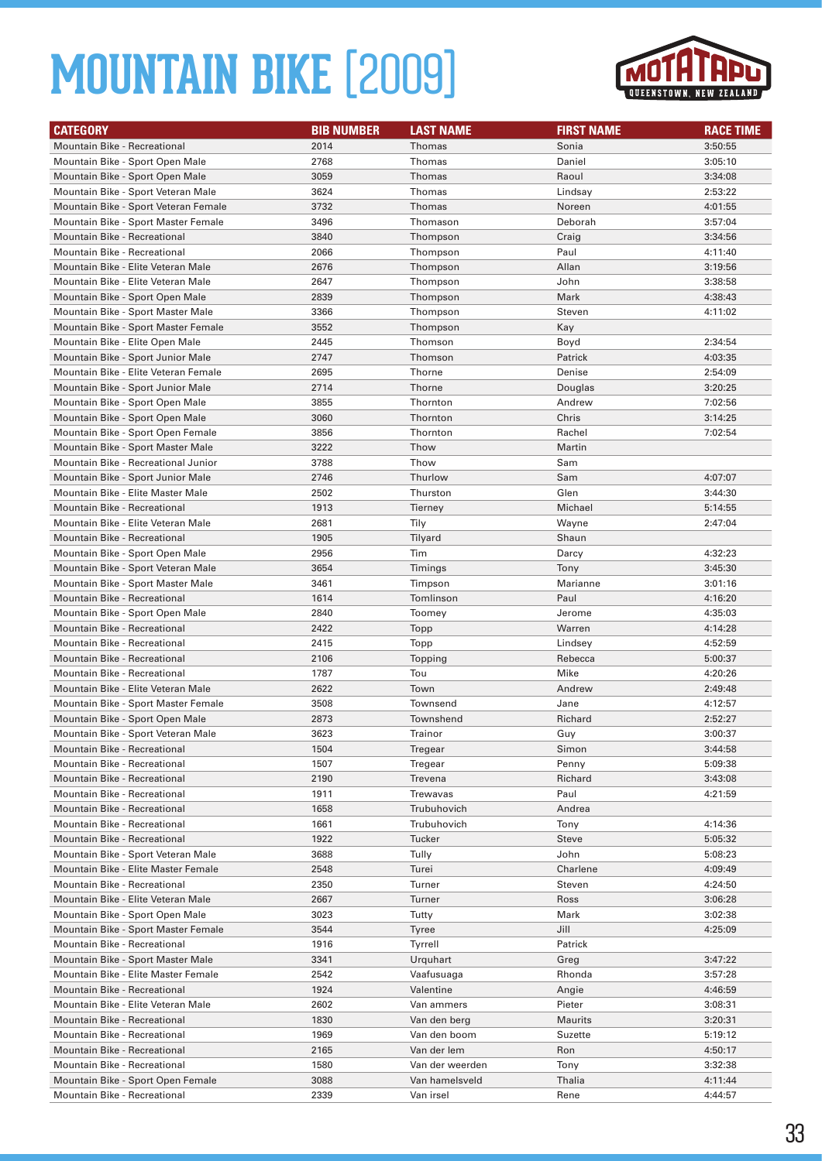

| <b>CATEGORY</b>                                                    | <b>BIB NUMBER</b> | <b>LAST NAME</b> | <b>FIRST NAME</b> | <b>RACE TIME</b>   |
|--------------------------------------------------------------------|-------------------|------------------|-------------------|--------------------|
| <b>Mountain Bike - Recreational</b>                                | 2014              | Thomas           | Sonia             | 3:50:55            |
| Mountain Bike - Sport Open Male                                    | 2768              | Thomas           | Daniel            | 3:05:10            |
| Mountain Bike - Sport Open Male                                    | 3059              | Thomas           | Raoul             | 3:34:08            |
| Mountain Bike - Sport Veteran Male                                 | 3624              | Thomas           | Lindsay           | 2:53:22            |
| Mountain Bike - Sport Veteran Female                               | 3732              | Thomas           | Noreen            | 4:01:55            |
| Mountain Bike - Sport Master Female                                | 3496              | Thomason         | Deborah           | 3:57:04            |
| <b>Mountain Bike - Recreational</b>                                | 3840              | Thompson         | Craig             | 3:34:56            |
| Mountain Bike - Recreational                                       | 2066              | Thompson         | Paul              | 4:11:40            |
| Mountain Bike - Elite Veteran Male                                 | 2676              | Thompson         | Allan             | 3:19:56            |
| Mountain Bike - Elite Veteran Male                                 | 2647              | Thompson         | John              | 3:38:58            |
| Mountain Bike - Sport Open Male                                    | 2839              | Thompson         | Mark              | 4:38:43            |
| Mountain Bike - Sport Master Male                                  | 3366              | Thompson         | Steven            | 4:11:02            |
| Mountain Bike - Sport Master Female                                | 3552              | Thompson         | Kay               |                    |
| Mountain Bike - Elite Open Male                                    | 2445              | Thomson          | Boyd              | 2:34:54            |
| Mountain Bike - Sport Junior Male                                  | 2747              | Thomson          | Patrick           | 4:03:35            |
| Mountain Bike - Elite Veteran Female                               | 2695              | Thorne           | Denise            | 2:54:09            |
| Mountain Bike - Sport Junior Male                                  | 2714              | Thorne           | Douglas           | 3:20:25            |
| Mountain Bike - Sport Open Male                                    | 3855              | Thornton         | Andrew            | 7:02:56            |
| Mountain Bike - Sport Open Male                                    | 3060              | Thornton         | Chris             | 3:14:25            |
| Mountain Bike - Sport Open Female                                  | 3856              | Thornton         | Rachel            | 7:02:54            |
| Mountain Bike - Sport Master Male                                  | 3222              | Thow             | Martin            |                    |
| Mountain Bike - Recreational Junior                                | 3788              | Thow             | Sam               |                    |
| Mountain Bike - Sport Junior Male                                  | 2746              | Thurlow          | Sam               | 4:07:07            |
| Mountain Bike - Elite Master Male                                  | 2502              | Thurston         | Glen              | 3:44:30            |
| <b>Mountain Bike - Recreational</b>                                | 1913              | Tierney          | Michael           | 5:14:55            |
| Mountain Bike - Elite Veteran Male                                 | 2681              | Tily             | Wayne             | 2:47:04            |
| <b>Mountain Bike - Recreational</b>                                | 1905              | Tilyard          | Shaun             |                    |
| Mountain Bike - Sport Open Male                                    | 2956              | Tim              | Darcy             | 4:32:23            |
| Mountain Bike - Sport Veteran Male                                 | 3654              | Timings          | Tony              | 3:45:30            |
| Mountain Bike - Sport Master Male                                  | 3461              | Timpson          | Marianne          | 3:01:16            |
| Mountain Bike - Recreational                                       | 1614              | Tomlinson        | Paul              | 4:16:20            |
| Mountain Bike - Sport Open Male                                    | 2840              | Toomey           | Jerome            | 4:35:03            |
| <b>Mountain Bike - Recreational</b>                                | 2422              | Topp             | Warren            | 4:14:28            |
| Mountain Bike - Recreational                                       | 2415              | Topp             | Lindsey           | 4:52:59            |
| <b>Mountain Bike - Recreational</b>                                | 2106              | Topping          | Rebecca           | 5:00:37            |
| <b>Mountain Bike - Recreational</b>                                | 1787              | Tou              | Mike              | 4:20:26            |
| Mountain Bike - Elite Veteran Male                                 | 2622              | Town             | Andrew            | 2:49:48            |
| Mountain Bike - Sport Master Female                                | 3508              | Townsend         | Jane              | 4:12:57            |
| Mountain Bike - Sport Open Male                                    | 2873              | Townshend        | Richard           | 2:52:27            |
| Mountain Bike - Sport Veteran Male                                 | 3623              | Trainor          | Guy               | 3:00:37            |
| Mountain Bike - Recreational                                       | 1504              | Tregear          | Simon             | 3:44:58            |
| Mountain Bike - Recreational                                       | 1507              | Tregear          | Penny             | 5:09:38            |
| Mountain Bike - Recreational                                       | 2190              | Trevena          | Richard           | 3:43:08            |
| Mountain Bike - Recreational                                       | 1911              | Trewavas         | Paul              | 4:21:59            |
| Mountain Bike - Recreational                                       | 1658              | Trubuhovich      | Andrea            |                    |
| Mountain Bike - Recreational                                       | 1661              | Trubuhovich      | Tony              | 4:14:36            |
| Mountain Bike - Recreational                                       | 1922              | Tucker           | <b>Steve</b>      | 5:05:32            |
| Mountain Bike - Sport Veteran Male                                 | 3688              | Tully            | John              | 5:08:23            |
| Mountain Bike - Elite Master Female                                | 2548              | Turei            | Charlene          | 4:09:49            |
| Mountain Bike - Recreational<br>Mountain Bike - Elite Veteran Male | 2350              | Turner           | Steven            | 4:24:50            |
| Mountain Bike - Sport Open Male                                    | 2667<br>3023      | Turner<br>Tutty  | Ross<br>Mark      | 3:06:28<br>3:02:38 |
| Mountain Bike - Sport Master Female                                | 3544              | Tyree            | Jill              | 4:25:09            |
| Mountain Bike - Recreational                                       | 1916              | Tyrrell          | Patrick           |                    |
| Mountain Bike - Sport Master Male                                  | 3341              | Urquhart         | Greg              | 3:47:22            |
| Mountain Bike - Elite Master Female                                | 2542              | Vaafusuaga       | Rhonda            | 3:57:28            |
| Mountain Bike - Recreational                                       | 1924              | Valentine        | Angie             | 4:46:59            |
| Mountain Bike - Elite Veteran Male                                 | 2602              | Van ammers       | Pieter            | 3:08:31            |
| Mountain Bike - Recreational                                       | 1830              | Van den berg     | <b>Maurits</b>    | 3:20:31            |
| Mountain Bike - Recreational                                       | 1969              | Van den boom     | Suzette           | 5:19:12            |
| Mountain Bike - Recreational                                       | 2165              | Van der lem      | Ron               | 4:50:17            |
| Mountain Bike - Recreational                                       | 1580              | Van der weerden  | Tony              | 3:32:38            |
| Mountain Bike - Sport Open Female                                  | 3088              | Van hamelsveld   | Thalia            | 4:11:44            |
| Mountain Bike - Recreational                                       | 2339              | Van irsel        | Rene              | 4:44:57            |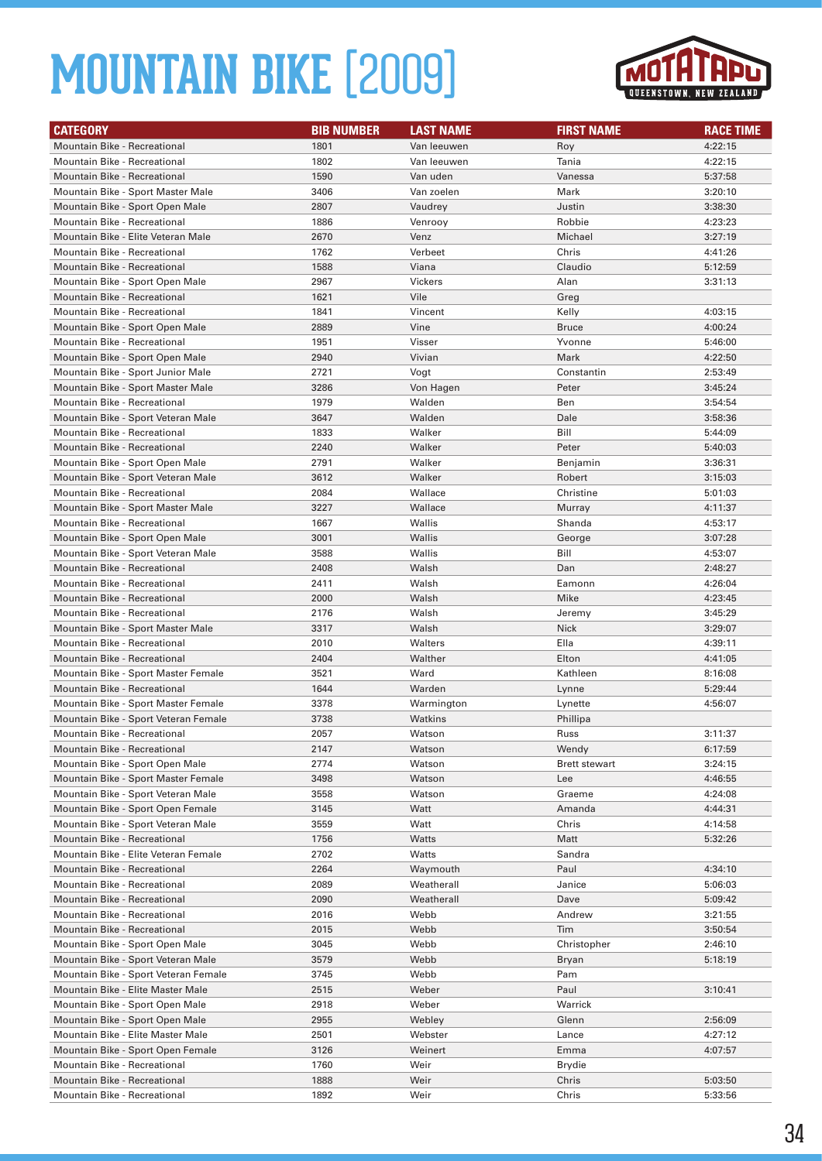

| <b>CATEGORY</b>                      | <b>BIB NUMBER</b> | <b>LAST NAME</b> | <b>FIRST NAME</b>    | <b>RACE TIME</b> |
|--------------------------------------|-------------------|------------------|----------------------|------------------|
| <b>Mountain Bike - Recreational</b>  | 1801              | Van leeuwen      | Roy                  | 4:22:15          |
| Mountain Bike - Recreational         | 1802              | Van leeuwen      | Tania                | 4:22:15          |
| Mountain Bike - Recreational         | 1590              | Van uden         | Vanessa              | 5:37:58          |
| Mountain Bike - Sport Master Male    | 3406              | Van zoelen       | Mark                 | 3:20:10          |
| Mountain Bike - Sport Open Male      | 2807              | Vaudrey          | Justin               | 3:38:30          |
| Mountain Bike - Recreational         | 1886              | Venrooy          | Robbie               | 4:23:23          |
| Mountain Bike - Elite Veteran Male   | 2670              | Venz             | Michael              | 3:27:19          |
| Mountain Bike - Recreational         | 1762              | Verbeet          | Chris                | 4:41:26          |
| <b>Mountain Bike - Recreational</b>  | 1588              | Viana            | Claudio              | 5:12:59          |
| Mountain Bike - Sport Open Male      | 2967              | <b>Vickers</b>   | Alan                 | 3:31:13          |
| <b>Mountain Bike - Recreational</b>  | 1621              | Vile             | Greg                 |                  |
| <b>Mountain Bike - Recreational</b>  | 1841              | Vincent          | Kelly                | 4:03:15          |
| Mountain Bike - Sport Open Male      | 2889              | Vine             | <b>Bruce</b>         | 4:00:24          |
| Mountain Bike - Recreational         | 1951              | Visser           | Yvonne               | 5:46:00          |
| Mountain Bike - Sport Open Male      | 2940              | Vivian           | Mark                 | 4:22:50          |
| Mountain Bike - Sport Junior Male    | 2721              | Vogt             | Constantin           | 2:53:49          |
| Mountain Bike - Sport Master Male    | 3286              | Von Hagen        | Peter                | 3:45:24          |
| <b>Mountain Bike - Recreational</b>  | 1979              | Walden           | Ben                  | 3:54:54          |
| Mountain Bike - Sport Veteran Male   | 3647              | Walden           | Dale                 | 3:58:36          |
| Mountain Bike - Recreational         | 1833              | Walker           | Bill                 | 5:44:09          |
| <b>Mountain Bike - Recreational</b>  | 2240              | Walker           | Peter                | 5:40:03          |
| Mountain Bike - Sport Open Male      | 2791              | Walker           | Benjamin             | 3:36:31          |
| Mountain Bike - Sport Veteran Male   | 3612              | Walker           | Robert               | 3:15:03          |
| Mountain Bike - Recreational         | 2084              | Wallace          | Christine            | 5:01:03          |
| Mountain Bike - Sport Master Male    | 3227              | Wallace          | Murray               | 4:11:37          |
| Mountain Bike - Recreational         | 1667              | Wallis           | Shanda               | 4:53:17          |
| Mountain Bike - Sport Open Male      | 3001              | Wallis           | George               | 3:07:28          |
| Mountain Bike - Sport Veteran Male   | 3588              | Wallis           | Bill                 | 4:53:07          |
| <b>Mountain Bike - Recreational</b>  | 2408              | Walsh            | Dan                  | 2:48:27          |
| Mountain Bike - Recreational         | 2411              | Walsh            | Eamonn               | 4:26:04          |
| <b>Mountain Bike - Recreational</b>  | 2000              | Walsh            | Mike                 | 4:23:45          |
| Mountain Bike - Recreational         | 2176              | Walsh            | Jeremy               | 3:45:29          |
| Mountain Bike - Sport Master Male    | 3317              | Walsh            | <b>Nick</b>          | 3:29:07          |
| Mountain Bike - Recreational         | 2010              | Walters          | Ella                 | 4:39:11          |
| <b>Mountain Bike - Recreational</b>  | 2404              | Walther          | Elton                | 4:41:05          |
| Mountain Bike - Sport Master Female  | 3521              | Ward             | Kathleen             | 8:16:08          |
| Mountain Bike - Recreational         | 1644              | Warden           | Lynne                | 5:29:44          |
| Mountain Bike - Sport Master Female  | 3378              | Warmington       | Lynette              | 4:56:07          |
| Mountain Bike - Sport Veteran Female | 3738              | Watkins          | Phillipa             |                  |
| <b>Mountain Bike - Recreational</b>  | 2057              | Watson           | Russ                 | 3:11:37          |
| <b>Mountain Bike - Recreational</b>  | 2147              | Watson           | Wendy                | 6:17:59          |
| Mountain Bike - Sport Open Male      | 2774              | Watson           | <b>Brett stewart</b> | 3:24:15          |
| Mountain Bike - Sport Master Female  | 3498              | Watson           | Lee                  | 4:46:55          |
| Mountain Bike - Sport Veteran Male   | 3558              | Watson           | Graeme               | 4:24:08          |
| Mountain Bike - Sport Open Female    | 3145              | Watt             | Amanda               | 4:44:31          |
| Mountain Bike - Sport Veteran Male   | 3559              | Watt             | Chris                | 4:14:58          |
| Mountain Bike - Recreational         | 1756              | Watts            | Matt                 | 5:32:26          |
| Mountain Bike - Elite Veteran Female | 2702              | Watts            | Sandra               |                  |
| Mountain Bike - Recreational         | 2264              | Waymouth         | Paul                 | 4:34:10          |
| Mountain Bike - Recreational         | 2089              | Weatherall       | Janice               | 5:06:03          |
| Mountain Bike - Recreational         | 2090              | Weatherall       | Dave                 | 5:09:42          |
| Mountain Bike - Recreational         | 2016              | Webb             | Andrew               | 3:21:55          |
| Mountain Bike - Recreational         | 2015              | Webb             | Tim                  | 3:50:54          |
| Mountain Bike - Sport Open Male      | 3045              | Webb             | Christopher          | 2:46:10          |
| Mountain Bike - Sport Veteran Male   | 3579              | Webb             | Bryan                | 5:18:19          |
| Mountain Bike - Sport Veteran Female | 3745              | Webb             | Pam                  |                  |
| Mountain Bike - Elite Master Male    | 2515              | Weber            | Paul                 | 3:10:41          |
| Mountain Bike - Sport Open Male      | 2918              | Weber            | Warrick              |                  |
| Mountain Bike - Sport Open Male      | 2955              | Webley           | Glenn                | 2:56:09          |
| Mountain Bike - Elite Master Male    | 2501              | Webster          | Lance                | 4:27:12          |
| Mountain Bike - Sport Open Female    | 3126              | Weinert          | Emma                 | 4:07:57          |
| Mountain Bike - Recreational         | 1760              | Weir             | Brydie               |                  |
| Mountain Bike - Recreational         | 1888              | Weir             | Chris                | 5:03:50          |
| Mountain Bike - Recreational         | 1892              | Weir             | Chris                | 5:33:56          |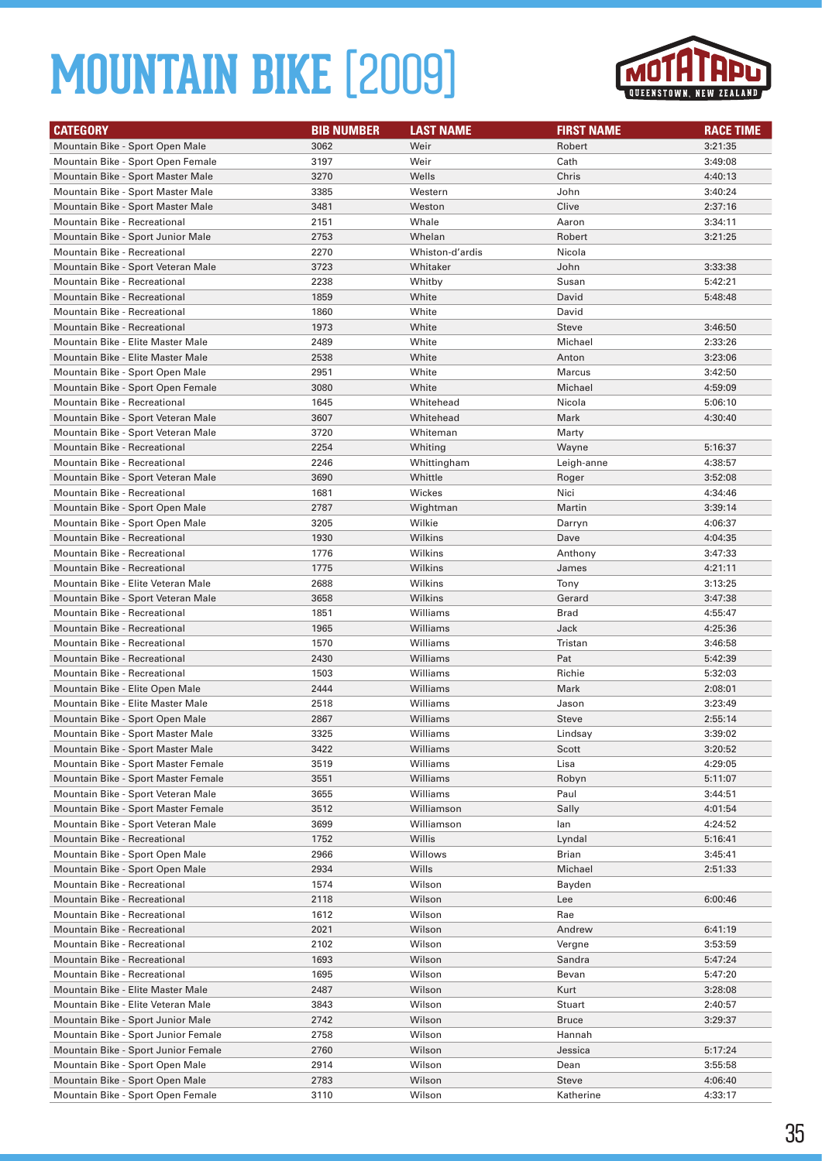

| <b>CATEGORY</b>                                                           | <b>BIB NUMBER</b> | <b>LAST NAME</b>       | <b>FIRST NAME</b>   | <b>RACE TIME</b>   |
|---------------------------------------------------------------------------|-------------------|------------------------|---------------------|--------------------|
| Mountain Bike - Sport Open Male                                           | 3062              | Weir                   | Robert              | 3:21:35            |
| Mountain Bike - Sport Open Female                                         | 3197              | Weir                   | Cath                | 3:49:08            |
| Mountain Bike - Sport Master Male                                         | 3270              | Wells                  | Chris               | 4:40:13            |
| Mountain Bike - Sport Master Male                                         | 3385              | Western                | John                | 3:40:24            |
| Mountain Bike - Sport Master Male                                         | 3481              | Weston                 | Clive               | 2:37:16            |
| <b>Mountain Bike - Recreational</b>                                       | 2151              | Whale                  | Aaron               | 3:34:11            |
| Mountain Bike - Sport Junior Male                                         | 2753              | Whelan                 | Robert              | 3:21:25            |
| <b>Mountain Bike - Recreational</b>                                       | 2270              | Whiston-d'ardis        | Nicola              |                    |
| Mountain Bike - Sport Veteran Male                                        | 3723              | Whitaker               | John                | 3:33:38            |
| <b>Mountain Bike - Recreational</b>                                       | 2238              | Whitby                 | Susan               | 5:42:21            |
| <b>Mountain Bike - Recreational</b>                                       | 1859              | White                  | David               | 5:48:48            |
| Mountain Bike - Recreational                                              | 1860              | White                  | David               |                    |
| <b>Mountain Bike - Recreational</b>                                       | 1973              | White                  | <b>Steve</b>        | 3:46:50            |
| Mountain Bike - Elite Master Male                                         | 2489              | White                  | Michael             | 2:33:26            |
| Mountain Bike - Elite Master Male                                         | 2538              | White                  | Anton               | 3:23:06            |
| Mountain Bike - Sport Open Male                                           | 2951              | White                  | Marcus              | 3:42:50            |
| Mountain Bike - Sport Open Female                                         | 3080              | White                  | Michael             | 4:59:09            |
| <b>Mountain Bike - Recreational</b><br>Mountain Bike - Sport Veteran Male | 1645              | Whitehead              | Nicola              | 5:06:10            |
|                                                                           | 3607              | Whitehead              | Mark                | 4:30:40            |
| Mountain Bike - Sport Veteran Male<br><b>Mountain Bike - Recreational</b> | 3720<br>2254      | Whiteman               | Marty               |                    |
| <b>Mountain Bike - Recreational</b>                                       | 2246              | Whiting<br>Whittingham | Wayne<br>Leigh-anne | 5:16:37<br>4:38:57 |
| Mountain Bike - Sport Veteran Male                                        | 3690              | Whittle                | Roger               | 3:52:08            |
| <b>Mountain Bike - Recreational</b>                                       | 1681              | Wickes                 | Nici                | 4:34:46            |
| Mountain Bike - Sport Open Male                                           | 2787              | Wightman               | Martin              | 3:39:14            |
| Mountain Bike - Sport Open Male                                           | 3205              | Wilkie                 | Darryn              | 4:06:37            |
| <b>Mountain Bike - Recreational</b>                                       | 1930              | Wilkins                | Dave                | 4:04:35            |
| <b>Mountain Bike - Recreational</b>                                       | 1776              | Wilkins                | Anthony             | 3:47:33            |
| <b>Mountain Bike - Recreational</b>                                       | 1775              | Wilkins                | James               | 4:21:11            |
| Mountain Bike - Elite Veteran Male                                        | 2688              | Wilkins                | Tony                | 3:13:25            |
| Mountain Bike - Sport Veteran Male                                        | 3658              | Wilkins                | Gerard              | 3:47:38            |
| <b>Mountain Bike - Recreational</b>                                       | 1851              | Williams               | Brad                | 4:55:47            |
| Mountain Bike - Recreational                                              | 1965              | Williams               | Jack                | 4:25:36            |
| Mountain Bike - Recreational                                              | 1570              | Williams               | Tristan             | 3:46:58            |
| <b>Mountain Bike - Recreational</b>                                       | 2430              | Williams               | Pat                 | 5:42:39            |
| Mountain Bike - Recreational                                              | 1503              | Williams               | Richie              | 5:32:03            |
| Mountain Bike - Elite Open Male                                           | 2444              | Williams               | Mark                | 2:08:01            |
| Mountain Bike - Elite Master Male                                         | 2518              | Williams               | Jason               | 3:23:49            |
| Mountain Bike - Sport Open Male                                           | 2867              | Williams               | <b>Steve</b>        | 2:55:14            |
| Mountain Bike - Sport Master Male                                         | 3325              | Williams               | Lindsay             | 3:39:02            |
| Mountain Bike - Sport Master Male                                         | 3422              | Williams               | Scott               | 3:20:52            |
| Mountain Bike - Sport Master Female                                       | 3519              | Williams               | Lisa                | 4:29:05            |
| Mountain Bike - Sport Master Female                                       | 3551              | Williams               | Robyn               | 5:11:07            |
| Mountain Bike - Sport Veteran Male                                        | 3655              | Williams               | Paul                | 3:44:51            |
| Mountain Bike - Sport Master Female                                       | 3512              | Williamson             | Sally               | 4:01:54            |
| Mountain Bike - Sport Veteran Male                                        | 3699              | Williamson             | lan                 | 4:24:52            |
| Mountain Bike - Recreational                                              | 1752              | Willis                 | Lyndal              | 5:16:41            |
| Mountain Bike - Sport Open Male                                           | 2966              | Willows                | Brian               | 3:45:41            |
| Mountain Bike - Sport Open Male                                           | 2934              | Wills                  | Michael             | 2:51:33            |
| Mountain Bike - Recreational<br><b>Mountain Bike - Recreational</b>       | 1574              | Wilson                 | Bayden              |                    |
|                                                                           | 2118              | Wilson                 | Lee                 | 6:00:46            |
| Mountain Bike - Recreational<br>Mountain Bike - Recreational              | 1612<br>2021      | Wilson<br>Wilson       | Rae<br>Andrew       | 6:41:19            |
| Mountain Bike - Recreational                                              | 2102              | Wilson                 | Vergne              | 3:53:59            |
| Mountain Bike - Recreational                                              | 1693              | Wilson                 | Sandra              | 5:47:24            |
| Mountain Bike - Recreational                                              | 1695              | Wilson                 | Bevan               | 5:47:20            |
| Mountain Bike - Elite Master Male                                         | 2487              | Wilson                 | Kurt                | 3:28:08            |
| Mountain Bike - Elite Veteran Male                                        | 3843              | Wilson                 | Stuart              | 2:40:57            |
| Mountain Bike - Sport Junior Male                                         | 2742              | Wilson                 | <b>Bruce</b>        | 3:29:37            |
| Mountain Bike - Sport Junior Female                                       | 2758              | Wilson                 | Hannah              |                    |
| Mountain Bike - Sport Junior Female                                       | 2760              | Wilson                 | Jessica             | 5:17:24            |
| Mountain Bike - Sport Open Male                                           | 2914              | Wilson                 | Dean                | 3:55:58            |
| Mountain Bike - Sport Open Male                                           | 2783              | Wilson                 | <b>Steve</b>        | 4:06:40            |
| Mountain Bike - Sport Open Female                                         | 3110              | Wilson                 | Katherine           | 4:33:17            |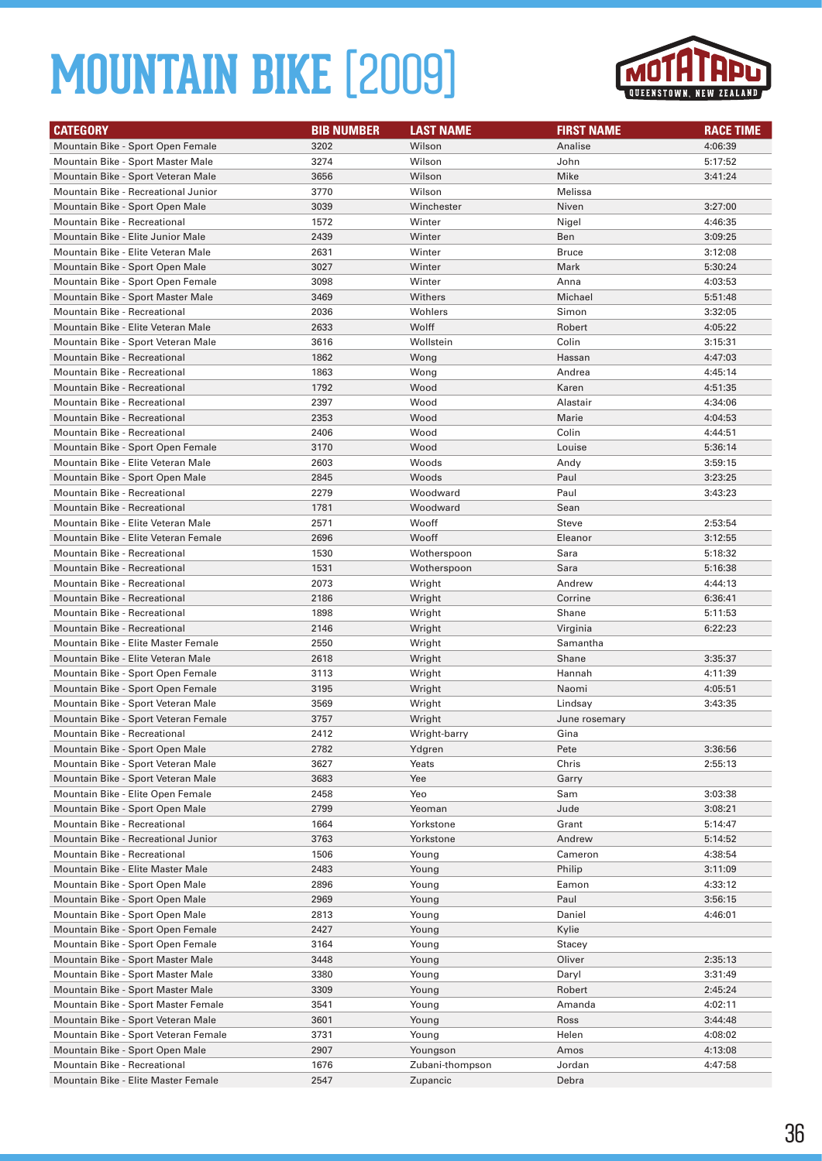

| <b>CATEGORY</b>                      | <b>BIB NUMBER</b> | <b>LAST NAME</b> | <b>FIRST NAME</b> | <b>RACE TIME</b> |
|--------------------------------------|-------------------|------------------|-------------------|------------------|
| Mountain Bike - Sport Open Female    | 3202              | Wilson           | Analise           | 4:06:39          |
| Mountain Bike - Sport Master Male    | 3274              | Wilson           | John              | 5:17:52          |
| Mountain Bike - Sport Veteran Male   | 3656              | Wilson           | Mike              | 3:41:24          |
| Mountain Bike - Recreational Junior  | 3770              | Wilson           | Melissa           |                  |
| Mountain Bike - Sport Open Male      | 3039              | Winchester       | Niven             | 3:27:00          |
| Mountain Bike - Recreational         | 1572              | Winter           | Nigel             | 4:46:35          |
| Mountain Bike - Elite Junior Male    | 2439              | Winter           | Ben               | 3:09:25          |
| Mountain Bike - Elite Veteran Male   | 2631              | Winter           | <b>Bruce</b>      | 3:12:08          |
| Mountain Bike - Sport Open Male      | 3027              | Winter           | Mark              | 5:30:24          |
| Mountain Bike - Sport Open Female    | 3098              | Winter           | Anna              | 4:03:53          |
| Mountain Bike - Sport Master Male    | 3469              | Withers          | Michael           | 5:51:48          |
| Mountain Bike - Recreational         | 2036              | Wohlers          | Simon             | 3:32:05          |
| Mountain Bike - Elite Veteran Male   | 2633              | Wolff            | Robert            | 4:05:22          |
| Mountain Bike - Sport Veteran Male   | 3616              | Wollstein        | Colin             | 3:15:31          |
| Mountain Bike - Recreational         | 1862              | Wong             | Hassan            | 4:47:03          |
| Mountain Bike - Recreational         | 1863              | Wong             | Andrea            | 4:45:14          |
| <b>Mountain Bike - Recreational</b>  | 1792              | Wood             | Karen             | 4:51:35          |
| Mountain Bike - Recreational         | 2397              | Wood             | Alastair          | 4:34:06          |
| <b>Mountain Bike - Recreational</b>  | 2353              | Wood             | Marie             | 4:04:53          |
| <b>Mountain Bike - Recreational</b>  | 2406              | Wood             | Colin             | 4:44:51          |
| Mountain Bike - Sport Open Female    | 3170              | Wood             | Louise            | 5:36:14          |
| Mountain Bike - Elite Veteran Male   | 2603              | Woods            | Andy              | 3:59:15          |
| Mountain Bike - Sport Open Male      | 2845              | Woods            | Paul              | 3:23:25          |
| Mountain Bike - Recreational         | 2279              | Woodward         | Paul              | 3:43:23          |
| <b>Mountain Bike - Recreational</b>  | 1781              | Woodward         | Sean              |                  |
| Mountain Bike - Elite Veteran Male   | 2571              | Wooff            | Steve             | 2:53:54          |
| Mountain Bike - Elite Veteran Female | 2696              | Wooff            | Eleanor           | 3:12:55          |
| <b>Mountain Bike - Recreational</b>  | 1530              | Wotherspoon      | Sara              | 5:18:32          |
| <b>Mountain Bike - Recreational</b>  | 1531              | Wotherspoon      | Sara              | 5:16:38          |
| Mountain Bike - Recreational         | 2073              | Wright           | Andrew            | 4:44:13          |
| <b>Mountain Bike - Recreational</b>  | 2186              | Wright           | Corrine           | 6:36:41          |
| Mountain Bike - Recreational         | 1898              | Wright           | Shane             | 5:11:53          |
| <b>Mountain Bike - Recreational</b>  | 2146              | Wright           | Virginia          | 6:22:23          |
| Mountain Bike - Elite Master Female  | 2550              | Wright           | Samantha          |                  |
| Mountain Bike - Elite Veteran Male   | 2618              | Wright           | Shane             | 3:35:37          |
| Mountain Bike - Sport Open Female    | 3113              | Wright           | Hannah            | 4:11:39          |
| Mountain Bike - Sport Open Female    | 3195              | Wright           | Naomi             | 4:05:51          |
| Mountain Bike - Sport Veteran Male   | 3569              | Wright           | Lindsay           | 3:43:35          |
| Mountain Bike - Sport Veteran Female | 3757              | Wright           | June rosemary     |                  |
| <b>Mountain Bike - Recreational</b>  | 2412              | Wright-barry     | Gina              |                  |
| Mountain Bike - Sport Open Male      | 2782              | Ydgren           | Pete              | 3:36:56          |
| Mountain Bike - Sport Veteran Male   | 3627              | Yeats            | Chris             | 2:55:13          |
| Mountain Bike - Sport Veteran Male   | 3683              | Yee              | Garry             |                  |
| Mountain Bike - Elite Open Female    | 2458              | Yeo              | Sam               | 3:03:38          |
| Mountain Bike - Sport Open Male      | 2799              | Yeoman           | Jude              | 3:08:21          |
| Mountain Bike - Recreational         | 1664              | Yorkstone        | Grant             | 5:14:47          |
| Mountain Bike - Recreational Junior  | 3763              | Yorkstone        | Andrew            | 5:14:52          |
| Mountain Bike - Recreational         | 1506              | Young            | Cameron           | 4:38:54          |
| Mountain Bike - Elite Master Male    | 2483              | Young            | Philip            | 3:11:09          |
| Mountain Bike - Sport Open Male      | 2896              | Young            | Eamon             | 4:33:12          |
| Mountain Bike - Sport Open Male      | 2969              | Young            | Paul              | 3:56:15          |
| Mountain Bike - Sport Open Male      | 2813              | Young            | Daniel            | 4:46:01          |
| Mountain Bike - Sport Open Female    | 2427              | Young            | Kylie             |                  |
| Mountain Bike - Sport Open Female    | 3164              | Young            | Stacey            |                  |
| Mountain Bike - Sport Master Male    | 3448              | Young            | Oliver            | 2:35:13          |
| Mountain Bike - Sport Master Male    | 3380              | Young            | Daryl             | 3:31:49          |
| Mountain Bike - Sport Master Male    | 3309              | Young            | Robert            | 2:45:24          |
| Mountain Bike - Sport Master Female  | 3541              | Young            | Amanda            | 4:02:11          |
| Mountain Bike - Sport Veteran Male   | 3601              | Young            | Ross              | 3:44:48          |
| Mountain Bike - Sport Veteran Female | 3731              | Young            | Helen             | 4:08:02          |
| Mountain Bike - Sport Open Male      | 2907              | Youngson         | Amos              | 4:13:08          |
| Mountain Bike - Recreational         | 1676              | Zubani-thompson  | Jordan            | 4:47:58          |
| Mountain Bike - Elite Master Female  | 2547              | Zupancic         | Debra             |                  |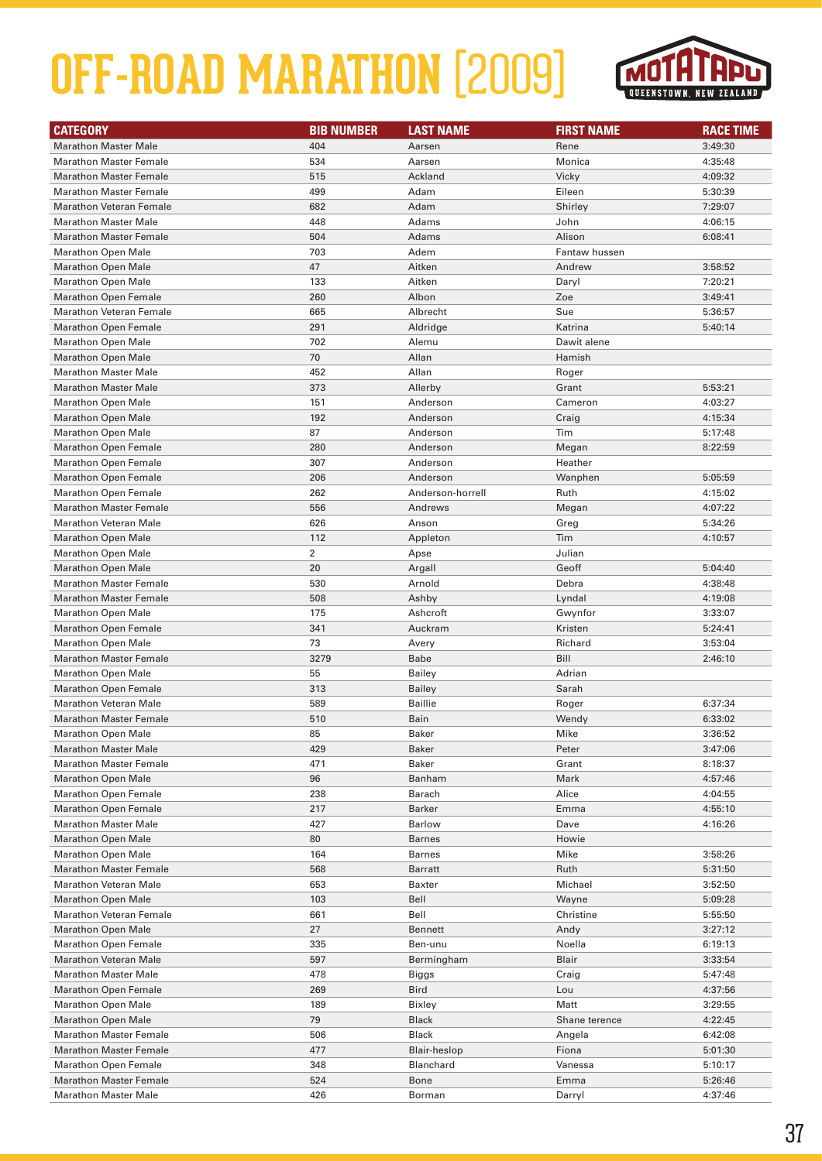

| <b>CATEGORY</b>                | <b>BIB NUMBER</b> | <b>LAST NAME</b>    | <b>FIRST NAME</b> | <b>RACE TIME</b> |
|--------------------------------|-------------------|---------------------|-------------------|------------------|
| <b>Marathon Master Male</b>    | 404               | Aarsen              | Rene              | 3:49:30          |
| <b>Marathon Master Female</b>  | 534               | Aarsen              | Monica            | 4:35:48          |
| <b>Marathon Master Female</b>  | 515               | Ackland             | Vicky             | 4:09:32          |
| <b>Marathon Master Female</b>  | 499               | Adam                | Eileen            | 5:30:39          |
| <b>Marathon Veteran Female</b> | 682               | Adam                | Shirley           | 7:29:07          |
| <b>Marathon Master Male</b>    | 448               | Adams               | John              | 4:06:15          |
| <b>Marathon Master Female</b>  | 504               | Adams               | Alison            | 6:08:41          |
| <b>Marathon Open Male</b>      | 703               | Adem                | Fantaw hussen     |                  |
| <b>Marathon Open Male</b>      | 47                | Aitken              | Andrew            | 3:58:52          |
| <b>Marathon Open Male</b>      | 133               | Aitken              | Daryl             | 7:20:21          |
| <b>Marathon Open Female</b>    | 260               | Albon               | Zoe               | 3:49:41          |
| <b>Marathon Veteran Female</b> | 665               | Albrecht            | Sue               | 5:36:57          |
| <b>Marathon Open Female</b>    | 291               | Aldridge            | Katrina           | 5:40:14          |
| <b>Marathon Open Male</b>      | 702               | Alemu               | Dawit alene       |                  |
| <b>Marathon Open Male</b>      | 70                | Allan               | Hamish            |                  |
| <b>Marathon Master Male</b>    | 452               | Allan               | Roger             |                  |
| <b>Marathon Master Male</b>    | 373               | Allerby             | Grant             | 5:53:21          |
| <b>Marathon Open Male</b>      | 151               | Anderson            | Cameron           | 4:03:27          |
| <b>Marathon Open Male</b>      | 192               | Anderson            | Craig             | 4:15:34          |
| <b>Marathon Open Male</b>      | 87                | Anderson            | Tim               | 5:17:48          |
| <b>Marathon Open Female</b>    | 280               | Anderson            | Megan             | 8:22:59          |
| <b>Marathon Open Female</b>    | 307               | Anderson            | Heather           |                  |
| <b>Marathon Open Female</b>    | 206               | Anderson            | Wanphen           | 5:05:59          |
| <b>Marathon Open Female</b>    | 262               | Anderson-horrell    | Ruth              | 4:15:02          |
| <b>Marathon Master Female</b>  | 556               | Andrews             | Megan             | 4:07:22          |
| <b>Marathon Veteran Male</b>   | 626               | Anson               | Greg              | 5:34:26          |
| <b>Marathon Open Male</b>      | 112               | Appleton            | Tim               | 4:10:57          |
| <b>Marathon Open Male</b>      | $\overline{2}$    | Apse                | Julian            |                  |
| <b>Marathon Open Male</b>      | 20                | Argall              | Geoff             | 5:04:40          |
| <b>Marathon Master Female</b>  | 530               | Arnold              | Debra             | 4:38:48          |
| <b>Marathon Master Female</b>  | 508               | Ashby               | Lyndal            | 4:19:08          |
| <b>Marathon Open Male</b>      | 175               | Ashcroft            | Gwynfor           | 3:33:07          |
| <b>Marathon Open Female</b>    | 341               | Auckram             | Kristen           | 5:24:41          |
| <b>Marathon Open Male</b>      | 73                | Avery               | Richard           | 3:53:04          |
| <b>Marathon Master Female</b>  | 3279              | <b>Babe</b>         | Bill              | 2:46:10          |
| <b>Marathon Open Male</b>      | 55                | <b>Bailey</b>       | Adrian            |                  |
| <b>Marathon Open Female</b>    | 313               | <b>Bailey</b>       | Sarah             |                  |
| <b>Marathon Veteran Male</b>   | 589               | <b>Baillie</b>      | Roger             | 6:37:34          |
| <b>Marathon Master Female</b>  | 510               | Bain                | Wendy             | 6:33:02          |
| <b>Marathon Open Male</b>      | 85                | <b>Baker</b>        | Mike              | 3:36:52          |
| <b>Marathon Master Male</b>    | 429               | Baker               | Peter             | 3:47:06          |
| <b>Marathon Master Female</b>  | 471               | <b>Baker</b>        | Grant             | 8:18:37          |
| <b>Marathon Open Male</b>      | 96                | Banham              | Mark              | 4:57:46          |
| <b>Marathon Open Female</b>    | 238               | Barach              | Alice             | 4:04:55          |
| <b>Marathon Open Female</b>    | 217               | Barker              | Emma              | 4:55:10          |
| <b>Marathon Master Male</b>    | 427               | Barlow              | Dave              | 4:16:26          |
| <b>Marathon Open Male</b>      | 80                | <b>Barnes</b>       | Howie             |                  |
| <b>Marathon Open Male</b>      | 164               | <b>Barnes</b>       | Mike              | 3:58:26          |
| <b>Marathon Master Female</b>  | 568               | Barratt             | Ruth              | 5:31:50          |
| <b>Marathon Veteran Male</b>   | 653               | Baxter              | Michael           | 3:52:50          |
| <b>Marathon Open Male</b>      | 103               | Bell                | Wayne             | 5:09:28          |
| Marathon Veteran Female        | 661               | Bell                | Christine         | 5:55:50          |
| <b>Marathon Open Male</b>      | 27                | Bennett             | Andy              | 3:27:12          |
| <b>Marathon Open Female</b>    | 335               | Ben-unu             | Noella            | 6:19:13          |
| <b>Marathon Veteran Male</b>   | 597               | Bermingham          | Blair             | 3:33:54          |
| <b>Marathon Master Male</b>    | 478               | Biggs               | Craig             | 5:47:48          |
| <b>Marathon Open Female</b>    | 269               | <b>Bird</b>         | Lou               | 4:37:56          |
| <b>Marathon Open Male</b>      | 189               | Bixley              | Matt              | 3:29:55          |
| <b>Marathon Open Male</b>      | 79                | <b>Black</b>        | Shane terence     | 4:22:45          |
| <b>Marathon Master Female</b>  | 506               | Black               | Angela            | 6:42:08          |
| <b>Marathon Master Female</b>  | 477               | <b>Blair-heslop</b> | Fiona             | 5:01:30          |
| <b>Marathon Open Female</b>    | 348               | Blanchard           | Vanessa           | 5:10:17          |
| <b>Marathon Master Female</b>  | 524               | Bone                | Emma              | 5:26:46          |
| <b>Marathon Master Male</b>    | 426               | Borman              | Darryl            | 4:37:46          |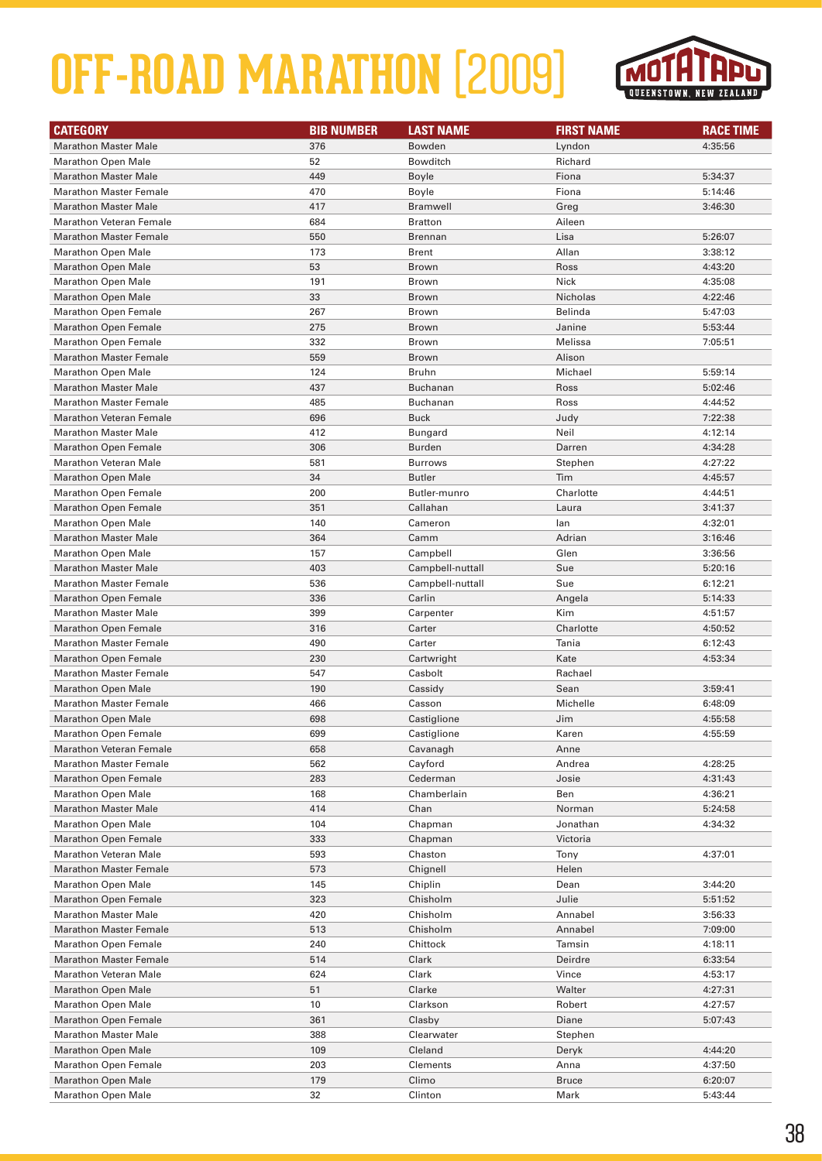

| <b>CATEGORY</b>                | <b>BIB NUMBER</b> | <b>LAST NAME</b> | <b>FIRST NAME</b> | <b>RACE TIME</b> |
|--------------------------------|-------------------|------------------|-------------------|------------------|
| <b>Marathon Master Male</b>    | 376               | Bowden           | Lyndon            | 4:35:56          |
| <b>Marathon Open Male</b>      | 52                | <b>Bowditch</b>  | Richard           |                  |
| <b>Marathon Master Male</b>    | 449               | Boyle            | Fiona             | 5:34:37          |
| <b>Marathon Master Female</b>  | 470               | Boyle            | Fiona             | 5:14:46          |
| <b>Marathon Master Male</b>    | 417               | <b>Bramwell</b>  | Greg              | 3:46:30          |
| <b>Marathon Veteran Female</b> | 684               | <b>Bratton</b>   | Aileen            |                  |
| <b>Marathon Master Female</b>  | 550               | <b>Brennan</b>   | Lisa              | 5:26:07          |
| <b>Marathon Open Male</b>      | 173               | <b>Brent</b>     | Allan             | 3:38:12          |
| <b>Marathon Open Male</b>      | 53                | Brown            | Ross              | 4:43:20          |
| <b>Marathon Open Male</b>      | 191               | <b>Brown</b>     | Nick              | 4:35:08          |
| <b>Marathon Open Male</b>      | 33                | Brown            | Nicholas          | 4:22:46          |
| <b>Marathon Open Female</b>    | 267               | Brown            | Belinda           | 5:47:03          |
| Marathon Open Female           | 275               | <b>Brown</b>     | Janine            | 5:53:44          |
| <b>Marathon Open Female</b>    | 332               | <b>Brown</b>     | Melissa           | 7:05:51          |
| <b>Marathon Master Female</b>  | 559               | Brown            | Alison            |                  |
| <b>Marathon Open Male</b>      | 124               | <b>Bruhn</b>     | Michael           | 5:59:14          |
| <b>Marathon Master Male</b>    | 437               | <b>Buchanan</b>  | Ross              | 5:02:46          |
| <b>Marathon Master Female</b>  | 485               | <b>Buchanan</b>  | Ross              | 4:44:52          |
| <b>Marathon Veteran Female</b> | 696               | <b>Buck</b>      | Judy              | 7:22:38          |
| <b>Marathon Master Male</b>    | 412               | <b>Bungard</b>   | Neil              | 4:12:14          |
| <b>Marathon Open Female</b>    | 306               | <b>Burden</b>    | Darren            | 4:34:28          |
| <b>Marathon Veteran Male</b>   | 581               | <b>Burrows</b>   | Stephen           | 4:27:22          |
| <b>Marathon Open Male</b>      | 34                | <b>Butler</b>    | Tim               | 4:45:57          |
| Marathon Open Female           | 200               | Butler-munro     | Charlotte         | 4:44:51          |
| <b>Marathon Open Female</b>    | 351               | Callahan         | Laura             | 3:41:37          |
| <b>Marathon Open Male</b>      | 140               | Cameron          | lan               | 4:32:01          |
| <b>Marathon Master Male</b>    | 364               | Camm             | Adrian            | 3:16:46          |
| <b>Marathon Open Male</b>      | 157               | Campbell         | Glen              | 3:36:56          |
| <b>Marathon Master Male</b>    | 403               | Campbell-nuttall | Sue               | 5:20:16          |
| <b>Marathon Master Female</b>  | 536               | Campbell-nuttall | Sue               | 6:12:21          |
| <b>Marathon Open Female</b>    | 336               | Carlin           | Angela            | 5:14:33          |
| <b>Marathon Master Male</b>    | 399               | Carpenter        | Kim               | 4:51:57          |
| <b>Marathon Open Female</b>    | 316               | Carter           | Charlotte         | 4:50:52          |
| <b>Marathon Master Female</b>  | 490               | Carter           | Tania             | 6:12:43          |
| <b>Marathon Open Female</b>    | 230               | Cartwright       | Kate              | 4:53:34          |
| <b>Marathon Master Female</b>  | 547               | Casbolt          | Rachael           |                  |
| <b>Marathon Open Male</b>      | 190               | Cassidy          | Sean              | 3:59:41          |
| <b>Marathon Master Female</b>  | 466               | Casson           | Michelle          | 6:48:09          |
| <b>Marathon Open Male</b>      | 698               | Castiglione      | Jim               | 4:55:58          |
| Marathon Open Female           | 699               | Castiglione      | Karen             | 4:55:59          |
| <b>Marathon Veteran Female</b> | 658               | Cavanagh         | Anne              |                  |
| <b>Marathon Master Female</b>  | 562               | Cayford          | Andrea            | 4:28:25          |
| <b>Marathon Open Female</b>    | 283               | Cederman         | Josie             | 4:31:43          |
| <b>Marathon Open Male</b>      | 168               | Chamberlain      | Ben               | 4:36:21          |
| <b>Marathon Master Male</b>    | 414               | Chan             | Norman            | 5:24:58          |
| <b>Marathon Open Male</b>      | 104               | Chapman          | Jonathan          | 4:34:32          |
| <b>Marathon Open Female</b>    | 333               | Chapman          | Victoria          |                  |
| <b>Marathon Veteran Male</b>   | 593               | Chaston          | Tony              | 4:37:01          |
| <b>Marathon Master Female</b>  | 573               | Chignell         | Helen             |                  |
| <b>Marathon Open Male</b>      | 145               | Chiplin          | Dean              | 3:44:20          |
| <b>Marathon Open Female</b>    | 323               | Chisholm         | Julie             | 5:51:52          |
| <b>Marathon Master Male</b>    | 420               | Chisholm         | Annabel           | 3:56:33          |
| <b>Marathon Master Female</b>  | 513               | Chisholm         | Annabel           | 7:09:00          |
| <b>Marathon Open Female</b>    | 240               | Chittock         | Tamsin            | 4:18:11          |
| <b>Marathon Master Female</b>  | 514               | Clark            | Deirdre           | 6:33:54          |
| <b>Marathon Veteran Male</b>   | 624               | Clark            | Vince             | 4:53:17          |
| <b>Marathon Open Male</b>      | 51                | Clarke           | Walter            | 4:27:31          |
| <b>Marathon Open Male</b>      | 10                | Clarkson         | Robert            | 4:27:57          |
| <b>Marathon Open Female</b>    | 361               | Clasby           | Diane             | 5:07:43          |
| <b>Marathon Master Male</b>    | 388               | Clearwater       | Stephen           |                  |
| <b>Marathon Open Male</b>      | 109               | Cleland          | Deryk             | 4:44:20          |
| <b>Marathon Open Female</b>    | 203               | Clements         | Anna              | 4:37:50          |
| <b>Marathon Open Male</b>      | 179               | Climo            | <b>Bruce</b>      | 6:20:07          |
| <b>Marathon Open Male</b>      | 32                | Clinton          | Mark              | 5:43:44          |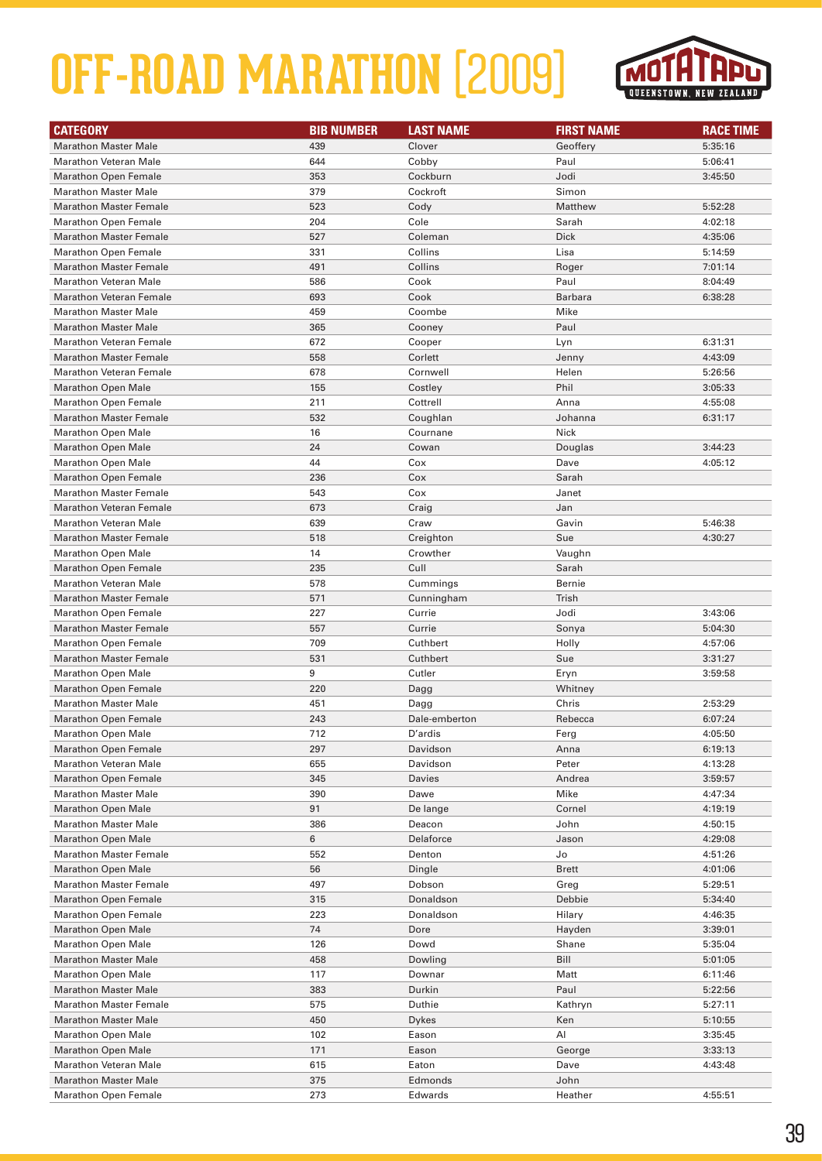

| <b>CATEGORY</b>                | <b>BIB NUMBER</b> | <b>LAST NAME</b> | <b>FIRST NAME</b> | <b>RACE TIME</b> |
|--------------------------------|-------------------|------------------|-------------------|------------------|
| <b>Marathon Master Male</b>    | 439               | Clover           | Geoffery          | 5:35:16          |
| <b>Marathon Veteran Male</b>   | 644               | Cobby            | Paul              | 5:06:41          |
| <b>Marathon Open Female</b>    | 353               | Cockburn         | Jodi              | 3:45:50          |
| <b>Marathon Master Male</b>    | 379               | Cockroft         | Simon             |                  |
| <b>Marathon Master Female</b>  | 523               | Cody             | Matthew           | 5:52:28          |
| <b>Marathon Open Female</b>    | 204               | Cole             | Sarah             | 4:02:18          |
| <b>Marathon Master Female</b>  | 527               | Coleman          | <b>Dick</b>       | 4:35:06          |
| <b>Marathon Open Female</b>    | 331               | Collins          | Lisa              | 5:14:59          |
| <b>Marathon Master Female</b>  | 491               | Collins          | Roger             | 7:01:14          |
| <b>Marathon Veteran Male</b>   | 586               | Cook             | Paul              | 8:04:49          |
| <b>Marathon Veteran Female</b> | 693               | Cook             | <b>Barbara</b>    | 6:38:28          |
| <b>Marathon Master Male</b>    | 459               | Coombe           | Mike              |                  |
| <b>Marathon Master Male</b>    | 365               | Cooney           | Paul              |                  |
| <b>Marathon Veteran Female</b> | 672               | Cooper           | Lyn               | 6:31:31          |
| <b>Marathon Master Female</b>  | 558               | Corlett          | Jenny             | 4:43:09          |
| <b>Marathon Veteran Female</b> | 678               | Cornwell         | Helen             | 5:26:56          |
| <b>Marathon Open Male</b>      | 155               | Costley          | Phil              | 3:05:33          |
| <b>Marathon Open Female</b>    | 211               | Cottrell         | Anna              | 4:55:08          |
| <b>Marathon Master Female</b>  | 532               | Coughlan         | Johanna           | 6:31:17          |
| <b>Marathon Open Male</b>      | 16                | Cournane         | Nick              |                  |
| <b>Marathon Open Male</b>      | 24                | Cowan            | Douglas           | 3:44:23          |
| <b>Marathon Open Male</b>      | 44                | Cox              | Dave              | 4:05:12          |
| <b>Marathon Open Female</b>    | 236               | Cox              | Sarah             |                  |
| <b>Marathon Master Female</b>  | 543               | Cox              | Janet             |                  |
| <b>Marathon Veteran Female</b> | 673               | Craig            | Jan               |                  |
| <b>Marathon Veteran Male</b>   | 639               | Craw             | Gavin             | 5:46:38          |
| <b>Marathon Master Female</b>  | 518               | Creighton        | Sue               | 4:30:27          |
| <b>Marathon Open Male</b>      | 14                | Crowther         | Vaughn            |                  |
| <b>Marathon Open Female</b>    | 235               | Cull             | Sarah             |                  |
| <b>Marathon Veteran Male</b>   | 578               | Cummings         | Bernie            |                  |
| <b>Marathon Master Female</b>  | 571               | Cunningham       | Trish             |                  |
| <b>Marathon Open Female</b>    | 227               | Currie           | Jodi              | 3:43:06          |
| <b>Marathon Master Female</b>  | 557               | Currie           | Sonya             | 5:04:30          |
| <b>Marathon Open Female</b>    | 709               | Cuthbert         | Holly             | 4:57:06          |
| <b>Marathon Master Female</b>  | 531               | Cuthbert         | Sue               | 3:31:27          |
| <b>Marathon Open Male</b>      | 9                 | Cutler           | Eryn              | 3:59:58          |
| <b>Marathon Open Female</b>    | 220               | Dagg             | Whitney           |                  |
| <b>Marathon Master Male</b>    | 451               | Dagg             | Chris             | 2:53:29          |
| <b>Marathon Open Female</b>    | 243               | Dale-emberton    | Rebecca           | 6:07:24          |
| <b>Marathon Open Male</b>      | 712               | D'ardis          | Ferg              | 4:05:50          |
| <b>Marathon Open Female</b>    | 297               | Davidson         | Anna              | 6:19:13          |
| <b>Marathon Veteran Male</b>   | 655               | Davidson         | Peter             | 4:13:28          |
| <b>Marathon Open Female</b>    | 345               | Davies           | Andrea            | 3:59:57          |
| <b>Marathon Master Male</b>    | 390               | Dawe             | Mike              | 4:47:34          |
| <b>Marathon Open Male</b>      | 91                | De lange         | Cornel            | 4:19:19          |
| <b>Marathon Master Male</b>    | 386               | Deacon           | John              | 4:50:15          |
| <b>Marathon Open Male</b>      | 6                 | Delaforce        | Jason             | 4:29:08          |
| <b>Marathon Master Female</b>  | 552               | Denton           | Jo                | 4:51:26          |
| <b>Marathon Open Male</b>      | 56                | Dingle           | <b>Brett</b>      | 4:01:06          |
| <b>Marathon Master Female</b>  | 497               | Dobson           | Greg              | 5:29:51          |
| <b>Marathon Open Female</b>    | 315               | Donaldson        | Debbie            | 5:34:40          |
| <b>Marathon Open Female</b>    | 223               | Donaldson        | Hilary            | 4:46:35          |
| <b>Marathon Open Male</b>      | 74                | Dore             | Hayden            | 3:39:01          |
| <b>Marathon Open Male</b>      | 126               | Dowd             | Shane             | 5:35:04          |
| <b>Marathon Master Male</b>    | 458               | Dowling          | Bill              | 5:01:05          |
| Marathon Open Male             | 117               | Downar           | Matt              | 6:11:46          |
| <b>Marathon Master Male</b>    | 383               | Durkin           | Paul              | 5:22:56          |
| <b>Marathon Master Female</b>  | 575               | Duthie           | Kathryn           | 5:27:11          |
| <b>Marathon Master Male</b>    | 450               | Dykes            | Ken               | 5:10:55          |
| <b>Marathon Open Male</b>      | 102               | Eason            | Al                | 3:35:45          |
| <b>Marathon Open Male</b>      | 171               | Eason            | George            | 3:33:13          |
| <b>Marathon Veteran Male</b>   | 615               | Eaton            | Dave              | 4:43:48          |
| <b>Marathon Master Male</b>    | 375               | Edmonds          | John              |                  |
| <b>Marathon Open Female</b>    | 273               | Edwards          | Heather           | 4:55:51          |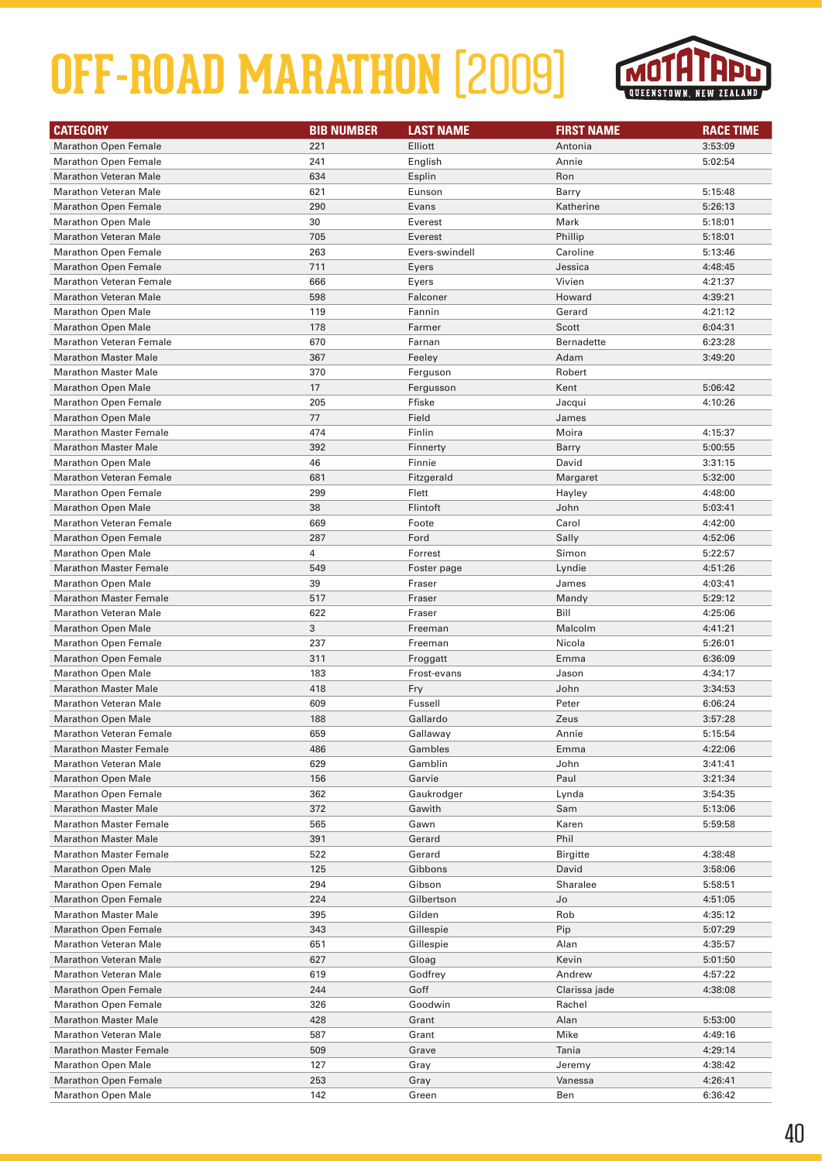

| <b>CATEGORY</b>                                            | <b>BIB NUMBER</b> | <b>LAST NAME</b> | <b>FIRST NAME</b> | <b>RACE TIME</b>   |
|------------------------------------------------------------|-------------------|------------------|-------------------|--------------------|
| <b>Marathon Open Female</b>                                | 221               | Elliott          | Antonia           | 3:53:09            |
| <b>Marathon Open Female</b>                                | 241               | English          | Annie             | 5:02:54            |
| <b>Marathon Veteran Male</b>                               | 634               | Esplin           | Ron               |                    |
| <b>Marathon Veteran Male</b>                               | 621               | Eunson           | Barry             | 5:15:48            |
| <b>Marathon Open Female</b>                                | 290               | Evans            | Katherine         | 5:26:13            |
| <b>Marathon Open Male</b>                                  | 30                | Everest          | Mark              | 5:18:01            |
| <b>Marathon Veteran Male</b>                               | 705               | Everest          | Phillip           | 5:18:01            |
| <b>Marathon Open Female</b>                                | 263               | Evers-swindell   | Caroline          | 5:13:46            |
| <b>Marathon Open Female</b>                                | 711               | Eyers            | Jessica           | 4:48:45            |
| <b>Marathon Veteran Female</b>                             | 666               | Eyers            | Vivien            | 4:21:37            |
| <b>Marathon Veteran Male</b>                               | 598               | Falconer         | Howard            | 4:39:21            |
| <b>Marathon Open Male</b>                                  | 119               | Fannin           | Gerard            | 4:21:12            |
| <b>Marathon Open Male</b>                                  | 178               | Farmer           | Scott             | 6:04:31            |
| <b>Marathon Veteran Female</b>                             | 670               | Farnan           | Bernadette        | 6:23:28            |
| <b>Marathon Master Male</b>                                | 367               | Feeley           | Adam              | 3:49:20            |
| <b>Marathon Master Male</b>                                | 370               | Ferguson         | Robert            |                    |
| <b>Marathon Open Male</b>                                  | 17                | Fergusson        | Kent              | 5:06:42            |
| <b>Marathon Open Female</b>                                | 205               | Ffiske           | Jacqui            | 4:10:26            |
| <b>Marathon Open Male</b>                                  | 77                | Field            | James             |                    |
| <b>Marathon Master Female</b>                              | 474               | Finlin           | Moira             | 4:15:37            |
| <b>Marathon Master Male</b>                                | 392               | Finnerty         | Barry             | 5:00:55            |
| <b>Marathon Open Male</b>                                  | 46                | Finnie           | David             | 3:31:15            |
| <b>Marathon Veteran Female</b>                             | 681               | Fitzgerald       | Margaret          | 5:32:00            |
| <b>Marathon Open Female</b>                                | 299               | Flett            | Hayley            | 4:48:00            |
| <b>Marathon Open Male</b>                                  | 38                | Flintoft         | John              | 5:03:41            |
| <b>Marathon Veteran Female</b>                             | 669               | Foote            | Carol             | 4:42:00            |
| <b>Marathon Open Female</b>                                | 287               | Ford             | Sally             | 4:52:06            |
| <b>Marathon Open Male</b>                                  | 4                 | Forrest          | Simon             | 5:22:57            |
| <b>Marathon Master Female</b>                              | 549               | Foster page      | Lyndie            | 4:51:26            |
| <b>Marathon Open Male</b>                                  | 39                | Fraser           | James             | 4:03:41            |
| <b>Marathon Master Female</b>                              | 517               | Fraser           | Mandy             | 5:29:12            |
| <b>Marathon Veteran Male</b>                               | 622               | Fraser           | Bill              | 4:25:06            |
| <b>Marathon Open Male</b>                                  | 3                 | Freeman          | Malcolm           | 4:41:21            |
| <b>Marathon Open Female</b>                                | 237               | Freeman          | Nicola            | 5:26:01            |
| <b>Marathon Open Female</b>                                | 311               | Froggatt         | Emma              | 6:36:09            |
| <b>Marathon Open Male</b>                                  | 183               | Frost-evans      | Jason             | 4:34:17            |
| <b>Marathon Master Male</b>                                | 418               | Fry              | John              | 3:34:53            |
| <b>Marathon Veteran Male</b>                               | 609               | Fussell          | Peter             | 6:06:24            |
| <b>Marathon Open Male</b>                                  | 188               | Gallardo         | Zeus              | 3:57:28            |
| <b>Marathon Veteran Female</b>                             | 659               | Gallaway         | Annie             | 5:15:54            |
| <b>Marathon Master Female</b>                              | 486               | Gambles          | Emma              | 4:22:06            |
| <b>Marathon Veteran Male</b>                               | 629               | Gamblin          | John              | 3:41:41            |
| <b>Marathon Open Male</b>                                  | 156               | Garvie           | Paul              | 3:21:34            |
| <b>Marathon Open Female</b><br><b>Marathon Master Male</b> | 362               | Gaukrodger       | Lynda             | 3:54:35            |
| <b>Marathon Master Female</b>                              | 372<br>565        | Gawith           | Sam               | 5:13:06<br>5:59:58 |
| <b>Marathon Master Male</b>                                | 391               | Gawn<br>Gerard   | Karen<br>Phil     |                    |
| <b>Marathon Master Female</b>                              | 522               | Gerard           | <b>Birgitte</b>   | 4:38:48            |
| <b>Marathon Open Male</b>                                  | 125               | Gibbons          | David             | 3:58:06            |
| <b>Marathon Open Female</b>                                | 294               | Gibson           | Sharalee          | 5:58:51            |
| <b>Marathon Open Female</b>                                | 224               | Gilbertson       | Jo                | 4:51:05            |
| <b>Marathon Master Male</b>                                | 395               | Gilden           | Rob               | 4:35:12            |
| <b>Marathon Open Female</b>                                | 343               | Gillespie        | Pip               | 5:07:29            |
| <b>Marathon Veteran Male</b>                               | 651               | Gillespie        | Alan              | 4:35:57            |
| <b>Marathon Veteran Male</b>                               | 627               | Gloag            | Kevin             | 5:01:50            |
| <b>Marathon Veteran Male</b>                               | 619               | Godfrey          | Andrew            | 4:57:22            |
| <b>Marathon Open Female</b>                                | 244               | Goff             | Clarissa jade     | 4:38:08            |
| <b>Marathon Open Female</b>                                | 326               | Goodwin          | Rachel            |                    |
| <b>Marathon Master Male</b>                                | 428               | Grant            | Alan              | 5:53:00            |
| <b>Marathon Veteran Male</b>                               | 587               | Grant            | Mike              | 4:49:16            |
| <b>Marathon Master Female</b>                              | 509               | Grave            | Tania             | 4:29:14            |
| <b>Marathon Open Male</b>                                  | 127               | Gray             | Jeremy            | 4:38:42            |
| <b>Marathon Open Female</b>                                | 253               | Gray             | Vanessa           | 4:26:41            |
| <b>Marathon Open Male</b>                                  | 142               | Green            | Ben               | 6:36:42            |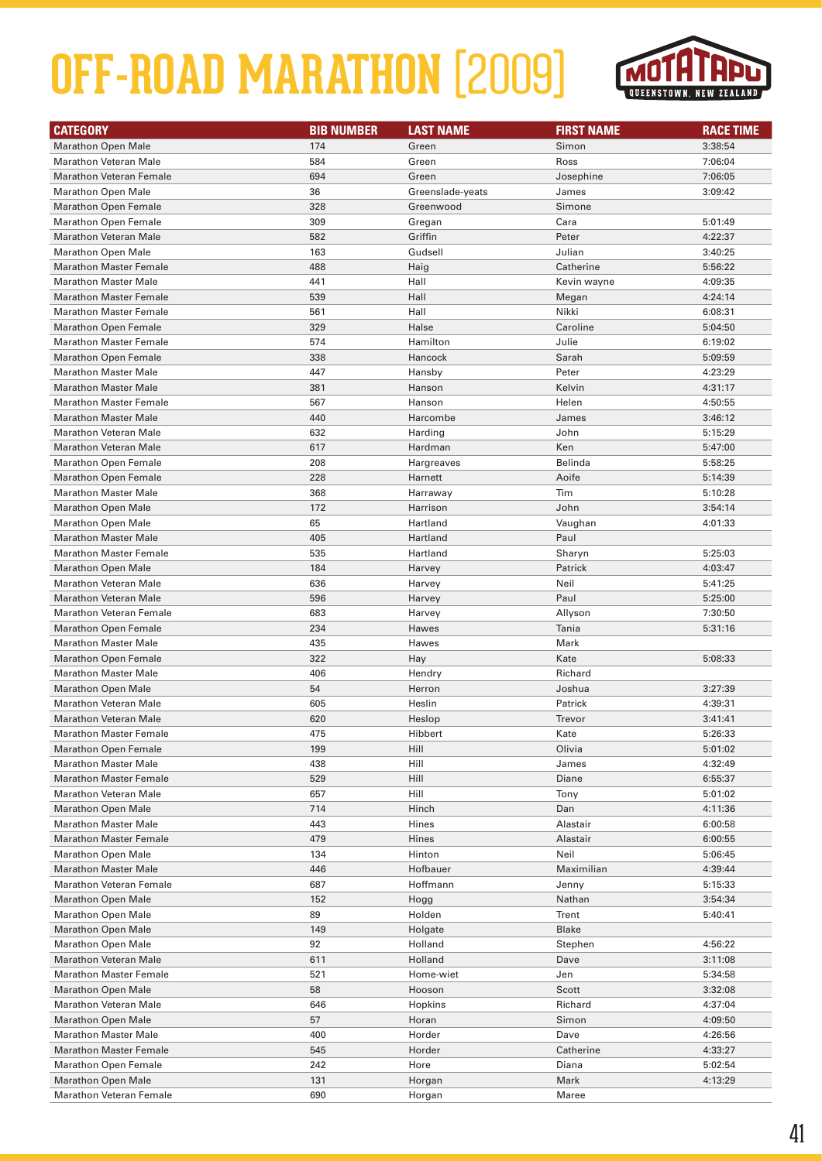

| <b>CATEGORY</b>                | <b>BIB NUMBER</b> | <b>LAST NAME</b> | <b>FIRST NAME</b> | <b>RACE TIME</b> |
|--------------------------------|-------------------|------------------|-------------------|------------------|
| <b>Marathon Open Male</b>      | 174               | Green            | Simon             | 3:38:54          |
| <b>Marathon Veteran Male</b>   | 584               | Green            | Ross              | 7:06:04          |
| <b>Marathon Veteran Female</b> | 694               | Green            | Josephine         | 7:06:05          |
| <b>Marathon Open Male</b>      | 36                | Greenslade-yeats | James             | 3:09:42          |
| <b>Marathon Open Female</b>    | 328               | Greenwood        | Simone            |                  |
| <b>Marathon Open Female</b>    | 309               | Gregan           | Cara              | 5:01:49          |
| <b>Marathon Veteran Male</b>   | 582               | Griffin          | Peter             | 4:22:37          |
| <b>Marathon Open Male</b>      | 163               | Gudsell          | Julian            | 3:40:25          |
| <b>Marathon Master Female</b>  | 488               | Haig             | Catherine         | 5:56:22          |
| <b>Marathon Master Male</b>    | 441               | Hall             | Kevin wayne       | 4:09:35          |
| <b>Marathon Master Female</b>  | 539               | Hall             | Megan             | 4:24:14          |
| <b>Marathon Master Female</b>  | 561               | Hall             | Nikki             | 6:08:31          |
| <b>Marathon Open Female</b>    | 329               | Halse            | Caroline          | 5:04:50          |
| <b>Marathon Master Female</b>  | 574               | Hamilton         | Julie             | 6:19:02          |
| <b>Marathon Open Female</b>    | 338               | Hancock          | Sarah             | 5:09:59          |
| <b>Marathon Master Male</b>    | 447               | Hansby           | Peter             | 4:23:29          |
| <b>Marathon Master Male</b>    | 381               | Hanson           | Kelvin            | 4:31:17          |
| <b>Marathon Master Female</b>  | 567               | Hanson           | Helen             | 4:50:55          |
| <b>Marathon Master Male</b>    | 440               | Harcombe         | James             | 3:46:12          |
| <b>Marathon Veteran Male</b>   | 632               | Harding          | John              | 5:15:29          |
| <b>Marathon Veteran Male</b>   | 617               | Hardman          | Ken               | 5:47:00          |
| <b>Marathon Open Female</b>    | 208               | Hargreaves       | Belinda           | 5:58:25          |
| <b>Marathon Open Female</b>    | 228               | Harnett          | Aoife             | 5:14:39          |
| <b>Marathon Master Male</b>    | 368               | Harraway         | Tim               | 5:10:28          |
| <b>Marathon Open Male</b>      | 172               | Harrison         | John              | 3:54:14          |
| <b>Marathon Open Male</b>      | 65                | Hartland         | Vaughan           | 4:01:33          |
| <b>Marathon Master Male</b>    | 405               | Hartland         | Paul              |                  |
| <b>Marathon Master Female</b>  | 535               | Hartland         | Sharyn            | 5:25:03          |
| <b>Marathon Open Male</b>      | 184               | Harvey           | Patrick           | 4:03:47          |
| <b>Marathon Veteran Male</b>   | 636               | Harvey           | Neil              | 5:41:25          |
| <b>Marathon Veteran Male</b>   | 596               | Harvey           | Paul              | 5:25:00          |
| <b>Marathon Veteran Female</b> | 683               | Harvey           | Allyson           | 7:30:50          |
| <b>Marathon Open Female</b>    | 234               | Hawes            | Tania             | 5:31:16          |
| <b>Marathon Master Male</b>    | 435               | Hawes            | Mark              |                  |
| <b>Marathon Open Female</b>    | 322               | Hay              | Kate              | 5:08:33          |
| <b>Marathon Master Male</b>    | 406               | Hendry           | Richard           |                  |
| <b>Marathon Open Male</b>      | 54                | Herron           | Joshua            | 3:27:39          |
| Marathon Veteran Male          | 605               | Heslin           | Patrick           | 4:39:31          |
| Marathon Veteran Male          | 620               | Heslop           | Trevor            | 3:41:41          |
| <b>Marathon Master Female</b>  | 475               | Hibbert          | Kate              | 5:26:33          |
| <b>Marathon Open Female</b>    | 199               | Hill             | Olivia            | 5:01:02          |
| <b>Marathon Master Male</b>    | 438               | Hill             | James             | 4:32:49          |
| <b>Marathon Master Female</b>  | 529               | Hill             | Diane             | 6:55:37          |
| <b>Marathon Veteran Male</b>   | 657               | Hill             | Tony              | 5:01:02          |
| <b>Marathon Open Male</b>      | 714               | Hinch            | Dan               | 4:11:36          |
| <b>Marathon Master Male</b>    | 443               | Hines            | Alastair          | 6:00:58          |
| <b>Marathon Master Female</b>  | 479               | Hines            | Alastair          | 6:00:55          |
| <b>Marathon Open Male</b>      | 134               | Hinton           | Neil              | 5:06:45          |
| <b>Marathon Master Male</b>    | 446               | Hofbauer         | Maximilian        | 4:39:44          |
| <b>Marathon Veteran Female</b> | 687               | Hoffmann         | Jenny             | 5:15:33          |
| <b>Marathon Open Male</b>      | 152               | Hogg             | Nathan            | 3:54:34          |
| Marathon Open Male             | 89                | Holden           | Trent             | 5:40:41          |
| <b>Marathon Open Male</b>      | 149               | Holgate          | <b>Blake</b>      |                  |
| <b>Marathon Open Male</b>      | 92                | Holland          | Stephen           | 4:56:22          |
| <b>Marathon Veteran Male</b>   | 611               | Holland          | Dave              | 3:11:08          |
| <b>Marathon Master Female</b>  | 521               | Home-wiet        | Jen               | 5:34:58          |
| <b>Marathon Open Male</b>      | 58                | Hooson           | Scott             | 3:32:08          |
| <b>Marathon Veteran Male</b>   | 646               | Hopkins          | Richard           | 4:37:04          |
| <b>Marathon Open Male</b>      | 57                | Horan            | Simon             | 4:09:50          |
| <b>Marathon Master Male</b>    | 400               | Horder           | Dave              | 4:26:56          |
| <b>Marathon Master Female</b>  | 545               | Horder           | Catherine         | 4:33:27          |
| <b>Marathon Open Female</b>    | 242               | Hore             | Diana             | 5:02:54          |
| <b>Marathon Open Male</b>      | 131               | Horgan           | Mark              | 4:13:29          |
| <b>Marathon Veteran Female</b> | 690               | Horgan           | Maree             |                  |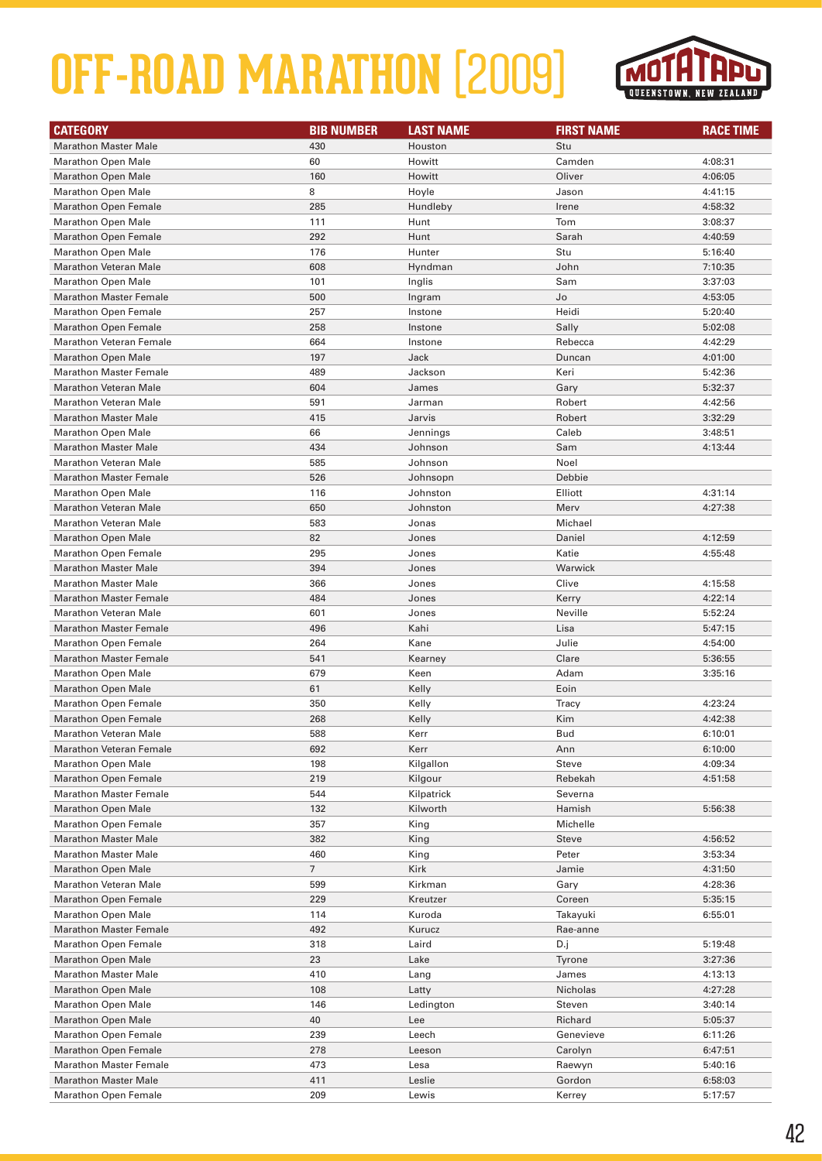

| <b>CATEGORY</b>                                              | <b>BIB NUMBER</b> | <b>LAST NAME</b> | <b>FIRST NAME</b> | <b>RACE TIME</b> |
|--------------------------------------------------------------|-------------------|------------------|-------------------|------------------|
| <b>Marathon Master Male</b>                                  | 430               | Houston          | Stu               |                  |
| <b>Marathon Open Male</b>                                    | 60                | Howitt           | Camden            | 4:08:31          |
| <b>Marathon Open Male</b>                                    | 160               | Howitt           | Oliver            | 4:06:05          |
| <b>Marathon Open Male</b>                                    | 8                 | Hoyle            | Jason             | 4:41:15          |
| <b>Marathon Open Female</b>                                  | 285               | Hundleby         | Irene             | 4:58:32          |
| <b>Marathon Open Male</b>                                    | 111               | Hunt             | Tom               | 3:08:37          |
| <b>Marathon Open Female</b>                                  | 292               | Hunt             | Sarah             | 4:40:59          |
| <b>Marathon Open Male</b>                                    | 176               | Hunter           | Stu               | 5:16:40          |
| <b>Marathon Veteran Male</b>                                 | 608               | Hyndman          | John              | 7:10:35          |
| <b>Marathon Open Male</b>                                    | 101               | Inglis           | Sam               | 3:37:03          |
| <b>Marathon Master Female</b>                                | 500               | Ingram           | Jo                | 4:53:05          |
| <b>Marathon Open Female</b>                                  | 257               | Instone          | Heidi             | 5:20:40          |
| Marathon Open Female                                         | 258               | Instone          | Sally             | 5:02:08          |
| <b>Marathon Veteran Female</b>                               | 664               | Instone          | Rebecca           | 4:42:29          |
| <b>Marathon Open Male</b>                                    | 197               | Jack             | Duncan            | 4:01:00          |
| <b>Marathon Master Female</b>                                | 489               | Jackson          | Keri              | 5:42:36          |
| <b>Marathon Veteran Male</b>                                 | 604               | James            | Gary              | 5:32:37          |
| <b>Marathon Veteran Male</b>                                 | 591               | Jarman           | Robert            | 4:42:56          |
| <b>Marathon Master Male</b>                                  | 415               | Jarvis           | Robert            | 3:32:29          |
| <b>Marathon Open Male</b>                                    | 66                | Jennings         | Caleb             | 3:48:51          |
| <b>Marathon Master Male</b>                                  | 434               | Johnson          | Sam               | 4:13:44          |
| Marathon Veteran Male                                        | 585               | Johnson          | Noel              |                  |
| <b>Marathon Master Female</b>                                | 526               | Johnsopn         | Debbie            |                  |
| <b>Marathon Open Male</b>                                    | 116               | Johnston         | Elliott           | 4:31:14          |
| <b>Marathon Veteran Male</b>                                 | 650               | Johnston         | Merv              | 4:27:38          |
| <b>Marathon Veteran Male</b>                                 | 583               | Jonas            | Michael           |                  |
| <b>Marathon Open Male</b>                                    | 82                | Jones            | Daniel            | 4:12:59          |
| <b>Marathon Open Female</b>                                  | 295               | Jones            | Katie             | 4:55:48          |
| <b>Marathon Master Male</b>                                  | 394               | Jones            | Warwick           |                  |
| <b>Marathon Master Male</b>                                  | 366               | Jones            | Clive             | 4:15:58          |
| <b>Marathon Master Female</b>                                | 484               | Jones            | Kerry             | 4:22:14          |
| <b>Marathon Veteran Male</b>                                 | 601               | Jones            | Neville           | 5:52:24          |
| <b>Marathon Master Female</b>                                | 496               | Kahi             | Lisa              | 5:47:15          |
| <b>Marathon Open Female</b>                                  | 264               | Kane             | Julie             | 4:54:00          |
| <b>Marathon Master Female</b>                                | 541               | Kearney          | Clare             | 5:36:55          |
| <b>Marathon Open Male</b>                                    | 679               | Keen             | Adam              | 3:35:16          |
| <b>Marathon Open Male</b>                                    | 61                | Kelly            | Eoin              |                  |
| <b>Marathon Open Female</b>                                  | 350               | Kelly            | Tracy             | 4:23:24          |
| <b>Marathon Open Female</b>                                  | 268               | Kelly            | Kim               | 4:42:38          |
| <b>Marathon Veteran Male</b>                                 | 588               | Kerr             | <b>Bud</b>        | 6:10:01          |
| <b>Marathon Veteran Female</b>                               | 692               | Kerr             | Ann               | 6:10:00          |
| <b>Marathon Open Male</b>                                    | 198               | Kilgallon        | Steve             | 4:09:34          |
| <b>Marathon Open Female</b>                                  | 219               | Kilgour          | Rebekah           | 4:51:58          |
| <b>Marathon Master Female</b>                                | 544               | Kilpatrick       | Severna           |                  |
| <b>Marathon Open Male</b>                                    | 132               | Kilworth         | Hamish            | 5:56:38          |
| <b>Marathon Open Female</b>                                  | 357               | King             | Michelle          |                  |
| <b>Marathon Master Male</b>                                  | 382               | King             | <b>Steve</b>      | 4:56:52          |
| <b>Marathon Master Male</b>                                  | 460               | King             | Peter             | 3:53:34          |
| <b>Marathon Open Male</b>                                    | $\overline{7}$    | Kirk             | Jamie             | 4:31:50          |
| <b>Marathon Veteran Male</b>                                 | 599               | Kirkman          | Gary              | 4:28:36          |
| <b>Marathon Open Female</b>                                  | 229               | Kreutzer         | Coreen            | 5:35:15          |
| <b>Marathon Open Male</b>                                    | 114               | Kuroda           | Takayuki          | 6:55:01          |
| <b>Marathon Master Female</b>                                | 492               | Kurucz           | Rae-anne          |                  |
| <b>Marathon Open Female</b>                                  | 318               | Laird            |                   | 5:19:48          |
| <b>Marathon Open Male</b>                                    | 23                | Lake             | D.j<br>Tyrone     | 3:27:36          |
| <b>Marathon Master Male</b>                                  | 410               | Lang             | James             | 4:13:13          |
|                                                              |                   |                  |                   |                  |
| <b>Marathon Open Male</b>                                    | 108<br>146        | Latty            | Nicholas          | 4:27:28          |
| <b>Marathon Open Male</b>                                    | 40                | Ledington        | Steven            | 3:40:14          |
| <b>Marathon Open Male</b>                                    |                   | Lee              | Richard           | 5:05:37          |
| <b>Marathon Open Female</b>                                  | 239               | Leech            | Genevieve         | 6:11:26          |
| <b>Marathon Open Female</b><br><b>Marathon Master Female</b> | 278               | Leeson           | Carolyn           | 6:47:51          |
|                                                              | 473               | Lesa             | Raewyn            | 5:40:16          |
| <b>Marathon Master Male</b>                                  | 411               | Leslie           | Gordon            | 6:58:03          |
| <b>Marathon Open Female</b>                                  | 209               | Lewis            | Kerrey            | 5:17:57          |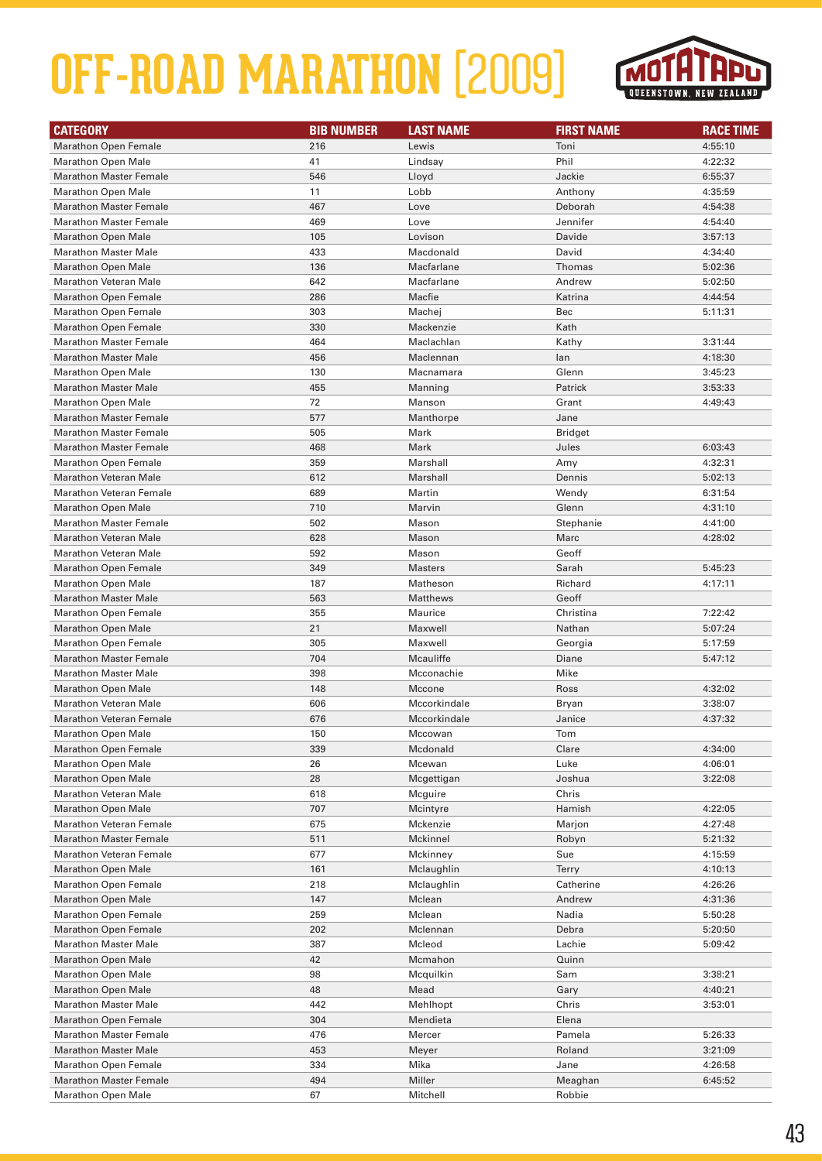

| <b>CATEGORY</b>                | <b>BIB NUMBER</b> | <b>LAST NAME</b> | <b>FIRST NAME</b> | <b>RACE TIME</b> |
|--------------------------------|-------------------|------------------|-------------------|------------------|
| <b>Marathon Open Female</b>    | 216               | Lewis            | Toni              | 4:55:10          |
| <b>Marathon Open Male</b>      | 41                | Lindsay          | Phil              | 4:22:32          |
| <b>Marathon Master Female</b>  | 546               | Lloyd            | Jackie            | 6:55:37          |
| <b>Marathon Open Male</b>      | 11                | Lobb             | Anthony           | 4:35:59          |
| <b>Marathon Master Female</b>  | 467               | Love             | Deborah           | 4:54:38          |
| <b>Marathon Master Female</b>  | 469               | Love             | Jennifer          | 4:54:40          |
| <b>Marathon Open Male</b>      | 105               | Lovison          | Davide            | 3:57:13          |
| <b>Marathon Master Male</b>    | 433               | Macdonald        | David             | 4:34:40          |
| <b>Marathon Open Male</b>      | 136               | Macfarlane       | Thomas            | 5:02:36          |
| <b>Marathon Veteran Male</b>   | 642               | Macfarlane       | Andrew            | 5:02:50          |
| <b>Marathon Open Female</b>    | 286               | Macfie           | Katrina           | 4:44:54          |
| <b>Marathon Open Female</b>    | 303               | Machej           | Bec               | 5:11:31          |
| <b>Marathon Open Female</b>    | 330               | Mackenzie        | Kath              |                  |
| <b>Marathon Master Female</b>  | 464               | Maclachlan       | Kathy             | 3:31:44          |
| <b>Marathon Master Male</b>    | 456               | Maclennan        | lan               | 4:18:30          |
| <b>Marathon Open Male</b>      | 130               | Macnamara        | Glenn             | 3:45:23          |
| <b>Marathon Master Male</b>    | 455               | Manning          | Patrick           | 3:53:33          |
| <b>Marathon Open Male</b>      | 72                | Manson           | Grant             | 4:49:43          |
| <b>Marathon Master Female</b>  | 577               | Manthorpe        | Jane              |                  |
| <b>Marathon Master Female</b>  | 505               | Mark             | <b>Bridget</b>    |                  |
| <b>Marathon Master Female</b>  | 468               | Mark             | Jules             | 6:03:43          |
| <b>Marathon Open Female</b>    | 359               | Marshall         | Amy               | 4:32:31          |
| <b>Marathon Veteran Male</b>   | 612               | Marshall         | Dennis            | 5:02:13          |
| <b>Marathon Veteran Female</b> | 689               | Martin           | Wendy             | 6:31:54          |
| <b>Marathon Open Male</b>      | 710               | Marvin           | Glenn             | 4:31:10          |
| <b>Marathon Master Female</b>  | 502               | Mason            | Stephanie         | 4:41:00          |
| <b>Marathon Veteran Male</b>   | 628               | Mason            | Marc              | 4:28:02          |
| <b>Marathon Veteran Male</b>   | 592               | Mason            | Geoff             |                  |
| <b>Marathon Open Female</b>    | 349               | <b>Masters</b>   | Sarah             | 5:45:23          |
| <b>Marathon Open Male</b>      | 187               | Matheson         | Richard           | 4:17:11          |
| <b>Marathon Master Male</b>    | 563               | Matthews         | Geoff             |                  |
| Marathon Open Female           | 355               | Maurice          | Christina         | 7:22:42          |
| <b>Marathon Open Male</b>      | 21                | Maxwell          | Nathan            | 5:07:24          |
| <b>Marathon Open Female</b>    | 305               | Maxwell          | Georgia           | 5:17:59          |
| <b>Marathon Master Female</b>  | 704               | Mcauliffe        | Diane             | 5:47:12          |
| <b>Marathon Master Male</b>    | 398               | Mcconachie       | Mike              |                  |
| <b>Marathon Open Male</b>      | 148               | Mccone           | Ross              | 4:32:02          |
| Marathon Veteran Male          | 606               | Mccorkindale     | Bryan             | 3:38:07          |
| <b>Marathon Veteran Female</b> | 676               | Mccorkindale     | Janice            | 4:37:32          |
| <b>Marathon Open Male</b>      | 150               | Mccowan          | Tom               |                  |
| <b>Marathon Open Female</b>    | 339               | Mcdonald         | Clare             | 4:34:00          |
| <b>Marathon Open Male</b>      | 26                | Mcewan           | Luke              | 4:06:01          |
| <b>Marathon Open Male</b>      | 28                | Mcgettigan       | Joshua            | 3:22:08          |
| <b>Marathon Veteran Male</b>   | 618               | Mcguire          | Chris             |                  |
| <b>Marathon Open Male</b>      | 707               | Mcintyre         | Hamish            | 4:22:05          |
| <b>Marathon Veteran Female</b> | 675               | Mckenzie         | Marjon            | 4:27:48          |
| <b>Marathon Master Female</b>  | 511               | Mckinnel         | Robyn             | 5:21:32          |
| <b>Marathon Veteran Female</b> | 677               | Mckinney         | Sue               | 4:15:59          |
| <b>Marathon Open Male</b>      | 161               | Mclaughlin       | <b>Terry</b>      | 4:10:13          |
| <b>Marathon Open Female</b>    | 218               | Mclaughlin       | Catherine         | 4:26:26          |
| <b>Marathon Open Male</b>      | 147               | Mclean           | Andrew            | 4:31:36          |
| <b>Marathon Open Female</b>    | 259               | Mclean           | Nadia             | 5:50:28          |
| <b>Marathon Open Female</b>    | 202               | Mclennan         | Debra             | 5:20:50          |
| <b>Marathon Master Male</b>    | 387               | Mcleod           | Lachie            | 5:09:42          |
| <b>Marathon Open Male</b>      | 42                | Mcmahon          | Quinn             |                  |
| <b>Marathon Open Male</b>      | 98                | Mcquilkin        | Sam               | 3:38:21          |
| <b>Marathon Open Male</b>      | 48                | Mead             | Gary              | 4:40:21          |
| <b>Marathon Master Male</b>    | 442               | Mehlhopt         | Chris             | 3:53:01          |
| <b>Marathon Open Female</b>    | 304               | Mendieta         | Elena             |                  |
| <b>Marathon Master Female</b>  | 476               | Mercer           | Pamela            | 5:26:33          |
| <b>Marathon Master Male</b>    | 453               | Meyer            | Roland            | 3:21:09          |
| <b>Marathon Open Female</b>    | 334               | Mika             | Jane              | 4:26:58          |
| <b>Marathon Master Female</b>  | 494               | Miller           | Meaghan           | 6:45:52          |
| <b>Marathon Open Male</b>      | 67                | Mitchell         | Robbie            |                  |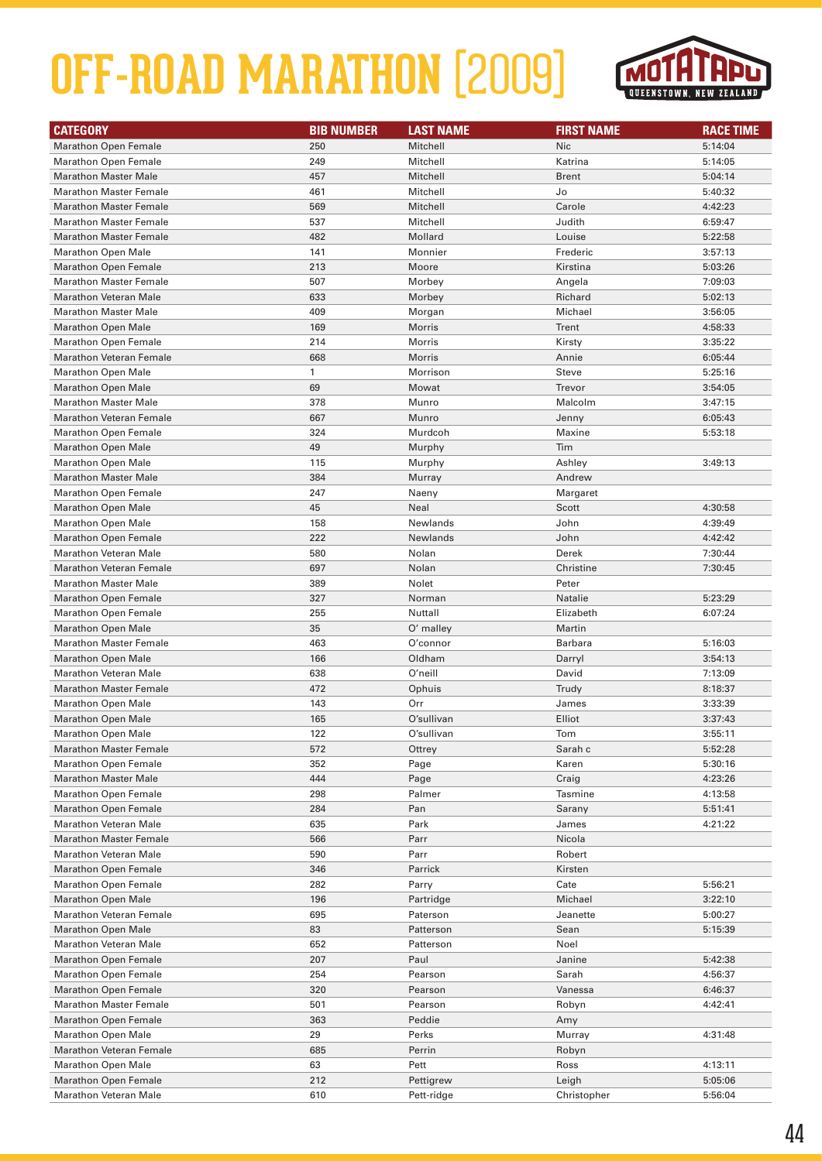

| <b>CATEGORY</b>                | <b>BIB NUMBER</b> | <b>LAST NAME</b> | <b>FIRST NAME</b> | <b>RACE TIME</b> |
|--------------------------------|-------------------|------------------|-------------------|------------------|
| <b>Marathon Open Female</b>    | 250               | Mitchell         | <b>Nic</b>        | 5:14:04          |
| <b>Marathon Open Female</b>    | 249               | Mitchell         | Katrina           | 5:14:05          |
| <b>Marathon Master Male</b>    | 457               | Mitchell         | <b>Brent</b>      | 5:04:14          |
| <b>Marathon Master Female</b>  | 461               | Mitchell         | Jo                | 5:40:32          |
| <b>Marathon Master Female</b>  | 569               | Mitchell         | Carole            | 4:42:23          |
| <b>Marathon Master Female</b>  | 537               | Mitchell         | Judith            | 6:59:47          |
| <b>Marathon Master Female</b>  | 482               | Mollard          | Louise            | 5:22:58          |
| <b>Marathon Open Male</b>      | 141               | Monnier          | Frederic          | 3:57:13          |
| <b>Marathon Open Female</b>    | 213               | Moore            | Kirstina          | 5:03:26          |
| <b>Marathon Master Female</b>  | 507               | Morbey           | Angela            | 7:09:03          |
| Marathon Veteran Male          | 633               | Morbey           | Richard           | 5:02:13          |
| <b>Marathon Master Male</b>    | 409               | Morgan           | Michael           | 3:56:05          |
| <b>Marathon Open Male</b>      | 169               | Morris           | Trent             | 4:58:33          |
| <b>Marathon Open Female</b>    | 214               | Morris           | Kirsty            | 3:35:22          |
| <b>Marathon Veteran Female</b> | 668               | Morris           | Annie             | 6:05:44          |
| <b>Marathon Open Male</b>      | 1                 | Morrison         | Steve             | 5:25:16          |
| <b>Marathon Open Male</b>      | 69                | Mowat            | Trevor            | 3:54:05          |
| <b>Marathon Master Male</b>    | 378               | Munro            | Malcolm           | 3:47:15          |
| <b>Marathon Veteran Female</b> | 667               | Munro            | Jenny             | 6:05:43          |
| <b>Marathon Open Female</b>    | 324               | Murdcoh          | Maxine            | 5:53:18          |
| <b>Marathon Open Male</b>      | 49                | Murphy           | Tim               |                  |
| <b>Marathon Open Male</b>      | 115               | Murphy           | Ashley            | 3:49:13          |
| <b>Marathon Master Male</b>    | 384               | Murray           | Andrew            |                  |
| <b>Marathon Open Female</b>    | 247               | Naeny            | Margaret          |                  |
| Marathon Open Male             | 45                | Neal             | Scott             | 4:30:58          |
| <b>Marathon Open Male</b>      | 158               | Newlands         | John              | 4:39:49          |
| <b>Marathon Open Female</b>    | 222               | Newlands         | John              | 4:42:42          |
| <b>Marathon Veteran Male</b>   | 580               | Nolan            | Derek             | 7:30:44          |
| <b>Marathon Veteran Female</b> | 697               | Nolan            | Christine         | 7:30:45          |
| <b>Marathon Master Male</b>    | 389               | Nolet            | Peter             |                  |
| <b>Marathon Open Female</b>    | 327               | Norman           | Natalie           | 5:23:29          |
| Marathon Open Female           | 255               | Nuttall          | Elizabeth         | 6:07:24          |
| <b>Marathon Open Male</b>      | 35                | O' malley        | Martin            |                  |
| <b>Marathon Master Female</b>  | 463               | O'connor         | Barbara           | 5:16:03          |
| <b>Marathon Open Male</b>      | 166               | Oldham           | Darryl            | 3:54:13          |
| <b>Marathon Veteran Male</b>   | 638               | O'neill          | David             | 7:13:09          |
| <b>Marathon Master Female</b>  | 472               | Ophuis           | Trudy             | 8:18:37          |
| <b>Marathon Open Male</b>      | 143               | Orr              | James             | 3:33:39          |
| <b>Marathon Open Male</b>      | 165               | O'sullivan       | Elliot            | 3:37:43          |
| <b>Marathon Open Male</b>      | 122               | O'sullivan       | Tom               | 3:55:11          |
| <b>Marathon Master Female</b>  | 572               | Ottrey           | Sarah c           | 5:52:28          |
| <b>Marathon Open Female</b>    | 352               | Page             | Karen             | 5:30:16          |
| <b>Marathon Master Male</b>    | 444               | Page             | Craig             | 4:23:26          |
| <b>Marathon Open Female</b>    | 298               | Palmer           | Tasmine           | 4:13:58          |
| <b>Marathon Open Female</b>    | 284               | Pan              | Sarany            | 5:51:41          |
| <b>Marathon Veteran Male</b>   | 635               | Park             | James             | 4:21:22          |
| <b>Marathon Master Female</b>  | 566               | Parr             | Nicola            |                  |
| <b>Marathon Veteran Male</b>   | 590               | Parr             | Robert            |                  |
| <b>Marathon Open Female</b>    | 346               | Parrick          | Kirsten           |                  |
| <b>Marathon Open Female</b>    | 282               | Parry            | Cate              | 5:56:21          |
| <b>Marathon Open Male</b>      | 196               | Partridge        | Michael           | 3:22:10          |
| Marathon Veteran Female        | 695               | Paterson         | Jeanette          | 5:00:27          |
| <b>Marathon Open Male</b>      | 83                | Patterson        | Sean              | 5:15:39          |
| <b>Marathon Veteran Male</b>   | 652               | Patterson        | Noel              |                  |
| <b>Marathon Open Female</b>    | 207               | Paul             | Janine            | 5:42:38          |
| <b>Marathon Open Female</b>    | 254               | Pearson          | Sarah             | 4:56:37          |
| <b>Marathon Open Female</b>    | 320               | Pearson          | Vanessa           | 6:46:37          |
| <b>Marathon Master Female</b>  | 501               | Pearson          | Robyn             | 4:42:41          |
| <b>Marathon Open Female</b>    | 363               | Peddie           | Amy               |                  |
| <b>Marathon Open Male</b>      | 29                | Perks            | Murray            | 4:31:48          |
| <b>Marathon Veteran Female</b> | 685               | Perrin           | Robyn             |                  |
| <b>Marathon Open Male</b>      | 63                | Pett             | Ross              | 4:13:11          |
| <b>Marathon Open Female</b>    | 212               | Pettigrew        | Leigh             | 5:05:06          |
| <b>Marathon Veteran Male</b>   | 610               | Pett-ridge       | Christopher       | 5:56:04          |
|                                |                   |                  |                   |                  |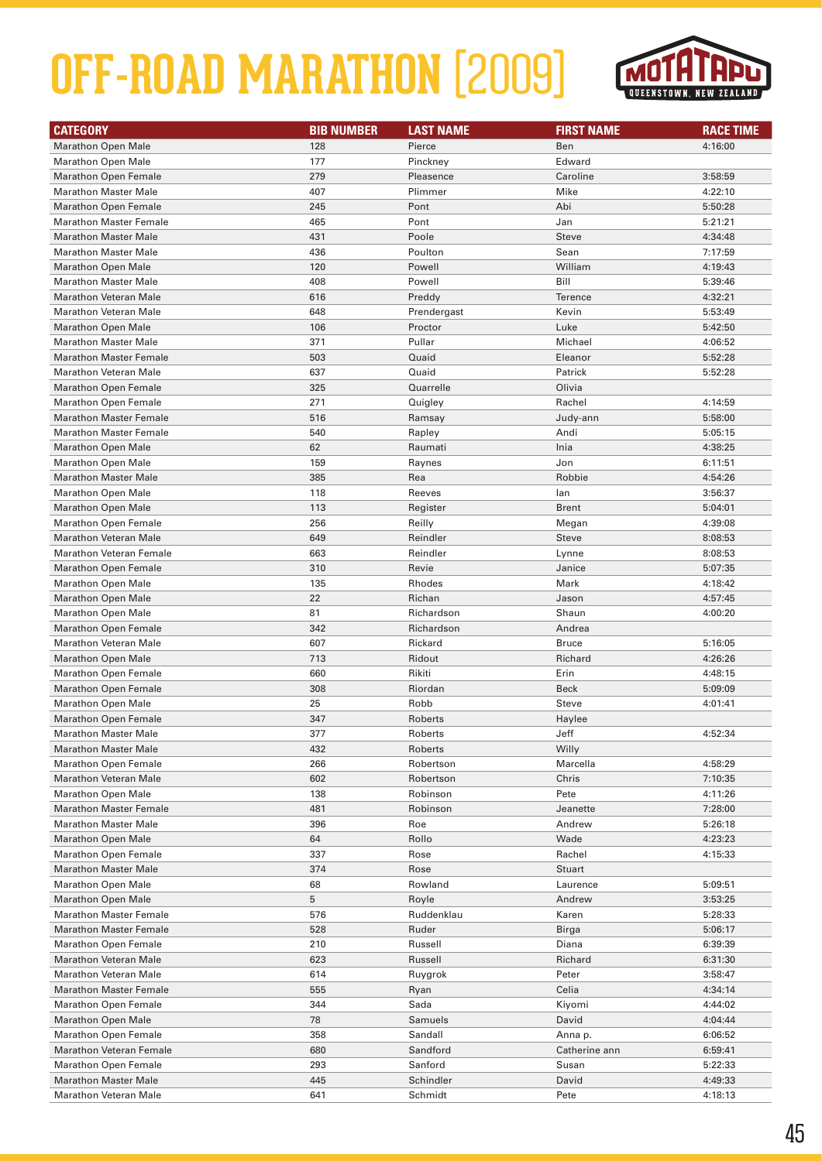

| <b>CATEGORY</b>                | <b>BIB NUMBER</b> | <b>LAST NAME</b> | <b>FIRST NAME</b> | <b>RACE TIME</b> |
|--------------------------------|-------------------|------------------|-------------------|------------------|
| <b>Marathon Open Male</b>      | 128               | Pierce           | Ben               | 4:16:00          |
| <b>Marathon Open Male</b>      | 177               | Pinckney         | Edward            |                  |
| <b>Marathon Open Female</b>    | 279               | Pleasence        | Caroline          | 3:58:59          |
| <b>Marathon Master Male</b>    | 407               | Plimmer          | Mike              | 4:22:10          |
| <b>Marathon Open Female</b>    | 245               | Pont             | Abi               | 5:50:28          |
| <b>Marathon Master Female</b>  | 465               | Pont             | Jan               | 5:21:21          |
| <b>Marathon Master Male</b>    | 431               | Poole            | <b>Steve</b>      | 4:34:48          |
| <b>Marathon Master Male</b>    | 436               | Poulton          | Sean              | 7:17:59          |
| <b>Marathon Open Male</b>      | 120               | Powell           | William           | 4:19:43          |
| <b>Marathon Master Male</b>    | 408               | Powell           | Bill              | 5:39:46          |
| <b>Marathon Veteran Male</b>   | 616               | Preddy           | Terence           | 4:32:21          |
| <b>Marathon Veteran Male</b>   | 648               | Prendergast      | Kevin             | 5:53:49          |
| <b>Marathon Open Male</b>      | 106               | Proctor          | Luke              | 5:42:50          |
| <b>Marathon Master Male</b>    | 371               | Pullar           | Michael           | 4:06:52          |
| <b>Marathon Master Female</b>  | 503               | Quaid            | Eleanor           | 5:52:28          |
| <b>Marathon Veteran Male</b>   | 637               | Quaid            | Patrick           | 5:52:28          |
| <b>Marathon Open Female</b>    | 325               | Quarrelle        | Olivia            |                  |
| <b>Marathon Open Female</b>    | 271               | Quigley          | Rachel            | 4:14:59          |
| <b>Marathon Master Female</b>  | 516               | Ramsay           | Judy-ann          | 5:58:00          |
| <b>Marathon Master Female</b>  | 540               | Rapley           | Andi              | 5:05:15          |
| <b>Marathon Open Male</b>      | 62                | Raumati          | Inia              | 4:38:25          |
| <b>Marathon Open Male</b>      | 159               | Raynes           | Jon               | 6:11:51          |
| <b>Marathon Master Male</b>    | 385               | Rea              | Robbie            | 4:54:26          |
| <b>Marathon Open Male</b>      | 118               | Reeves           | lan               | 3:56:37          |
| <b>Marathon Open Male</b>      | 113               | Register         | <b>Brent</b>      | 5:04:01          |
| <b>Marathon Open Female</b>    | 256               | Reilly           | Megan             | 4:39:08          |
| <b>Marathon Veteran Male</b>   | 649               | Reindler         | <b>Steve</b>      | 8:08:53          |
| <b>Marathon Veteran Female</b> | 663               | Reindler         | Lynne             | 8:08:53          |
| <b>Marathon Open Female</b>    | 310               | Revie            | Janice            | 5:07:35          |
| <b>Marathon Open Male</b>      | 135               | Rhodes           | Mark              | 4:18:42          |
| <b>Marathon Open Male</b>      | 22                | Richan           | Jason             | 4:57:45          |
| <b>Marathon Open Male</b>      | 81                | Richardson       | Shaun             | 4:00:20          |
| <b>Marathon Open Female</b>    | 342               | Richardson       | Andrea            |                  |
| <b>Marathon Veteran Male</b>   | 607               | Rickard          | <b>Bruce</b>      | 5:16:05          |
| <b>Marathon Open Male</b>      | 713               | Ridout           | Richard           | 4:26:26          |
| <b>Marathon Open Female</b>    | 660               | Rikiti           | Erin              | 4:48:15          |
| <b>Marathon Open Female</b>    | 308               | Riordan          | <b>Beck</b>       | 5:09:09          |
| <b>Marathon Open Male</b>      | 25                | Robb             | Steve             | 4:01:41          |
| <b>Marathon Open Female</b>    | 347               | Roberts          | Haylee            |                  |
| <b>Marathon Master Male</b>    | 377               | Roberts          | Jeff              | 4:52:34          |
| <b>Marathon Master Male</b>    | 432               | Roberts          | Willy             |                  |
| <b>Marathon Open Female</b>    | 266               | Robertson        | Marcella          | 4:58:29          |
| <b>Marathon Veteran Male</b>   | 602               | Robertson        | Chris             | 7:10:35          |
| <b>Marathon Open Male</b>      | 138               | Robinson         | Pete              | 4:11:26          |
| <b>Marathon Master Female</b>  | 481               | Robinson         | Jeanette          | 7:28:00          |
| <b>Marathon Master Male</b>    | 396               | Roe              | Andrew            | 5:26:18          |
| <b>Marathon Open Male</b>      | 64                | Rollo            | Wade              | 4:23:23          |
| <b>Marathon Open Female</b>    | 337               | Rose             | Rachel            | 4:15:33          |
| <b>Marathon Master Male</b>    | 374               | Rose             | Stuart            |                  |
| <b>Marathon Open Male</b>      | 68                | Rowland          | Laurence          | 5:09:51          |
| <b>Marathon Open Male</b>      | 5                 | Royle            | Andrew            | 3:53:25          |
| <b>Marathon Master Female</b>  | 576               | Ruddenklau       | Karen             | 5:28:33          |
| <b>Marathon Master Female</b>  | 528               | Ruder            | Birga             | 5:06:17          |
| <b>Marathon Open Female</b>    | 210               | Russell          | Diana             | 6:39:39          |
| <b>Marathon Veteran Male</b>   | 623               | Russell          | Richard           | 6:31:30          |
| <b>Marathon Veteran Male</b>   | 614               | Ruygrok          | Peter             | 3:58:47          |
| <b>Marathon Master Female</b>  | 555               | Ryan             | Celia             | 4:34:14          |
| <b>Marathon Open Female</b>    | 344               | Sada             | Kiyomi            | 4:44:02          |
| <b>Marathon Open Male</b>      | 78                | Samuels          | David             | 4:04:44          |
| <b>Marathon Open Female</b>    | 358               | Sandall          | Anna p.           | 6:06:52          |
| <b>Marathon Veteran Female</b> | 680               | Sandford         | Catherine ann     | 6:59:41          |
| <b>Marathon Open Female</b>    | 293               | Sanford          | Susan             | 5:22:33          |
| <b>Marathon Master Male</b>    | 445               | Schindler        | David             | 4:49:33          |
| <b>Marathon Veteran Male</b>   | 641               | Schmidt          | Pete              | 4:18:13          |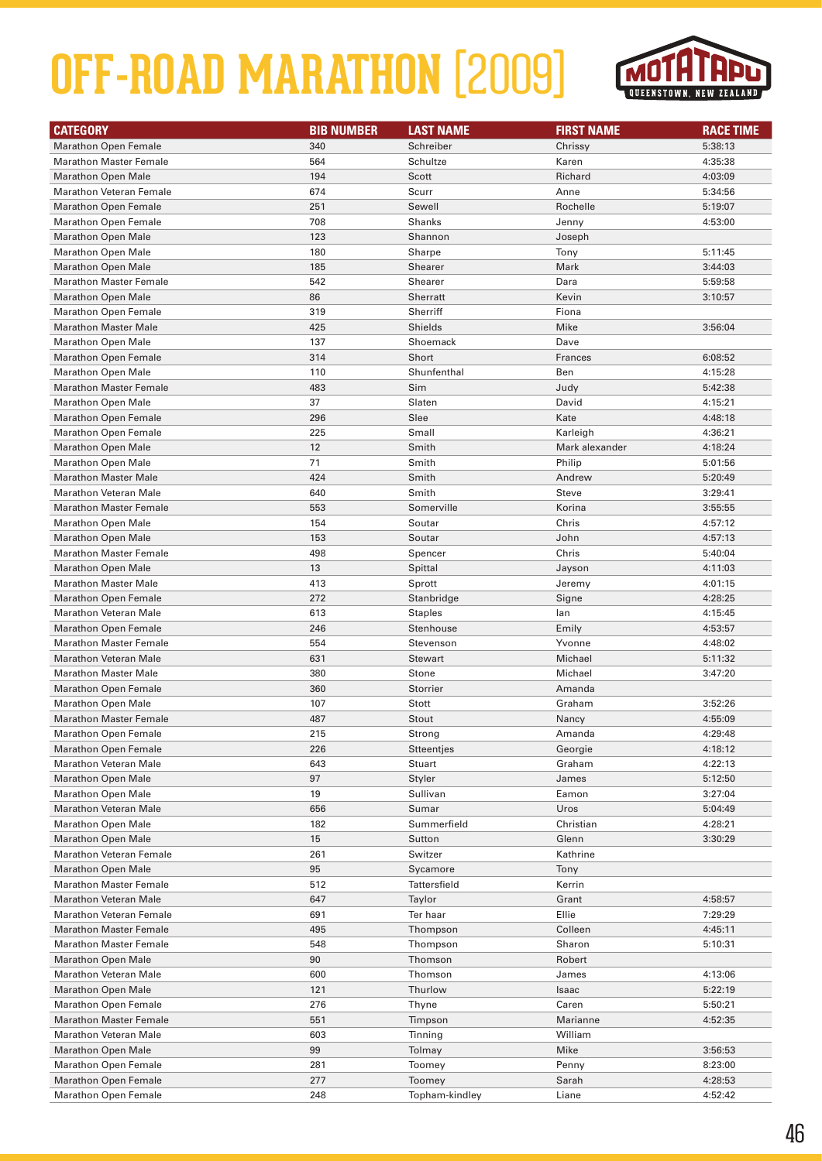

| <b>CATEGORY</b>                | <b>BIB NUMBER</b> | <b>LAST NAME</b> | <b>FIRST NAME</b> | <b>RACE TIME</b> |
|--------------------------------|-------------------|------------------|-------------------|------------------|
| <b>Marathon Open Female</b>    | 340               | Schreiber        | Chrissy           | 5:38:13          |
| <b>Marathon Master Female</b>  | 564               | Schultze         | Karen             | 4:35:38          |
| <b>Marathon Open Male</b>      | 194               | Scott            | Richard           | 4:03:09          |
| <b>Marathon Veteran Female</b> | 674               | Scurr            | Anne              | 5:34:56          |
| <b>Marathon Open Female</b>    | 251               | Sewell           | Rochelle          | 5:19:07          |
| <b>Marathon Open Female</b>    | 708               | <b>Shanks</b>    | Jenny             | 4:53:00          |
| <b>Marathon Open Male</b>      | 123               | Shannon          | Joseph            |                  |
| <b>Marathon Open Male</b>      | 180               | Sharpe           | Tony              | 5:11:45          |
| <b>Marathon Open Male</b>      | 185               | Shearer          | Mark              | 3:44:03          |
| <b>Marathon Master Female</b>  | 542               | Shearer          | Dara              | 5:59:58          |
| <b>Marathon Open Male</b>      | 86                | Sherratt         | Kevin             | 3:10:57          |
| <b>Marathon Open Female</b>    | 319               | Sherriff         | Fiona             |                  |
| <b>Marathon Master Male</b>    | 425               | Shields          | Mike              | 3:56:04          |
| <b>Marathon Open Male</b>      | 137               | Shoemack         | Dave              |                  |
| <b>Marathon Open Female</b>    | 314               | Short            | Frances           | 6:08:52          |
| <b>Marathon Open Male</b>      | 110               | Shunfenthal      | Ben               | 4:15:28          |
| <b>Marathon Master Female</b>  | 483               | Sim              | Judy              | 5:42:38          |
| <b>Marathon Open Male</b>      | 37                | Slaten           | David             | 4:15:21          |
| <b>Marathon Open Female</b>    | 296               | Slee             | Kate              | 4:48:18          |
| <b>Marathon Open Female</b>    | 225               | Small            | Karleigh          | 4:36:21          |
| <b>Marathon Open Male</b>      | 12                | Smith            | Mark alexander    | 4:18:24          |
| <b>Marathon Open Male</b>      | 71                | Smith            | Philip            | 5:01:56          |
| <b>Marathon Master Male</b>    | 424               | Smith            | Andrew            | 5:20:49          |
| <b>Marathon Veteran Male</b>   | 640               | Smith            | <b>Steve</b>      | 3:29:41          |
| <b>Marathon Master Female</b>  | 553               | Somerville       | Korina            | 3:55:55          |
| <b>Marathon Open Male</b>      | 154               | Soutar           | Chris             | 4:57:12          |
| <b>Marathon Open Male</b>      | 153               | Soutar           | John              | 4:57:13          |
| <b>Marathon Master Female</b>  | 498               | Spencer          | Chris             | 5:40:04          |
| <b>Marathon Open Male</b>      | 13                | Spittal          | Jayson            | 4:11:03          |
| <b>Marathon Master Male</b>    | 413               | Sprott           | Jeremy            | 4:01:15          |
| <b>Marathon Open Female</b>    | 272               | Stanbridge       | Signe             | 4:28:25          |
| <b>Marathon Veteran Male</b>   | 613               | <b>Staples</b>   | lan               | 4:15:45          |
| <b>Marathon Open Female</b>    | 246               | Stenhouse        | Emily             | 4:53:57          |
| <b>Marathon Master Female</b>  | 554               | Stevenson        | Yvonne            | 4:48:02          |
| Marathon Veteran Male          | 631               | <b>Stewart</b>   | Michael           | 5:11:32          |
| <b>Marathon Master Male</b>    | 380               | Stone            | Michael           | 3:47:20          |
| <b>Marathon Open Female</b>    | 360               | Storrier         | Amanda            |                  |
| <b>Marathon Open Male</b>      | 107               | Stott            | Graham            | 3:52:26          |
| <b>Marathon Master Female</b>  | 487               | Stout            | Nancy             | 4:55:09          |
| <b>Marathon Open Female</b>    | 215               | Strong           | Amanda            | 4:29:48          |
| <b>Marathon Open Female</b>    | 226               | Stteentjes       | Georgie           | 4:18:12          |
| <b>Marathon Veteran Male</b>   | 643               | Stuart           | Graham            | 4:22:13          |
| <b>Marathon Open Male</b>      | 97                | Styler           | James             | 5:12:50          |
| <b>Marathon Open Male</b>      | 19                | Sullivan         | Eamon             | 3:27:04          |
| <b>Marathon Veteran Male</b>   | 656               | Sumar            | Uros              | 5:04:49          |
| <b>Marathon Open Male</b>      | 182               | Summerfield      | Christian         | 4:28:21          |
| <b>Marathon Open Male</b>      | 15                | Sutton           | Glenn             | 3:30:29          |
| <b>Marathon Veteran Female</b> | 261               | Switzer          | Kathrine          |                  |
| <b>Marathon Open Male</b>      | 95                | Sycamore         | Tony              |                  |
| <b>Marathon Master Female</b>  | 512               | Tattersfield     | Kerrin            |                  |
| <b>Marathon Veteran Male</b>   | 647               | Taylor           | Grant             | 4:58:57          |
| <b>Marathon Veteran Female</b> | 691               | Ter haar         | Ellie             | 7:29:29          |
| <b>Marathon Master Female</b>  | 495               | Thompson         | Colleen           | 4:45:11          |
| <b>Marathon Master Female</b>  | 548               | Thompson         | Sharon            | 5:10:31          |
| <b>Marathon Open Male</b>      | 90                | Thomson          | Robert            |                  |
| <b>Marathon Veteran Male</b>   | 600               | Thomson          | James             | 4:13:06          |
| <b>Marathon Open Male</b>      | 121               | Thurlow          | Isaac             | 5:22:19          |
| <b>Marathon Open Female</b>    | 276               | Thyne            | Caren             | 5:50:21          |
| <b>Marathon Master Female</b>  | 551               | Timpson          | Marianne          | 4:52:35          |
| <b>Marathon Veteran Male</b>   | 603               | Tinning          | William           |                  |
| <b>Marathon Open Male</b>      | 99                | Tolmay           | Mike              | 3:56:53          |
| <b>Marathon Open Female</b>    | 281               | Toomey           | Penny             | 8:23:00          |
| <b>Marathon Open Female</b>    | 277               | Toomey           | Sarah             | 4:28:53          |
| <b>Marathon Open Female</b>    | 248               | Topham-kindley   | Liane             | 4:52:42          |